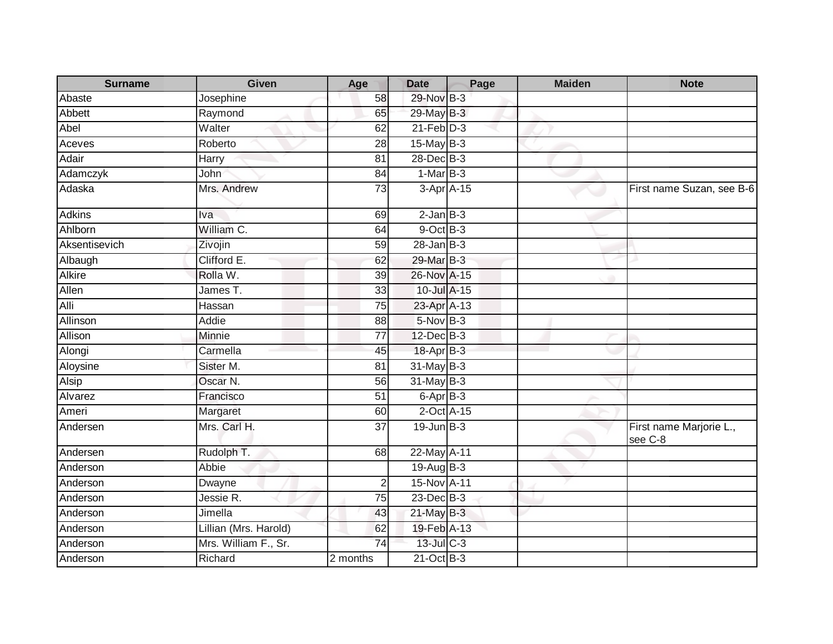| <b>Surname</b> | <b>Given</b>          | Age             | <b>Date</b>      | Page | <b>Maiden</b> | <b>Note</b>                        |
|----------------|-----------------------|-----------------|------------------|------|---------------|------------------------------------|
| Abaste         | Josephine             | 58              | 29-Nov B-3       |      |               |                                    |
| Abbett         | Raymond               | 65              | 29-May B-3       |      |               |                                    |
| Abel           | Walter                | 62              | $21$ -Feb $D-3$  |      |               |                                    |
| Aceves         | Roberto               | $\overline{28}$ | $15$ -May $B-3$  |      |               |                                    |
| Adair          | Harry                 | 81              | 28-Dec B-3       |      |               |                                    |
| Adamczyk       | John                  | 84              | $1-MarB-3$       |      |               |                                    |
| Adaska         | Mrs. Andrew           | 73              | $3-Apr$ A-15     |      |               | First name Suzan, see B-6          |
| <b>Adkins</b>  | Iva                   | 69              | $2$ -Jan $B-3$   |      |               |                                    |
| Ahlborn        | William C.            | 64              | 9-Oct B-3        |      |               |                                    |
| Aksentisevich  | Zivojin               | 59              | $28 - Jan$ $B-3$ |      |               |                                    |
| Albaugh        | Clifford E.           | 62              | 29-Mar B-3       |      |               |                                    |
| <b>Alkire</b>  | Rolla W.              | 39              | 26-Nov A-15      |      |               |                                    |
| Allen          | James T.              | 33              | 10-Jul A-15      |      |               |                                    |
| Alli           | Hassan                | 75              | 23-Apr A-13      |      |               |                                    |
| Allinson       | Addie                 | 88              | $5-Nov$ B-3      |      |               |                                    |
| Allison        | Minnie                | $\overline{77}$ | 12-Dec B-3       |      |               |                                    |
| Alongi         | Carmella              | 45              | 18-Apr B-3       |      |               |                                    |
| Aloysine       | Sister M.             | 81              | $31$ -May B-3    |      |               |                                    |
| <b>Alsip</b>   | Oscar N.              | $\overline{56}$ | $31$ -May B-3    |      |               |                                    |
| Alvarez        | Francisco             | 51              | 6-Apr B-3        |      |               |                                    |
| Ameri          | Margaret              | 60              | 2-Oct A-15       |      |               |                                    |
| Andersen       | Mrs. Carl H.          | 37              | $19$ -Jun $B-3$  |      |               | First name Marjorie L.,<br>see C-8 |
| Andersen       | Rudolph T.            | 68              | 22-May A-11      |      |               |                                    |
| Anderson       | Abbie                 |                 | $19-Auq$ B-3     |      |               |                                    |
| Anderson       | Dwayne                | $\overline{2}$  | 15-Nov A-11      |      |               |                                    |
| Anderson       | Jessie R.             | $\overline{75}$ | 23-Dec B-3       |      |               |                                    |
| Anderson       | Jimella               | 43              | 21-May B-3       |      |               |                                    |
| Anderson       | Lillian (Mrs. Harold) | 62              | 19-Feb A-13      |      |               |                                    |
| Anderson       | Mrs. William F., Sr.  | $\overline{74}$ | 13-Jul C-3       |      |               |                                    |
| Anderson       | Richard               | 2 months        | $21$ -Oct B-3    |      |               |                                    |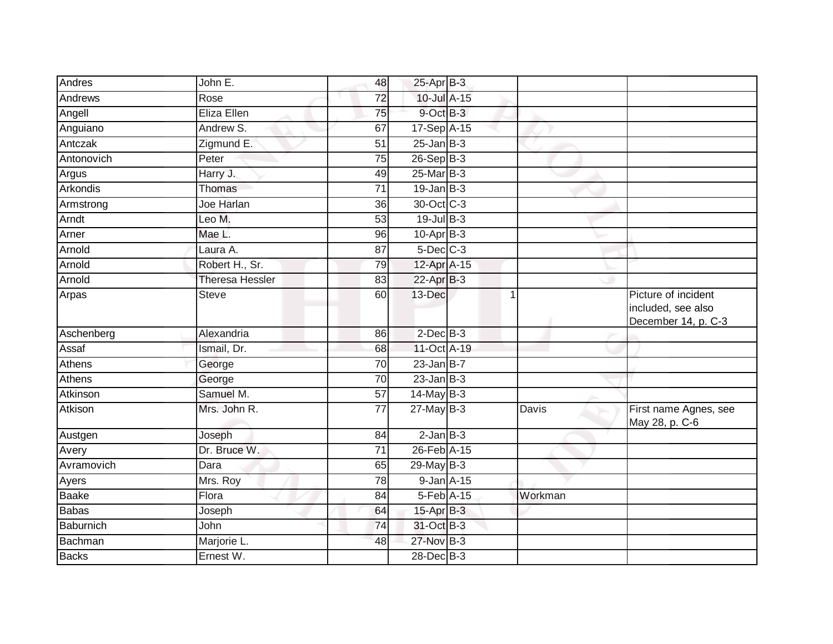| Andres          | John E.                | 48              | 25-Apr B-3        |              |                                                                  |
|-----------------|------------------------|-----------------|-------------------|--------------|------------------------------------------------------------------|
| Andrews         | Rose                   | $\overline{72}$ | 10-Jul A-15       |              |                                                                  |
| Angell          | Eliza Ellen            | 75              | $9$ -Oct $B$ -3   |              |                                                                  |
| Anguiano        | Andrew S.              | 67              | 17-Sep A-15       |              |                                                                  |
| Antczak         | Zigmund E.             | 51              | $25$ -Jan B-3     |              |                                                                  |
| Antonovich      | Peter                  | 75              | $26-Sep$ B-3      |              |                                                                  |
| Argus           | Harry J.               | 49              | 25-Mar B-3        |              |                                                                  |
| <b>Arkondis</b> | Thomas                 | 71              | $19$ -Jan B-3     |              |                                                                  |
| Armstrong       | Joe Harlan             | 36              | 30-Oct C-3        |              |                                                                  |
| Arndt           | Leo M.                 | 53              | $19$ -Jul B-3     |              |                                                                  |
| Arner           | Mae L.                 | 96              | $10$ -Apr $B-3$   |              |                                                                  |
| Arnold          | Laura A.               | $\overline{87}$ | $5$ -Dec $C$ -3   |              |                                                                  |
| Arnold          | Robert H., Sr.         | 79              | 12-Apr A-15       |              |                                                                  |
| Arnold          | <b>Theresa Hessler</b> | 83              | 22-Apr B-3        |              |                                                                  |
| Arpas           | <b>Steve</b>           | 60              | 13-Dec            |              | Picture of incident<br>included, see also<br>December 14, p. C-3 |
| Aschenberg      | Alexandria             | 86              | $2$ -Dec $B-3$    |              |                                                                  |
| Assaf           | Ismail, Dr.            | 68              | 11-Oct A-19       |              |                                                                  |
| Athens          | George                 | 70              | $23$ -Jan B-7     |              |                                                                  |
| Athens          | George                 | 70              | $23$ -Jan $ B-3 $ |              |                                                                  |
| Atkinson        | Samuel M.              | 57              | $14$ -May B-3     |              |                                                                  |
| Atkison         | Mrs. John R.           | $\overline{77}$ | $27$ -May B-3     | <b>Davis</b> | First name Agnes, see<br>May 28, p. C-6                          |
| Austgen         | Joseph                 | 84              | $2$ -Jan $B-3$    |              |                                                                  |
| Avery           | Dr. Bruce W.           | $\overline{71}$ | 26-Feb A-15       |              |                                                                  |
| Avramovich      | Dara                   | 65              | $29$ -May B-3     |              |                                                                  |
| Ayers           | Mrs. Roy               | 78              | 9-Jan A-15        |              |                                                                  |
| <b>Baake</b>    | Flora                  | $\overline{84}$ | 5-Feb A-15        | Workman      |                                                                  |
| <b>Babas</b>    | Joseph                 | 64              | 15-Apr B-3        |              |                                                                  |
| Baburnich       | John                   | 74              | 31-Oct B-3        |              |                                                                  |
| Bachman         | Marjorie L.            | 48              | 27-Nov B-3        |              |                                                                  |
| <b>Backs</b>    | Ernest W.              |                 | 28-Dec B-3        |              |                                                                  |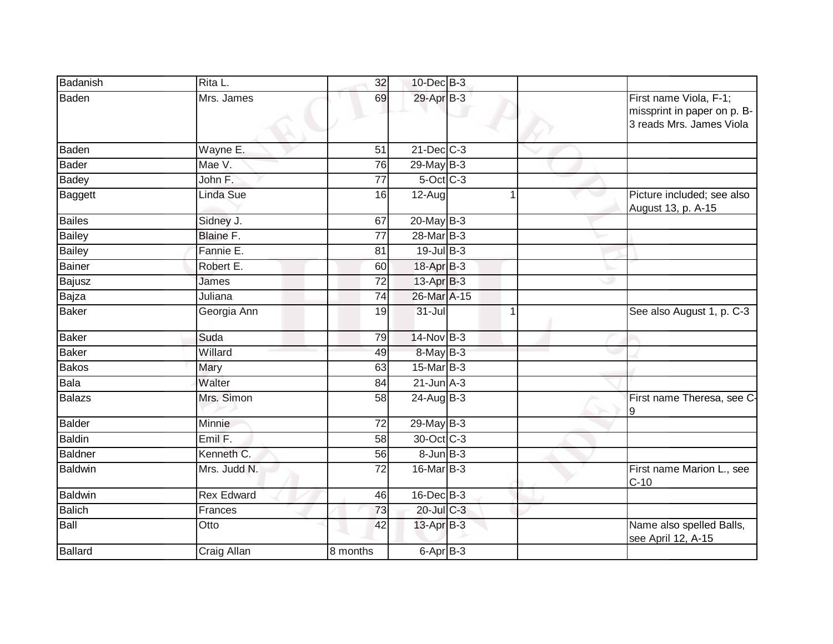| Badanish       | Rita L.           | 32              | $10$ -Dec $B-3$   |                      |                                                                                   |
|----------------|-------------------|-----------------|-------------------|----------------------|-----------------------------------------------------------------------------------|
| Baden          | Mrs. James        | 69              | 29-Apr B-3        |                      | First name Viola, F-1;<br>missprint in paper on p. B-<br>3 reads Mrs. James Viola |
| Baden          | Wayne E.          | 51              | $21$ -Dec $C-3$   |                      |                                                                                   |
| <b>Bader</b>   | Mae V.            | 76              | $29$ -May $B-3$   |                      |                                                                                   |
| <b>Badey</b>   | John F.           | 77              | $5$ -Oct $C$ -3   |                      |                                                                                   |
| Baggett        | <b>Linda Sue</b>  | 16              | 12-Aug            |                      | Picture included; see also<br>August 13, p. A-15                                  |
| <b>Bailes</b>  | Sidney J.         | 67              | $20$ -May B-3     |                      |                                                                                   |
| <b>Bailey</b>  | Blaine F.         | $\overline{77}$ | 28-Mar B-3        |                      |                                                                                   |
| <b>Bailey</b>  | Fannie E.         | 81              | 19-Jul B-3        |                      |                                                                                   |
| <b>Bainer</b>  | Robert E.         | 60              | 18-Apr B-3        |                      |                                                                                   |
| <b>Bajusz</b>  | James             | 72              | $13-Apr$ B-3      |                      |                                                                                   |
| Bajza          | Juliana           | 74              | 26-Mar A-15       |                      |                                                                                   |
| Baker          | Georgia Ann       | 19              | $31 -$ Jul        | $\blacktriangleleft$ | See also August 1, p. C-3                                                         |
| <b>Baker</b>   | Suda              | 79              | 14-Nov B-3        |                      |                                                                                   |
| <b>Baker</b>   | Willard           | 49              | $8$ -May $B-3$    |                      |                                                                                   |
| <b>Bakos</b>   | Mary              | 63              | $15$ -Mar $ B-3 $ |                      |                                                                                   |
| Bala           | Walter            | 84              | $21$ -Jun $A-3$   |                      |                                                                                   |
| <b>Balazs</b>  | Mrs. Simon        | 58              | $24$ -AugB-3      |                      | First name Theresa, see C-<br>19                                                  |
| Balder         | Minnie            | 72              | 29-May B-3        |                      |                                                                                   |
| <b>Baldin</b>  | Emil F.           | 58              | 30-Oct C-3        |                      |                                                                                   |
| <b>Baldner</b> | Kenneth C.        | 56              | $8$ -Jun $B$ -3   |                      |                                                                                   |
| Baldwin        | Mrs. Judd N.      | 72              | $16$ -Mar $B-3$   |                      | First name Marion L., see<br>$C-10$                                               |
| Baldwin        | <b>Rex Edward</b> | 46              | $16$ -Dec $B-3$   |                      |                                                                                   |
| <b>Balich</b>  | Frances           | 73              | 20-Jul C-3        |                      |                                                                                   |
| <b>Ball</b>    | Otto              | 42              | 13-Apr B-3        |                      | Name also spelled Balls,<br>see April 12, A-15                                    |
| Ballard        | Craig Allan       | 8 months        | 6-Apr B-3         |                      |                                                                                   |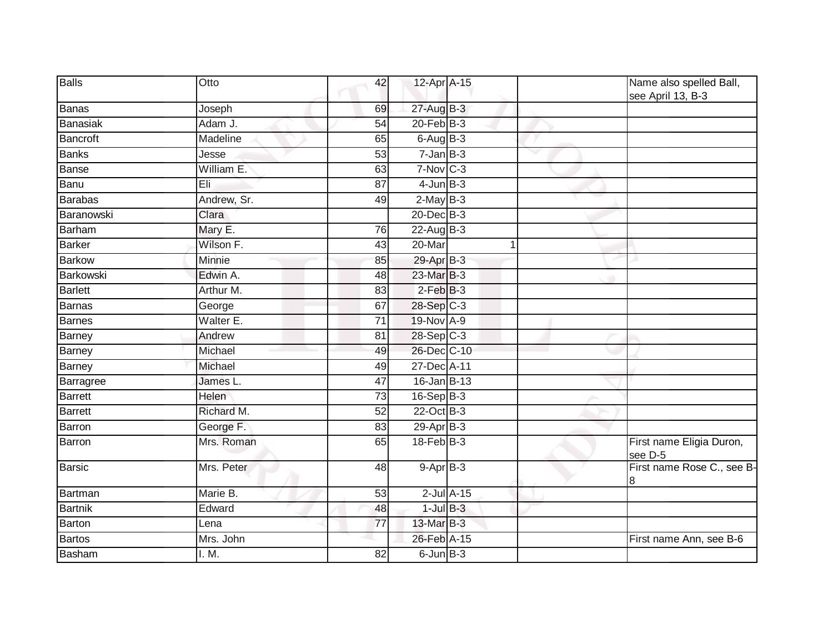| <b>Balls</b>    | Otto            | 42              | 12-Apr A-15     |                 |                          | Name also spelled Ball,<br>see April 13, B-3 |
|-----------------|-----------------|-----------------|-----------------|-----------------|--------------------------|----------------------------------------------|
| Banas           | Joseph          | 69              | 27-Aug B-3      |                 |                          |                                              |
| <b>Banasiak</b> | Adam J.         | 54              | $20$ -Feb $B-3$ |                 |                          |                                              |
| <b>Bancroft</b> | <b>Madeline</b> | 65              | $6 - Aug$ B-3   |                 |                          |                                              |
| <b>Banks</b>    | Jesse           | 53              | $7 - JanB - 3$  |                 | $\overline{\phantom{a}}$ |                                              |
| <b>Banse</b>    | William E.      | 63              | 7-Nov C-3       |                 |                          |                                              |
| Banu            | Eli             | $\overline{87}$ | $4$ -Jun $B-3$  |                 |                          |                                              |
| <b>Barabas</b>  | Andrew, Sr.     | 49              | $2-MayB-3$      |                 |                          |                                              |
| Baranowski      | Clara           |                 | 20-Dec B-3      |                 |                          |                                              |
| Barham          | Mary E.         | 76              | $22$ -Aug B-3   |                 |                          |                                              |
| <b>Barker</b>   | Wilson F.       | 43              | $20$ -Mar       |                 |                          |                                              |
| <b>Barkow</b>   | Minnie          | 85              | 29-Apr B-3      |                 |                          |                                              |
| Barkowski       | Edwin A.        | 48              | 23-Mar B-3      |                 |                          |                                              |
| Barlett         | Arthur M.       | $\overline{83}$ | $2$ -Feb $B-3$  |                 |                          |                                              |
| <b>Barnas</b>   | George          | 67              | 28-Sep C-3      |                 |                          |                                              |
| <b>Barnes</b>   | Walter E.       | $\overline{71}$ | 19-Nov A-9      |                 |                          |                                              |
| Barney          | Andrew          | 81              | 28-Sep C-3      |                 |                          |                                              |
| <b>Barney</b>   | Michael         | 49              | 26-Dec C-10     |                 |                          |                                              |
| <b>Barney</b>   | Michael         | 49              | 27-Dec A-11     |                 |                          |                                              |
| Barragree       | James L.        | 47              | $16$ -Jan B-13  |                 |                          |                                              |
| <b>Barrett</b>  | Helen           | 73              | $16 - SepB-3$   |                 |                          |                                              |
| Barrett         | Richard M.      | 52              | 22-Oct B-3      |                 |                          |                                              |
| Barron          | George F.       | 83              | 29-Apr B-3      |                 |                          |                                              |
| Barron          | Mrs. Roman      | 65              | $18$ -Feb $B-3$ |                 |                          | First name Eligia Duron,<br>see D-5          |
| <b>Barsic</b>   | Mrs. Peter      | 48              | $9 - Apr$ $B-3$ |                 |                          | First name Rose C., see B-<br>8              |
| Bartman         | Marie B.        | 53              |                 | $2$ -Jul $A-15$ |                          |                                              |
| <b>Bartnik</b>  | Edward          | 48              | $1$ -Jul $B-3$  |                 |                          |                                              |
| Barton          | Lena            | 77              | 13-Mar B-3      |                 |                          |                                              |
| <b>Bartos</b>   | Mrs. John       |                 | 26-Feb A-15     |                 |                          | First name Ann, see B-6                      |
| <b>Basham</b>   | I. M.           | $\overline{82}$ | $6$ -Jun $B-3$  |                 |                          |                                              |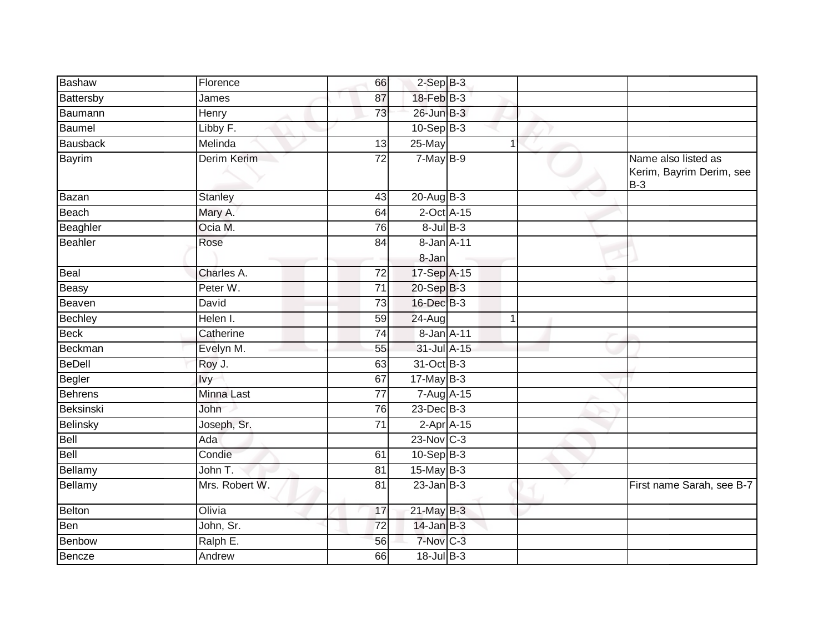| Bashaw          | Florence       | 66              | $2-Sep$ B-3     |              |                                                          |
|-----------------|----------------|-----------------|-----------------|--------------|----------------------------------------------------------|
| Battersby       | James          | 87              | $18$ -Feb $B-3$ |              |                                                          |
| Baumann         | Henry          | 73              | 26-Jun B-3      |              |                                                          |
| <b>Baumel</b>   | Libby F.       |                 | $10-Sep$ B-3    |              |                                                          |
|                 |                |                 |                 |              |                                                          |
| <b>Bausback</b> | Melinda        | 13              | 25-May          | 1            |                                                          |
| Bayrim          | Derim Kerim    | $\overline{72}$ | $7-MayB-9$      |              | Name also listed as<br>Kerim, Bayrim Derim, see<br>$B-3$ |
| Bazan           | <b>Stanley</b> | 43              | $20$ -Aug $B-3$ |              |                                                          |
| Beach           | Mary A.        | 64              | $2$ -Oct $A-15$ |              |                                                          |
| Beaghler        | Ocia M.        | 76              | $8$ -Jul $B$ -3 |              |                                                          |
| Beahler         | Rose           | 84              | 8-Jan A-11      |              |                                                          |
|                 |                |                 | 8-Jan           |              |                                                          |
| Beal            | Charles A.     | 72              | 17-Sep A-15     |              |                                                          |
| Beasy           | Peter W.       | 71              | 20-Sep B-3      |              |                                                          |
| Beaven          | David          | $\overline{73}$ | 16-Dec B-3      |              |                                                          |
| Bechley         | Helen I.       | 59              | 24-Aug          |              |                                                          |
| <b>Beck</b>     | Catherine      | 74              | 8-Jan A-11      |              |                                                          |
| Beckman         | Evelyn M.      | 55              | 31-Jul A-15     |              |                                                          |
| <b>BeDell</b>   | Roy J.         | 63              | 31-Oct B-3      |              |                                                          |
| <b>Begler</b>   | lvy            | 67              | $17$ -May B-3   |              |                                                          |
| Behrens         | Minna Last     | $\overline{77}$ | 7-Aug A-15      |              |                                                          |
| Beksinski       | John           | 76              | $23$ -Dec $B-3$ |              |                                                          |
| Belinsky        | Joseph, Sr.    | 71              |                 | $2-Apr$ A-15 |                                                          |
| Bell            | Ada            |                 | $23$ -Nov $C-3$ |              |                                                          |
| Bell            | Condie         | 61              | $10-Sep$ B-3    |              |                                                          |
| Bellamy         | John T.        | 81              | 15-May $B-3$    |              |                                                          |
| Bellamy         | Mrs. Robert W. | 81              | $23$ -Jan B-3   |              | First name Sarah, see B-7                                |
| Belton          | Olivia         | 17              | 21-May B-3      |              |                                                          |
| Ben             | John, Sr.      | 72              | $14$ -Jan B-3   |              |                                                          |
| Benbow          | Ralph E.       | 56              | 7-Nov C-3       |              |                                                          |
| Bencze          | Andrew         | 66              | 18-Jul B-3      |              |                                                          |
|                 |                |                 |                 |              |                                                          |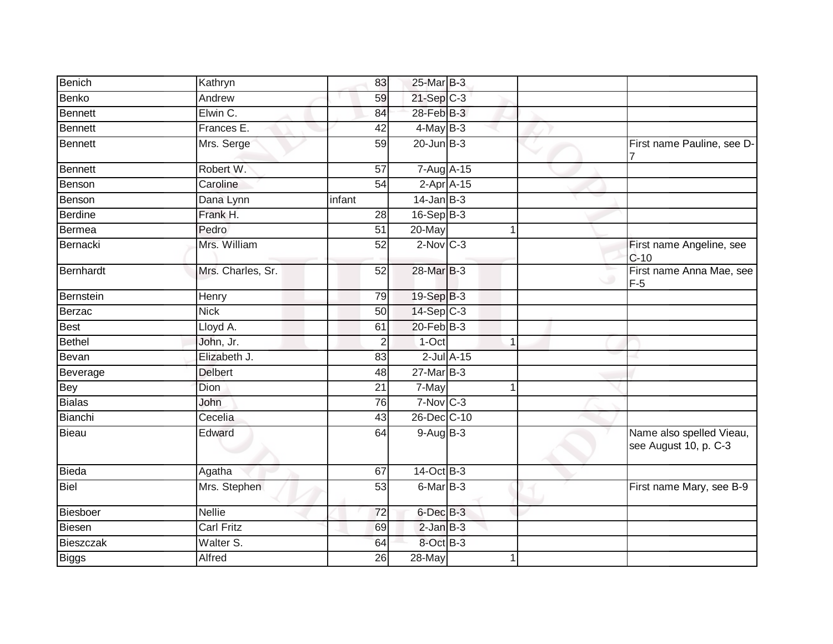| Benich         | Kathryn           | 83              | 25-Mar B-3        |                 |   |                                                   |
|----------------|-------------------|-----------------|-------------------|-----------------|---|---------------------------------------------------|
| <b>Benko</b>   | Andrew            | 59              | $21-Sep$ C-3      |                 |   |                                                   |
| <b>Bennett</b> | Elwin C.          | 84              | 28-Feb B-3        |                 |   |                                                   |
| <b>Bennett</b> | Frances E.        | 42              | $4$ -May B-3      |                 |   |                                                   |
| <b>Bennett</b> | Mrs. Serge        | 59              | $20$ -Jun $B-3$   |                 |   | First name Pauline, see D-                        |
| <b>Bennett</b> | Robert W.         | 57              | 7-Aug A-15        |                 |   |                                                   |
| Benson         | Caroline          | 54              | $2-Apr$ A-15      |                 |   |                                                   |
| Benson         | Dana Lynn         | infant          | $14$ -Jan B-3     |                 |   |                                                   |
| <b>Berdine</b> | Frank H.          | 28              | $16-Sep$ B-3      |                 |   |                                                   |
| Bermea         | Pedro             | 51              | 20-May            |                 |   |                                                   |
| Bernacki       | Mrs. William      | 52              | $2$ -Nov $C-3$    |                 |   | First name Angeline, see<br>$C-10$                |
| Bernhardt      | Mrs. Charles, Sr. | $\overline{52}$ | 28-Mar B-3        |                 |   | First name Anna Mae, see<br>$F-5$                 |
| Bernstein      | Henry             | 79              | 19-Sep B-3        |                 |   |                                                   |
| Berzac         | <b>Nick</b>       | 50              | $14-Sep$ C-3      |                 |   |                                                   |
| Best           | Lloyd A.          | 61              | $20$ -Feb $ B-3 $ |                 |   |                                                   |
| <b>Bethel</b>  | John, Jr.         | $\overline{2}$  | $1-Oct$           |                 | 1 |                                                   |
| Bevan          | Elizabeth J.      | 83              |                   | $2$ -Jul $A-15$ |   |                                                   |
| Beverage       | <b>Delbert</b>    | 48              | $27$ -Mar $B-3$   |                 |   |                                                   |
| <b>Bey</b>     | <b>Dion</b>       | 21              | 7-May             |                 |   |                                                   |
| <b>Bialas</b>  | John              | 76              | $7-Nov$ $C-3$     |                 |   |                                                   |
| Bianchi        | Cecelia           | 43              | 26-Dec C-10       |                 |   |                                                   |
| Bieau          | Edward            | 64              | $9-Aug$ $B-3$     |                 |   | Name also spelled Vieau,<br>see August 10, p. C-3 |
| Bieda          | Agatha            | 67              | 14-Oct B-3        |                 |   |                                                   |
| <b>Biel</b>    | Mrs. Stephen      | $\overline{53}$ | 6-Mar B-3         |                 |   | First name Mary, see B-9                          |
| Biesboer       | <b>Nellie</b>     | 72              | $6$ -Dec $B-3$    |                 |   |                                                   |
| Biesen         | <b>Carl Fritz</b> | 69              | $2$ -Jan $B-3$    |                 |   |                                                   |
| Bieszczak      | Walter S.         | 64              | 8-Oct B-3         |                 |   |                                                   |
| <b>Biggs</b>   | Alfred            | 26              | 28-May            |                 |   |                                                   |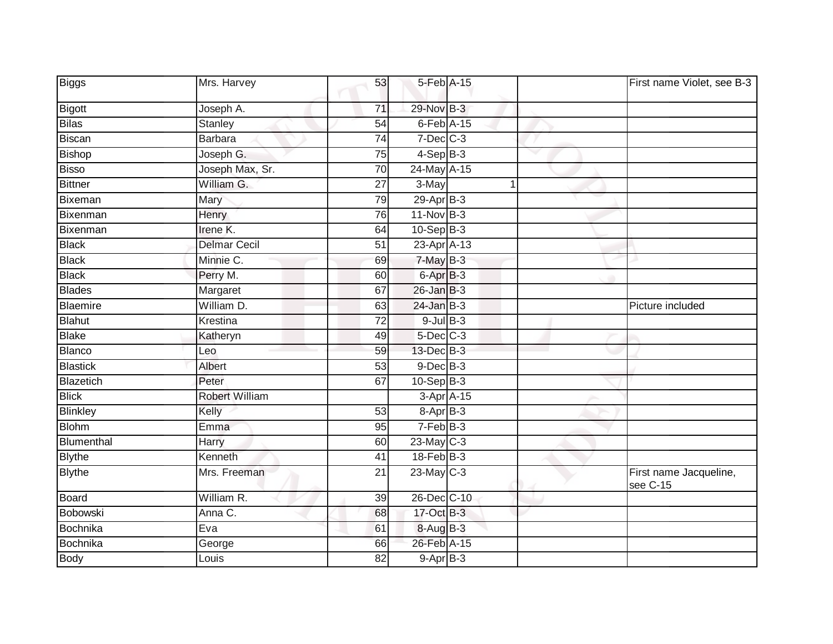| Biggs           | Mrs. Harvey         | 53              | 5-Feb A-15           |   | First name Violet, see B-3         |
|-----------------|---------------------|-----------------|----------------------|---|------------------------------------|
| <b>Bigott</b>   | Joseph A.           | 71              | 29-Nov B-3           |   |                                    |
| <b>Bilas</b>    | <b>Stanley</b>      | 54              | $6$ -Feb $A$ -15     |   |                                    |
| <b>Biscan</b>   | <b>Barbara</b>      | 74              | $7$ -Dec $C$ -3      |   |                                    |
| <b>Bishop</b>   | Joseph G.           | 75              | $4-Sep$ B-3          |   |                                    |
| <b>Bisso</b>    | Joseph Max, Sr.     | $\overline{70}$ | 24-May A-15          |   |                                    |
| <b>Bittner</b>  | William G.          | 27              | 3-May                | 1 |                                    |
| Bixeman         | Mary                | 79              | $29$ -Apr $B-3$      |   |                                    |
| Bixenman        | Henry               | 76              | $11-Nov$ B-3         |   |                                    |
| Bixenman        | Irene K.            | 64              | $10-Sep$ B-3         |   |                                    |
| <b>Black</b>    | <b>Delmar Cecil</b> | 51              | 23-Apr A-13          |   |                                    |
| <b>Black</b>    | Minnie C.           | 69              | 7-May B-3            |   |                                    |
| <b>Black</b>    | Perry M.            | 60              | 6-Apr <sup>B-3</sup> |   |                                    |
| <b>Blades</b>   | Margaret            | 67              | $26$ -Jan $B-3$      |   |                                    |
| <b>Blaemire</b> | William D.          | 63              | $24$ -Jan $B-3$      |   | Picture included                   |
| <b>Blahut</b>   | Krestina            | 72              | $9$ -Jul $B$ -3      |   |                                    |
| <b>Blake</b>    | Katheryn            | 49              | $5$ -Dec $C$ -3      |   |                                    |
| <b>Blanco</b>   | Leo                 | 59              | 13-Dec B-3           |   |                                    |
| <b>Blastick</b> | Albert              | 53              | $9$ -Dec $B$ -3      |   |                                    |
| Blazetich       | Peter               | 67              | $10-Sep$ B-3         |   |                                    |
| <b>Blick</b>    | Robert William      |                 | 3-Apr A-15           |   |                                    |
| <b>Blinkley</b> | Kelly               | 53              | 8-Apr B-3            |   |                                    |
| <b>Blohm</b>    | Emma                | 95              | $7-FebB-3$           |   |                                    |
| Blumenthal      | Harry               | 60              | $23$ -May C-3        |   |                                    |
| <b>Blythe</b>   | Kenneth             | 41              | 18-Feb B-3           |   |                                    |
| <b>Blythe</b>   | Mrs. Freeman        | 21              | $23$ -May C-3        |   | First name Jacqueline,<br>see C-15 |
| <b>Board</b>    | William R.          | 39              | 26-Dec C-10          |   |                                    |
| Bobowski        | Anna C.             | 68              | 17-Oct B-3           |   |                                    |
| Bochnika        | Eva                 | 61              | 8-Aug B-3            |   |                                    |
| Bochnika        | George              | 66              | 26-Feb A-15          |   |                                    |
| <b>Body</b>     | Louis               | 82              | $9-Apr$ B-3          |   |                                    |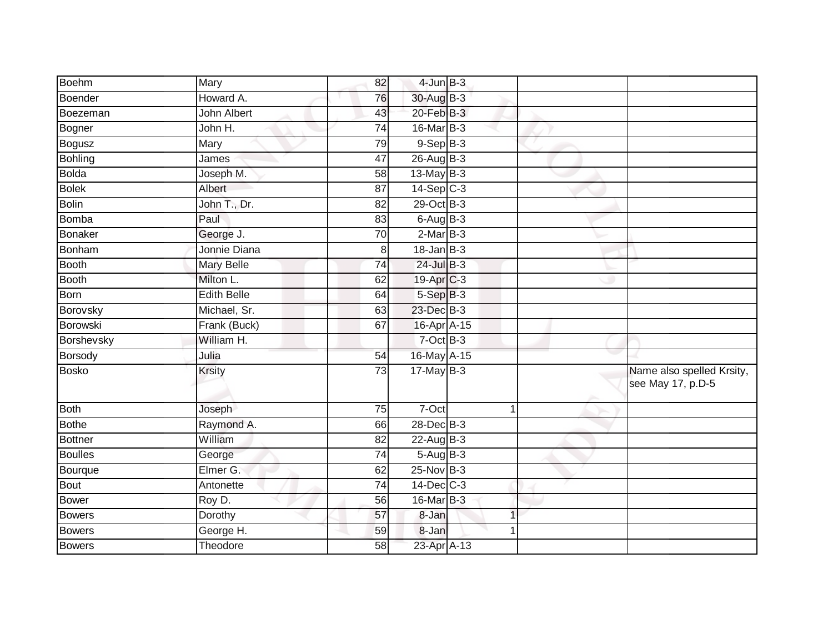| <b>Boehm</b>   | Mary               | 82              | $4$ -Jun $B-3$    |                |    |                                                |
|----------------|--------------------|-----------------|-------------------|----------------|----|------------------------------------------------|
| Boender        | Howard A.          | 76              | 30-Aug B-3        |                |    |                                                |
| Boezeman       | <b>John Albert</b> | 43              | $20$ -Feb $B-3$   |                |    |                                                |
| Bogner         | John H.            | 74              | $16$ -Mar $ B-3 $ |                |    |                                                |
| Bogusz         | Mary               | 79              | $9-Sep$ $B-3$     |                |    |                                                |
| Bohling        | James              | 47              | 26-Aug B-3        |                |    |                                                |
| Bolda          | Joseph M.          | 58              | $13$ -May B-3     |                |    |                                                |
| <b>Bolek</b>   | Albert             | 87              | $14-Sep$ C-3      |                |    |                                                |
| Bolin          | John T., Dr.       | 82              | 29-Oct B-3        |                |    |                                                |
| <b>Bomba</b>   | Paul               | 83              | $6$ -Aug $B-3$    |                |    |                                                |
| <b>Bonaker</b> | George J.          | 70              | $2-MarB-3$        |                |    |                                                |
| Bonham         | Jonnie Diana       | 8               | $18 - Jan$ $B-3$  |                |    |                                                |
| <b>Booth</b>   | <b>Mary Belle</b>  | 74              | $24$ -Jul B-3     |                |    |                                                |
| <b>Booth</b>   | Milton L.          | 62              | 19-Apr C-3        |                |    |                                                |
| Born           | <b>Edith Belle</b> | 64              | $5-Sep$ $B-3$     |                |    |                                                |
| Borovsky       | Michael, Sr.       | 63              | 23-Dec B-3        |                |    |                                                |
| Borowski       | Frank (Buck)       | 67              | 16-Apr A-15       |                |    |                                                |
| Borshevsky     | William H.         |                 | $7$ -Oct $B-3$    |                |    |                                                |
| Borsody        | Julia              | 54              | 16-May A-15       |                |    |                                                |
| <b>Bosko</b>   | <b>Krsity</b>      | 73              | $17$ -May B-3     |                | s. | Name also spelled Krsity,<br>see May 17, p.D-5 |
| Both           | Joseph             | 75              | 7-Oct             | $\mathbf 1$    |    |                                                |
| <b>Bothe</b>   | Raymond A.         | 66              | 28-Dec B-3        |                |    |                                                |
| Bottner        | William            | $\overline{82}$ | $22$ -Aug B-3     |                |    |                                                |
| Boulles        | George             | 74              | 5-Aug B-3         |                |    |                                                |
| Bourque        | Elmer G.           | 62              | $25$ -Nov $B-3$   |                |    |                                                |
| Bout           | Antonette          | 74              | $14$ -Dec $C-3$   |                |    |                                                |
| Bower          | Roy D.             | 56              | 16-Mar B-3        |                |    |                                                |
| <b>Bowers</b>  | Dorothy            | 57              | 8-Jan             | $\overline{1}$ |    |                                                |
| <b>Bowers</b>  | George H.          | 59              | 8-Jan             |                |    |                                                |
| <b>Bowers</b>  | Theodore           | 58              | 23-Apr A-13       |                |    |                                                |
|                |                    |                 |                   |                |    |                                                |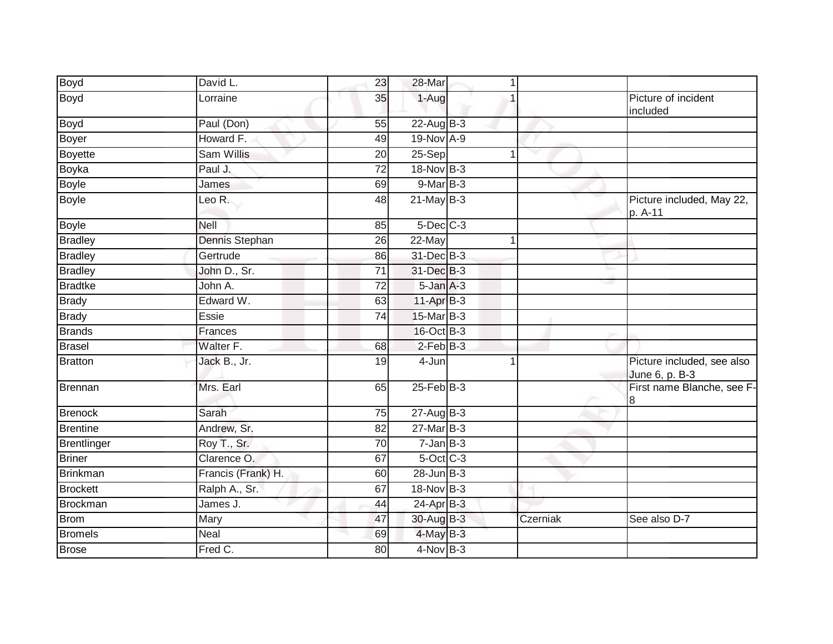| <b>Boyd</b>        | David L.           | 23              | 28-Mar           | $\mathbf{1}$      |                                              |
|--------------------|--------------------|-----------------|------------------|-------------------|----------------------------------------------|
| <b>Boyd</b>        | Lorraine           | 35              | 1-Aug            |                   | Picture of incident<br>included              |
| Boyd               | Paul (Don)         | 55              | 22-Aug B-3       |                   |                                              |
| <b>Boyer</b>       | Howard F.          | 49              | 19-Nov A-9       |                   |                                              |
| <b>Boyette</b>     | Sam Willis         | 20              | 25-Sep           | $\mathbf{1}$<br>v |                                              |
| Boyka              | Paul J.            | $\overline{72}$ | 18-Nov B-3       |                   |                                              |
| <b>Boyle</b>       | James              | 69              | $9$ -Mar $B-3$   |                   |                                              |
| <b>Boyle</b>       | Leo R.             | 48              | $21$ -May B-3    |                   | Picture included, May 22,<br>p. A-11         |
| <b>Boyle</b>       | Nell               | 85              | 5-Dec C-3        |                   |                                              |
| <b>Bradley</b>     | Dennis Stephan     | 26              | 22-May           |                   |                                              |
| <b>Bradley</b>     | Gertrude           | 86              | 31-Dec B-3       |                   |                                              |
| <b>Bradley</b>     | John D., Sr.       | $\overline{71}$ | 31-Dec B-3       |                   |                                              |
| <b>Bradtke</b>     | John A.            | 72              | 5-Jan A-3        |                   |                                              |
| <b>Brady</b>       | Edward W.          | 63              | $11-Apr$ B-3     |                   |                                              |
| <b>Brady</b>       | Essie              | 74              | 15-Mar B-3       |                   |                                              |
| <b>Brands</b>      | Frances            |                 | 16-Oct B-3       |                   |                                              |
| <b>Brasel</b>      | Walter F.          | 68              | $2$ -Feb $B-3$   |                   |                                              |
| <b>Bratton</b>     | Jack B., Jr.       | 19              | 4-Jun            | 1                 | Picture included, see also<br>June 6, p. B-3 |
| <b>Brennan</b>     | Mrs. Earl          | 65              | $25$ -Feb $B$ -3 |                   | First name Blanche, see F-<br>8              |
| <b>Brenock</b>     | Sarah              | 75              | $27-AugB-3$      |                   |                                              |
| <b>Brentine</b>    | Andrew, Sr.        | 82              | $27$ -Mar $B-3$  |                   |                                              |
| <b>Brentlinger</b> | Roy T., Sr.        | 70              | $7 - Jan$ $B-3$  |                   |                                              |
| <b>Briner</b>      | Clarence O.        | 67              | $5$ -Oct $C$ -3  |                   |                                              |
| <b>Brinkman</b>    | Francis (Frank) H. | 60              | $28$ -Jun $B-3$  |                   |                                              |
| <b>Brockett</b>    | Ralph A., Sr.      | 67              | $18-Nov$ B-3     |                   |                                              |
| <b>Brockman</b>    | James J.           | 44              | $24$ -Apr $B-3$  |                   |                                              |
| <b>Brom</b>        | Mary               | 47              | 30-Aug B-3       | Czerniak          | See also D-7                                 |
| <b>Bromels</b>     | Neal               | 69              | 4-May B-3        |                   |                                              |
| <b>Brose</b>       | Fred C.            | 80              | $4$ -Nov $B-3$   |                   |                                              |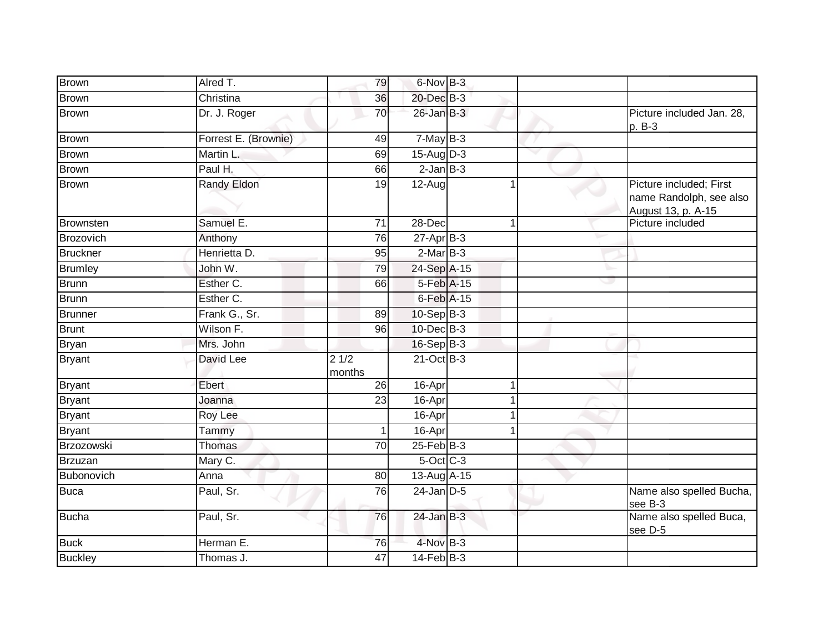| <b>Brown</b>    | Alred T.             | 79              | 6-Nov B-3       |   |                                                                          |
|-----------------|----------------------|-----------------|-----------------|---|--------------------------------------------------------------------------|
| <b>Brown</b>    | Christina            | 36              | 20-Dec B-3      |   |                                                                          |
| <b>Brown</b>    | Dr. J. Roger         | $\overline{70}$ | $26$ -Jan $B-3$ |   | Picture included Jan. 28,<br>p. B-3                                      |
| Brown           | Forrest E. (Brownie) | 49              | $7-MayB-3$      |   |                                                                          |
| Brown           | Martin L.            | 69              | $15-Aug$ D-3    | w |                                                                          |
| <b>Brown</b>    | Paul H.              | 66              | $2$ -Jan $B-3$  |   |                                                                          |
| <b>Brown</b>    | Randy Eldon          | $\overline{19}$ | $12-Aug$        | 1 | Picture included; First<br>name Randolph, see also<br>August 13, p. A-15 |
| Brownsten       | Samuel E.            | 71              | 28-Dec          | 1 | Picture included                                                         |
| Brozovich       | Anthony              | 76              | $27$ -Apr $B-3$ |   |                                                                          |
| <b>Bruckner</b> | Henrietta D.         | 95              | $2-MarB-3$      |   |                                                                          |
| <b>Brumley</b>  | John W.              | 79              | 24-Sep A-15     |   | v.                                                                       |
| Brunn           | Esther C.            | 66              | 5-Feb A-15      |   | ر                                                                        |
| <b>Brunn</b>    | Esther C.            |                 | 6-Feb A-15      |   |                                                                          |
| <b>Brunner</b>  | Frank G., Sr.        | 89              | $10-Sep$ B-3    |   |                                                                          |
| Brunt           | Wilson F.            | 96              | 10-Dec B-3      |   |                                                                          |
| <b>Bryan</b>    | Mrs. John            |                 | 16-Sep B-3      |   |                                                                          |
| <b>Bryant</b>   | David Lee            | 21/2<br>months  | $21$ -Oct B-3   |   |                                                                          |
| <b>Bryant</b>   | Ebert                | 26              | 16-Apr          |   |                                                                          |
| <b>Bryant</b>   | Joanna               | 23              | 16-Apr          |   |                                                                          |
| <b>Bryant</b>   | Roy Lee              |                 | 16-Apr          |   |                                                                          |
| <b>Bryant</b>   | Tammy                |                 | 16-Apr          |   |                                                                          |
| Brzozowski      | <b>Thomas</b>        | $\overline{70}$ | $25$ -Feb $B-3$ |   |                                                                          |
| Brzuzan         | Mary C.              |                 | $5$ -Oct $C$ -3 |   |                                                                          |
| Bubonovich      | Anna                 | 80              | 13-Aug A-15     |   |                                                                          |
| <b>Buca</b>     | Paul, Sr.            | 76              | $24$ -Jan $D-5$ |   | Name also spelled Bucha,<br>see B-3                                      |
| <b>Bucha</b>    | Paul, Sr.            | 76              | $24$ -Jan $B-3$ |   | Name also spelled Buca,<br>see D-5                                       |
| <b>Buck</b>     | Herman E.            | 76              | 4-Nov B-3       |   |                                                                          |
| <b>Buckley</b>  | Thomas J.            | 47              | $14$ -Feb $B-3$ |   |                                                                          |
|                 |                      |                 |                 |   |                                                                          |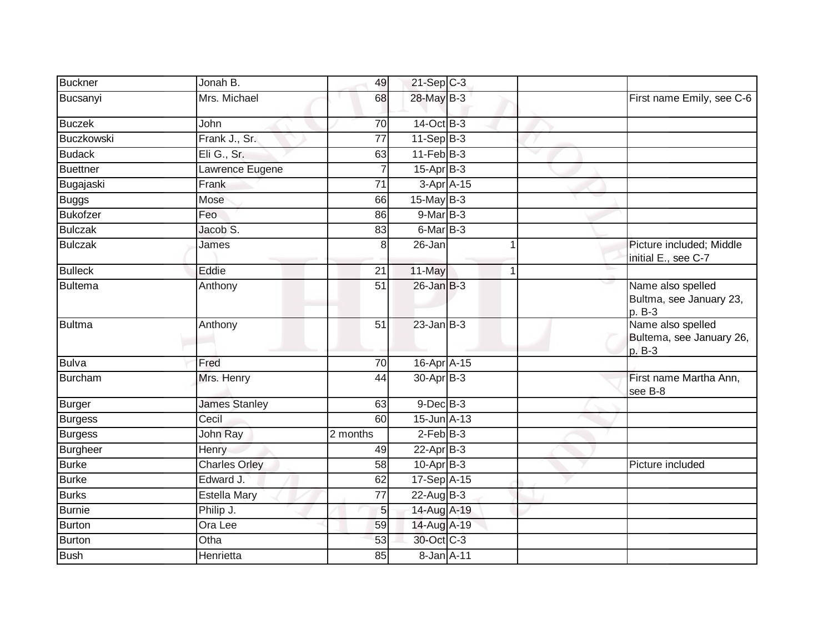| <b>Buckner</b>  | Jonah B.             | 49              | $21-Sep$ C-3    |             |   |                                                           |
|-----------------|----------------------|-----------------|-----------------|-------------|---|-----------------------------------------------------------|
| Bucsanyi        | Mrs. Michael         | 68              | 28-May B-3      |             |   | First name Emily, see C-6                                 |
| <b>Buczek</b>   | John                 | 70              | 14-Oct B-3      |             |   |                                                           |
| Buczkowski      | Frank J., Sr.        | 77              | $11-Sep$ B-3    |             |   |                                                           |
| <b>Budack</b>   | Eli G., Sr.          | 63              | $11-Feb$ B-3    |             | w |                                                           |
| <b>Buettner</b> | Lawrence Eugene      | 7               | $15-Apr$ B-3    |             |   |                                                           |
| Bugajaski       | Frank                | $\overline{71}$ | $3-Apr$ $A-15$  |             |   |                                                           |
| <b>Buggs</b>    | Mose                 | 66              | 15-May B-3      |             |   |                                                           |
| <b>Bukofzer</b> | Feo                  | 86              | $9-Mar$ B-3     |             |   |                                                           |
| <b>Bulczak</b>  | Jacob S.             | 83              | 6-Mar B-3       |             |   |                                                           |
| <b>Bulczak</b>  | James                | 8               | 26-Jan          |             |   | Picture included; Middle<br>initial E., see C-7           |
| <b>Bulleck</b>  | Eddie                | 21              | 11-May          | $\mathbf 1$ |   |                                                           |
| Bultema         | Anthony              | $\overline{51}$ | $26$ -Jan $B-3$ |             |   | Name also spelled<br>Bultma, see January 23,<br>p. B-3    |
| Bultma          | Anthony              | $\overline{51}$ | $23$ -Jan $B-3$ |             |   | Name also spelled<br>Bultema, see January 26,<br>$p. B-3$ |
| <b>Bulva</b>    | Fred                 | 70              | 16-Apr A-15     |             |   |                                                           |
| Burcham         | Mrs. Henry           | 44              | 30-Apr B-3      |             |   | First name Martha Ann,<br>see B-8                         |
| <b>Burger</b>   | <b>James Stanley</b> | 63              | $9$ -Dec $B$ -3 |             |   |                                                           |
| <b>Burgess</b>  | Cecil                | 60              | 15-Jun A-13     |             |   |                                                           |
| Burgess         | John Ray             | 2 months        | $2$ -Feb $B-3$  |             |   |                                                           |
| <b>Burgheer</b> | Henry                | 49              | $22$ -Apr $B-3$ |             |   |                                                           |
| <b>Burke</b>    | <b>Charles Orley</b> | 58              | $10$ -Apr $B-3$ |             |   | Picture included                                          |
| <b>Burke</b>    | Edward J.            | 62              | 17-Sep A-15     |             |   |                                                           |
| <b>Burks</b>    | <b>Estella Mary</b>  | 77              | $22$ -Aug $B-3$ |             |   |                                                           |
| <b>Burnie</b>   | Philip J.            | 5               | 14-Aug A-19     |             |   |                                                           |
| <b>Burton</b>   | Ora Lee              | 59              | 14-Aug A-19     |             |   |                                                           |
| <b>Burton</b>   | Otha                 | 53              | 30-Oct C-3      |             |   |                                                           |
| <b>Bush</b>     | Henrietta            | 85              | $8 - Jan$ A-11  |             |   |                                                           |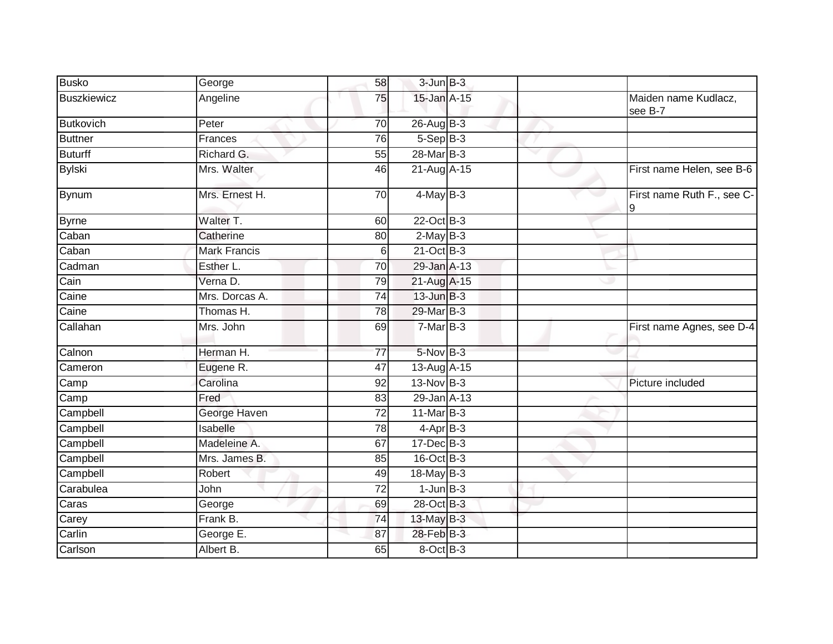| <b>Busko</b>       | George              | 58              | $3$ -Jun $B-3$  |                                 |
|--------------------|---------------------|-----------------|-----------------|---------------------------------|
| <b>Buszkiewicz</b> | Angeline            | 75              | 15-Jan A-15     | Maiden name Kudlacz,<br>see B-7 |
| <b>Butkovich</b>   | Peter               | $\overline{70}$ | 26-Aug B-3      |                                 |
| <b>Buttner</b>     | Frances             | 76              | $5-Sep$ B-3     |                                 |
| <b>Buturff</b>     | Richard G.          | 55              | 28-Mar B-3      |                                 |
| <b>Bylski</b>      | Mrs. Walter         | 46              | 21-Aug A-15     | First name Helen, see B-6       |
| Bynum              | Mrs. Ernest H.      | $\overline{70}$ | $4$ -May $B-3$  | First name Ruth F., see C-<br>9 |
| <b>Byrne</b>       | Walter T.           | 60              | $22$ -Oct B-3   |                                 |
| Caban              | Catherine           | 80              | $2-May$ B-3     |                                 |
| Caban              | <b>Mark Francis</b> | 6               | $21-Oct$ B-3    |                                 |
| Cadman             | Esther L.           | 70              | 29-Jan A-13     |                                 |
| Cain               | Verna D.            | 79              | 21-Aug A-15     |                                 |
| Caine              | Mrs. Dorcas A.      | 74              | $13$ -Jun $B-3$ |                                 |
| Caine              | Thomas H.           | 78              | 29-Mar B-3      |                                 |
| Callahan           | Mrs. John           | 69              | $7-MarB-3$      | First name Agnes, see D-4       |
| Calnon             | Herman H.           | $\overline{77}$ | 5-Nov B-3       |                                 |
| Cameron            | Eugene R.           | 47              | 13-Aug A-15     |                                 |
| Camp               | Carolina            | 92              | $13-Nov$ B-3    | Picture included                |
| Camp               | Fred                | 83              | 29-Jan A-13     |                                 |
| Campbell           | George Haven        | $\overline{72}$ | 11-Mar B-3      |                                 |
| Campbell           | Isabelle            | 78              | $4-AprB-3$      |                                 |
| Campbell           | Madeleine A.        | 67              | $17 - Dec$ B-3  |                                 |
| Campbell           | Mrs. James B.       | 85              | 16-Oct B-3      |                                 |
| Campbell           | Robert              | 49              | 18-May B-3      |                                 |
| Carabulea          | John                | 72              | $1$ -Jun $B-3$  |                                 |
| Caras              | George              | 69              | 28-Oct B-3      |                                 |
| Carey              | Frank B.            | 74              | 13-May B-3      |                                 |
| Carlin             | George E.           | 87              | 28-Feb B-3      |                                 |
| Carlson            | Albert B.           | 65              | 8-Oct B-3       |                                 |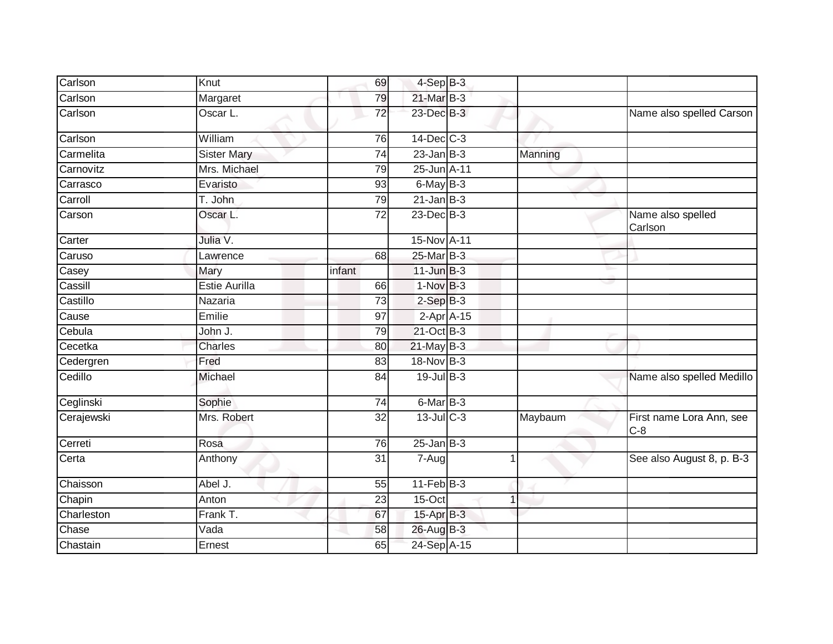| Carlson    | Knut               | 69              | $4-Sep$ $B-3$    |   |         |                                   |
|------------|--------------------|-----------------|------------------|---|---------|-----------------------------------|
| Carlson    | Margaret           | 79              | 21-Mar B-3       |   |         |                                   |
| Carlson    | Oscar L.           | 72              | 23-Dec B-3       |   |         | Name also spelled Carson          |
| Carlson    | William            | 76              | 14-Dec C-3       |   |         |                                   |
| Carmelita  | <b>Sister Mary</b> | 74              | $23$ -Jan B-3    |   | Manning |                                   |
| Carnovitz  | Mrs. Michael       | 79              | 25-Jun A-11      |   |         |                                   |
| Carrasco   | Evaristo           | 93              | $6$ -May $B-3$   |   |         |                                   |
| Carroll    | T. John            | 79              | $21$ -Jan B-3    |   |         |                                   |
| Carson     | Oscar L.           | 72              | 23-Dec B-3       |   |         | Name also spelled<br>Carlson      |
| Carter     | Julia V.           |                 | 15-Nov A-11      |   |         |                                   |
| Caruso     | Lawrence           | 68              | 25-Mar B-3       |   |         |                                   |
| Casey      | Mary               | infant          | $11$ -Jun $B-3$  |   | o.      |                                   |
| Cassill    | Estie Aurilla      | 66              | $1-NovB-3$       |   |         |                                   |
| Castillo   | Nazaria            | 73              | $2-SepB-3$       |   |         |                                   |
| Cause      | Emilie             | 97              | $2-Apr$ A-15     |   |         |                                   |
| Cebula     | John J.            | 79              | 21-Oct B-3       |   |         |                                   |
| Cecetka    | Charles            | 80              | $21$ -May B-3    |   |         |                                   |
| Cedergren  | Fred               | $\overline{83}$ | 18-Nov B-3       |   |         |                                   |
| Cedillo    | Michael            | 84              | 19-Jul B-3       |   |         | Name also spelled Medillo         |
| Ceglinski  | Sophie             | 74              | 6-Mar B-3        |   |         |                                   |
| Cerajewski | Mrs. Robert        | 32              | $13$ -Jul $C-3$  |   | Maybaum | First name Lora Ann, see<br>$C-8$ |
| Cerreti    | Rosa               | 76              | $25 - Jan$ $B-3$ |   |         |                                   |
| Certa      | Anthony            | $\overline{31}$ | $7 - Aug$        | 1 |         | See also August 8, p. B-3         |
| Chaisson   | Abel J.            | 55              | $11-Feb$ B-3     |   |         |                                   |
| Chapin     | Anton              | 23              | 15-Oct           |   |         |                                   |
| Charleston | Frank T.           | 67              | 15-Apr B-3       |   |         |                                   |
| Chase      | Vada               | 58              | 26-Aug B-3       |   |         |                                   |
| Chastain   | Ernest             | 65              | 24-Sep A-15      |   |         |                                   |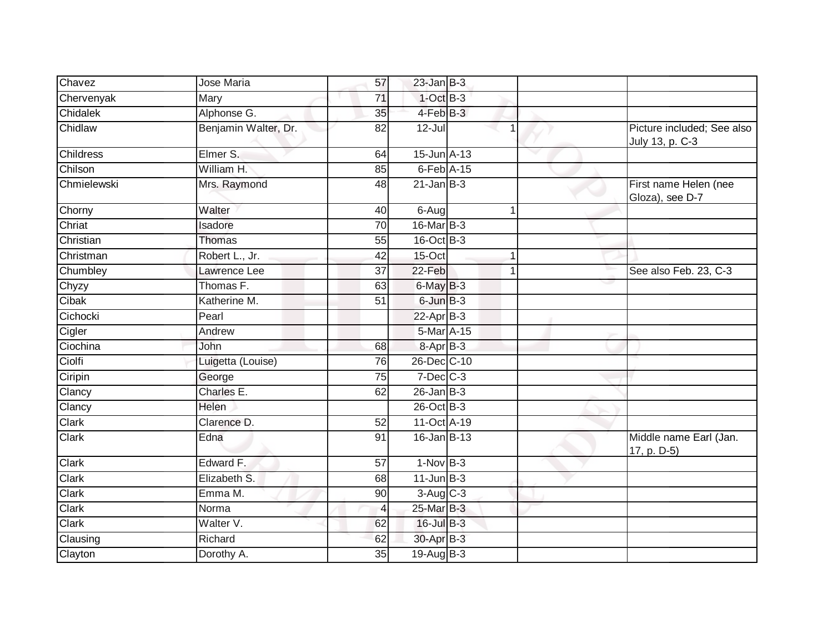| Chavez           | Jose Maria           | 57              | $23$ -Jan B-3               |   |                                               |
|------------------|----------------------|-----------------|-----------------------------|---|-----------------------------------------------|
| Chervenyak       | Mary                 | 71              | $1-Oct$ B-3                 |   |                                               |
| <b>Chidalek</b>  | Alphonse G.          | $\overline{35}$ | 4-Feb B-3                   |   |                                               |
| Chidlaw          | Benjamin Walter, Dr. | 82              | $12 -$ Jul                  |   | Picture included; See also<br>July 13, p. C-3 |
| <b>Childress</b> | Elmer S.             | 64              | 15-Jun A-13                 |   |                                               |
| Chilson          | William H.           | 85              | $6$ -Feb $\overline{A}$ -15 |   |                                               |
| Chmielewski      | Mrs. Raymond         | 48              | $21$ -Jan B-3               |   | First name Helen (nee<br>Gloza), see D-7      |
| Chorny           | Walter               | 40              | 6-Aug                       | 1 |                                               |
| Chriat           | Isadore              | $\overline{70}$ | 16-Mar B-3                  |   |                                               |
| Christian        | <b>Thomas</b>        | 55              | $16$ -Oct B-3               |   |                                               |
| Christman        | Robert L., Jr.       | 42              | 15-Oct                      |   |                                               |
| Chumbley         | Lawrence Lee         | 37              | 22-Feb                      | 1 | See also Feb. 23, C-3                         |
| Chyzy            | Thomas F.            | 63              | $6$ -May $B-3$              |   |                                               |
| Cibak            | Katherine M.         | 51              | 6-Jun B-3                   |   |                                               |
| Cichocki         | Pearl                |                 | $22-Apr$ B-3                |   |                                               |
| Cigler           | Andrew               |                 | 5-Mar A-15                  |   |                                               |
| Ciochina         | John                 | 68              | 8-Apr B-3                   |   |                                               |
| Ciolfi           | Luigetta (Louise)    | 76              | 26-Dec C-10                 |   |                                               |
| Ciripin          | George               | 75              | $7$ -Dec $C$ -3             |   |                                               |
| Clancy           | Charles E.           | 62              | $26$ -Jan B-3               |   |                                               |
| Clancy           | Helen                |                 | 26-Oct B-3                  |   |                                               |
| Clark            | Clarence D.          | 52              | 11-Oct A-19                 |   |                                               |
| <b>Clark</b>     | Edna                 | 91              | 16-Jan B-13                 |   | Middle name Earl (Jan.<br>17, p. D-5)         |
| Clark            | Edward F.            | 57              | $1-Nov$ B-3                 |   |                                               |
| Clark            | Elizabeth S.         | 68              | $11$ -Jun $B-3$             |   |                                               |
| Clark            | Emma M.              | 90              | $3-Aug$ $C-3$               |   |                                               |
| Clark            | Norma                | 4               | 25-Mar B-3                  |   |                                               |
| Clark            | Walter V.            | 62              | $16$ -Jul B-3               |   |                                               |
| Clausing         | Richard              | 62              | 30-Apr B-3                  |   |                                               |
| Clayton          | Dorothy A.           | $\overline{35}$ | $19-Auq$ B-3                |   |                                               |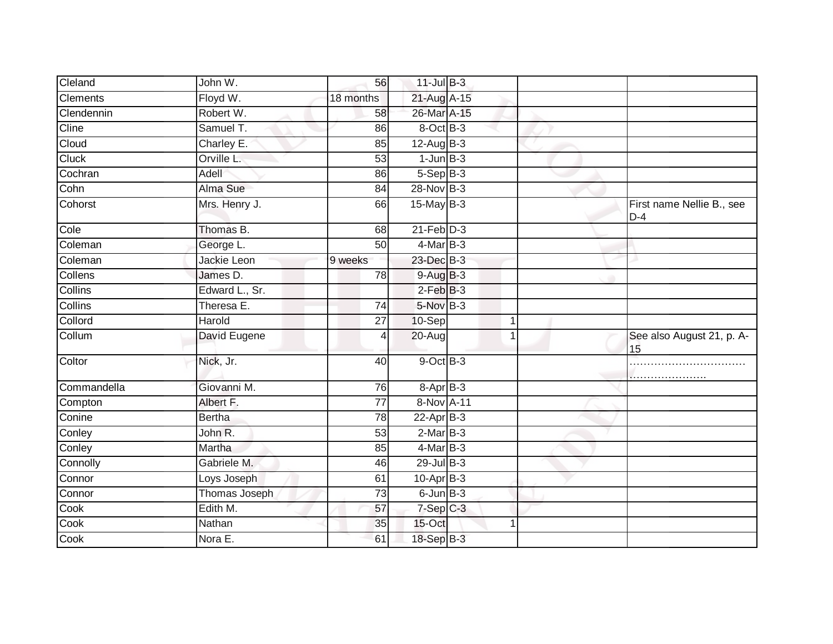| Cleland         | John W.        | 56        | $11$ -Jul $B-3$          |                                    |
|-----------------|----------------|-----------|--------------------------|------------------------------------|
| <b>Clements</b> | Floyd W.       | 18 months | 21-Aug A-15              |                                    |
| Clendennin      | Robert W.      | 58        | 26-Mar A-15              |                                    |
| Cline           | Samuel T.      | 86        | 8-Oct B-3                |                                    |
| Cloud           | Charley E.     | 85        | $12-AugB-3$              |                                    |
| Cluck           | Orville L.     | 53        | $1$ -Jun $B$ -3          |                                    |
| Cochran         | Adell          | 86        | $5-SepB-3$               |                                    |
| Cohn            | Alma Sue       | 84        | 28-Nov B-3               |                                    |
| Cohorst         | Mrs. Henry J.  | 66        | $15$ -May B-3            | First name Nellie B., see<br>$D-4$ |
| Cole            | Thomas B.      | 68        | $21$ -Feb $D-3$          |                                    |
| Coleman         | George L.      | 50        | 4-Mar B-3                |                                    |
| Coleman         | Jackie Leon    | 9 weeks   | 23-Dec B-3               |                                    |
| Collens         | James D.       | 78        | 9-Aug B-3                |                                    |
| Collins         | Edward L., Sr. |           | $2$ -Feb $B-3$           |                                    |
| <b>Collins</b>  | Theresa E.     | 74        | 5-Nov B-3                |                                    |
| Collord         | Harold         | 27        | 10-Sep<br>$\overline{1}$ |                                    |
| Collum          | David Eugene   |           | 20-Aug                   | See also August 21, p. A-<br>15    |
| Coltor          | Nick, Jr.      | 40        | 9-Oct B-3                |                                    |
| Commandella     | Giovanni M.    | 76        | $8 - AprB - 3$           |                                    |
| Compton         | Albert F.      | 77        | 8-Nov A-11               |                                    |
| Conine          | <b>Bertha</b>  | 78        | $22$ -Apr $B-3$          |                                    |
| Conley          | John R.        | 53        | $2-MarB-3$               |                                    |
| Conley          | Martha         | 85        | $4$ -Mar B-3             |                                    |
| Connolly        | Gabriele M.    | 46        | $29$ -Jul B-3            |                                    |
| Connor          | Loys Joseph    | 61        | 10-Apr B-3               |                                    |
| Connor          | Thomas Joseph  | 73        | $6$ -Jun $B-3$           |                                    |
| Cook            | Edith M.       | 57        | $7-Sep$ $C-3$            |                                    |
| Cook            | Nathan         | 35        | 15-Oct<br>1              |                                    |
| Cook            | Nora E.        | 61        | 18-Sep B-3               |                                    |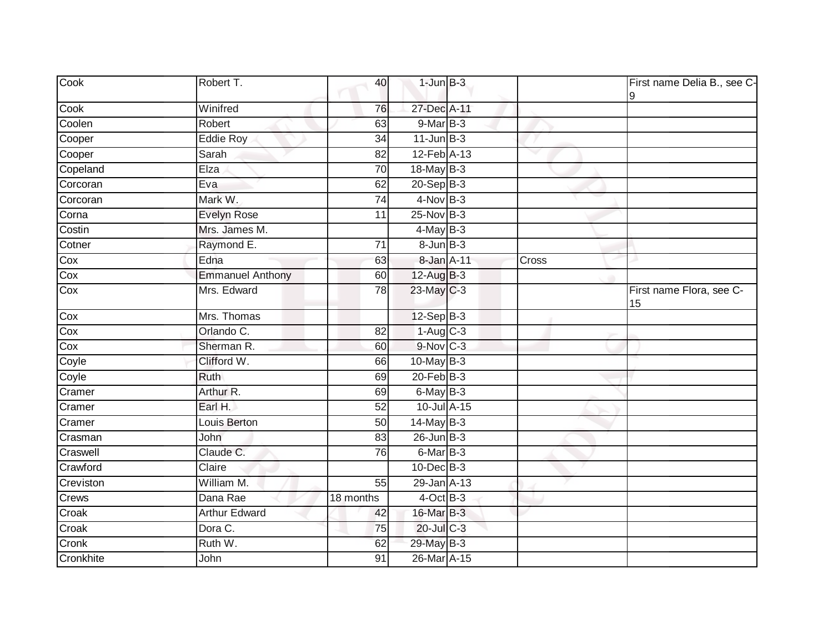| Cook      | Robert T.               | 40              | $1$ -Jun $B-3$  |       | First name Delia B., see C-    |
|-----------|-------------------------|-----------------|-----------------|-------|--------------------------------|
| Cook      | Winifred                | 76              | 27-Dec A-11     |       |                                |
| Coolen    | Robert                  | 63              | $9-MarB-3$      |       |                                |
| Cooper    | <b>Eddie Roy</b>        | 34              | $11$ -Jun $B-3$ |       |                                |
| Cooper    | Sarah                   | 82              | 12-Feb A-13     |       |                                |
| Copeland  | Elza                    | 70              | 18-May B-3      |       |                                |
| Corcoran  | Eva                     | 62              | $20-Sep$ B-3    |       |                                |
| Corcoran  | Mark W.                 | $\overline{74}$ | $4$ -Nov $B-3$  |       |                                |
| Corna     | <b>Evelyn Rose</b>      | 11              | 25-Nov B-3      |       |                                |
| Costin    | Mrs. James M.           |                 | $4$ -May B-3    |       |                                |
| Cotner    | Raymond E.              | 71              | $8 - Jun$ $B-3$ |       |                                |
| Cox       | Edna                    | 63              | 8-Jan A-11      | Cross |                                |
| Cox       | <b>Emmanuel Anthony</b> | 60              | 12-Aug B-3      |       |                                |
| Cox       | Mrs. Edward             | 78              | $23$ -May C-3   |       | First name Flora, see C-<br>15 |
| Cox       | Mrs. Thomas             |                 | $12-Sep$ B-3    |       |                                |
| Cox       | Orlando C.              | 82              | $1-Aug$ $C-3$   |       |                                |
| Cox       | Sherman R.              | 60              | 9-Nov C-3       |       |                                |
| Coyle     | Clifford W.             | 66              | $10$ -May B-3   |       |                                |
| Coyle     | Ruth                    | 69              | $20$ -Feb $B-3$ |       |                                |
| Cramer    | Arthur R.               | 69              | 6-May B-3       |       |                                |
| Cramer    | Earl H.                 | 52              | 10-Jul A-15     |       |                                |
| Cramer    | Louis Berton            | 50              | $14$ -May B-3   |       |                                |
| Crasman   | John                    | 83              | $26$ -Jun $B-3$ |       |                                |
| Craswell  | Claude C.               | 76              | 6-Mar B-3       |       |                                |
| Crawford  | Claire                  |                 | 10-Dec B-3      |       |                                |
| Creviston | William M.              | 55              | 29-Jan A-13     |       |                                |
| Crews     | Dana Rae                | 18 months       | $4$ -Oct $B-3$  |       |                                |
| Croak     | <b>Arthur Edward</b>    | 42              | 16-Mar B-3      |       |                                |
| Croak     | Dora C.                 | 75              | 20-Jul C-3      |       |                                |
| Cronk     | Ruth W.                 | 62              | 29-May B-3      |       |                                |
| Cronkhite | John                    | 91              | 26-Mar A-15     |       |                                |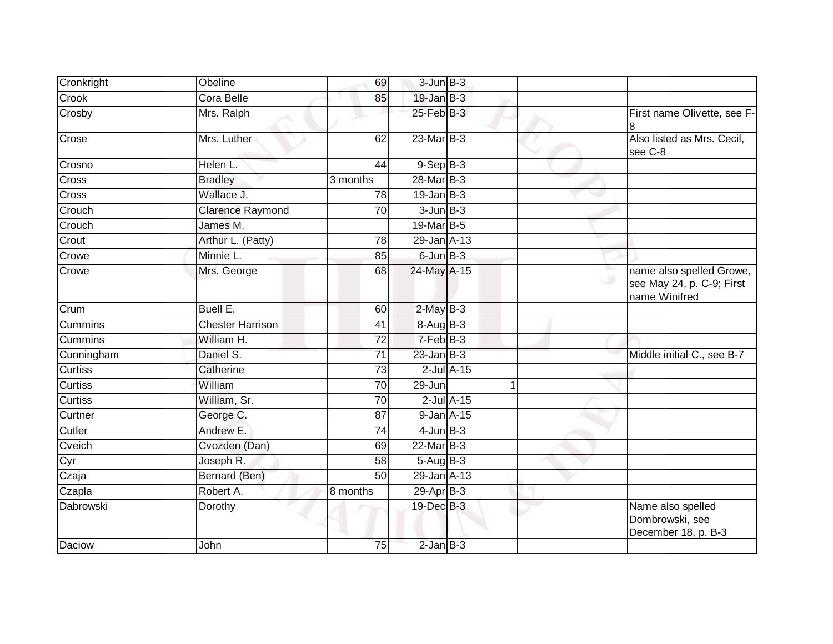| Cronkright     | Obeline                 | 69              | $3$ -Jun $B-3$   |                 |                                                                        |
|----------------|-------------------------|-----------------|------------------|-----------------|------------------------------------------------------------------------|
| Crook          | Cora Belle              | 85              | $19$ -Jan B-3    |                 |                                                                        |
| Crosby         | Mrs. Ralph              |                 | $25$ -Feb $B-3$  |                 | First name Olivette, see F-<br>8                                       |
| Crose          | Mrs. Luther             | 62              | $23$ -Mar $B-3$  |                 | Also listed as Mrs. Cecil,<br>see C-8                                  |
| Crosno         | Helen L.                | 44              | $9-Sep$ $B-3$    |                 |                                                                        |
| Cross          | <b>Bradley</b>          | 3 months        | 28-Mar B-3       |                 |                                                                        |
| Cross          | Wallace J.              | 78              | $19$ -Jan B-3    |                 |                                                                        |
| Crouch         | <b>Clarence Raymond</b> | 70              | $3$ -Jun $B-3$   |                 |                                                                        |
| Crouch         | James M.                |                 | 19-Mar B-5       |                 |                                                                        |
| Crout          | Arthur L. (Patty)       | 78              | 29-Jan A-13      |                 |                                                                        |
| Crowe          | Minnie L.               | 85              | $6$ -Jun $B-3$   |                 |                                                                        |
| Crowe          | Mrs. George             | 68              | 24-May A-15      |                 | name also spelled Growe,<br>see May 24, p. C-9; First<br>name Winifred |
| Crum           | Buell E.                | 60              | $2$ -May $B-3$   |                 |                                                                        |
| Cummins        | <b>Chester Harrison</b> | 41              | $8-AugB-3$       |                 |                                                                        |
| Cummins        | William H.              | 72              | $7-Feb$ B-3      |                 |                                                                        |
| Cunningham     | Daniel S.               | $\overline{71}$ | $23$ -Jan $B-3$  |                 | Middle initial C., see B-7                                             |
| Curtiss        | Catherine               | 73              |                  | $2$ -Jul $A-15$ |                                                                        |
| <b>Curtiss</b> | William                 | 70              | 29-Jun           |                 |                                                                        |
| <b>Curtiss</b> | William, Sr.            | $\overline{70}$ |                  | $2$ -Jul $A-15$ |                                                                        |
| Curtner        | George C.               | 87              | $9$ -Jan $A$ -15 |                 |                                                                        |
| Cutler         | Andrew E.               | 74              | $4$ -Jun $B-3$   |                 |                                                                        |
| Cveich         | Cvozden (Dan)           | 69              | 22-Mar B-3       |                 |                                                                        |
| Cyr            | Joseph R.               | 58              | $5 - Aug$ B-3    |                 |                                                                        |
| Czaja          | Bernard (Ben)           | $\overline{50}$ | 29-Jan A-13      |                 |                                                                        |
| Czapla         | Robert A.               | 8 months        | $29$ -Apr $B-3$  |                 |                                                                        |
| Dabrowski      | Dorothy                 |                 | 19-Dec B-3       |                 | Name also spelled<br>Dombrowski, see<br>December 18, p. B-3            |
| Daciow         | John                    | 75              | $2$ -Jan $B-3$   |                 |                                                                        |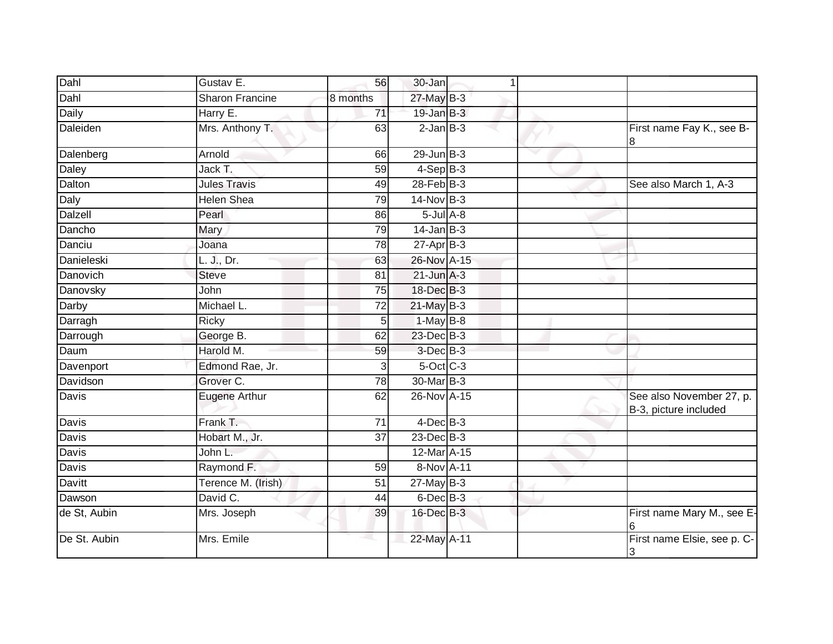| Dahl         | Gustav E.          | 56              | 30-Jan           | $\mathbf{1}$ |                                                   |
|--------------|--------------------|-----------------|------------------|--------------|---------------------------------------------------|
| Dahl         | Sharon Francine    | 8 months        | 27-May B-3       |              |                                                   |
| <b>Daily</b> | Harry E.           | 71              | $19$ -Jan B-3    |              |                                                   |
| Daleiden     | Mrs. Anthony T.    | 63              | $2$ -Jan $B-3$   |              | First name Fay K., see B-<br>8                    |
| Dalenberg    | Arnold             | 66              | $29$ -Jun $B-3$  |              |                                                   |
| Daley        | Jack T.            | 59              | $4-SepB-3$       |              |                                                   |
| Dalton       | Jules Travis       | 49              | $28$ -Feb $B-3$  |              | See also March 1, A-3                             |
| Daly         | <b>Helen Shea</b>  | 79              | 14-Nov B-3       |              |                                                   |
| Dalzell      | Pearl              | 86              | $5$ -Jul $A$ -8  |              |                                                   |
| Dancho       | Mary               | 79              | $14$ -Jan B-3    |              |                                                   |
| Danciu       | Joana              | 78              | $27$ -Apr $B-3$  |              |                                                   |
| Danieleski   | L. J., Dr.         | 63              | 26-Nov A-15      |              |                                                   |
| Danovich     | <b>Steve</b>       | 81              | $21$ -Jun $A-3$  |              |                                                   |
| Danovsky     | John               | 75              | $18$ -Dec $B$ -3 |              |                                                   |
| Darby        | Michael L.         | $\overline{72}$ | $21$ -May B-3    |              |                                                   |
| Darragh      | <b>Ricky</b>       | 5               | $1-May$ B-8      |              |                                                   |
| Darrough     | George B.          | 62              | 23-Dec B-3       |              |                                                   |
| Daum         | Harold M.          | 59              | 3-Dec B-3        |              |                                                   |
| Davenport    | Edmond Rae, Jr.    | 3               | $5$ -Oct $C$ -3  |              |                                                   |
| Davidson     | Grover C.          | 78              | 30-Mar B-3       |              |                                                   |
| Davis        | Eugene Arthur      | 62              | 26-Nov A-15      |              | See also November 27, p.<br>B-3, picture included |
| Davis        | Frank T.           | 71              | $4$ -Dec $B-3$   |              |                                                   |
| Davis        | Hobart M., Jr.     | 37              | 23-Dec B-3       |              |                                                   |
| Davis        | John L.            |                 | 12-Mar A-15      |              |                                                   |
| Davis        | Raymond F.         | 59              | 8-Nov A-11       |              |                                                   |
| Davitt       | Terence M. (Irish) | 51              | $27$ -May B-3    |              |                                                   |
| Dawson       | David C.           | 44              | $6$ -Dec $B$ -3  |              |                                                   |
| de St, Aubin | Mrs. Joseph        | 39              | 16-Dec B-3       |              | First name Mary M., see E-<br>6                   |
| De St. Aubin | Mrs. Emile         | a.              | 22-May A-11      |              | First name Elsie, see p. C-<br>3                  |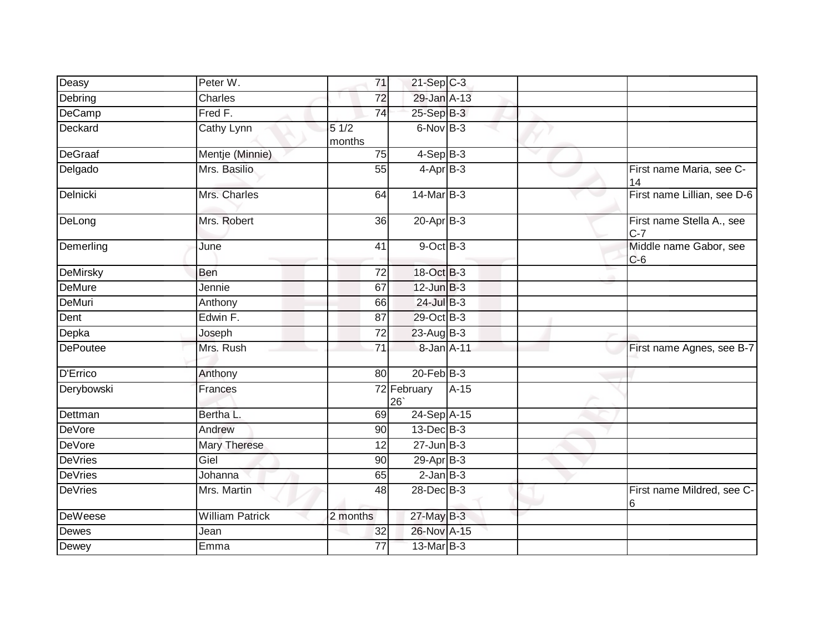| Deasy           | Peter W.               | 71              | $21 - Sep$ $C-3$  |        |                                    |
|-----------------|------------------------|-----------------|-------------------|--------|------------------------------------|
| Debring         | <b>Charles</b>         | $\overline{72}$ | 29-Jan A-13       |        |                                    |
| DeCamp          | Fred F.                | 74              | 25-Sep B-3        |        |                                    |
| Deckard         | Cathy Lynn             | 51/2<br>months  | $6$ -Nov $B-3$    |        |                                    |
| DeGraaf         | Mentje (Minnie)        | 75              | $4-SepB-3$        |        |                                    |
| Delgado         | Mrs. Basilio           | 55              | $4-AprB-3$        |        | First name Maria, see C-<br>14     |
| Delnicki        | Mrs. Charles           | 64              | 14-Mar B-3        |        | First name Lillian, see D-6        |
| DeLong          | Mrs. Robert            | 36              | 20-Apr B-3        |        | First name Stella A., see<br>$C-7$ |
| Demerling       | June                   | 41              | 9-Oct B-3         |        | Middle name Gabor, see<br>$C-6$    |
| <b>DeMirsky</b> | Ben                    | 72              | 18-Oct B-3        |        |                                    |
| <b>DeMure</b>   | Jennie                 | 67              | $12$ -Jun $B-3$   |        |                                    |
| <b>DeMuri</b>   | Anthony                | 66              | 24-Jul B-3        |        |                                    |
| Dent            | Edwin F.               | 87              | 29-Oct B-3        |        |                                    |
| Depka           | Joseph                 | $\overline{72}$ | 23-Aug B-3        |        |                                    |
| <b>DePoutee</b> | Mrs. Rush              | 71              | 8-Jan A-11        |        | First name Agnes, see B-7          |
| <b>D'Errico</b> | Anthony                | 80              | $20$ -Feb $B-3$   |        |                                    |
| Derybowski      | <b>Frances</b>         |                 | 72 February<br>26 | $A-15$ |                                    |
| Dettman         | Bertha L.              | 69              | 24-Sep A-15       |        |                                    |
| <b>DeVore</b>   | Andrew                 | 90              | 13-Dec B-3        |        |                                    |
| <b>DeVore</b>   | Mary Therese           | 12              | $27 - Jun$ $B-3$  |        |                                    |
| <b>DeVries</b>  | Giel                   | 90              | $29-AprB-3$       |        |                                    |
| <b>DeVries</b>  | Johanna                | 65              | $2$ -Jan $B-3$    |        |                                    |
| DeVries         | Mrs. Martin            | 48              | 28-Dec B-3        |        | First name Mildred, see C-<br>6    |
| <b>DeWeese</b>  | <b>William Patrick</b> | 2 months        | 27-May B-3        |        |                                    |
| Dewes           | Jean                   | 32              | 26-Nov A-15       |        |                                    |
| Dewey           | Emma                   | 77              | 13-Mar B-3        |        |                                    |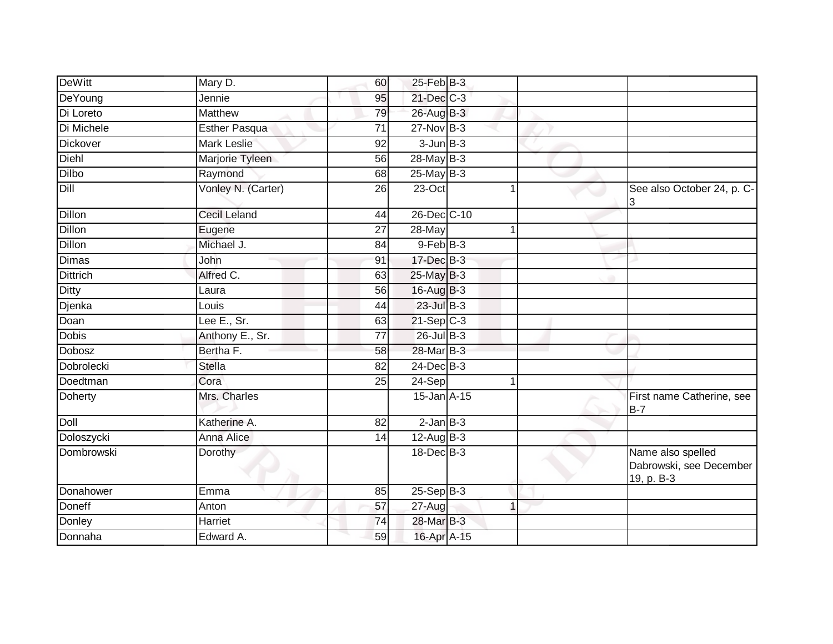| DeWitt          | Mary D.              | 60              | $25$ -Feb $ B-3 $ |              |                                                            |
|-----------------|----------------------|-----------------|-------------------|--------------|------------------------------------------------------------|
| DeYoung         | Jennie               | 95              | $21$ -Dec $C-3$   |              |                                                            |
| Di Loreto       | <b>Matthew</b>       | 79              | 26-Aug B-3        |              |                                                            |
| Di Michele      | <b>Esther Pasqua</b> | 71              | $27$ -Nov $B-3$   |              |                                                            |
| <b>Dickover</b> | <b>Mark Leslie</b>   | 92              | $3$ -Jun $B-3$    |              |                                                            |
| Diehl           | Marjorie Tyleen      | 56              | 28-May B-3        |              |                                                            |
| Dilbo           | Raymond              | 68              | 25-May B-3        |              |                                                            |
| Dill            | Vonley N. (Carter)   | 26              | $23$ -Oct         |              | See also October 24, p. C-<br>3                            |
| <b>Dillon</b>   | <b>Cecil Leland</b>  | 44              | 26-Dec C-10       |              |                                                            |
| <b>Dillon</b>   | Eugene               | 27              | 28-May            | 1            |                                                            |
| <b>Dillon</b>   | Michael J.           | 84              | $9$ -Feb $B$ -3   |              |                                                            |
| <b>Dimas</b>    | John                 | 91              | $17$ -Dec $B-3$   |              |                                                            |
| <b>Dittrich</b> | Alfred C.            | 63              | 25-May B-3        |              |                                                            |
| <b>Ditty</b>    | Laura                | 56              | 16-Aug B-3        |              |                                                            |
| Djenka          | Louis                | 44              | $23$ -Jul $B-3$   |              |                                                            |
| Doan            | Lee E., Sr.          | 63              | $21-Sep$ C-3      |              |                                                            |
| Dobis           | Anthony E., Sr.      | $\overline{77}$ | 26-Jul B-3        |              |                                                            |
| <b>Dobosz</b>   | Bertha F.            | 58              | 28-Mar B-3        |              |                                                            |
| Dobrolecki      | <b>Stella</b>        | 82              | $24$ -Dec $B-3$   |              |                                                            |
| Doedtman        | Cora                 | $\overline{25}$ | 24-Sep            | 1            |                                                            |
| Doherty         | Mrs. Charles         |                 | 15-Jan A-15       |              | First name Catherine, see<br>B-7                           |
| <b>Doll</b>     | Katherine A.         | $\overline{82}$ | $2$ -Jan $B-3$    |              |                                                            |
| Doloszycki      | <b>Anna Alice</b>    | 14              | $12$ -Aug B-3     |              |                                                            |
| Dombrowski      | Dorothy              |                 | 18-Dec B-3        |              | Name also spelled<br>Dabrowski, see December<br>19, p. B-3 |
| Donahower       | Emma                 | 85              | $25-Sep$ B-3      |              |                                                            |
| <b>Doneff</b>   | Anton                | 57              | $27 - Aug$        | $\mathbf{1}$ |                                                            |
| Donley          | Harriet              | 74              | 28-Mar B-3        |              |                                                            |
| Donnaha         | Edward A.            | 59              | 16-Apr A-15       |              |                                                            |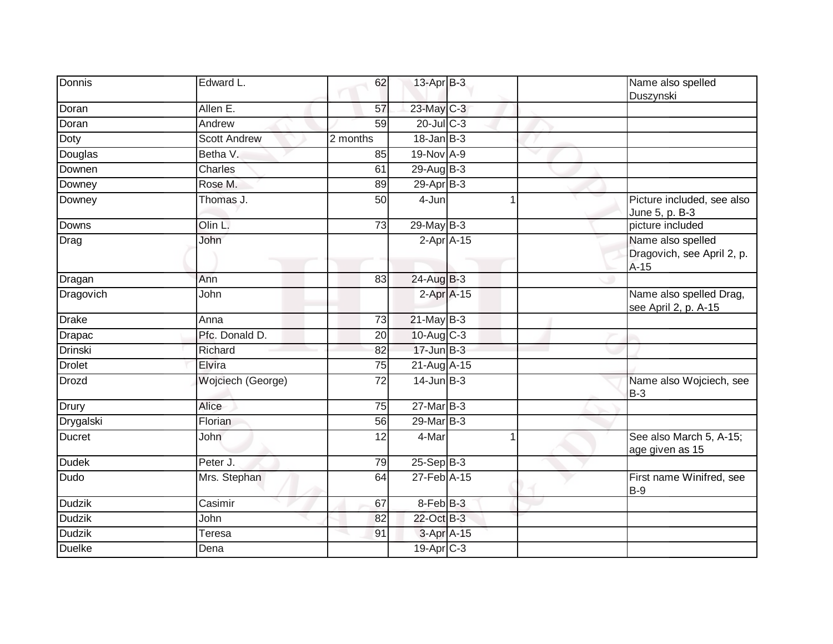| Donnis        | Edward L.           | 62              | 13-Apr B-3       |  | Name also spelled<br>Duszynski                            |
|---------------|---------------------|-----------------|------------------|--|-----------------------------------------------------------|
| Doran         | Allen E.            | 57              | 23-May C-3       |  |                                                           |
| Doran         | Andrew              | 59              | 20-Jul C-3       |  |                                                           |
| Doty          | <b>Scott Andrew</b> | 2 months        | $18$ -Jan $B-3$  |  |                                                           |
| Douglas       | Betha V.            | 85              | 19-Nov A-9       |  |                                                           |
| Downen        | Charles             | 61              | 29-Aug B-3       |  |                                                           |
| Downey        | Rose M.             | 89              | $29$ -Apr $B-3$  |  |                                                           |
| Downey        | Thomas J.           | 50              | 4-Jun            |  | Picture included, see also<br>June 5, p. B-3              |
| Downs         | Olin L.             | $\overline{73}$ | $29$ -May B-3    |  | picture included                                          |
| Drag          | John                |                 | 2-Apr A-15       |  | Name also spelled<br>Dragovich, see April 2, p.<br>$A-15$ |
| Dragan        | Ann                 | 83              | $24$ -Aug B-3    |  |                                                           |
| Dragovich     | John                |                 | 2-Apr A-15       |  | Name also spelled Drag,<br>see April 2, p. A-15           |
| <b>Drake</b>  | Anna                | 73              | $21$ -May $B-3$  |  |                                                           |
| <b>Drapac</b> | Pfc. Donald D.      | 20              | $10$ -Aug $C-3$  |  |                                                           |
| Drinski       | Richard             | 82              | $17 - Jun$ $B-3$ |  |                                                           |
| <b>Drolet</b> | Elvira              | 75              | 21-Aug A-15      |  |                                                           |
| <b>Drozd</b>  | Wojciech (George)   | 72              | $14$ -Jun $B-3$  |  | Name also Wojciech, see<br>$B-3$                          |
| Drury         | Alice               | 75              | $27$ -Mar $B-3$  |  |                                                           |
| Drygalski     | Florian             | 56              | 29-Mar B-3       |  |                                                           |
| <b>Ducret</b> | John                | 12              | 4-Mar            |  | See also March 5, A-15;<br>age given as 15                |
| <b>Dudek</b>  | Peter J.            | 79              | $25-Sep$ B-3     |  |                                                           |
| Dudo          | Mrs. Stephan        | 64              | 27-Feb A-15      |  | First name Winifred, see<br>$B-9$                         |
| <b>Dudzik</b> | Casimir             | 67              | 8-Feb B-3        |  |                                                           |
| <b>Dudzik</b> | John                | 82              | 22-Oct B-3       |  |                                                           |
| <b>Dudzik</b> | Teresa              | 91              | 3-Apr A-15       |  |                                                           |
| <b>Duelke</b> | Dena                |                 | 19-Apr C-3       |  |                                                           |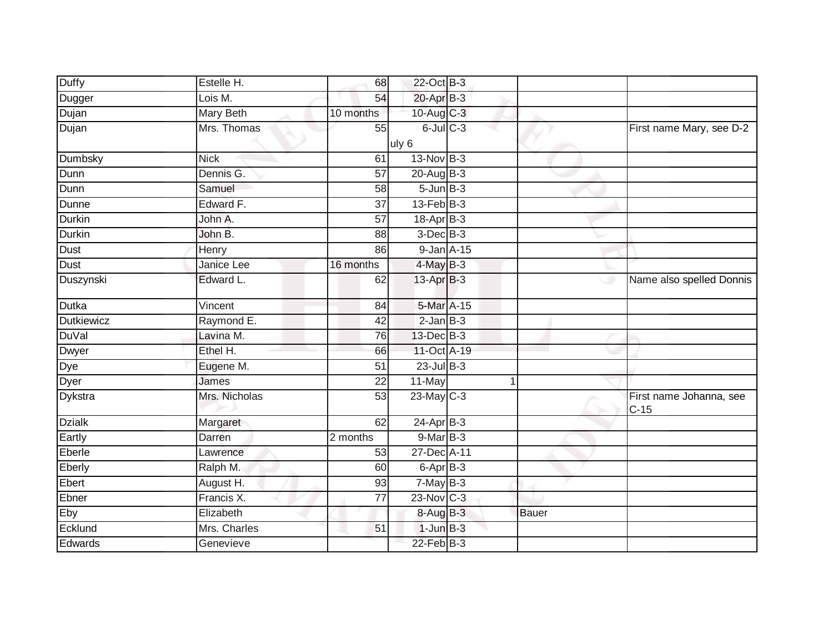| <b>Duffy</b>      | Estelle H.        | 68              | 22-Oct B-3               |   |              |                                   |
|-------------------|-------------------|-----------------|--------------------------|---|--------------|-----------------------------------|
| Dugger            | Lois M.           | 54              | 20-Apr B-3               |   |              |                                   |
| Dujan             | <b>Mary Beth</b>  | 10 months       | 10-Aug C-3               |   |              |                                   |
| Dujan             | Mrs. Thomas       | 55              | $6$ -Jul $C$ -3          |   |              | First name Mary, see D-2          |
|                   |                   |                 | uly 6                    |   |              |                                   |
| Dumbsky           | <b>Nick</b>       | 61              | $13-NovB-3$              |   |              |                                   |
| Dunn              | Dennis G.         | 57              | 20-Aug B-3               |   |              |                                   |
| Dunn              | Samuel            | 58              | $5 - Jun$ $B-3$          |   |              |                                   |
| Dunne             | Edward F.         | 37              | $13$ -Feb $B-3$          |   |              |                                   |
| <b>Durkin</b>     | John A.           | $\overline{57}$ | $18-Apr$ B-3             |   |              |                                   |
| Durkin            | John B.           | 88              | $3$ -Dec $B-3$           |   |              |                                   |
| Dust              | Henry             | 86              | 9-Jan A-15               |   |              |                                   |
| Dust              | <b>Janice Lee</b> | 16 months       | $4$ -May $B-3$           |   |              |                                   |
| Duszynski         | Edward L.         | 62              | 13-Apr <sub>B-3</sub>    |   | رن           | Name also spelled Donnis          |
| <b>Dutka</b>      | Vincent           | 84              | 5-Mar A-15               |   |              |                                   |
| <b>Dutkiewicz</b> | Raymond E.        | 42              | $2$ -Jan $B-3$           |   |              |                                   |
| <b>DuVal</b>      | Lavina M.         | 76              | 13-Dec B-3               |   |              |                                   |
| <b>Dwyer</b>      | Ethel H.          | 66              | 11-Oct A-19              |   |              |                                   |
| Dye               | Eugene M.         | 51              | $23$ -Jul $B-3$          |   |              |                                   |
| Dyer              | James             | $\overline{22}$ | 11-May                   | 1 |              |                                   |
| Dykstra           | Mrs. Nicholas     | 53              | 23-May C-3               |   |              | First name Johanna, see<br>$C-15$ |
| <b>Dzialk</b>     | Margaret          | 62              | $24$ -Apr $B-3$          |   |              |                                   |
| Eartly            | Darren            | 2 months        | $9-MarB-3$               |   |              |                                   |
| Eberle            | Lawrence          | 53              | 27-Dec A-11              |   |              |                                   |
| Eberly            | Ralph M.          | 60              | $6 - \overline{Apr}$ B-3 |   |              |                                   |
| Ebert             | August H.         | 93              | $7-MayB-3$               |   |              |                                   |
| Ebner             | Francis X.        | 77              | $23$ -Nov C-3            |   |              |                                   |
| Eby               | Elizabeth         |                 | $8-AugB-3$               |   | <b>Bauer</b> |                                   |
| Ecklund           | Mrs. Charles      | 51              | $1$ -Jun $B-3$           |   |              |                                   |
| Edwards           | Genevieve         |                 | $22$ -Feb $B-3$          |   |              |                                   |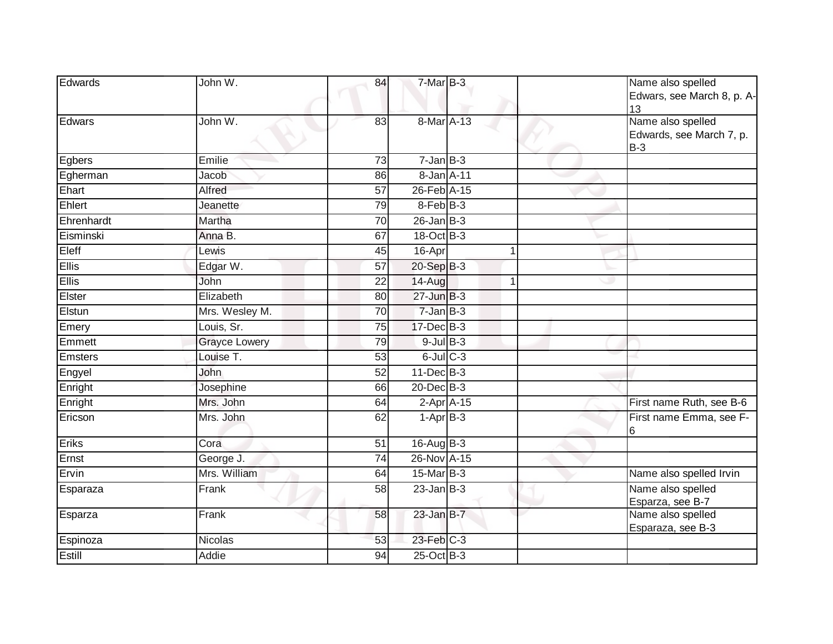| Edwards        | John W.              | 84              | 7-Mar B-3       |             | Name also spelled<br>Edwars, see March 8, p. A-<br>13  |
|----------------|----------------------|-----------------|-----------------|-------------|--------------------------------------------------------|
| Edwars         | John W.              | 83              | 8-Mar A-13      |             | Name also spelled<br>Edwards, see March 7, p.<br>$B-3$ |
| Egbers         | Emilie               | $\overline{73}$ | $7 - Jan$ $B-3$ |             |                                                        |
| Egherman       | Jacob                | 86              | 8-Jan A-11      |             |                                                        |
| Ehart          | Alfred               | $\overline{57}$ | 26-Feb A-15     |             |                                                        |
| Ehlert         | Jeanette             | 79              | 8-Feb B-3       |             |                                                        |
| Ehrenhardt     | Martha               | 70              | $26$ -Jan $B-3$ |             |                                                        |
| Eisminski      | Anna B.              | 67              | 18-Oct B-3      |             |                                                        |
| Eleff          | Lewis                | 45              | 16-Apr          | 1           |                                                        |
| <b>Ellis</b>   | Edgar W.             | $\overline{57}$ | 20-Sep B-3      |             |                                                        |
| <b>Ellis</b>   | John                 | 22              | 14-Aug          | $\mathbf 1$ |                                                        |
| Elster         | Elizabeth            | 80              | 27-Jun B-3      |             |                                                        |
| Elstun         | Mrs. Wesley M.       | $\overline{70}$ | 7-Jan B-3       |             |                                                        |
| Emery          | Louis, Sr.           | 75              | $17 - Dec$ B-3  |             |                                                        |
| Emmett         | <b>Grayce Lowery</b> | 79              | $9$ -Jul $B$ -3 |             |                                                        |
| <b>Emsters</b> | Louise T.            | 53              | $6$ -Jul $C$ -3 |             |                                                        |
| Engyel         | John                 | 52              | $11$ -Dec $B-3$ |             |                                                        |
| Enright        | Josephine            | 66              | 20-Dec B-3      |             |                                                        |
| Enright        | Mrs. John            | 64              | $2-Apr$ A-15    |             | First name Ruth, see B-6                               |
| Ericson        | Mrs. John            | 62              | $1-AprB-3$      |             | First name Emma, see F-<br>6                           |
| Eriks          | Cora                 | 51              | $16$ -Aug $B-3$ |             |                                                        |
| Ernst          | George J.            | $\overline{74}$ | 26-Nov A-15     |             |                                                        |
| Ervin          | Mrs. William         | 64              | 15-Mar B-3      |             | Name also spelled Irvin                                |
| Esparaza       | Frank                | 58              | $23$ -Jan B-3   |             | Name also spelled<br>Esparza, see B-7                  |
| Esparza        | Frank                | 58              | $23$ -Jan B-7   |             | Name also spelled<br>Esparaza, see B-3                 |
| Espinoza       | Nicolas              | 53              | 23-Feb C-3      |             |                                                        |
| Estill         | Addie                | 94              | $25$ -Oct B-3   |             |                                                        |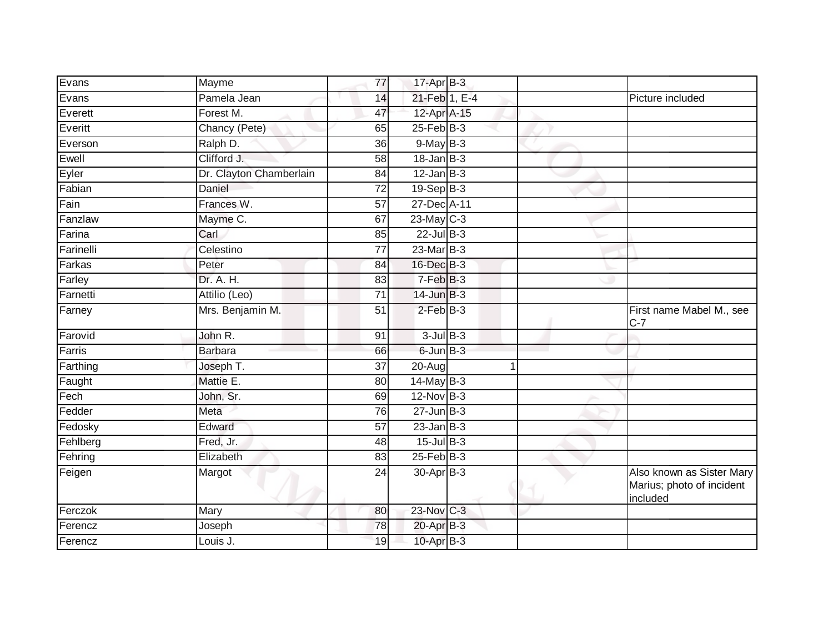|                         | 77              | $17$ -Apr $B-3$       |                                                                    |
|-------------------------|-----------------|-----------------------|--------------------------------------------------------------------|
| Pamela Jean             | 14              | 21-Feb 1, E-4         | Picture included                                                   |
| Forest M.               | 47              | 12-Apr A-15           |                                                                    |
| Chancy (Pete)           | 65              | $25$ -Feb $B-3$       |                                                                    |
| Ralph D.                | $\overline{36}$ | $9$ -May $B-3$        |                                                                    |
| Clifford J.             | 58              | $18$ -Jan $B-3$       |                                                                    |
| Dr. Clayton Chamberlain | 84              | $12$ -Jan B-3         |                                                                    |
| Daniel                  | 72              | 19-Sep B-3            |                                                                    |
| Frances W.              | $\overline{57}$ | 27-Dec A-11           |                                                                    |
| Mayme C.                | 67              | $23$ -May C-3         |                                                                    |
| Carl                    | 85              | $22$ -Jul B-3         |                                                                    |
| Celestino               | 77              | $23$ -Mar $B-3$       |                                                                    |
| Peter                   | 84              | 16-Dec B-3            |                                                                    |
| Dr. A. H.               | 83              | $7-FebB-3$            |                                                                    |
| Attilio (Leo)           | $\overline{71}$ | $14$ -Jun $B-3$       |                                                                    |
| Mrs. Benjamin M.        | 51              | $2$ -Feb $B-3$        | First name Mabel M., see<br>$C-7$                                  |
| John R.                 | 91              | $3$ -Jul $B-3$        |                                                                    |
| Barbara                 | 66              | $6$ -Jun $B-3$        |                                                                    |
| Joseph T.               | 37              | 20-Aug                |                                                                    |
| Mattie E.               | 80              | $14$ -May B-3         |                                                                    |
| John, Sr.               | 69              | $12$ -Nov $B-3$       |                                                                    |
| Meta                    | 76              | $27 - Jun$ B-3        |                                                                    |
| Edward                  | 57              | $23$ -Jan B-3         |                                                                    |
| Fred, Jr.               | 48              | $15$ -Jul $B-3$       |                                                                    |
| Elizabeth               | 83              | $25$ -Feb $B-3$       |                                                                    |
| Margot                  | 24              | 30-Apr B-3            | Also known as Sister Mary<br>Marius; photo of incident<br>included |
| Mary                    | 80              | 23-Nov C-3            |                                                                    |
| Joseph                  | 78              | $20$ -Apr $B-3$       |                                                                    |
| Louis J.                | 19              | 10-Apr <sub>B-3</sub> |                                                                    |
|                         | Mayme           |                       |                                                                    |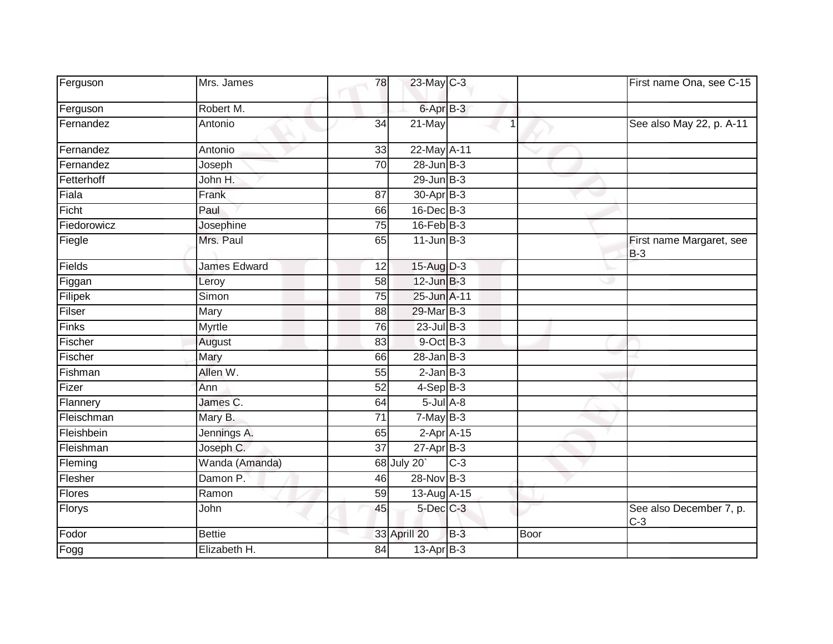| Ferguson      | Mrs. James          | 78              | 23-May C-3            |       |      | First name Ona, see C-15          |
|---------------|---------------------|-----------------|-----------------------|-------|------|-----------------------------------|
| Ferguson      | Robert M.           |                 | 6-Apr B-3             |       |      |                                   |
| Fernandez     | Antonio             | $\overline{34}$ | $21$ -May             |       |      | See also May 22, p. A-11          |
| Fernandez     | Antonio             | 33              | 22-May A-11           |       |      |                                   |
| Fernandez     | Joseph              | 70              | $28 - Jun$ B-3        |       |      |                                   |
| Fetterhoff    | John H.             |                 | $29$ -Jun $B-3$       |       |      |                                   |
| Fiala         | Frank               | 87              | 30-Apr <sub>B-3</sub> |       |      |                                   |
| Ficht         | Paul                | 66              | $16$ -Dec $B-3$       |       |      |                                   |
| Fiedorowicz   | Josephine           | 75              | $16$ -Feb $ B-3 $     |       |      |                                   |
| Fiegle        | Mrs. Paul           | 65              | $11$ -Jun $B-3$       |       |      | First name Margaret, see<br>$B-3$ |
| Fields        | <b>James Edward</b> | $\overline{12}$ | 15-Aug D-3            |       |      |                                   |
| Figgan        | Leroy               | 58              | $12$ -Jun $B-3$       |       |      |                                   |
| Filipek       | Simon               | 75              | 25-Jun A-11           |       |      |                                   |
| Filser        | Mary                | 88              | 29-Mar B-3            |       |      |                                   |
| Finks         | Myrtle              | 76              | $23$ -Jul B-3         |       |      |                                   |
| Fischer       | August              | 83              | 9-Oct B-3             |       |      |                                   |
| Fischer       | Mary                | 66              | $28$ -Jan B-3         |       |      |                                   |
| Fishman       | Allen W.            | 55              | $2$ -Jan $B-3$        |       |      |                                   |
| Fizer         | Ann                 | 52              | $4-Sep B-3$           |       |      |                                   |
| Flannery      | James C.            | 64              | $5$ -Jul $A$ -8       |       |      |                                   |
| Fleischman    | Mary B.             | 71              | $7-MayB-3$            |       |      |                                   |
| Fleishbein    | Jennings A.         | 65              | $2-Apr$ A-15          |       |      |                                   |
| Fleishman     | Joseph C.           | $\overline{37}$ | $27$ -Apr $B-3$       |       |      |                                   |
| Fleming       | Wanda (Amanda)      |                 | 68 July 20            | $C-3$ |      |                                   |
| Flesher       | Damon P.            | 46              | $28-Nov$ B-3          |       |      |                                   |
| <b>Flores</b> | Ramon               | 59              | 13-Aug A-15           |       |      |                                   |
| Florys        | John                | 45              | 5-Dec C-3             |       |      | See also December 7, p.<br>$C-3$  |
| Fodor         | <b>Bettie</b>       |                 | 33 Aprill 20          | $B-3$ | Boor |                                   |
| Fogg          | Elizabeth H.        | 84              | $13-AprB-3$           |       |      |                                   |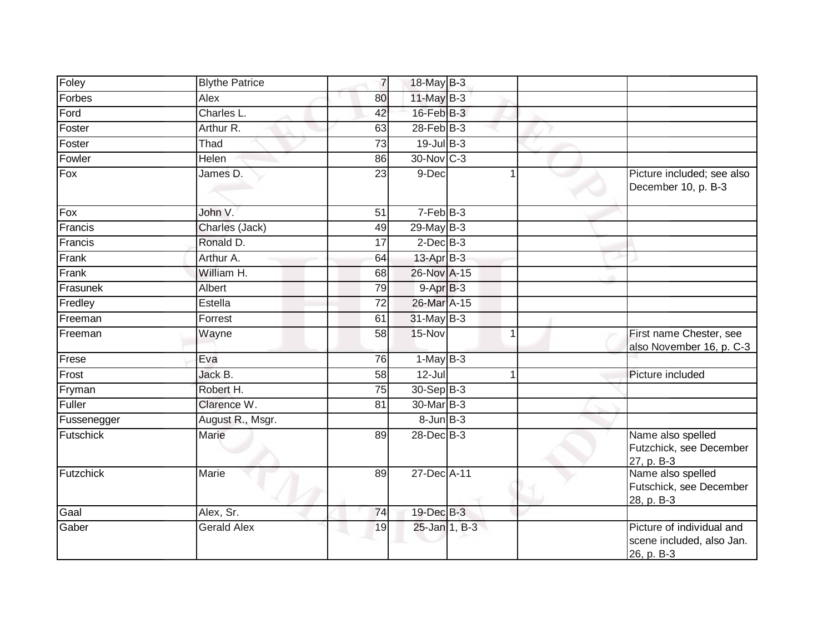| Foley             | <b>Blythe Patrice</b> | $\overline{7}$  | 18-May B-3        |                |                                                                      |
|-------------------|-----------------------|-----------------|-------------------|----------------|----------------------------------------------------------------------|
| Forbes            | Alex                  | 80              | 11-May B-3        |                |                                                                      |
| Ford              | Charles L.            | 42              | $16$ -Feb $B-3$   |                |                                                                      |
| Foster            | Arthur R.             | 63              | $28$ -Feb $ B-3 $ |                |                                                                      |
| Foster            | Thad                  | 73              | $19$ -Jul B-3     |                |                                                                      |
| Fowler            | Helen                 | 86              | 30-Nov C-3        |                |                                                                      |
| $\overline{F}$ ox | James D.              | $\overline{23}$ | 9-Dec             |                | Picture included; see also<br>December 10, p. B-3                    |
| Fox               | John V.               | 51              | $7-FebB-3$        |                |                                                                      |
| Francis           | Charles (Jack)        | 49              | 29-May B-3        |                |                                                                      |
| Francis           | Ronald D.             | 17              | $2$ -Dec $B-3$    |                |                                                                      |
| Frank             | Arthur A.             | 64              | $13$ -Apr $B-3$   |                |                                                                      |
| Frank             | William H.            | 68              | 26-Nov A-15       |                |                                                                      |
| Frasunek          | Albert                | 79              | $9-AprB-3$        |                |                                                                      |
| Fredley           | Estella               | 72              | 26-Mar A-15       |                |                                                                      |
| Freeman           | Forrest               | 61              | 31-May B-3        |                |                                                                      |
| Freeman           | Wayne                 | 58              | 15-Nov            | $\overline{1}$ | First name Chester, see<br>also November 16, p. C-3                  |
| Frese             | Eva                   | 76              | $1-MayB-3$        |                |                                                                      |
| Frost             | Jack B.               | 58              | $12 -$ Jul        |                | Picture included                                                     |
| Fryman            | Robert H.             | $\overline{75}$ | $30 - Sep$ B-3    |                |                                                                      |
| Fuller            | Clarence W.           | 81              | 30-Mar B-3        |                |                                                                      |
| Fussenegger       | August R., Msgr.      |                 | $8$ -Jun $B-3$    |                |                                                                      |
| Futschick         | Marie                 | 89              | 28-Dec B-3        |                | Name also spelled<br>Futzchick, see December<br>27, p. B-3           |
| Futzchick         | Marie                 | 89              | 27-Dec A-11       |                | Name also spelled<br>Futschick, see December<br>28, p. B-3           |
| Gaal              | Alex, Sr.             | 74              | 19-Dec B-3        |                |                                                                      |
| Gaber             | <b>Gerald Alex</b>    | 19              | 25-Jan 1, B-3     |                | Picture of individual and<br>scene included, also Jan.<br>26, p. B-3 |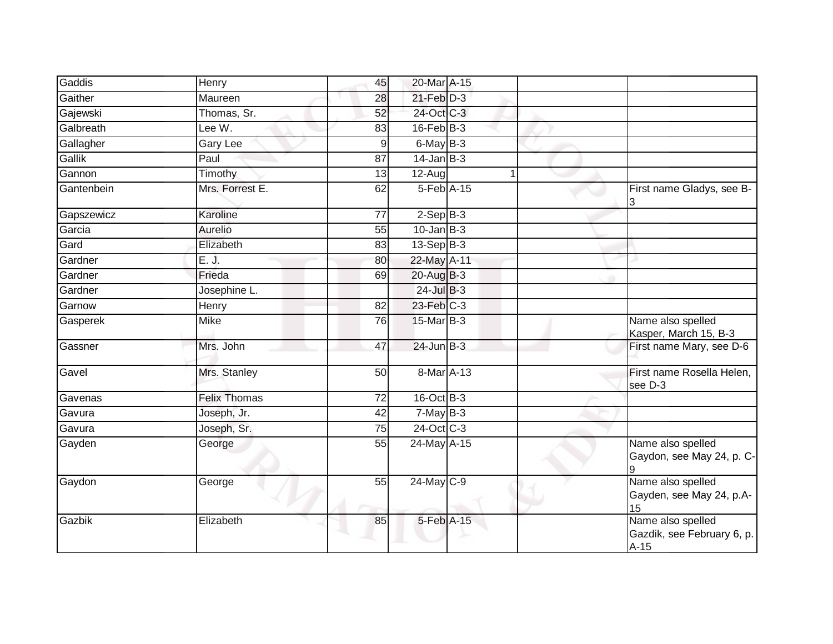| Gaddis     | Henry               | 45              | 20-Mar A-15               |  |                                                           |
|------------|---------------------|-----------------|---------------------------|--|-----------------------------------------------------------|
| Gaither    | Maureen             | 28              | $21$ -Feb $D-3$           |  |                                                           |
| Gajewski   | Thomas, Sr.         | 52              | 24-Oct C-3                |  |                                                           |
| Galbreath  | Lee W.              | 83              | $16$ -Feb $B$ -3          |  |                                                           |
| Gallagher  | Gary Lee            | 9               | $6$ -May $B-3$            |  |                                                           |
| Gallik     | Paul                | 87              | $14$ -Jan $B-3$           |  |                                                           |
| Gannon     | Timothy             | $\overline{13}$ | $12-Auq$                  |  |                                                           |
| Gantenbein | Mrs. Forrest E.     | 62              | 5-Feb A-15                |  | First name Gladys, see B-<br>3                            |
| Gapszewicz | Karoline            | 77              | $2-SepB-3$                |  |                                                           |
| Garcia     | Aurelio             | 55              | $10$ -Jan $B-3$           |  |                                                           |
| Gard       | Elizabeth           | 83              | $13-Sep B-3$              |  |                                                           |
| Gardner    | E. J.               | 80              | 22-May A-11               |  |                                                           |
| Gardner    | Frieda              | 69              | $20$ -Aug $B-3$           |  |                                                           |
| Gardner    | Josephine L.        |                 | $24$ -Jul B-3             |  |                                                           |
| Garnow     | Henry               | 82              | 23-Feb C-3                |  |                                                           |
| Gasperek   | Mike                | 76              | $15$ -Mar $ B-3 $         |  | Name also spelled<br>Kasper, March 15, B-3                |
| Gassner    | Mrs. John           | 47              | $24$ -Jun $B-3$           |  | First name Mary, see D-6                                  |
| Gavel      | Mrs. Stanley        | 50              | 8-Mar A-13                |  | First name Rosella Helen,<br>see D-3                      |
| Gavenas    | <b>Felix Thomas</b> | $\overline{72}$ | 16-Oct B-3                |  |                                                           |
| Gavura     | Joseph, Jr.         | 42              | $7-MayB-3$                |  |                                                           |
| Gavura     | Joseph, Sr.         | 75              | 24-Oct C-3                |  |                                                           |
| Gayden     | George              | 55              | $\overline{24}$ -May A-15 |  | Name also spelled<br>Gaydon, see May 24, p. C-<br>9       |
| Gaydon     | George              | 55              | 24-May C-9                |  | Name also spelled<br>Gayden, see May 24, p.A-<br>15       |
| Gazbik     | Elizabeth           | 85              | 5-Feb A-15                |  | Name also spelled<br>Gazdik, see February 6, p.<br>$A-15$ |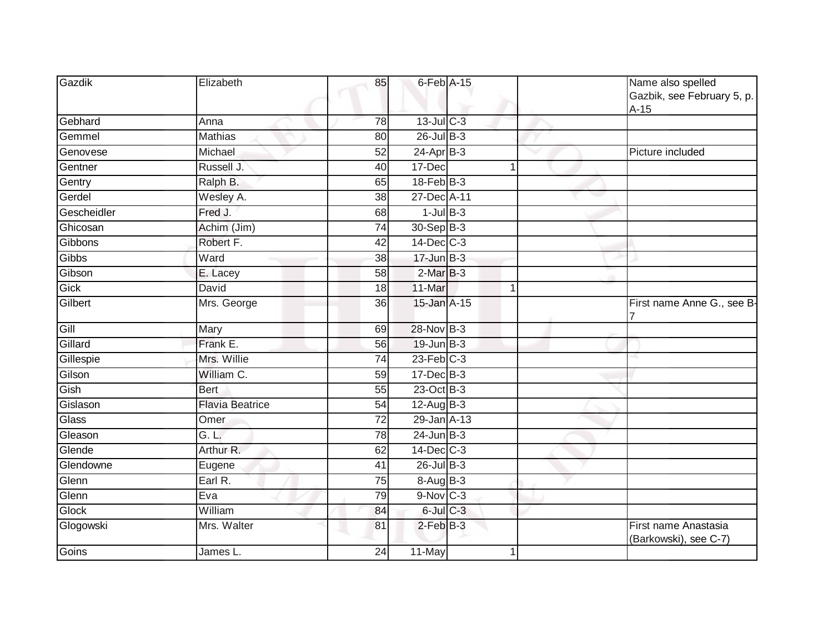|                                                           | Name also spelled<br>Gazbik, see February 5, p.<br>$A-15$ |
|-----------------------------------------------------------|-----------------------------------------------------------|
| $13$ -Jul $C-3$<br>Gebhard<br>78<br>Anna                  |                                                           |
| $26$ -Jul B-3<br><b>Mathias</b><br>Gemmel<br>80           |                                                           |
| $24-AprB-3$<br>Michael<br>Genovese<br>52                  | Picture included                                          |
| Russell J.<br>Gentner<br>40<br>17-Dec                     |                                                           |
| $18$ -Feb $ B-3 $<br>Ralph B.<br>Gentry<br>65             |                                                           |
| Gerdel<br>27-Dec A-11<br>Wesley A.<br>38                  |                                                           |
| $1$ -Jul $B-3$<br>Gescheidler<br>Fred J.<br>68            |                                                           |
| 30-Sep B-3<br>Ghicosan<br>Achim (Jim)<br>74               |                                                           |
| $14$ -Dec $C-3$<br>Gibbons<br>Robert F.<br>42             |                                                           |
| $17 - Jun$ B-3<br>Gibbs<br>$\overline{38}$<br>Ward        |                                                           |
| $2-MarB-3$<br>Gibson<br>58<br>E. Lacey                    |                                                           |
| Gick<br>David<br>11-Mar<br>18<br>$\mathbf{1}$             |                                                           |
| 15-Jan A-15<br>Gilbert<br>Mrs. George<br>36               | First name Anne G., see B-                                |
| 28-Nov B-3<br>Gill<br>Mary<br>69                          |                                                           |
| Gillard<br>Frank E.<br>19-Jun B-3<br>56                   |                                                           |
| $23$ -Feb $C-3$<br>Gillespie<br>Mrs. Willie<br>74         |                                                           |
| Gilson<br>William C.<br>17-Dec B-3<br>59                  |                                                           |
| 23-Oct B-3<br>Gish<br>Bert<br>$\overline{55}$             |                                                           |
| $12$ -Aug B-3<br>Gislason<br><b>Flavia Beatrice</b><br>54 |                                                           |
| 29-Jan A-13<br>Glass<br>$\overline{72}$<br>Omer           |                                                           |
| $24 - Jun$ $B-3$<br>G. L.<br>Gleason<br>78                |                                                           |
| Arthur R.<br>14-Dec C-3<br>Glende<br>62                   |                                                           |
| $26$ -Jul $B-3$<br>Glendowne<br>41<br>Eugene              |                                                           |
| Earl R.<br>8-Aug B-3<br>Glenn<br>75                       |                                                           |
| $9-Nov$ C-3<br>Glenn<br>Eva<br>79                         |                                                           |
| $6$ -Jul $C$ -3<br>William<br>Glock<br>84                 |                                                           |
| $2$ -Feb $B-3$<br>Glogowski<br>Mrs. Walter<br>81          | First name Anastasia<br>(Barkowski), see C-7)             |
| Goins<br>11-May<br>James L.<br>24                         |                                                           |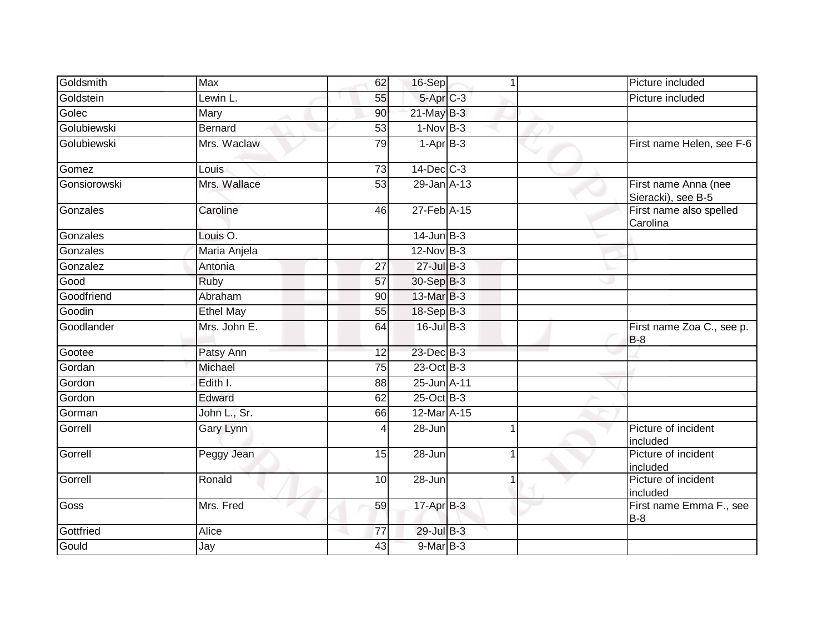| Goldsmith    | <b>Max</b>          | 62              | 16-Sep               | $\blacktriangleleft$ | Picture included                           |
|--------------|---------------------|-----------------|----------------------|----------------------|--------------------------------------------|
| Goldstein    | Lewin L.            | 55              | 5-Apr <sub>C-3</sub> |                      | Picture included                           |
| Golec        | Mary                | 90              | $21$ -May B-3        |                      |                                            |
| Golubiewski  | <b>Bernard</b>      | 53              | $1-Nov$ B-3          |                      |                                            |
| Golubiewski  | Mrs. Waclaw         | 79              | $1-AprB-3$           |                      | First name Helen, see F-6                  |
| Gomez        | Louis               | $\overline{73}$ | $14$ -Dec $C-3$      |                      |                                            |
| Gonsiorowski | Mrs. Wallace        | 53              | 29-Jan A-13          |                      | First name Anna (nee<br>Sieracki), see B-5 |
| Gonzales     | Caroline            | 46              | 27-Feb A-15          |                      | First name also spelled<br>Carolina        |
| Gonzales     | Louis <sub>O.</sub> |                 | $14$ -Jun $B-3$      |                      |                                            |
| Gonzales     | Maria Anjela        |                 | 12-Nov B-3           |                      |                                            |
| Gonzalez     | Antonia             | $\overline{27}$ | $27$ -Jul B-3        |                      |                                            |
| Good         | Ruby                | 57              | 30-Sep B-3           |                      |                                            |
| Goodfriend   | Abraham             | 90              | 13-Mar B-3           |                      |                                            |
| Goodin       | <b>Ethel May</b>    | 55              | 18-Sep B-3           |                      |                                            |
| Goodlander   | Mrs. John E.        | 64              | 16-Jul B-3           |                      | First name Zoa C., see p.<br>$B-8$         |
| Gootee       | Patsy Ann           | 12              | 23-Dec B-3           |                      |                                            |
| Gordan       | Michael             | 75              | 23-Oct B-3           |                      |                                            |
| Gordon       | Edith I.            | 88              | 25-Jun A-11          |                      |                                            |
| Gordon       | Edward              | 62              | 25-Oct B-3           |                      |                                            |
| Gorman       | John L., Sr.        | 66              | 12-Mar A-15          |                      |                                            |
| Gorrell      | <b>Gary Lynn</b>    |                 | $28 - Jun$           |                      | Picture of incident<br>included            |
| Gorrell      | Peggy Jean          | 15              | 28-Jun               |                      | Picture of incident<br>included            |
| Gorrell      | Ronald              | 10              | 28-Jun               |                      | Picture of incident<br>included            |
| Goss         | Mrs. Fred           | 59              | $17$ -Apr $B-3$      |                      | First name Emma F., see<br>$B-8$           |
| Gottfried    | Alice               | 77              | $29$ -Jul B-3        |                      |                                            |
| Gould        | Jay                 | 43              | $9$ -Mar $B-3$       |                      |                                            |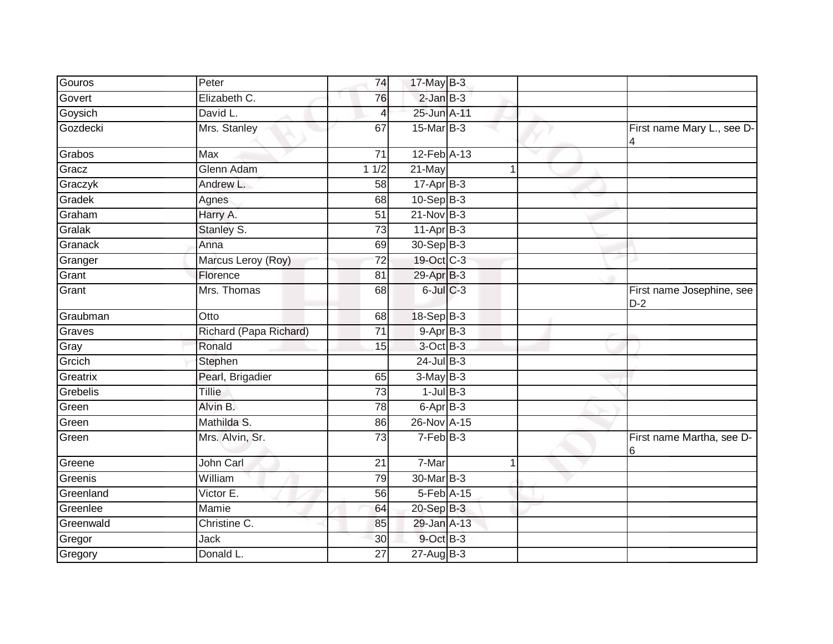| Gouros    | Peter                  | 74              | 17-May B-3            |   |                                    |
|-----------|------------------------|-----------------|-----------------------|---|------------------------------------|
| Govert    | Elizabeth C.           | 76              | $2$ -Jan $B-3$        |   |                                    |
| Goysich   | David L.               | $\overline{4}$  | 25-Jun A-11           |   |                                    |
| Gozdecki  | Mrs. Stanley           | 67              | $15$ -Mar $B-3$       |   | First name Mary L., see D-<br>4    |
| Grabos    | Max                    | 71              | 12-Feb A-13           |   |                                    |
| Gracz     | Glenn Adam             | 11/2            | $21$ -May             | 1 |                                    |
| Graczyk   | Andrew L.              | 58              | $17-AprB-3$           |   |                                    |
| Gradek    | Agnes                  | 68              | $10-Sep$ B-3          |   |                                    |
| Graham    | Harry A.               | 51              | $21-Nov$ B-3          |   |                                    |
| Gralak    | Stanley S.             | 73              | $11-Apr$ B-3          |   |                                    |
| Granack   | Anna                   | 69              | 30-Sep B-3            |   |                                    |
| Granger   | Marcus Leroy (Roy)     | 72              | 19-Oct C-3            |   |                                    |
| Grant     | Florence               | 81              | 29-Apr <sup>B-3</sup> |   |                                    |
| Grant     | Mrs. Thomas            | 68              | $6$ -Jul $C$ -3       |   | First name Josephine, see<br>$D-2$ |
| Graubman  | Otto                   | 68              | $18-SepB-3$           |   |                                    |
| Graves    | Richard (Papa Richard) | 71              | 9-Apr B-3             |   |                                    |
| Gray      | Ronald                 | 15              | 3-Oct B-3             |   |                                    |
| Grcich    | Stephen                |                 | $24$ -Jul $B-3$       |   |                                    |
| Greatrix  | Pearl, Brigadier       | 65              | $3-May$ B-3           |   |                                    |
| Grebelis  | <b>Tillie</b>          | 73              | $1$ -Jul $B-3$        |   |                                    |
| Green     | Alvin B.               | 78              | $6 - Apr$ $B-3$       |   |                                    |
| Green     | Mathilda S.            | 86              | 26-Nov A-15           |   |                                    |
| Green     | Mrs. Alvin, Sr.        | 73              | $7-Feb$ B-3           |   | First name Martha, see D-<br>6     |
| Greene    | John Carl              | 21              | 7-Mar                 | 1 |                                    |
| Greenis   | William                | 79              | 30-Mar B-3            |   |                                    |
| Greenland | Victor E.              | 56              | 5-Feb A-15            |   |                                    |
| Greenlee  | Mamie                  | 64              | 20-Sep B-3            |   |                                    |
| Greenwald | Christine C.           | 85              | 29-Jan A-13           |   |                                    |
| Gregor    | <b>Jack</b>            | 30              | 9-Oct B-3             |   |                                    |
| Gregory   | Donald L.              | $\overline{27}$ | 27-Aug B-3            |   |                                    |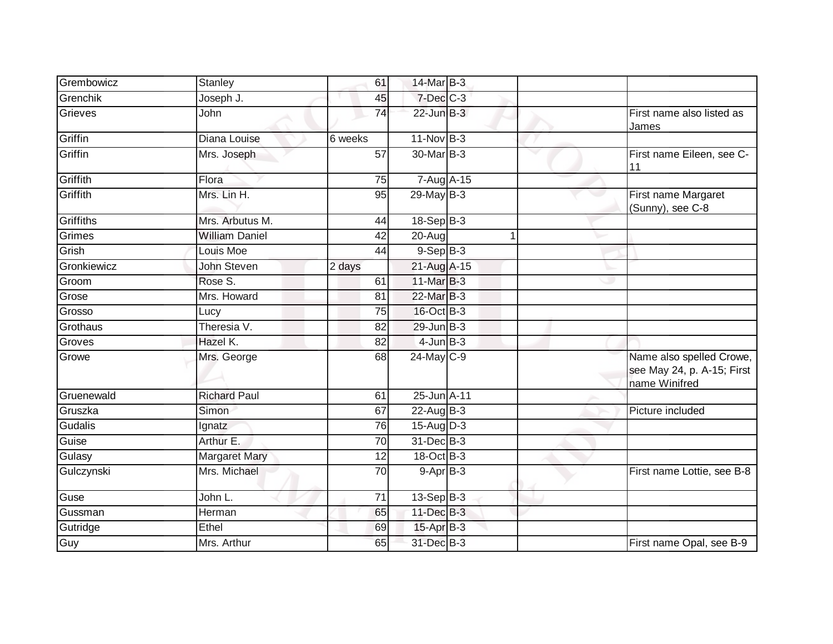| Grembowicz  | Stanley               | 61              | 14-Mar B-3       |   |                                                                         |
|-------------|-----------------------|-----------------|------------------|---|-------------------------------------------------------------------------|
| Grenchik    | Joseph J.             | 45              | $7$ -Dec $C$ -3  |   |                                                                         |
| Grieves     | John                  | $\overline{74}$ | $22$ -Jun $B-3$  |   | First name also listed as<br>James                                      |
| Griffin     | Diana Louise          | 6 weeks         | $11-NovB-3$      |   |                                                                         |
| Griffin     | Mrs. Joseph           | 57              | 30-Mar B-3       | v | First name Eileen, see C-<br>11                                         |
| Griffith    | Flora                 | 75              | 7-Aug A-15       |   |                                                                         |
| Griffith    | Mrs. Lin H.           | 95              | $29$ -May $B-3$  |   | First name Margaret<br>(Sunny), see C-8                                 |
| Griffiths   | Mrs. Arbutus M.       | 44              | $18-Sep$ B-3     |   |                                                                         |
| Grimes      | <b>William Daniel</b> | 42              | 20-Aug           |   |                                                                         |
| Grish       | Louis Moe             | 44              | $9-SepB-3$       |   |                                                                         |
| Gronkiewicz | <b>John Steven</b>    | 2 days          | 21-Aug A-15      |   |                                                                         |
| Groom       | Rose S.               | 61              | 11-Mar B-3       |   |                                                                         |
| Grose       | Mrs. Howard           | 81              | 22-Mar B-3       |   |                                                                         |
| Grosso      | Lucy                  | 75              | 16-Oct B-3       |   |                                                                         |
| Grothaus    | Theresia V.           | 82              | 29-Jun B-3       |   |                                                                         |
| Groves      | Hazel K.              | 82              | $4$ -Jun $B-3$   |   |                                                                         |
| Growe       | Mrs. George           | 68              | 24-May C-9       |   | Name also spelled Crowe,<br>see May 24, p. A-15; First<br>name Winifred |
| Gruenewald  | <b>Richard Paul</b>   | 61              | 25-Jun A-11      |   |                                                                         |
| Gruszka     | Simon                 | 67              | $22$ -Aug B-3    |   | Picture included                                                        |
| Gudalis     | Ignatz                | 76              | $15$ -AugD-3     |   |                                                                         |
| Guise       | Arthur E.             | 70              | 31-Dec B-3       |   |                                                                         |
| Gulasy      | <b>Margaret Mary</b>  | 12              | 18-Oct B-3       |   |                                                                         |
| Gulczynski  | Mrs. Michael          | $\overline{70}$ | $9-Apr$ B-3      |   | First name Lottie, see B-8                                              |
| Guse        | John L.               | 71              | $13-Sep$ B-3     |   |                                                                         |
| Gussman     | Herman                | 65              | 11-Dec B-3       |   |                                                                         |
| Gutridge    | Ethel                 | 69              | $15$ -Apr $B$ -3 |   |                                                                         |
| Guy         | Mrs. Arthur           | 65              | 31-Dec B-3       |   | First name Opal, see B-9                                                |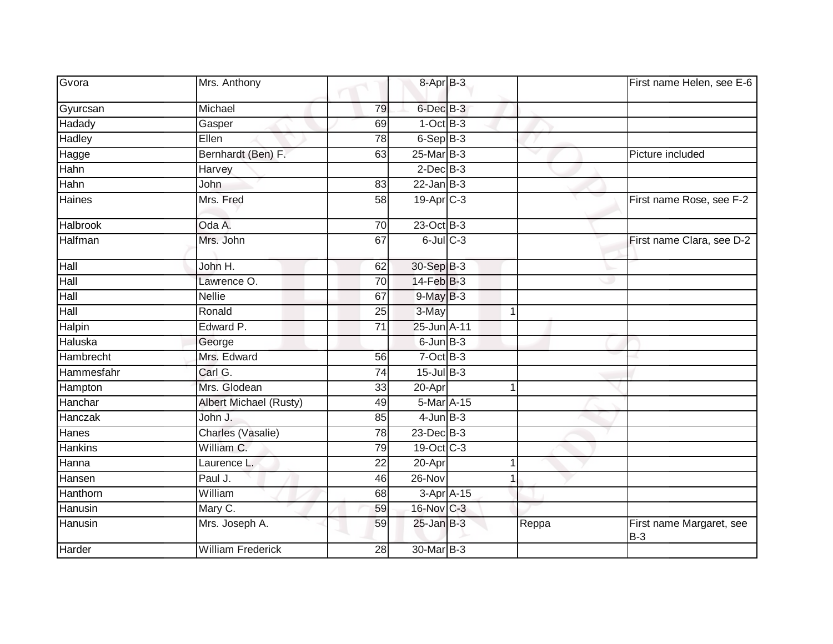| Gvora           | Mrs. Anthony             |                 | 8-Apr B-3              |            |                      |       | First name Helen, see E-6         |
|-----------------|--------------------------|-----------------|------------------------|------------|----------------------|-------|-----------------------------------|
| Gyurcsan        | Michael                  | 79              | 6-Dec B-3              |            |                      |       |                                   |
| Hadady          | Gasper                   | 69              | $1-OctB-3$             |            |                      |       |                                   |
| Hadley          | Ellen                    | 78              | $6-SepB-3$             |            |                      |       |                                   |
| Hagge           | Bernhardt (Ben) F.       | 63              | 25-Mar B-3             |            |                      |       | Picture included                  |
| Hahn            | Harvey                   |                 | $2$ -Dec $B-3$         |            |                      |       |                                   |
| Hahn            | <b>John</b>              | 83              | $22 - Jan$ $B-3$       |            |                      |       |                                   |
| Haines          | Mrs. Fred                | 58              | 19-Apr <sub>IC-3</sub> |            |                      |       | First name Rose, see F-2          |
| <b>Halbrook</b> | Oda A.                   | 70              | $23-Oct$ B-3           |            |                      |       |                                   |
| Halfman         | Mrs. John                | 67              | $6$ -Jul $C$ -3        |            |                      |       | First name Clara, see D-2         |
| Hall            | John H.                  | 62              | 30-Sep B-3             |            |                      |       |                                   |
| Hall            | Lawrence O.              | 70              | 14-Feb B-3             |            |                      | w     |                                   |
| Hall            | <b>Nellie</b>            | 67              | $9$ -May $B-3$         |            |                      |       |                                   |
| Hall            | Ronald                   | 25              | 3-May                  |            | $\mathbf 1$          |       |                                   |
| Halpin          | Edward P.                | 71              | 25-Jun A-11            |            |                      |       |                                   |
| Haluska         | George                   |                 | $6$ -Jun $B-3$         |            |                      |       |                                   |
| Hambrecht       | Mrs. Edward              | 56              | $7$ -Oct $B-3$         |            |                      |       |                                   |
| Hammesfahr      | Carl G.                  | $\overline{74}$ | 15-Jul B-3             |            |                      |       |                                   |
| Hampton         | Mrs. Glodean             | 33              | 20-Apr                 |            | $\blacktriangleleft$ |       |                                   |
| Hanchar         | Albert Michael (Rusty)   | 49              | 5-Mar A-15             |            |                      |       |                                   |
| Hanczak         | John J.                  | 85              | $4$ -Jun $B-3$         |            |                      |       |                                   |
| Hanes           | Charles (Vasalie)        | 78              | $23$ -Dec $B-3$        |            |                      |       |                                   |
| <b>Hankins</b>  | William C.               | 79              | 19-Oct C-3             |            |                      |       |                                   |
| Hanna           | Laurence L.              | 22              | 20-Apr                 |            |                      |       |                                   |
| Hansen          | Paul J.                  | 46              | 26-Nov                 |            |                      |       |                                   |
| Hanthorn        | William                  | 68              |                        | 3-Apr A-15 |                      |       |                                   |
| Hanusin         | Mary C.                  | 59              | 16-Nov C-3             |            |                      |       |                                   |
| Hanusin         | Mrs. Joseph A.           | 59              | $25$ -Jan B-3          |            |                      | Reppa | First name Margaret, see<br>$B-3$ |
| Harder          | <b>William Frederick</b> | 28              | 30-Mar B-3             |            |                      |       |                                   |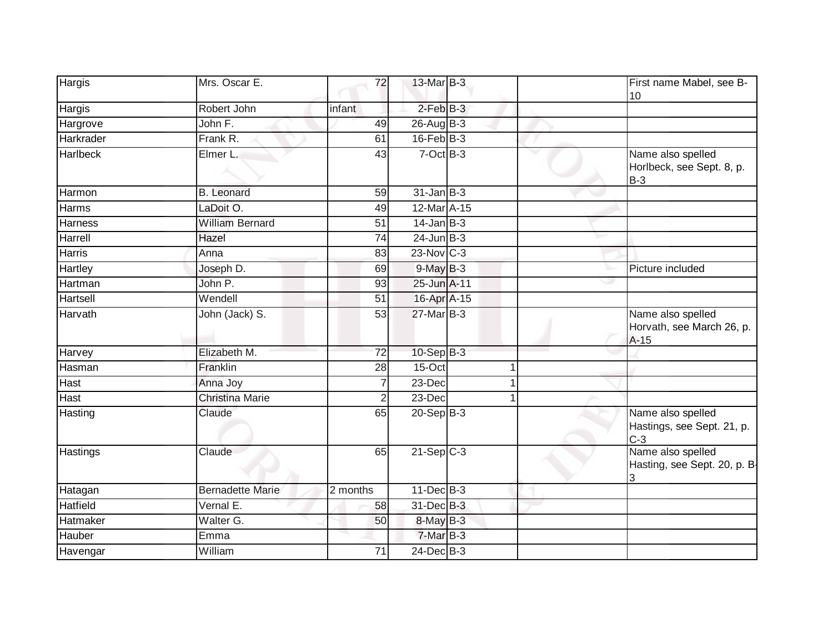| <b>Hargis</b>   | Mrs. Oscar E.           | 72              | 13-Mar B-3        |  | First name Mabel, see B-<br>10                           |
|-----------------|-------------------------|-----------------|-------------------|--|----------------------------------------------------------|
| Hargis          | Robert John             | infant          | $2$ -Feb $B-3$    |  |                                                          |
| Hargrove        | John F.                 | 49              | $26$ -Aug B-3     |  |                                                          |
| Harkrader       | Frank R.                | 61              | $16$ -Feb $B-3$   |  |                                                          |
| Harlbeck        | Elmer L.                | 43              | $7-Oct$ B-3       |  | Name also spelled<br>Horlbeck, see Sept. 8, p.<br>$B-3$  |
| Harmon          | <b>B.</b> Leonard       | 59              | $31$ -Jan $B-3$   |  |                                                          |
| Harms           | LaDoit O.               | 49              | 12-Mar A-15       |  |                                                          |
| Harness         | <b>William Bernard</b>  | 51              | $14$ -Jan B-3     |  |                                                          |
| Harrell         | Hazel                   | $\overline{74}$ | $24$ -Jun $B-3$   |  |                                                          |
| Harris          | Anna                    | 83              | $23$ -Nov $ C-3 $ |  |                                                          |
| Hartley         | Joseph D.               | 69              | 9-May B-3         |  | Picture included                                         |
| Hartman         | John P.                 | 93              | 25-Jun A-11       |  |                                                          |
| Hartsell        | Wendell                 | 51              | 16-Apr A-15       |  |                                                          |
| Harvath         | John (Jack) S.          | $\overline{53}$ | 27-Mar B-3        |  | Name also spelled<br>Horvath, see March 26, p.<br>$A-15$ |
| Harvey          | Elizabeth M.            | $\overline{72}$ | $10-SepB-3$       |  |                                                          |
| Hasman          | Franklin                | 28              | 15-Oct            |  |                                                          |
| <b>Hast</b>     | Anna Joy                | 7               | 23-Dec            |  |                                                          |
| <b>Hast</b>     | <b>Christina Marie</b>  | 2               | 23-Dec            |  |                                                          |
| Hasting         | Claude                  | 65              | $20-Sep B-3$      |  | Name also spelled<br>Hastings, see Sept. 21, p.<br>$C-3$ |
| Hastings        | Claude                  | 65              | $21-SepC-3$       |  | Name also spelled<br>Hasting, see Sept. 20, p. B<br>3    |
| Hatagan         | <b>Bernadette Marie</b> | 2 months        | $11$ -Dec $B-3$   |  |                                                          |
| <b>Hatfield</b> | Vernal E.               | 58              | 31-Dec B-3        |  |                                                          |
| Hatmaker        | Walter G.               | 50              | $8$ -May $B-3$    |  |                                                          |
| Hauber          | Emma                    |                 | $7-MarB-3$        |  |                                                          |
| Havengar        | William                 | 71              | 24-Dec B-3        |  |                                                          |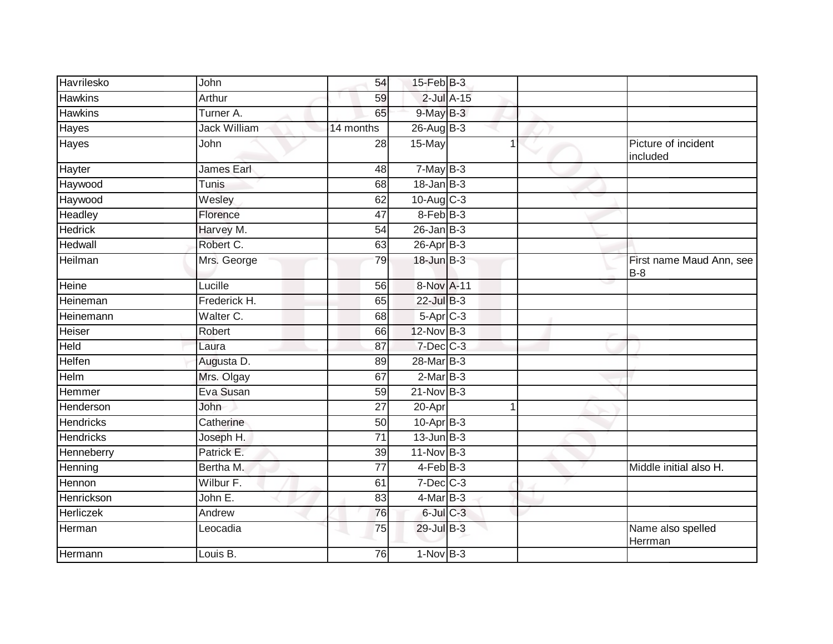| Havrilesko       | John                | 54              | 15-Feb B-3       |   |                                   |
|------------------|---------------------|-----------------|------------------|---|-----------------------------------|
| <b>Hawkins</b>   | Arthur              | 59              | $2$ -Jul $A-15$  |   |                                   |
| <b>Hawkins</b>   | Turner A.           | 65              | $9$ -May B-3     |   |                                   |
| <b>Hayes</b>     | <b>Jack William</b> | 14 months       | $26$ -AugB-3     |   |                                   |
| <b>Hayes</b>     | John                | 28              | 15-May           | 1 | Picture of incident<br>included   |
| Hayter           | James Earl          | 48              | $7$ -May $B-3$   |   |                                   |
| Haywood          | Tunis               | 68              | $18$ -Jan $B-3$  |   |                                   |
| Haywood          | Wesley              | 62              | $10-Aug$ $C-3$   |   |                                   |
| Headley          | Florence            | 47              | 8-Feb B-3        |   |                                   |
| <b>Hedrick</b>   | Harvey M.           | 54              | $26$ -Jan $B-3$  |   |                                   |
| Hedwall          | Robert C.           | 63              | $26$ -Apr $B$ -3 |   |                                   |
| Heilman          | Mrs. George         | 79              | $18$ -Jun $B-3$  |   | First name Maud Ann, see<br>$B-8$ |
| Heine            | Lucille             | $\overline{56}$ | 8-Nov A-11       |   |                                   |
| Heineman         | Frederick H.        | 65              | 22-Jul B-3       |   |                                   |
| Heinemann        | Walter C.           | 68              | $5-Apr$ $C-3$    |   |                                   |
| Heiser           | Robert              | 66              | 12-Nov B-3       |   |                                   |
| Held             | Laura               | 87              | 7-Dec C-3        |   |                                   |
| <b>Helfen</b>    | Augusta D.          | 89              | 28-Mar B-3       |   |                                   |
| Helm             | Mrs. Olgay          | 67              | $2$ -Mar $B-3$   |   |                                   |
| <b>Hemmer</b>    | Eva Susan           | $\overline{59}$ | $21-Nov$ B-3     |   |                                   |
| Henderson        | John                | 27              | 20-Apr           | 1 |                                   |
| <b>Hendricks</b> | Catherine           | 50              | $10$ -Apr $B-3$  |   |                                   |
| <b>Hendricks</b> | Joseph H.           | 71              | $13$ -Jun $B-3$  |   |                                   |
| Henneberry       | Patrick E.          | 39              | 11-Nov B-3       |   |                                   |
| Henning          | Bertha M.           | $\overline{77}$ | $4-FebB-3$       |   | Middle initial also H.            |
| Hennon           | Wilbur F.           | 61              | $7$ -Dec $C$ -3  |   |                                   |
| Henrickson       | John E.             | 83              | $4$ -Mar $B-3$   |   |                                   |
| Herliczek        | Andrew              | 76              | $6$ -Jul $C$ -3  |   |                                   |
| Herman           | Leocadia            | 75              | 29-Jul B-3       |   | Name also spelled<br>Herrman      |
| Hermann          | Louis B.            | 76              | $1-NovB-3$       |   |                                   |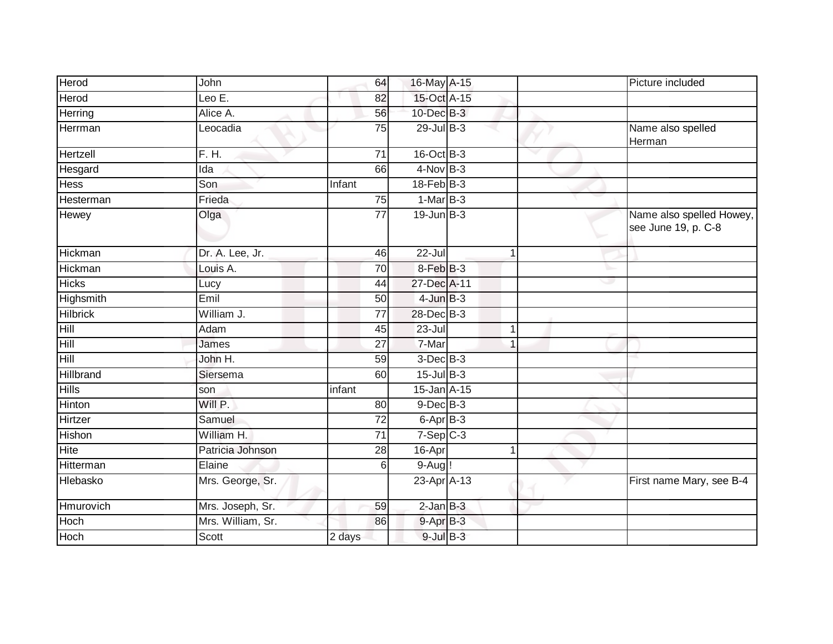| Herod           | John              |                 | 64<br>16-May A-15              |                |    | Picture included                                |
|-----------------|-------------------|-----------------|--------------------------------|----------------|----|-------------------------------------------------|
| Herod           | Leo $E$ .         |                 | 15-Oct A-15<br>82              |                |    |                                                 |
| Herring         | Alice A.          |                 | $10$ -Dec $B-3$<br>56          |                |    |                                                 |
| Herrman         | _eocadia          |                 | $29$ -Jul B-3<br>75            |                |    | Name also spelled<br>Herman                     |
| Hertzell        | F. H.             | 71              | $16$ -Oct B-3                  |                |    |                                                 |
| Hesgard         | Ida               |                 | $4-Nov$ B-3<br>66              |                |    |                                                 |
| <b>Hess</b>     | Son               | Infant          | $18$ -Feb $ B-3 $              |                |    |                                                 |
| Hesterman       | Frieda            |                 | $1-MarB-3$<br>75               |                |    |                                                 |
| Hewey           | Olga              |                 | 19-Jun B-3<br>77               |                |    | Name also spelled Howey,<br>see June 19, p. C-8 |
| Hickman         | Dr. A. Lee, Jr.   |                 | $22 -$ Jul<br>46               | $\mathbf{1}$   |    |                                                 |
| Hickman         | Louis A.          |                 | $8-Feb$ B-3<br>70              |                |    |                                                 |
| <b>Hicks</b>    | Lucy              |                 | 27-Dec A-11<br>44              |                | رن |                                                 |
| Highsmith       | Emil              |                 | $4$ -Jun $B-3$<br>50           |                |    |                                                 |
| <b>Hilbrick</b> | William J.        |                 | 28-Dec B-3<br>$\overline{77}$  |                |    |                                                 |
| Hill            | Adam              |                 | $23 -$ Jul<br>45               | $\mathbf 1$    |    |                                                 |
| Hill            | James             | $\overline{27}$ | 7-Mar                          | $\overline{1}$ |    |                                                 |
| Hill            | John H.           |                 | $3$ -Dec $B-3$<br>59           |                |    |                                                 |
| Hillbrand       | Siersema          |                 | $15$ -Jul $B-3$<br>60          |                |    |                                                 |
| <b>Hills</b>    | son               | infant          | $15$ -Jan $A-15$               |                |    |                                                 |
| Hinton          | Will P.           |                 | $9$ -Dec $B$ -3<br>80          |                |    |                                                 |
| Hirtzer         | Samuel            |                 | $\overline{72}$<br>6-Apr B-3   |                |    |                                                 |
| Hishon          | William H.        |                 | $\overline{71}$<br>$7-Sep$ C-3 |                |    |                                                 |
| <b>Hite</b>     | Patricia Johnson  |                 | 28<br>16-Apr                   | $\mathbf{1}$   |    |                                                 |
| Hitterman       | Elaine            |                 | $9-Aug!$<br>$6 \mid$           |                |    |                                                 |
| Hlebasko        | Mrs. George, Sr.  |                 | 23-Apr A-13                    |                |    | First name Mary, see B-4                        |
| Hmurovich       | Mrs. Joseph, Sr.  |                 | $2$ -Jan $B-3$<br>59           |                |    |                                                 |
| Hoch            | Mrs. William, Sr. |                 | 9-Apr B-3<br>86                |                |    |                                                 |
| Hoch            | Scott             | 2 days          | $9$ -Jul $B$ -3                |                |    |                                                 |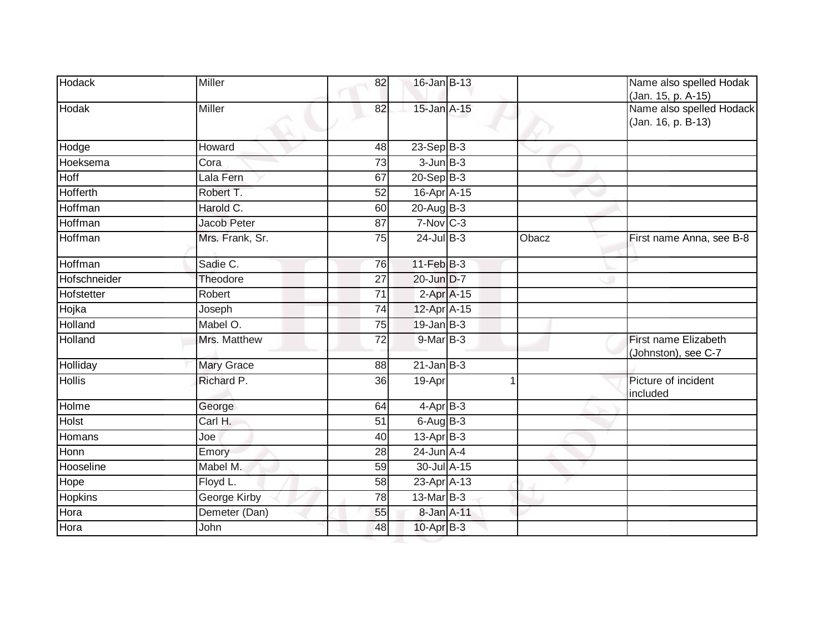| <b>Hodack</b>  | <b>Miller</b>       | 82              | 16-Jan B-13              |       | Name also spelled Hodak<br>(Jan. 15, p. A-15)  |
|----------------|---------------------|-----------------|--------------------------|-------|------------------------------------------------|
| Hodak          | Miller              | 82              | 15-Jan A-15              |       | Name also spelled Hodack<br>(Jan. 16, p. B-13) |
| Hodge          | Howard              | 48              | $23-Sep$ B-3             |       |                                                |
| Hoeksema       | Cora                | $\overline{73}$ | $3$ -Jun $B-3$           |       |                                                |
| Hoff           | Lala Fern           | 67              | $20 - Sep$ B-3           |       |                                                |
| Hofferth       | Robert T.           | 52              | 16-Apr A-15              |       |                                                |
| Hoffman        | Harold C.           | 60              | $20$ -Aug B-3            |       |                                                |
| Hoffman        | Jacob Peter         | 87              | $7-Nov$ $C-3$            |       |                                                |
| Hoffman        | Mrs. Frank, Sr.     | $\overline{75}$ | $24$ -Jul $B-3$          | Obacz | First name Anna, see B-8                       |
| Hoffman        | Sadie C.            | 76              | 11-Feb B-3               |       |                                                |
| Hofschneider   | Theodore            | $\overline{27}$ | 20-Jun D-7               |       |                                                |
| Hofstetter     | Robert              | $\overline{71}$ | $2-Apr$ A-15             |       |                                                |
| Hojka          | Joseph              | 74              | 12-Apr A-15              |       |                                                |
| Holland        | Mabel O.            | 75              | $19$ -Jan B-3            |       |                                                |
| Holland        | Mrs. Matthew        | 72              | 9-Mar B-3                |       | First name Elizabeth<br>(Johnston), see C-7    |
| Holliday       | <b>Mary Grace</b>   | 88              | $21$ -Jan B-3            |       |                                                |
| <b>Hollis</b>  | Richard P.          | 36              | 19-Apr                   | 1     | Picture of incident<br>included                |
| Holme          | George              | 64              | $4 - \overline{Apr}$ B-3 |       |                                                |
| <b>Holst</b>   | Carl H.             | 51              | $6$ -Aug $B$ -3          |       |                                                |
| Homans         | Joe                 | 40              | 13-Apr B-3               |       |                                                |
| Honn           | Emory               | 28              | 24-Jun A-4               |       |                                                |
| Hooseline      | Mabel M.            | $\overline{59}$ | 30-Jul A-15              |       |                                                |
| Hope           | Floyd L.            | 58              | 23-Apr A-13              |       |                                                |
| <b>Hopkins</b> | <b>George Kirby</b> | $\overline{78}$ | 13-Mar B-3               |       |                                                |
| Hora           | Demeter (Dan)       | 55              | 8-Jan A-11               |       |                                                |
| Hora           | John                | 48              | $10$ -Apr $B-3$          |       |                                                |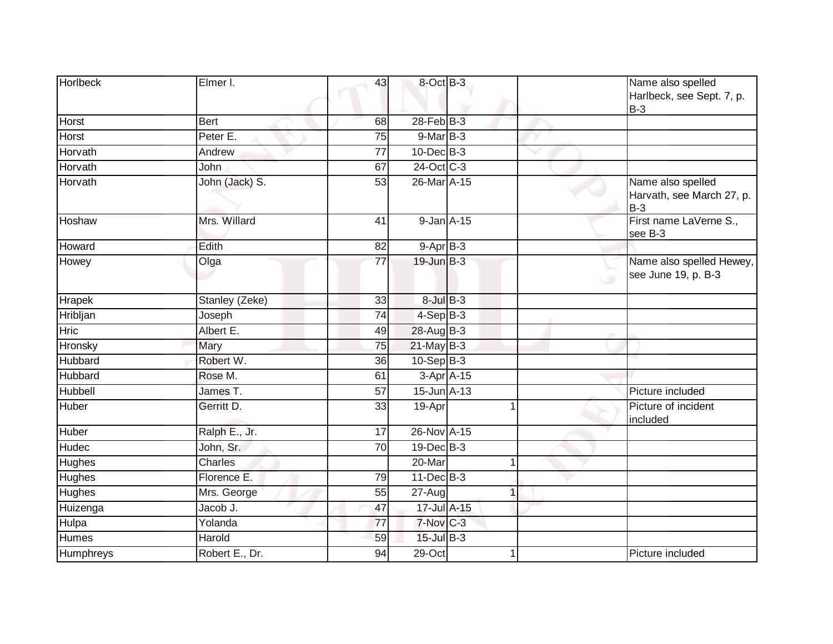| <b>Horlbeck</b>  | Elmer I.       | 43              | 8-Oct B-3                    |             | Name also spelled<br>Harlbeck, see Sept. 7, p.<br>$B-3$ |
|------------------|----------------|-----------------|------------------------------|-------------|---------------------------------------------------------|
| Horst            | <b>Bert</b>    | 68              | 28-Feb B-3                   |             |                                                         |
| <b>Horst</b>     | Peter E.       | 75              | $9$ -Mar $B-3$               |             |                                                         |
| Horvath          | Andrew         | 77              | $10$ -Dec $B-3$              |             |                                                         |
| Horvath          | John           | 67              | 24-Oct C-3                   |             |                                                         |
| Horvath          | John (Jack) S. | 53              | $26$ -Mar $\overline{A}$ -15 |             | Name also spelled<br>Harvath, see March 27, p.<br>$B-3$ |
| Hoshaw           | Mrs. Willard   | 41              | 9-Jan A-15                   |             | First name LaVerne S.,<br>see B-3                       |
| Howard           | Edith          | 82              | $9-AprB-3$                   |             |                                                         |
| Howey            | Olga           | $\overline{77}$ | $19$ -Jun $B-3$              |             | Name also spelled Hewey,<br>see June 19, p. B-3         |
| <b>Hrapek</b>    | Stanley (Zeke) | 33              | $8$ -Jul $B$ -3              |             |                                                         |
| Hribljan         | Joseph         | 74              | $4-Sep$ B-3                  |             |                                                         |
| Hric             | Albert E.      | 49              | 28-Aug B-3                   |             |                                                         |
| Hronsky          | Mary           | 75              | $21$ -May B-3                |             |                                                         |
| Hubbard          | Robert W.      | 36              | $10-Sep$ B-3                 |             |                                                         |
| Hubbard          | Rose M.        | 61              | $3-Apr$ $A-15$               |             |                                                         |
| Hubbell          | James T.       | $\overline{57}$ | 15-Jun A-13                  |             | Picture included                                        |
| Huber            | Gerritt D.     | 33              | 19-Apr                       |             | Picture of incident<br>included                         |
| Huber            | Ralph E., Jr.  | 17              | 26-Nov A-15                  |             |                                                         |
| <b>Hudec</b>     | John, Sr.      | 70              | 19-Dec B-3                   |             |                                                         |
| <b>Hughes</b>    | Charles        |                 | 20-Mar                       |             |                                                         |
| Hughes           | Florence E.    | 79              | $11$ -Dec $B-3$              |             |                                                         |
| <b>Hughes</b>    | Mrs. George    | 55              | 27-Aug                       | $\mathbf 1$ |                                                         |
| Huizenga         | Jacob J.       | 47              | 17-Jul A-15                  |             |                                                         |
| Hulpa            | Yolanda        | 77              | 7-Nov C-3                    |             |                                                         |
| <b>Humes</b>     | Harold         | 59              | $15$ -Jul B-3                |             |                                                         |
| <b>Humphreys</b> | Robert E., Dr. | 94              | $29$ -Oct                    |             | Picture included                                        |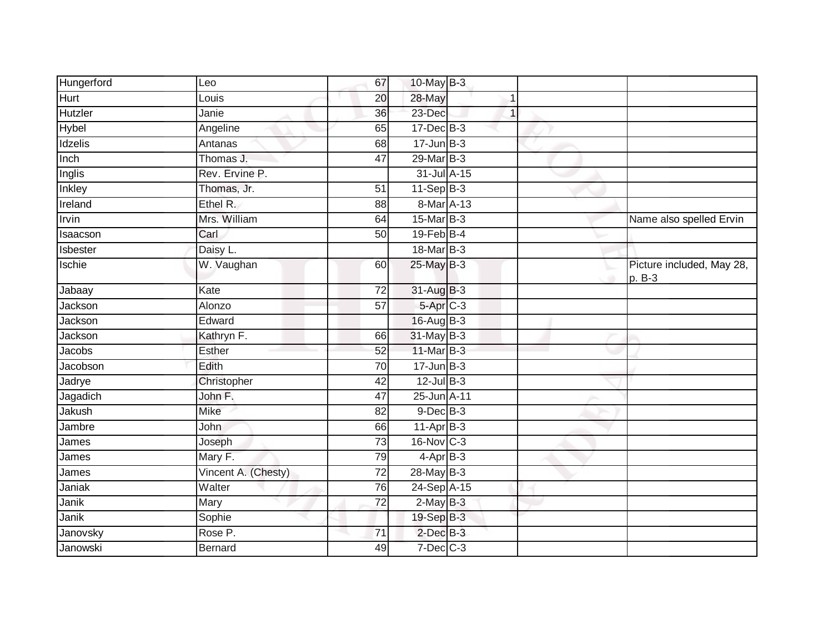| Hungerford  | Leo                 | 67              | 10-May B-3           |              |             |                                       |
|-------------|---------------------|-----------------|----------------------|--------------|-------------|---------------------------------------|
| <b>Hurt</b> | Louis               | 20              | 28-May               | 1            |             |                                       |
| Hutzler     | Janie               | 36              | 23-Dec               | $\mathbf{1}$ |             |                                       |
| Hybel       | Angeline            | 65              | $17 - Dec$ B-3       |              |             |                                       |
| Idzelis     | Antanas             | 68              | $17 - Jun$ $B-3$     |              |             |                                       |
| Inch        | Thomas J.           | 47              | 29-Mar B-3           |              |             |                                       |
| Inglis      | Rev. Ervine P.      |                 | 31-Jul A-15          |              |             |                                       |
| Inkley      | Thomas, Jr.         | 51              | $11-SepB-3$          |              |             |                                       |
| Ireland     | Ethel R.            | 88              | 8-Mar A-13           |              |             |                                       |
| Irvin       | Mrs. William        | 64              | 15-Mar B-3           |              |             | Name also spelled Ervin               |
| Isaacson    | Carl                | 50              | $19$ -Feb $B$ -4     |              |             |                                       |
| Isbester    | Daisy L.            |                 | 18-Mar B-3           |              |             |                                       |
| Ischie      | W. Vaughan          | 60              | 25-May B-3           |              | $\triangle$ | Picture included, May 28,<br>$p. B-3$ |
| Jabaay      | Kate                | 72              | 31-Aug B-3           |              |             |                                       |
| Jackson     | Alonzo              | $\overline{57}$ | 5-Apr <sub>C-3</sub> |              |             |                                       |
| Jackson     | Edward              |                 | 16-Aug B-3           |              |             |                                       |
| Jackson     | Kathryn F.          | 66              | 31-May B-3           |              |             |                                       |
| Jacobs      | Esther              | 52              | 11-Mar B-3           |              |             |                                       |
| Jacobson    | Edith               | 70              | $17$ -Jun $B-3$      |              |             |                                       |
| Jadrye      | Christopher         | 42              | $12$ -Jul $B-3$      |              |             |                                       |
| Jagadich    | John F.             | 47              | 25-Jun A-11          |              |             |                                       |
| Jakush      | <b>Mike</b>         | 82              | $9$ -Dec $B$ -3      |              |             |                                       |
| Jambre      | John                | 66              | $11-Apr$ B-3         |              |             |                                       |
| James       | Joseph              | 73              | 16-Nov C-3           |              |             |                                       |
| James       | Mary F.             | 79              | $4-AprB-3$           |              |             |                                       |
| James       | Vincent A. (Chesty) | $\overline{72}$ | 28-May B-3           |              |             |                                       |
| Janiak      | Walter              | 76              | 24-Sep A-15          |              |             |                                       |
| Janik       | Mary                | 72              | $2$ -May $B-3$       |              |             |                                       |
| Janik       | Sophie              |                 | 19-Sep B-3           |              |             |                                       |
| Janovsky    | Rose P.             | 71              | $2$ -Dec $B-3$       |              |             |                                       |
| Janowski    | <b>Bernard</b>      | 49              | 7-Dec C-3            |              |             |                                       |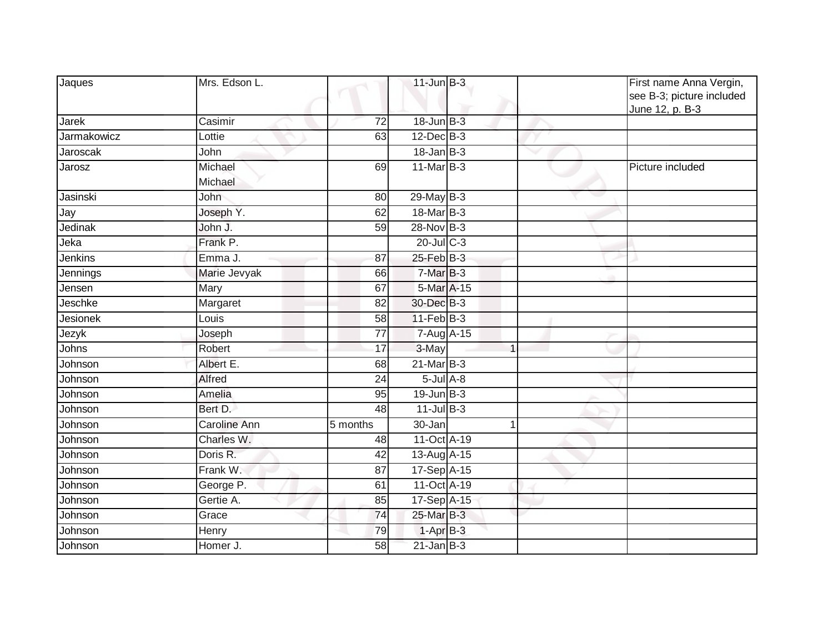| Jaques      | Mrs. Edson L.       |                 | $11$ -Jun $B-3$  |   | First name Anna Vergin,<br>see B-3; picture included<br>June 12, p. B-3 |
|-------------|---------------------|-----------------|------------------|---|-------------------------------------------------------------------------|
| Jarek       | Casimir             | 72              | 18-Jun B-3       |   |                                                                         |
| Jarmakowicz | Lottie              | 63              | 12-Dec B-3       |   |                                                                         |
| Jaroscak    | John                |                 | $18 - Jan$ $B-3$ |   |                                                                         |
| Jarosz      | Michael<br>Michael  | 69              | $11$ -Mar $B-3$  |   | Picture included                                                        |
| Jasinski    | John                | 80              | 29-May B-3       |   |                                                                         |
| Jay         | Joseph Y.           | 62              | 18-Mar B-3       |   |                                                                         |
| Jedinak     | John J.             | $\overline{59}$ | $28-NovB-3$      |   |                                                                         |
| Jeka        | Frank P.            |                 | $20$ -Jul $C-3$  |   |                                                                         |
| Jenkins     | Emma J.             | 87              | $25$ -Feb $B-3$  |   |                                                                         |
| Jennings    | Marie Jevyak        | 66              | $7-MarB-3$       |   |                                                                         |
| Jensen      | Mary                | 67              | 5-Mar A-15       |   |                                                                         |
| Jeschke     | Margaret            | 82              | 30-Dec B-3       |   |                                                                         |
| Jesionek    | Louis               | 58              | $11$ -Feb $B-3$  |   |                                                                         |
| Jezyk       | Joseph              | 77              | 7-Aug A-15       |   |                                                                         |
| Johns       | Robert              | 17              | 3-May            | 1 |                                                                         |
| Johnson     | Albert E.           | 68              | 21-Mar B-3       |   |                                                                         |
| Johnson     | Alfred              | 24              | $5$ -Jul $A$ -8  |   |                                                                         |
| Johnson     | Amelia              | 95              | $19$ -Jun $B-3$  |   |                                                                         |
| Johnson     | Bert D.             | 48              | $11$ -Jul B-3    |   |                                                                         |
| Johnson     | <b>Caroline Ann</b> | 5 months        | 30-Jan           |   |                                                                         |
| Johnson     | Charles W.          | 48              | 11-Oct A-19      |   |                                                                         |
| Johnson     | Doris R.            | 42              | 13-Aug A-15      |   |                                                                         |
| Johnson     | Frank W.            | 87              | $17-Sep$ A-15    |   |                                                                         |
| Johnson     | George P.           | 61              | 11-Oct A-19      |   |                                                                         |
| Johnson     | Gertie A.           | 85              | 17-Sep A-15      |   |                                                                         |
| Johnson     | Grace               | 74              | 25-Mar B-3       |   |                                                                         |
| Johnson     | Henry               | 79              | $1-AprB-3$       |   |                                                                         |
| Johnson     | Homer J.            | 58              | $21$ -Jan B-3    |   |                                                                         |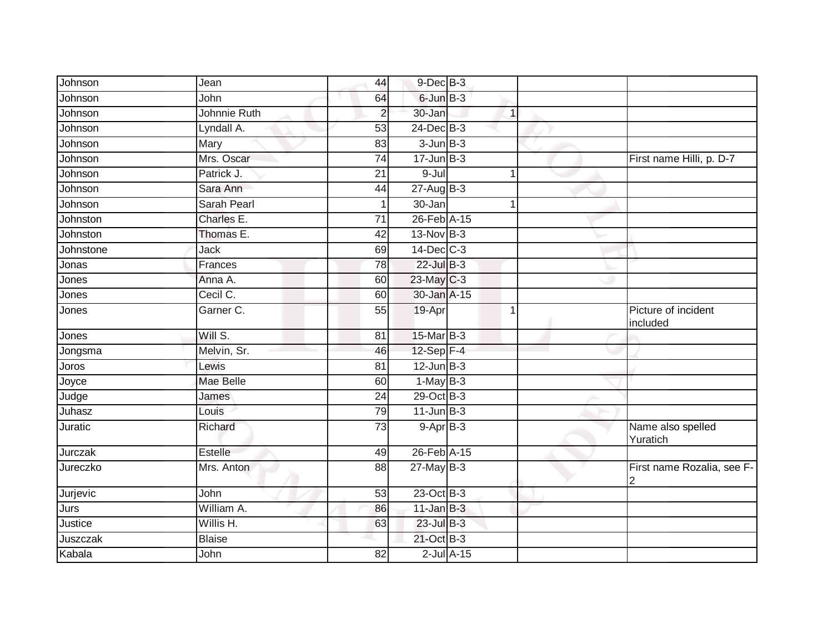| Johnson   | Jean          | 44              | $9$ -Dec $B$ -3 |                 |              |                                              |
|-----------|---------------|-----------------|-----------------|-----------------|--------------|----------------------------------------------|
| Johnson   | John          | 64              | $6$ -Jun $B$ -3 |                 |              |                                              |
| Johnson   | Johnnie Ruth  | $\overline{2}$  | 30-Jan          |                 | $\mathbf{1}$ |                                              |
| Johnson   | Lyndall A.    | 53              | $24$ -Dec $B-3$ |                 |              |                                              |
| Johnson   | Mary          | 83              | $3 - Jun$ $B-3$ |                 |              |                                              |
| Johnson   | Mrs. Oscar    | $\overline{74}$ | $17 - Jun$ B-3  |                 |              | First name Hilli, p. D-7                     |
| Johnson   | Patrick J.    | 21              | $9 -$ Jul       |                 | $\mathbf{1}$ |                                              |
| Johnson   | Sara Ann      | 44              | $27 - Aug$ B-3  |                 |              |                                              |
| Johnson   | Sarah Pearl   | 1               | 30-Jan          |                 | 1            |                                              |
| Johnston  | Charles E.    | $\overline{71}$ | 26-Feb A-15     |                 |              |                                              |
| Johnston  | Thomas E.     | 42              | 13-Nov B-3      |                 |              |                                              |
| Johnstone | Jack          | 69              | $14$ -Dec $C-3$ |                 |              |                                              |
| Jonas     | Frances       | 78              | 22-Jul B-3      |                 |              |                                              |
| Jones     | Anna A.       | 60              | 23-May C-3      |                 |              |                                              |
| Jones     | Cecil C.      | 60              | 30-Jan A-15     |                 |              |                                              |
| Jones     | Garner C.     | 55              | 19-Apr          |                 | 1            | Picture of incident<br>included              |
| Jones     | Will S.       | 81              | 15-Mar B-3      |                 |              |                                              |
| Jongsma   | Melvin, Sr.   | 46              | 12-Sep F-4      |                 |              |                                              |
| Joros     | Lewis         | 81              | $12$ -Jun $B-3$ |                 |              |                                              |
| Joyce     | Mae Belle     | 60              | $1-May$ B-3     |                 |              |                                              |
| Judge     | James         | 24              | 29-Oct B-3      |                 |              |                                              |
| Juhasz    | Louis         | 79              | $11$ -Jun $B-3$ |                 |              |                                              |
| Juratic   | Richard       | 73              | $9-AprB-3$      |                 |              | Name also spelled<br>Yuratich                |
| Jurczak   | Estelle       | 49              | 26-Feb A-15     |                 |              |                                              |
| Jureczko  | Mrs. Anton    | 88              | $27$ -May B-3   |                 |              | First name Rozalia, see F-<br>$\overline{2}$ |
| Jurjevic  | John          | 53              | 23-Oct B-3      |                 |              |                                              |
| Jurs      | William A.    | 86              | $11$ -Jan B-3   |                 |              |                                              |
| Justice   | Willis H.     | 63              | 23-Jul B-3      |                 |              |                                              |
| Juszczak  | <b>Blaise</b> |                 | 21-Oct B-3      |                 |              |                                              |
| Kabala    | John          | $\overline{82}$ |                 | $2$ -Jul $A-15$ |              |                                              |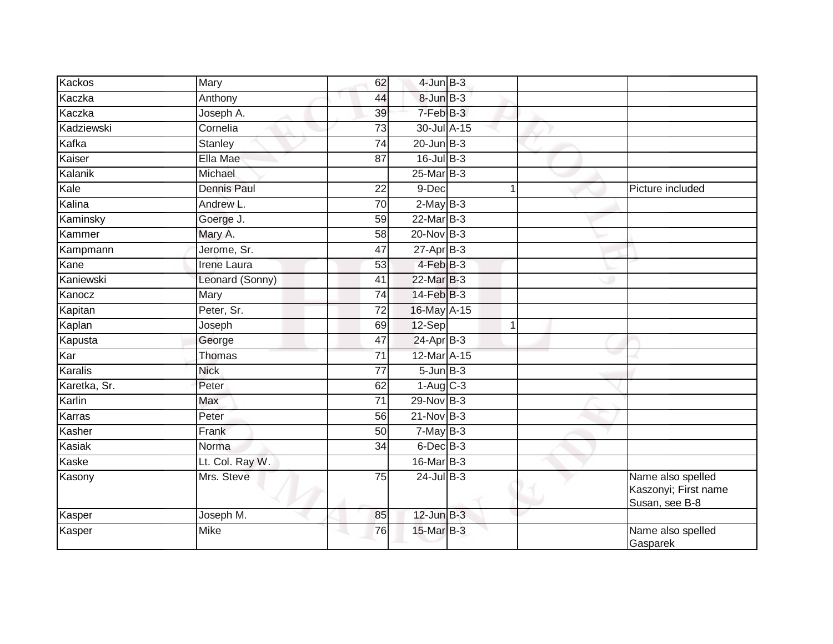| Kackos       | Mary               | 62              | $4$ -Jun $B-3$  |             |                                                             |
|--------------|--------------------|-----------------|-----------------|-------------|-------------------------------------------------------------|
| Kaczka       | Anthony            | 44              | $8$ -Jun $B-3$  |             |                                                             |
| Kaczka       | Joseph A.          | 39              | 7-Feb B-3       |             |                                                             |
| Kadziewski   | Cornelia           | 73              | 30-Jul A-15     |             |                                                             |
| Kafka        | Stanley            | $\overline{74}$ | $20$ -Jun $B-3$ |             |                                                             |
| Kaiser       | Ella Mae           | 87              | $16$ -Jul B-3   |             |                                                             |
| Kalanik      | Michael            |                 | $25$ -Mar $B-3$ |             |                                                             |
| Kale         | <b>Dennis Paul</b> | 22              | 9-Dec           |             | Picture included                                            |
| Kalina       | Andrew L.          | 70              | $2$ -May B-3    |             |                                                             |
| Kaminsky     | Goerge J.          | 59              | $22$ -Mar $B-3$ |             |                                                             |
| Kammer       | Mary A.            | 58              | $20$ -Nov $B-3$ |             |                                                             |
| Kampmann     | Jerome, Sr.        | 47              | $27$ -Apr $B-3$ |             |                                                             |
| Kane         | <b>Irene Laura</b> | 53              | $4$ -Feb $B-3$  |             |                                                             |
| Kaniewski    | Leonard (Sonny)    | 41              | 22-Mar B-3      |             |                                                             |
| Kanocz       | Mary               | $\overline{74}$ | 14-Feb B-3      |             |                                                             |
| Kapitan      | Peter, Sr.         | 72              | 16-May A-15     |             |                                                             |
| Kaplan       | Joseph             | 69              | 12-Sep          | $\mathbf 1$ |                                                             |
| Kapusta      | George             | 47              | $24-Apr$ B-3    |             |                                                             |
| Kar          | Thomas             | 71              | 12-Mar A-15     |             |                                                             |
| Karalis      | <b>Nick</b>        | $\overline{77}$ | $5 - Jun$ $B-3$ |             |                                                             |
| Karetka, Sr. | Peter              | 62              | $1-Aug$ $C-3$   |             |                                                             |
| Karlin       | Max                | $\overline{71}$ | 29-Nov B-3      |             |                                                             |
| Karras       | Peter              | 56              | $21-Nov$ B-3    |             |                                                             |
| Kasher       | Frank              | 50              | $7$ -May B-3    |             |                                                             |
| Kasiak       | Norma              | 34              | $6$ -Dec $B$ -3 |             |                                                             |
| Kaske        | Lt. Col. Ray W.    |                 | 16-Mar B-3      |             |                                                             |
| Kasony       | Mrs. Steve         | $\overline{75}$ | $24$ -Jul B-3   |             | Name also spelled<br>Kaszonyi; First name<br>Susan, see B-8 |
| Kasper       | Joseph M.          | 85              | $12$ -Jun $B-3$ |             |                                                             |
| Kasper       | <b>Mike</b>        | 76              | $15$ -Mar $B-3$ |             | Name also spelled<br>Gasparek                               |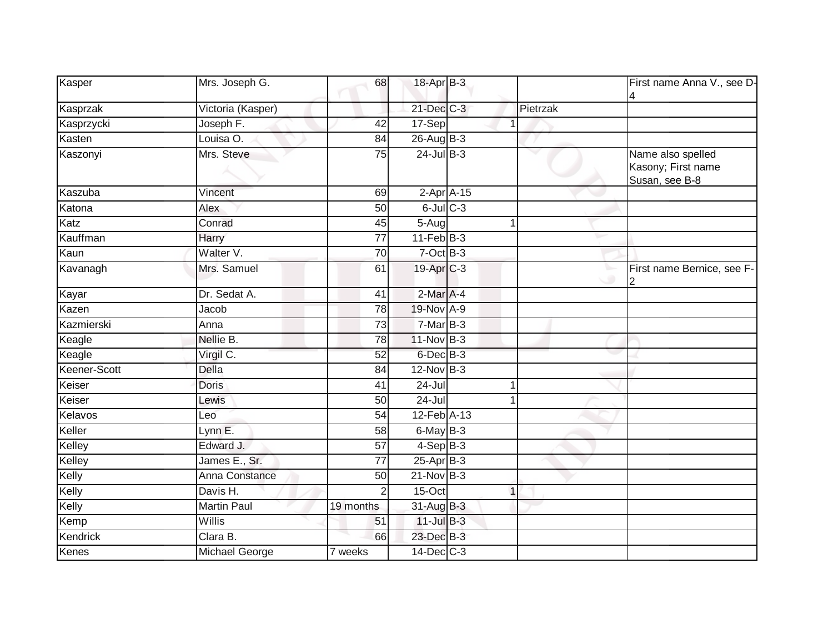| Kasper          | Mrs. Joseph G.        | 68              | 18-Apr B-3      |              |          | First name Anna V., see D-                                |
|-----------------|-----------------------|-----------------|-----------------|--------------|----------|-----------------------------------------------------------|
| Kasprzak        | Victoria (Kasper)     |                 | $21$ -Dec $C-3$ |              | Pietrzak |                                                           |
| Kasprzycki      | Joseph F.             | 42              | 17-Sep          |              |          |                                                           |
| Kasten          | Louisa O.             | 84              | $26$ -Aug B-3   |              |          |                                                           |
| Kaszonyi        | Mrs. Steve            | 75              | $24$ -Jul B-3   |              |          | Name also spelled<br>Kasony; First name<br>Susan, see B-8 |
| Kaszuba         | Vincent               | 69              |                 | $2-Apr$ A-15 |          |                                                           |
| Katona          | Alex                  | 50              | $6$ -Jul $C$ -3 |              |          |                                                           |
| Katz            | Conrad                | 45              | 5-Aug           |              | 1        |                                                           |
| Kauffman        | Harry                 | $\overline{77}$ | $11$ -Feb $B-3$ |              |          |                                                           |
| Kaun            | Walter V.             | 70              | $7$ -Oct $B-3$  |              |          |                                                           |
| Kavanagh        | Mrs. Samuel           | 61              | 19-Apr C-3      |              |          | First name Bernice, see F-                                |
| Kayar           | Dr. Sedat A.          | $\overline{41}$ | 2-Mar A-4       |              |          |                                                           |
| Kazen           | Jacob                 | 78              | 19-Nov A-9      |              |          |                                                           |
| Kazmierski      | Anna                  | $\overline{73}$ | $7-MarB-3$      |              |          |                                                           |
| Keagle          | Nellie B.             | 78              | 11-Nov B-3      |              |          |                                                           |
| Keagle          | Virgil C.             | 52              | $6$ -Dec $B$ -3 |              |          |                                                           |
| Keener-Scott    | Della                 | 84              | $12$ -Nov $B-3$ |              |          |                                                           |
| Keiser          | <b>Doris</b>          | 41              | $24 -$ Jul      |              |          |                                                           |
| Keiser          | Lewis                 | 50              | $24 -$ Jul      |              |          |                                                           |
| Kelavos         | Leo                   | 54              | 12-Feb A-13     |              |          |                                                           |
| Keller          | Lynn E.               | 58              | 6-May B-3       |              |          |                                                           |
| Kelley          | Edward J.             | $\overline{57}$ | $4-SepB-3$      |              |          |                                                           |
| Kelley          | James E., Sr.         | 77              | $25$ -Apr $B-3$ |              |          |                                                           |
| Kelly           | <b>Anna Constance</b> | $\overline{50}$ | $21-Nov$ B-3    |              |          |                                                           |
| Kelly           | Davis H.              |                 | 15-Oct          |              | 1        |                                                           |
| Kelly           | <b>Martin Paul</b>    | 19 months       | 31-Aug B-3      |              |          |                                                           |
| Kemp            | Willis                | 51              | $11$ -Jul $B-3$ |              |          |                                                           |
| <b>Kendrick</b> | Clara B.              | 66              | 23-Dec B-3      |              |          |                                                           |
| Kenes           | Michael George        | 7 weeks         | $14$ -Dec $C-3$ |              |          |                                                           |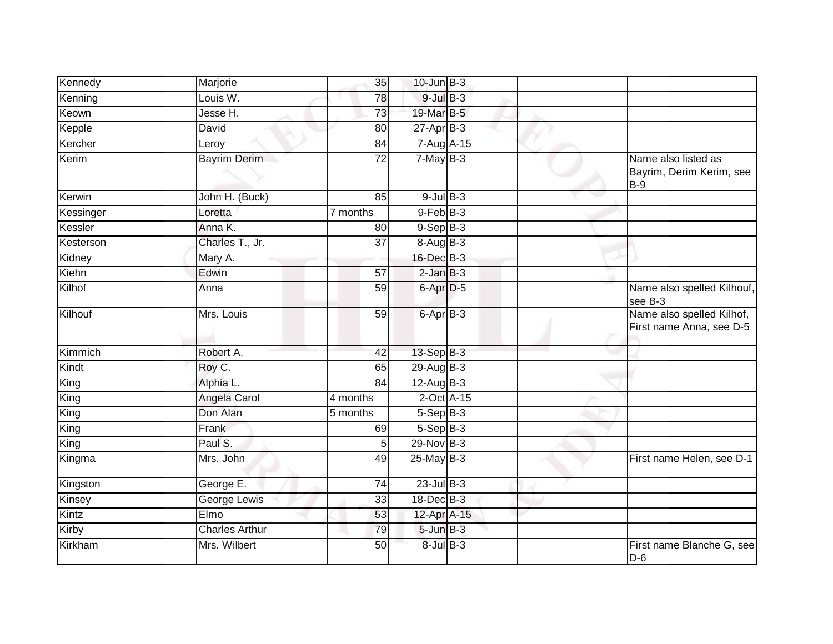| Kennedy   | Marjorie              | 35       | $10$ -Jun $B-3$ |  |                                                          |
|-----------|-----------------------|----------|-----------------|--|----------------------------------------------------------|
| Kenning   | Louis W.              | 78       | $9$ -Jul $B$ -3 |  |                                                          |
| Keown     | Jesse H.              | 73       | 19-Mar B-5      |  |                                                          |
| Kepple    | David                 | 80       | $27$ -Apr $B-3$ |  |                                                          |
| Kercher   | Leroy                 | 84       | 7-Aug A-15      |  |                                                          |
| Kerim     | <b>Bayrim Derim</b>   | 72       | $7$ -May B-3    |  | Name also listed as<br>Bayrim, Derim Kerim, see<br>$B-9$ |
| Kerwin    | John H. (Buck)        | 85       | $9$ -Jul B-3    |  |                                                          |
| Kessinger | Loretta               | 7 months | $9-FebB-3$      |  |                                                          |
| Kessler   | Anna K.               | 80       | $9-Sep$ $B-3$   |  |                                                          |
| Kesterson | Charles T., Jr.       | 37       | 8-Aug B-3       |  |                                                          |
| Kidney    | Mary A.               |          | 16-Dec B-3      |  |                                                          |
| Kiehn     | Edwin                 | 57       | $2$ -Jan $B-3$  |  |                                                          |
| Kilhof    | Anna                  | 59       | 6-Apr D-5       |  | Name also spelled Kilhouf,<br>see B-3                    |
| Kilhouf   | Mrs. Louis            | 59       | 6-Apr B-3       |  | Name also spelled Kilhof,<br>First name Anna, see D-5    |
| Kimmich   | Robert A.             | 42       | $13-Sep$ B-3    |  |                                                          |
| Kindt     | Roy C.                | 65       | 29-Aug B-3      |  |                                                          |
| King      | Alphia L.             | 84       | $12-AugB-3$     |  |                                                          |
| King      | Angela Carol          | 4 months | $2$ -Oct $A-15$ |  |                                                          |
| King      | Don Alan              | 5 months | $5-Sep$ B-3     |  |                                                          |
| King      | Frank                 | 69       | $5-Sep$ B-3     |  |                                                          |
| King      | Paul S.               | 5        | $29-Nov$ B-3    |  |                                                          |
| Kingma    | Mrs. John             | 49       | $25$ -May B-3   |  | First name Helen, see D-1                                |
| Kingston  | George E.             | 74       | $23$ -Jul $B-3$ |  |                                                          |
| Kinsey    | George Lewis          | 33       | 18-Dec B-3      |  |                                                          |
| Kintz     | Elmo                  | 53       | 12-Apr A-15     |  |                                                          |
| Kirby     | <b>Charles Arthur</b> | 79       | $5$ -Jun $B-3$  |  |                                                          |
| Kirkham   | Mrs. Wilbert          | 50       | $8$ -Jul $B$ -3 |  | First name Blanche G, see<br>$D-6$                       |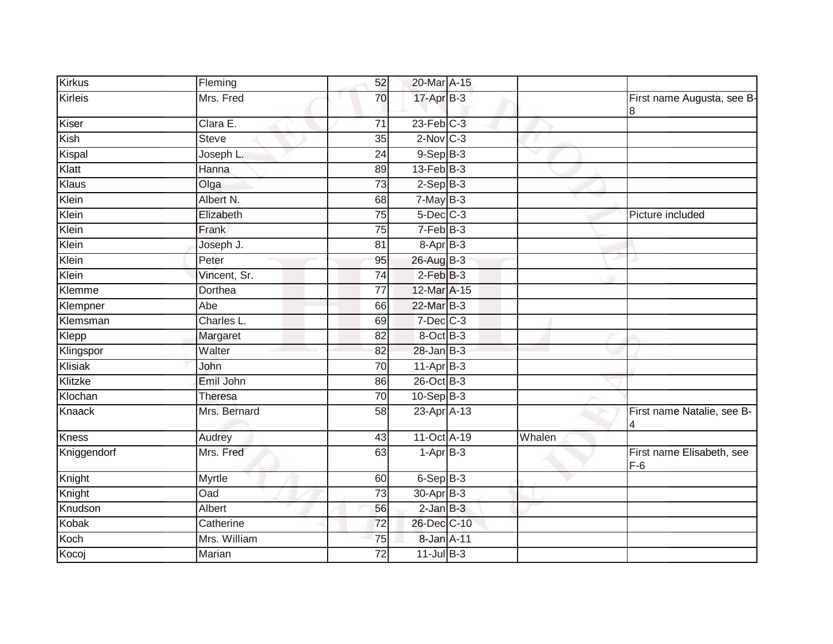| Kirkus         | Fleming        | 52              | 20-Mar A-15     |        |                                    |
|----------------|----------------|-----------------|-----------------|--------|------------------------------------|
| <b>Kirleis</b> | Mrs. Fred      | 70              | 17-Apr B-3      |        | First name Augusta, see B-<br>8    |
| Kiser          | Clara E.       | $\overline{71}$ | $23$ -Feb $C-3$ |        |                                    |
| Kish           | <b>Steve</b>   | 35              | $2$ -Nov $C-3$  |        |                                    |
| Kispal         | Joseph L.      | 24              | $9-Sep$ $B-3$   |        |                                    |
| Klatt          | Hanna          | 89              | $13$ -Feb $B-3$ |        |                                    |
| Klaus          | Olga           | 73              | $2-Sep$ $B-3$   |        |                                    |
| Klein          | Albert N.      | 68              | $7$ -May $B-3$  |        |                                    |
| Klein          | Elizabeth      | 75              | $5$ -Dec $C$ -3 |        | Picture included                   |
| Klein          | Frank          | 75              | $7-FebB-3$      |        |                                    |
| Klein          | Joseph J.      | 81              | 8-Apr B-3       |        |                                    |
| Klein          | Peter          | 95              | 26-Aug B-3      |        |                                    |
| Klein          | Vincent, Sr.   | $\overline{74}$ | $2$ -Feb $B-3$  |        |                                    |
| Klemme         | Dorthea        | 77              | 12-Mar A-15     |        |                                    |
| Klempner       | Abe            | 66              | 22-Mar B-3      |        |                                    |
| Klemsman       | Charles L.     | 69              | $7$ -Dec $C$ -3 |        |                                    |
| Klepp          | Margaret       | $\overline{82}$ | 8-Oct B-3       |        |                                    |
| Klingspor      | Walter         | 82              | $28$ -Jan B-3   |        |                                    |
| Klisiak        | John           | 70              | $11-Apr$ B-3    |        |                                    |
| Klitzke        | Emil John      | 86              | 26-Oct B-3      |        |                                    |
| Klochan        | <b>Theresa</b> | 70              | $10-Sep$ B-3    |        |                                    |
| Knaack         | Mrs. Bernard   | 58              | 23-Apr A-13     |        | First name Natalie, see B-<br>4    |
| <b>Kness</b>   | Audrey         | 43              | 11-Oct A-19     | Whalen |                                    |
| Kniggendorf    | Mrs. Fred      | 63              | $1-AprB-3$      |        | First name Elisabeth, see<br>$F-6$ |
| Knight         | <b>Myrtle</b>  | 60              | $6-SepB-3$      |        |                                    |
| Knight         | Oad            | 73              | 30-Apr B-3      |        |                                    |
| Knudson        | Albert         | 56              | $2$ -Jan $B-3$  |        |                                    |
| Kobak          | Catherine      | 72              | 26-Dec C-10     |        |                                    |
| Koch           | Mrs. William   | 75              | 8-Jan A-11      |        |                                    |
| Kocoj          | Marian         | $\overline{72}$ | $11$ -Jul $B-3$ |        |                                    |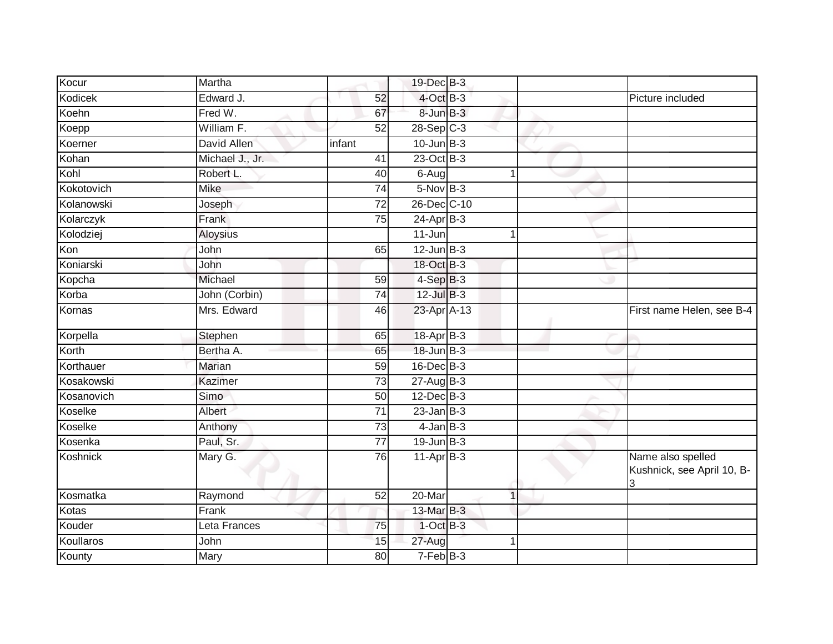| Kocur           | Martha          |                 | 19-Dec B-3      |             |                                                      |
|-----------------|-----------------|-----------------|-----------------|-------------|------------------------------------------------------|
| Kodicek         | Edward J.       | 52              | $4$ -Oct B-3    |             | Picture included                                     |
| Koehn           | Fred W.         | 67              | 8-Jun B-3       |             |                                                      |
| Koepp           | William F.      | $\overline{52}$ | $28-Sep$ C-3    |             |                                                      |
| Koerner         | David Allen     | infant          | $10$ -Jun $B-3$ |             |                                                      |
| Kohan           | Michael J., Jr. | 41              | 23-Oct B-3      |             |                                                      |
| Kohl            | Robert L.       | 40              | 6-Aug           | 1           |                                                      |
| Kokotovich      | <b>Mike</b>     | 74              | $5-NovB-3$      |             |                                                      |
| Kolanowski      | Joseph          | 72              | 26-Dec C-10     |             |                                                      |
| Kolarczyk       | Frank           | 75              | $24$ -Apr $B-3$ |             |                                                      |
| Kolodziej       | Aloysius        |                 | 11-Jun          | -1          |                                                      |
| Kon             | John            | 65              | $12$ -Jun $B-3$ |             |                                                      |
| Koniarski       | John            |                 | 18-Oct B-3      |             |                                                      |
| Kopcha          | Michael         | 59              | $4-SepB-3$      |             |                                                      |
| Korba           | John (Corbin)   | 74              | $12$ -Jul $B-3$ |             |                                                      |
| Kornas          | Mrs. Edward     | 46              | 23-Apr A-13     |             | First name Helen, see B-4                            |
| Korpella        | Stephen         | 65              | 18-Apr B-3      |             |                                                      |
| Korth           | Bertha A.       | 65              | 18-Jun B-3      |             |                                                      |
| Korthauer       | <b>Marian</b>   | 59              | 16-Dec B-3      |             |                                                      |
| Kosakowski      | Kazimer         | $\overline{73}$ | $27 - Aug$ B-3  |             |                                                      |
| Kosanovich      | Simo            | 50              | 12-Dec B-3      |             |                                                      |
| Koselke         | Albert          | 71              | $23$ -Jan B-3   |             |                                                      |
| Koselke         | Anthony         | 73              | $4$ -Jan $B-3$  |             |                                                      |
| Kosenka         | Paul, Sr.       | 77              | $19$ -Jun $B-3$ |             |                                                      |
| <b>Koshnick</b> | Mary G.         | 76              | $11-Apr$ B-3    |             | Name also spelled<br>Kushnick, see April 10, B-<br>3 |
| Kosmatka        | Raymond         | $\overline{52}$ | 20-Mar          | $\mathbf 1$ |                                                      |
| Kotas           | Frank           |                 | 13-Mar B-3      |             |                                                      |
| Kouder          | Leta Frances    | 75              | $1$ -Oct B-3    |             |                                                      |
| Koullaros       | John            | 15              | 27-Aug          | 1           |                                                      |
| Kounty          | Mary            | 80              | $7-FebB-3$      |             |                                                      |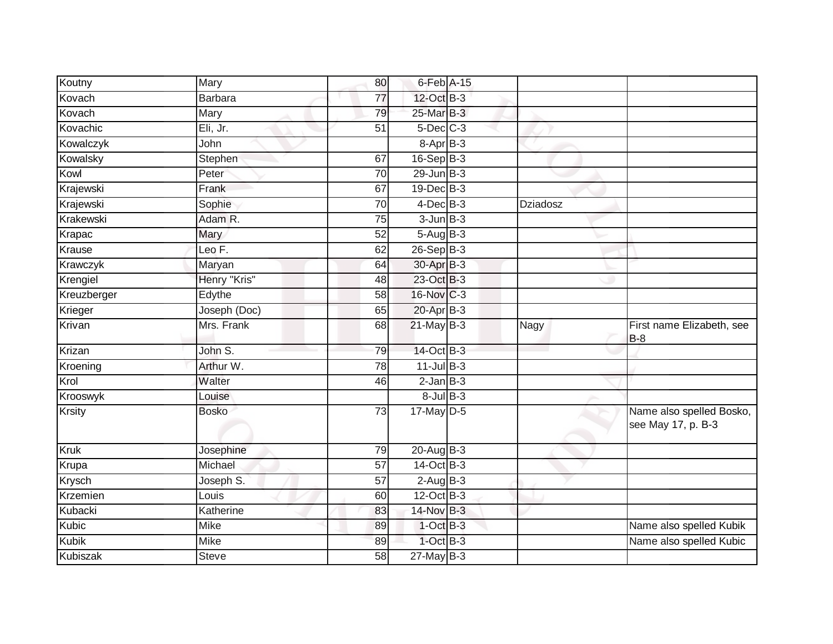| Koutny        | Mary           | 80              | 6-Feb A-15            |          |                                                |
|---------------|----------------|-----------------|-----------------------|----------|------------------------------------------------|
| Kovach        | <b>Barbara</b> | $\overline{77}$ | 12-Oct B-3            |          |                                                |
| Kovach        | Mary           | 79              | 25-Mar B-3            |          |                                                |
| Kovachic      | Eli, Jr.       | 51              | $5$ -Dec $C$ -3       |          |                                                |
| Kowalczyk     | John           |                 | 8-Apr B-3             |          |                                                |
| Kowalsky      | Stephen        | 67              | $16-Sep$ B-3          |          |                                                |
| Kowl          | Peter          | 70              | $29$ -Jun $B-3$       |          |                                                |
| Krajewski     | Frank          | 67              | $19$ -Dec $B - 3$     |          |                                                |
| Krajewski     | Sophie         | 70              | $4$ -Dec $B-3$        | Dziadosz |                                                |
| Krakewski     | Adam R.        | $\overline{75}$ | $3$ -Jun $B-3$        |          |                                                |
| Krapac        | Mary           | 52              | $5-Aug$ B-3           |          |                                                |
| Krause        | Leo $F$ .      | 62              | $26 - SepB-3$         |          |                                                |
| Krawczyk      | Maryan         | 64              | 30-Apr B-3            |          |                                                |
| Krengiel      | Henry "Kris"   | 48              | 23-Oct B-3            |          |                                                |
| Kreuzberger   | Edythe         | 58              | 16-Nov C-3            |          |                                                |
| Krieger       | Joseph (Doc)   | 65              | 20-Apr B-3            |          |                                                |
| Krivan        | Mrs. Frank     | 68              | $21$ -May B-3         | Nagy     | First name Elizabeth, see<br>$B-8$             |
| Krizan        | John S.        | 79              | 14-Oct B-3            |          |                                                |
| Kroening      | Arthur W.      | 78              | $11$ -Jul B-3         |          |                                                |
| Krol          | Walter         | 46              | $2$ -Jan $B-3$        |          |                                                |
| Krooswyk      | Louise         |                 | $8$ -Jul $B$ -3       |          |                                                |
| <b>Krsity</b> | <b>Bosko</b>   | 73              | $17$ -May D-5         |          | Name also spelled Bosko,<br>see May 17, p. B-3 |
| <b>Kruk</b>   | Josephine      | 79              | $20$ -Aug $B-3$       |          |                                                |
| Krupa         | Michael        | 57              | $14-Oct$ B-3          |          |                                                |
| Krysch        | Joseph S.      | 57              | $2-\overline{AugB-3}$ |          |                                                |
| Krzemien      | Louis          | 60              | $12$ -Oct B-3         |          |                                                |
| Kubacki       | Katherine      | 83              | 14-Nov B-3            |          |                                                |
| Kubic         | Mike           | 89              | $1$ -Oct B-3          |          | Name also spelled Kubik                        |
| Kubik         | Mike           | 89              | $1-Oct$ B-3           |          | Name also spelled Kubic                        |
| Kubiszak      | <b>Steve</b>   | 58              | $27$ -May B-3         |          |                                                |
|               |                |                 |                       |          |                                                |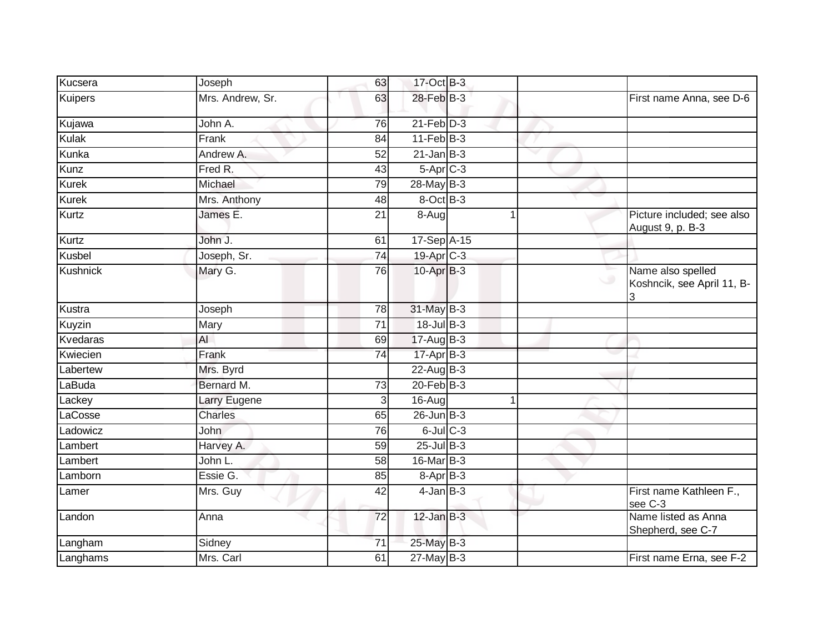| Kucsera        | Joseph           | 63              | 17-Oct B-3            |    |                                                 |
|----------------|------------------|-----------------|-----------------------|----|-------------------------------------------------|
| <b>Kuipers</b> | Mrs. Andrew, Sr. | 63              | 28-Feb B-3            |    | First name Anna, see D-6                        |
| Kujawa         | John A.          | 76              | $21$ -Feb $D-3$       |    |                                                 |
| <b>Kulak</b>   | Frank            | 84              | $11-Feb$ B-3          |    |                                                 |
| Kunka          | Andrew A.        | 52              | $21$ -Jan $B-3$       | v  |                                                 |
| Kunz           | Fred R.          | 43              | 5-Apr C-3             |    |                                                 |
| <b>Kurek</b>   | Michael          | 79              | 28-May B-3            |    |                                                 |
| Kurek          | Mrs. Anthony     | 48              | 8-Oct B-3             |    |                                                 |
| <b>Kurtz</b>   | James E.         | 21              | 8-Aug                 |    | Picture included; see also<br>August 9, p. B-3  |
| Kurtz          | John J.          | 61              | 17-Sep A-15           |    |                                                 |
| Kusbel         | Joseph, Sr.      | 74              | 19-Apr <sub>C-3</sub> |    |                                                 |
| Kushnick       | Mary G.          | 76              | $10$ -Apr $B-3$       |    | Name also spelled<br>Koshncik, see April 11, B- |
| Kustra         | Joseph           | 78              | 31-May B-3            |    |                                                 |
| Kuyzin         | Mary             | 71              | 18-Jul B-3            |    |                                                 |
| Kvedaras       | $\mathsf{Al}$    | 69              | 17-Aug B-3            |    |                                                 |
| Kwiecien       | Frank            | 74              | 17-Apr B-3            |    |                                                 |
| Labertew       | Mrs. Byrd        |                 | $22$ -Aug B-3         |    |                                                 |
| LaBuda         | Bernard M.       | 73              | 20-Feb B-3            |    |                                                 |
| Lackey         | Larry Eugene     | 3               | 16-Aug                | -1 |                                                 |
| LaCosse        | <b>Charles</b>   | 65              | $26$ -Jun $B-3$       |    |                                                 |
| Ladowicz       | <b>John</b>      | 76              | $6$ -Jul $C$ -3       |    |                                                 |
| Lambert        | Harvey A.        | 59              | $25$ -Jul B-3         |    |                                                 |
| Lambert        | John L.          | 58              | 16-Mar B-3            |    |                                                 |
| Lamborn        | Essie G.         | 85              | $8-AprB-3$            |    |                                                 |
| Lamer          | Mrs. Guy         | 42              | $4$ -Jan $B-3$        |    | First name Kathleen F.,<br>see C-3              |
| Landon         | Anna             | 72              | $12$ -Jan $B-3$       |    | Name listed as Anna<br>Shepherd, see C-7        |
| Langham        | Sidney           | $\overline{71}$ | 25-May B-3            |    |                                                 |
| Langhams       | Mrs. Carl        | 61              | $27$ -May B-3         |    | First name Erna, see F-2                        |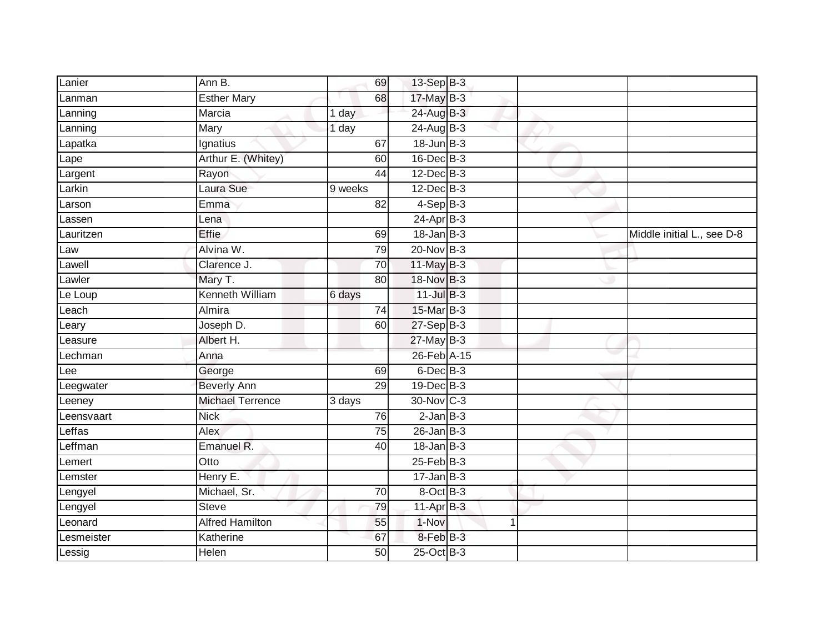| Lanier     | Ann B.                  | 69              | 13-Sep B-3        |   |                            |
|------------|-------------------------|-----------------|-------------------|---|----------------------------|
| Lanman     | <b>Esther Mary</b>      | 68              | 17-May B-3        |   |                            |
| Lanning    | Marcia                  | 1 day           | 24-Aug B-3        |   |                            |
| Lanning    | Mary                    | 1 day           | 24-Aug B-3        |   |                            |
| Lapatka    | Ignatius                | 67              | $18$ -Jun $B-3$   |   |                            |
| Lape       | Arthur E. (Whitey)      | 60              | $16$ -Dec $B-3$   |   |                            |
| Largent    | Rayon                   | 44              | 12-Dec B-3        |   |                            |
| Larkin     | Laura Sue               | 9 weeks         | $12$ -Dec $B-3$   |   |                            |
| Larson     | Emma                    | 82              | $4-$ Sep $B-3$    |   |                            |
| Lassen     | Lena                    |                 | $24$ -Apr $B-3$   |   |                            |
| Lauritzen  | <b>Effie</b>            | 69              | $18 - Jan$ $B-3$  |   | Middle initial L., see D-8 |
| Law        | Alvina W.               | 79              | 20-Nov B-3        |   |                            |
| Lawell     | Clarence J.             | 70              | $11$ -May B-3     |   |                            |
| Lawler     | Mary T.                 | 80              | 18-Nov B-3        |   |                            |
| Le Loup    | Kenneth William         | 6 days          | $11$ -Jul B-3     |   |                            |
| Leach      | Almira                  | 74              | 15-Mar B-3        |   |                            |
| Leary      | Joseph D.               | 60              | $27-SepB-3$       |   |                            |
| Leasure    | Albert H.               |                 | $27$ -May B-3     |   |                            |
| Lechman    | Anna                    |                 | 26-Feb A-15       |   |                            |
| Lee        | George                  | 69              | 6-Dec B-3         |   |                            |
| Leegwater  | <b>Beverly Ann</b>      | 29              | 19-Dec B-3        |   |                            |
| Leeney     | <b>Michael Terrence</b> | 3 days          | 30-Nov C-3        |   |                            |
| Leensvaart | <b>Nick</b>             | 76              | $2$ -Jan $B-3$    |   |                            |
| Leffas     | Alex                    | $\overline{75}$ | $26 - Jan$ $B-3$  |   |                            |
| Leffman    | Emanuel R.              | 40              | $18 - Jan$ $B-3$  |   |                            |
| Lemert     | Otto                    |                 | $25$ -Feb $ B-3 $ |   |                            |
| Lemster    | Henry E.                |                 | $17 - Jan$ $B-3$  |   |                            |
| Lengyel    | Michael, Sr.            | 70              | 8-Oct B-3         |   |                            |
| Lengyel    | <b>Steve</b>            | 79              | 11-Apr B-3        |   |                            |
| Leonard    | <b>Alfred Hamilton</b>  | 55              | 1-Nov             | 1 |                            |
| Lesmeister | Katherine               | 67              | 8-Feb B-3         |   |                            |
| Lessig     | Helen                   | 50              | $25$ -Oct B-3     |   |                            |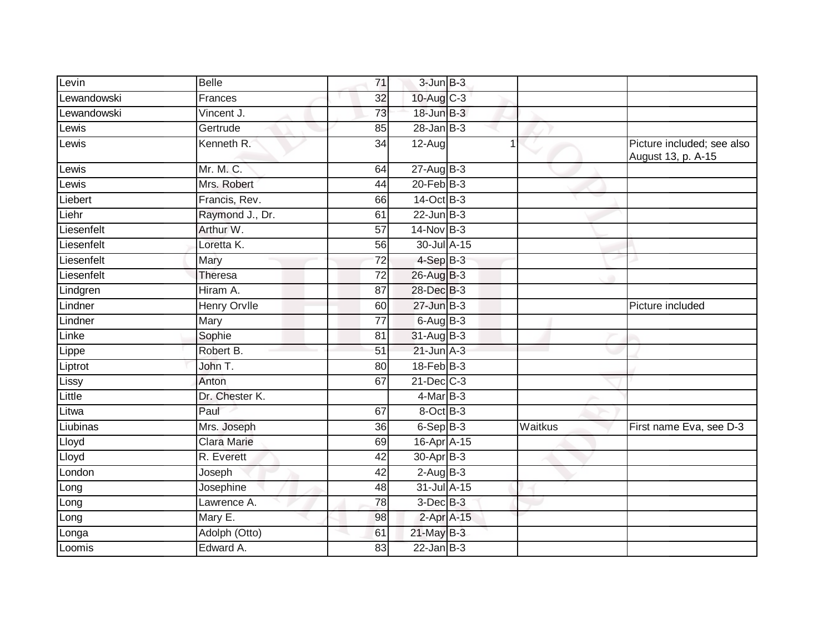| Levin       | <b>Belle</b>        | 71              | $3$ -Jun $B-3$       |                |                                                  |
|-------------|---------------------|-----------------|----------------------|----------------|--------------------------------------------------|
| Lewandowski | Frances             | 32              | $10$ -Aug C-3        |                |                                                  |
| Lewandowski | Vincent J.          | 73              | 18-Jun B-3           |                |                                                  |
| Lewis       | Gertrude            | 85              | $28 - Jan$ $B-3$     |                |                                                  |
| Lewis       | Kenneth R.          | $\overline{34}$ | $12-Aug$             | $\overline{1}$ | Picture included; see also<br>August 13, p. A-15 |
| Lewis       | Mr. M. C.           | 64              | $27 - Aug$ B-3       |                |                                                  |
| Lewis       | Mrs. Robert         | 44              | 20-Feb B-3           |                |                                                  |
| Liebert     | Francis, Rev.       | 66              | 14-Oct B-3           |                |                                                  |
| Liehr       | Raymond J., Dr.     | 61              | $22$ -Jun $B-3$      |                |                                                  |
| Liesenfelt  | Arthur W.           | 57              | 14-Nov B-3           |                |                                                  |
| Liesenfelt  | Loretta K.          | 56              | 30-Jul A-15          |                |                                                  |
| Liesenfelt  | Mary                | 72              | $4-SepB-3$           |                |                                                  |
| Liesenfelt  | <b>Theresa</b>      | $\overline{72}$ | 26-Aug B-3           |                |                                                  |
| Lindgren    | Hiram A.            | $\overline{87}$ | 28-Dec B-3           |                |                                                  |
| Lindner     | <b>Henry Orvile</b> | 60              | 27-Jun B-3           |                | Picture included                                 |
| Lindner     | Mary                | $\overline{77}$ | $6$ -Aug $B$ -3      |                |                                                  |
| Linke       | Sophie              | 81              | 31-Aug B-3           |                |                                                  |
| Lippe       | Robert B.           | 51              | $21$ -Jun $A-3$      |                |                                                  |
| Liptrot     | John T.             | 80              | 18-Feb B-3           |                |                                                  |
| Lissy       | Anton               | 67              | $21$ -Dec $C-3$      |                |                                                  |
| Little      | Dr. Chester K.      |                 | $4$ -Mar $B-3$       |                |                                                  |
| Litwa       | Paul                | 67              | 8-Oct B-3            |                |                                                  |
| Liubinas    | Mrs. Joseph         | 36              | $6-SepB-3$           | Waitkus        | First name Eva, see D-3                          |
| Lloyd       | <b>Clara Marie</b>  | 69              | 16-Apr A-15          |                |                                                  |
| Lloyd       | R. Everett          | 42              | 30-Apr B-3           |                |                                                  |
| London      | Joseph              | 42              | $2-AugB-3$           |                |                                                  |
| Long        | Josephine           | 48              | 31-Jul A-15          |                |                                                  |
| Long        | Lawrence A.         | 78              | 3-Dec <sup>B-3</sup> |                |                                                  |
| Long        | Mary E.             | 98              | 2-Apr A-15           |                |                                                  |
| Longa       | Adolph (Otto)       | 61              | $21$ -May $B-3$      |                |                                                  |
| Loomis      | Edward A.           | 83              | $22$ -Jan B-3        |                |                                                  |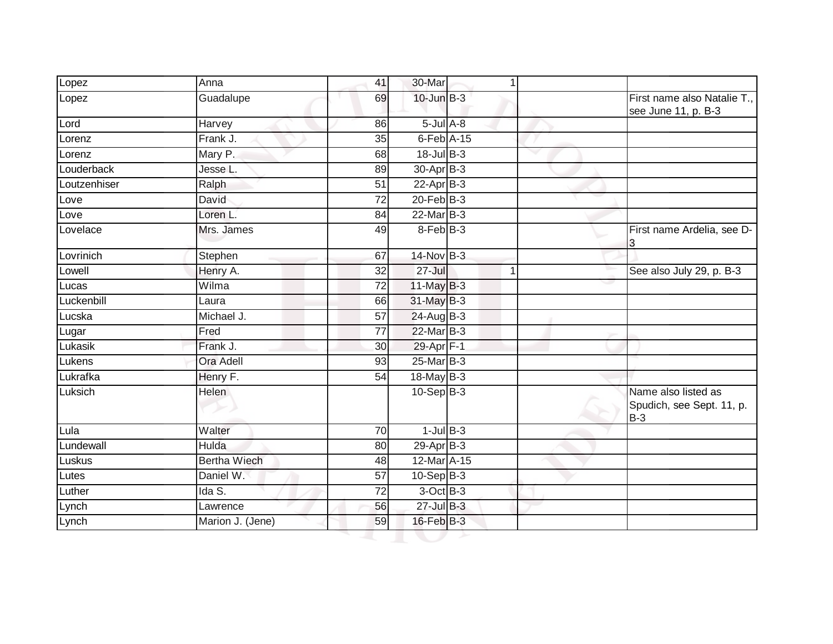| Lopez        | Anna                | 41              | 30-Mar                     | 1 |                                                           |
|--------------|---------------------|-----------------|----------------------------|---|-----------------------------------------------------------|
| Lopez        | Guadalupe           | 69              | $10$ -Jun $B-3$            |   | First name also Natalie T.,<br>see June 11, p. B-3        |
| Lord         | Harvey              | 86              | $5$ -Jul $A$ -8            |   |                                                           |
| Lorenz       | Frank J.            | 35              | $6$ -Feb $\overline{A-15}$ |   |                                                           |
| Lorenz       | Mary P.             | 68              | 18-Jul B-3                 |   |                                                           |
| Louderback   | Jesse L.            | 89              | 30-Apr B-3                 |   |                                                           |
| Loutzenhiser | Ralph               | 51              | $22$ -Apr $B-3$            |   |                                                           |
| Love         | David               | $\overline{72}$ | $20$ -Feb $B-3$            |   |                                                           |
| Love         | Loren L.            | 84              | 22-Mar B-3                 |   |                                                           |
| Lovelace     | Mrs. James          | 49              | 8-Feb B-3                  |   | First name Ardelia, see D-                                |
| Lovrinich    | Stephen             | 67              | 14-Nov B-3                 |   |                                                           |
| Lowell       | Henry A.            | 32              | $27 -$ Jul                 | 1 | See also July 29, p. B-3                                  |
| Lucas        | Wilma               | 72              | $11$ -May B-3              |   |                                                           |
| Luckenbill   | Laura               | 66              | 31-May B-3                 |   |                                                           |
| Lucska       | Michael J.          | 57              | 24-Aug B-3                 |   |                                                           |
| Lugar        | Fred                | 77              | 22-Mar B-3                 |   |                                                           |
| Lukasik      | Frank J.            | 30              | 29-Apr F-1                 |   |                                                           |
| Lukens       | Ora Adell           | 93              | 25-Mar B-3                 |   |                                                           |
| Lukrafka     | Henry F.            | 54              | 18-May B-3                 |   |                                                           |
| Luksich      | <b>Helen</b>        |                 | $10-Sep B-3$               |   | Name also listed as<br>Spudich, see Sept. 11, p.<br>$B-3$ |
| Lula         | Walter              | 70              | $1$ -Jul $B-3$             |   |                                                           |
| Lundewall    | Hulda               | 80              | 29-Apr B-3                 |   |                                                           |
| Luskus       | <b>Bertha Wiech</b> | 48              | 12-Mar A-15                |   |                                                           |
| Lutes        | Daniel W.           | 57              | $10-Sep$ B-3               |   |                                                           |
| Luther       | Ida S.              | 72              | $3-Oct$ B-3                |   |                                                           |
| Lynch        | Lawrence            | 56              | $27 -$ Jul $B - 3$         |   |                                                           |
| Lynch        | Marion J. (Jene)    | 59              | 16-Feb B-3                 |   |                                                           |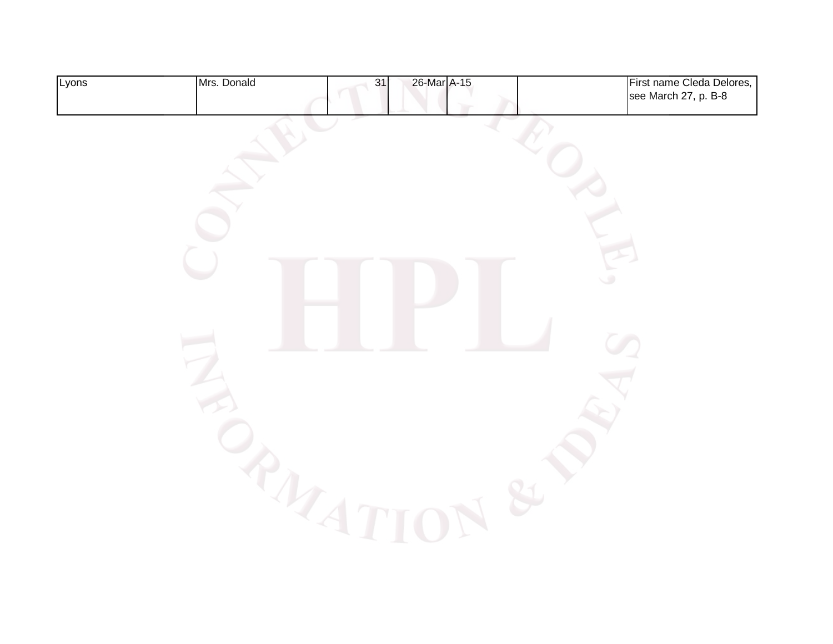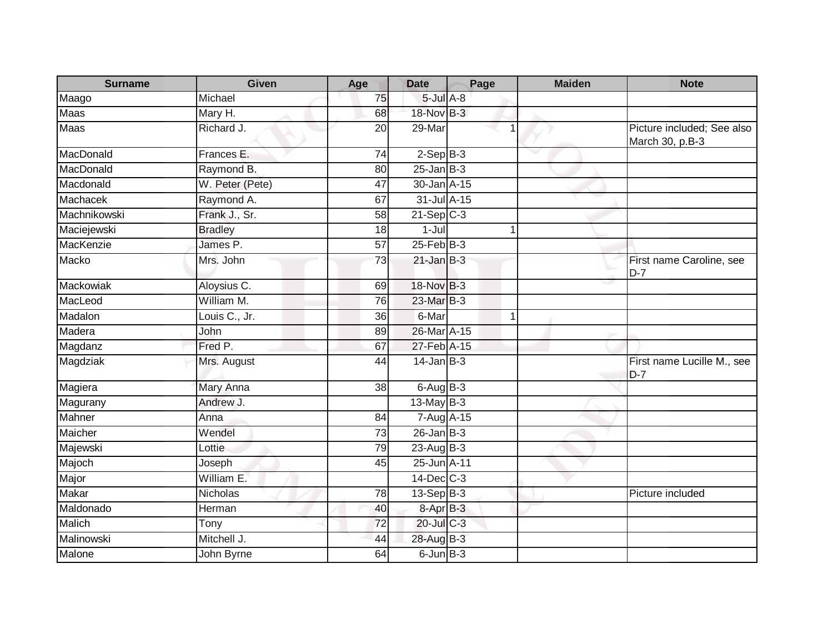| <b>Surname</b>   | Given            | Age | <b>Date</b>     | Page |   | <b>Maiden</b> | <b>Note</b>                                   |
|------------------|------------------|-----|-----------------|------|---|---------------|-----------------------------------------------|
| Maago            | Michael          | 75  | $5$ -Jul $A-8$  |      |   |               |                                               |
| <b>Maas</b>      | Mary H.          | 68  | 18-Nov B-3      |      |   |               |                                               |
| Maas             | Richard J.       | 20  | 29-Mar          |      |   |               | Picture included; See also<br>March 30, p.B-3 |
| MacDonald        | Frances E.       | 74  | $2-SepB-3$      |      |   |               |                                               |
| MacDonald        | Raymond B.       | 80  | $25$ -Jan B-3   |      |   |               |                                               |
| Macdonald        | W. Peter (Pete)  | 47  | 30-Jan A-15     |      |   |               |                                               |
| Machacek         | Raymond A.       | 67  | 31-Jul A-15     |      |   |               |                                               |
| Machnikowski     | Frank J., Sr.    | 58  | $21-Sep$ $C-3$  |      |   |               |                                               |
| Maciejewski      | <b>Bradley</b>   | 18  | $1-Jul$         |      |   |               |                                               |
| MacKenzie        | James P.         | 57  | $25$ -Feb $B-3$ |      |   |               |                                               |
| Macko            | Mrs. John        | 73  | $21$ -Jan B-3   |      |   |               | First name Caroline, see<br>$D-7$             |
| <b>Mackowiak</b> | Aloysius C.      | 69  | 18-Nov B-3      |      |   |               |                                               |
| MacLeod          | William M.       | 76  | 23-Mar B-3      |      |   |               |                                               |
| Madalon          | Louis C., Jr.    | 36  | 6-Mar           |      | 1 |               |                                               |
| Madera           | John             | 89  | 26-Mar A-15     |      |   |               |                                               |
| Magdanz          | Fred P.          | 67  | 27-Feb A-15     |      |   |               |                                               |
| Magdziak         | Mrs. August      | 44  | $14$ -Jan B-3   |      |   |               | First name Lucille M., see<br>$D-7$           |
| Magiera          | <b>Mary Anna</b> | 38  | $6$ -Aug $B$ -3 |      |   |               |                                               |
| Magurany         | Andrew J.        |     | $13$ -May B-3   |      |   |               |                                               |
| Mahner           | Anna             | 84  | 7-Aug A-15      |      |   |               |                                               |
| Maicher          | Wendel           | 73  | $26$ -Jan $B-3$ |      |   |               |                                               |
| Majewski         | Lottie           | 79  | 23-Aug B-3      |      |   |               |                                               |
| Majoch           | Joseph           | 45  | 25-Jun A-11     |      |   |               |                                               |
| Major            | William E.       |     | 14-Dec C-3      |      |   |               |                                               |
| Makar            | Nicholas         | 78  | $13-Sep$ B-3    |      |   |               | Picture included                              |
| Maldonado        | Herman           | 40  | 8-Apr B-3       |      |   |               |                                               |
| <b>Malich</b>    | Tony             | 72  | 20-Jul C-3      |      |   |               |                                               |
| Malinowski       | Mitchell J.      | 44  | 28-Aug B-3      |      |   |               |                                               |
| Malone           | John Byrne       | 64  | $6$ -Jun $B-3$  |      |   |               |                                               |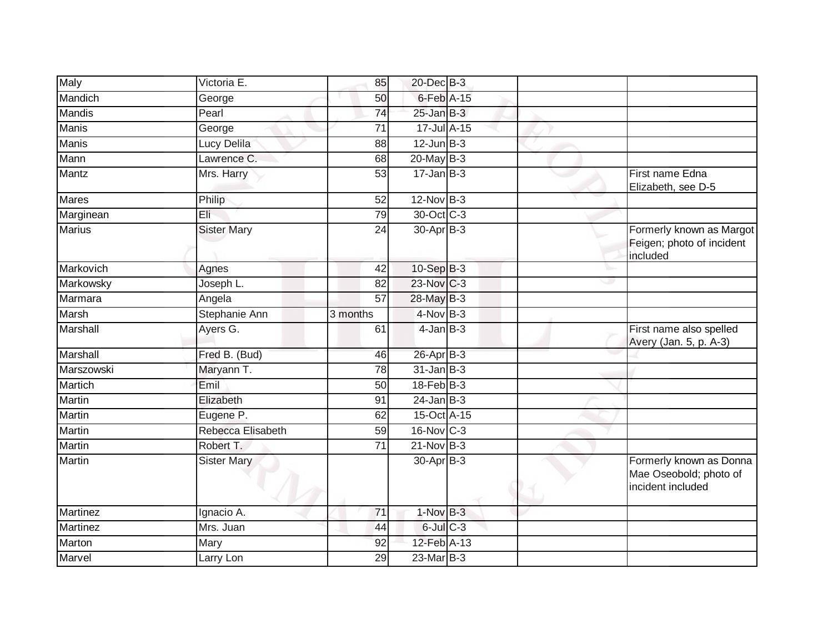| Maly          | Victoria E.        | 85              | 20-Dec B-3       |   |                                                                        |
|---------------|--------------------|-----------------|------------------|---|------------------------------------------------------------------------|
| Mandich       | George             | 50              | $6$ -Feb $A$ -15 |   |                                                                        |
| <b>Mandis</b> | Pearl              | 74              | $25 - Jan$ $B-3$ |   |                                                                        |
| Manis         | George             | 71              | 17-Jul A-15      |   |                                                                        |
| <b>Manis</b>  | Lucy Delila        | 88              | $12$ -Jun $B-3$  |   |                                                                        |
| Mann          | Lawrence C.        | 68              | 20-May B-3       |   |                                                                        |
| Mantz         | Mrs. Harry         | 53              | $17 - Jan$ $B-3$ |   | First name Edna<br>Elizabeth, see D-5                                  |
| <b>Mares</b>  | Philip             | $\overline{52}$ | 12-Nov B-3       |   |                                                                        |
| Marginean     | Eli                | 79              | 30-Oct C-3       |   |                                                                        |
| <b>Marius</b> | <b>Sister Mary</b> | 24              | 30-Apr B-3       |   | Formerly known as Margot<br>Feigen; photo of incident<br>included      |
| Markovich     | Agnes              | 42              | 10-Sep B-3       |   |                                                                        |
| Markowsky     | Joseph L.          | 82              | 23-Nov C-3       | ر |                                                                        |
| Marmara       | Angela             | 57              | 28-May B-3       |   |                                                                        |
| Marsh         | Stephanie Ann      | 3 months        | $4$ -Nov B-3     |   |                                                                        |
| Marshall      | Ayers G.           | 61              | $4$ -Jan $B-3$   |   | First name also spelled<br>Avery (Jan. 5, p. A-3)                      |
| Marshall      | Fred B. (Bud)      | 46              | 26-Apr B-3       |   |                                                                        |
| Marszowski    | Maryann T.         | 78              | $31$ -Jan $B-3$  |   |                                                                        |
| Martich       | Emil               | 50              | $18$ -Feb $B-3$  |   |                                                                        |
| <b>Martin</b> | Elizabeth          | 91              | $24$ -Jan B-3    |   |                                                                        |
| <b>Martin</b> | Eugene P.          | 62              | 15-Oct A-15      |   |                                                                        |
| Martin        | Rebecca Elisabeth  | 59              | 16-Nov C-3       |   |                                                                        |
| <b>Martin</b> | Robert T.          | $\overline{71}$ | $21-Nov$ B-3     |   |                                                                        |
| Martin        | <b>Sister Mary</b> |                 | 30-Apr B-3       |   | Formerly known as Donna<br>Mae Oseobold; photo of<br>incident included |
| Martinez      | Ignacio A.         | $\overline{71}$ | 1-Nov B-3        |   |                                                                        |
| Martinez      | Mrs. Juan          | 44              | $6$ -Jul $C$ -3  |   |                                                                        |
| Marton        | Mary               | 92              | 12-Feb A-13      |   |                                                                        |
| Marvel        | Larry Lon          | 29              | $23$ -Mar $B-3$  |   |                                                                        |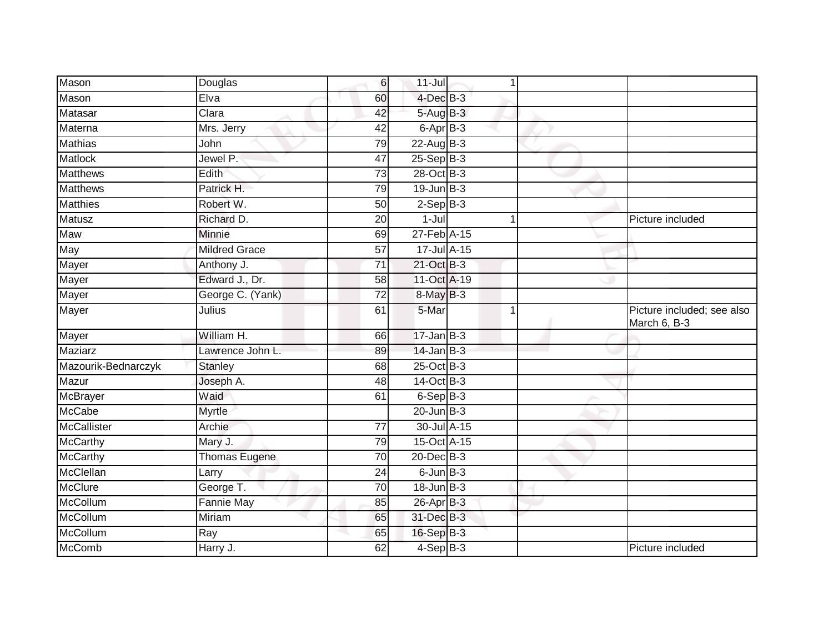| Mason               | Douglas              | 6               | $11 -$ Jul      | 1              |                                            |
|---------------------|----------------------|-----------------|-----------------|----------------|--------------------------------------------|
| Mason               | Elva                 | 60              | 4-Dec B-3       |                |                                            |
| Matasar             | Clara                | 42              | 5-Aug B-3       |                |                                            |
| Materna             | Mrs. Jerry           | 42              | 6-Apr B-3       |                |                                            |
| <b>Mathias</b>      | John                 | 79              | $22$ -Aug B-3   |                |                                            |
| Matlock             | Jewel P.             | $\overline{47}$ | $25-Sep$ B-3    |                |                                            |
| <b>Matthews</b>     | Edith                | 73              | 28-Oct B-3      |                |                                            |
| <b>Matthews</b>     | Patrick H.           | 79              | $19$ -Jun $B-3$ |                |                                            |
| Matthies            | Robert W.            | 50              | $2-Sep B-3$     |                |                                            |
| <b>Matusz</b>       | Richard D.           | 20              | $1-Jul$         | 1              | Picture included                           |
| Maw                 | Minnie               | 69              | 27-Feb A-15     |                |                                            |
| May                 | Mildred Grace        | 57              | 17-Jul A-15     |                |                                            |
| Mayer               | Anthony J.           | 71              | 21-Oct B-3      |                |                                            |
| Mayer               | Edward J., Dr.       | 58              | 11-Oct A-19     |                |                                            |
| <b>Mayer</b>        | George C. (Yank)     | $\overline{72}$ | 8-May B-3       |                |                                            |
| Mayer               | Julius               | 61              | 5-Mar           | $\overline{1}$ | Picture included; see also<br>March 6, B-3 |
| Mayer               | William H.           | 66              | $17 - Jan$ B-3  |                |                                            |
| Maziarz             | Lawrence John L.     | 89              | $14$ -Jan B-3   |                |                                            |
| Mazourik-Bednarczyk | <b>Stanley</b>       | 68              | $25$ -Oct B-3   |                |                                            |
| Mazur               | Joseph A.            | 48              | 14-Oct B-3      |                |                                            |
| McBrayer            | Waid                 | 61              | $6-Sep$ $B-3$   |                |                                            |
| <b>McCabe</b>       | Myrtle               |                 | $20$ -Jun $B-3$ |                |                                            |
| <b>McCallister</b>  | Archie               | 77              | 30-Jul A-15     |                |                                            |
| McCarthy            | Mary J.              | 79              | 15-Oct A-15     |                |                                            |
| <b>McCarthy</b>     | <b>Thomas Eugene</b> | $\overline{70}$ | $20$ -Dec $B-3$ |                |                                            |
| McClellan           | Larry                | 24              | $6$ -Jun $B$ -3 |                |                                            |
| McClure             | George T.            | 70              | $18$ -Jun $B-3$ |                |                                            |
| McCollum            | <b>Fannie May</b>    | 85              | 26-Apr B-3      |                |                                            |
| McCollum            | Miriam               | 65              | 31-Dec B-3      |                |                                            |
| McCollum            | Ray                  | 65              | 16-Sep B-3      |                |                                            |
| McComb              | Harry J.             | 62              | 4-Sep B-3       |                | Picture included                           |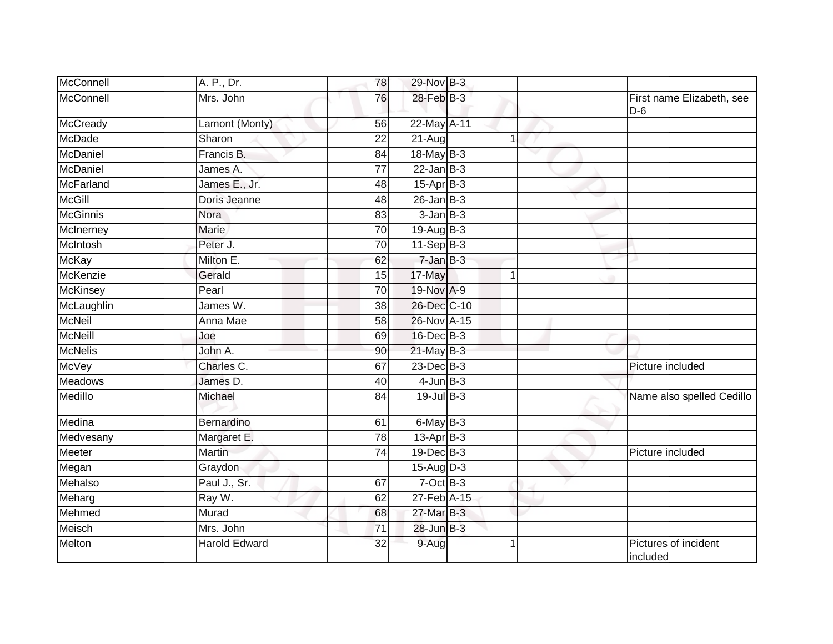| McConnell       | A. P., Dr.           | 78 | 29-Nov B-3       |             |                                    |
|-----------------|----------------------|----|------------------|-------------|------------------------------------|
| McConnell       | Mrs. John            | 76 | 28-Feb B-3       |             | First name Elizabeth, see<br>$D-6$ |
| <b>McCready</b> | Lamont (Monty)       | 56 | 22-May A-11      |             |                                    |
| <b>McDade</b>   | Sharon               | 22 | 21-Aug           | 1           |                                    |
| McDaniel        | Francis B.           | 84 | 18-May B-3       |             |                                    |
| McDaniel        | James A.             | 77 | $22$ -Jan $B-3$  |             |                                    |
| McFarland       | James E., Jr.        | 48 | $15$ -Apr $B$ -3 |             |                                    |
| <b>McGill</b>   | Doris Jeanne         | 48 | $26$ -Jan B-3    |             |                                    |
| <b>McGinnis</b> | Nora                 | 83 | $3$ -Jan $B-3$   |             |                                    |
| McInerney       | Marie                | 70 | $19-Auq$ B-3     |             |                                    |
| McIntosh        | Peter J.             | 70 | $11-Sep B-3$     |             |                                    |
| <b>McKay</b>    | Milton E.            | 62 | $7$ -Jan $B-3$   |             |                                    |
| <b>McKenzie</b> | Gerald               | 15 | 17-May           | $\mathbf 1$ |                                    |
| <b>McKinsey</b> | Pearl                | 70 | 19-Nov A-9       |             |                                    |
| McLaughlin      | James W.             | 38 | 26-Dec C-10      |             |                                    |
| <b>McNeil</b>   | Anna Mae             | 58 | 26-Nov A-15      |             |                                    |
| McNeill         | Joe                  | 69 | 16-Dec B-3       |             |                                    |
| <b>McNelis</b>  | John A.              | 90 | $21$ -May B-3    |             |                                    |
| <b>McVey</b>    | Charles C.           | 67 | 23-Dec B-3       |             | Picture included                   |
| <b>Meadows</b>  | James D.             | 40 | $4$ -Jun $B-3$   |             |                                    |
| Medillo         | Michael              | 84 | $19$ -Jul B-3    |             | Name also spelled Cedillo          |
| Medina          | Bernardino           | 61 | $6$ -May $B-3$   |             |                                    |
| Medvesany       | Margaret E.          | 78 | $13-Apr$ B-3     |             |                                    |
| Meeter          | Martin               | 74 | 19-Dec B-3       |             | Picture included                   |
| Megan           | Graydon              |    | $15-Auq$ D-3     |             |                                    |
| Mehalso         | Paul J., Sr.         | 67 | $7-Oct$ B-3      |             |                                    |
| Meharg          | Ray W.               | 62 | 27-Feb A-15      |             |                                    |
| Mehmed          | Murad                | 68 | 27-Mar B-3       |             |                                    |
| Meisch          | Mrs. John            | 71 | 28-Jun B-3       |             |                                    |
| Melton          | <b>Harold Edward</b> | 32 | 9-Aug            | 1           | Pictures of incident<br>included   |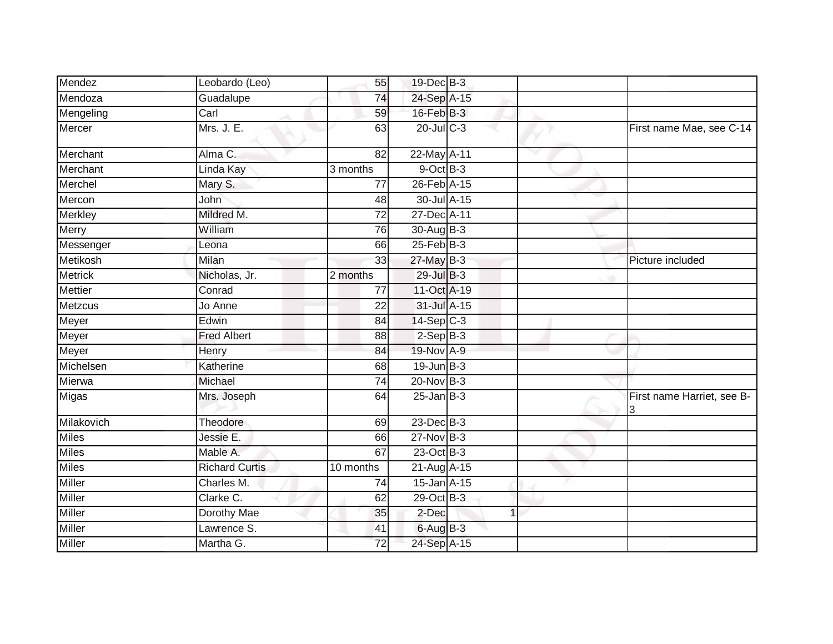| Mendez         | Leobardo (Leo)        | 55              | 19-Dec B-3               |   |   |                                 |
|----------------|-----------------------|-----------------|--------------------------|---|---|---------------------------------|
| Mendoza        | Guadalupe             | 74              | 24-Sep A-15              |   |   |                                 |
| Mengeling      | Carl                  | 59              | 16-Feb B-3               |   |   |                                 |
| Mercer         | Mrs. J. E.            | 63              | $20$ -Jul $C-3$          |   |   | First name Mae, see C-14        |
| Merchant       | Alma C.               | 82              | 22-May A-11              |   | v |                                 |
| Merchant       | Linda Kay             | 3 months        | $9$ -Oct $B$ -3          |   |   |                                 |
| Merchel        | Mary S.               | 77              | 26-Feb A-15              |   |   |                                 |
| Mercon         | John                  | 48              | 30-Jul A-15              |   |   |                                 |
| Merkley        | Mildred M.            | 72              | 27-Dec A-11              |   |   |                                 |
| <b>Merry</b>   | William               | 76              | 30-Aug B-3               |   |   |                                 |
| Messenger      | Leona                 | 66              | $25$ -Feb $B-3$          |   |   |                                 |
| Metikosh       | Milan                 | 33              | $27$ -May B-3            |   |   | Picture included                |
| <b>Metrick</b> | Nicholas, Jr.         | 2 months        | 29-Jul B-3               |   |   |                                 |
| <b>Mettier</b> | Conrad                | 77              | 11-Oct A-19              |   |   |                                 |
| <b>Metzcus</b> | Jo Anne               | 22              | 31-Jul A-15              |   |   |                                 |
| Meyer          | Edwin                 | 84              | $14-Sep$ C-3             |   |   |                                 |
| Meyer          | <b>Fred Albert</b>    | 88              | $2-SepB-3$               |   |   |                                 |
| Meyer          | Henry                 | 84              | 19-Nov A-9               |   |   |                                 |
| Michelsen      | Katherine             | 68              | $19$ -Jun $B-3$          |   |   |                                 |
| Mierwa         | Michael               | 74              | $20$ -Nov $B-3$          |   |   |                                 |
| Migas          | Mrs. Joseph           | 64              | $25$ -Jan B-3            |   |   | First name Harriet, see B-<br>3 |
| Milakovich     | Theodore              | 69              | 23-Dec B-3               |   |   |                                 |
| <b>Miles</b>   | Jessie E.             | 66              | 27-Nov B-3               |   |   |                                 |
| <b>Miles</b>   | Mable A.              | 67              | 23-Oct B-3               |   |   |                                 |
| <b>Miles</b>   | <b>Richard Curtis</b> | 10 months       | 21-Aug A-15              |   |   |                                 |
| <b>Miller</b>  | Charles M.            | 74              | 15-Jan A-15              |   |   |                                 |
| <b>Miller</b>  | Clarke C.             | 62              | $\overline{29}$ -Oct B-3 |   |   |                                 |
| Miller         | Dorothy Mae           | 35              | 2-Dec                    | 1 |   |                                 |
| <b>Miller</b>  | Lawrence S.           | 41              | $6$ -Aug $B$ -3          |   |   |                                 |
| <b>Miller</b>  | Martha G.             | $\overline{72}$ | 24-Sep A-15              |   |   |                                 |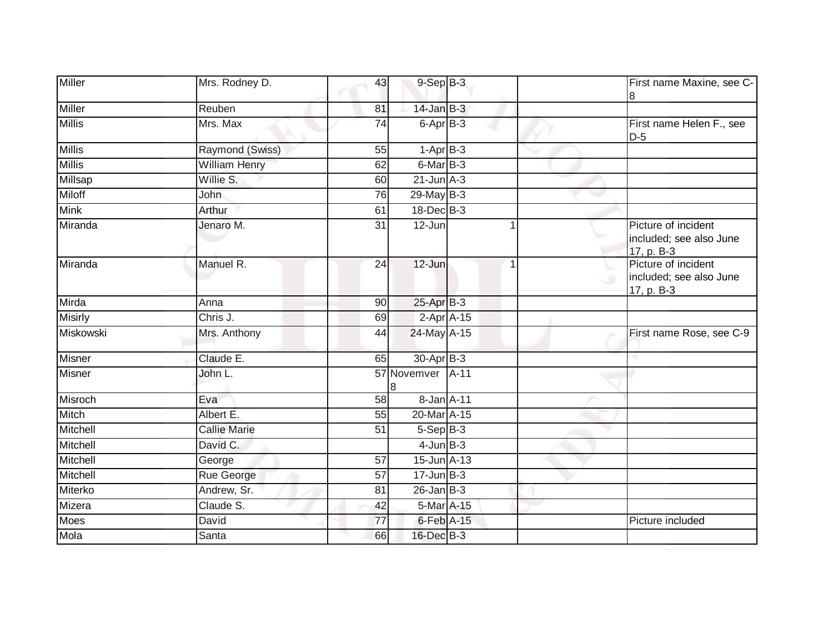| <b>Miller</b>  | Mrs. Rodney D.       | 43              | $9-Sep$ $B-3$                |   |        | First name Maxine, see C-<br>8                               |
|----------------|----------------------|-----------------|------------------------------|---|--------|--------------------------------------------------------------|
| Miller         | Reuben               | 81              | $14$ -Jan B-3                |   |        |                                                              |
| <b>Millis</b>  | Mrs. Max             | 74              | 6-Apr B-3                    |   |        | First name Helen F., see<br>$D-5$                            |
| <b>Millis</b>  | Raymond (Swiss)      | 55              | $1-AprB-3$                   |   |        |                                                              |
| <b>Millis</b>  | <b>William Henry</b> | 62              | 6-Mar B-3                    |   |        |                                                              |
| <b>Millsap</b> | Willie S.            | 60              | $21$ -Jun $A-3$              |   |        |                                                              |
| Miloff         | John                 | 76              | $29$ -May B-3                |   |        |                                                              |
| <b>Mink</b>    | Arthur               | 61              | 18-Dec B-3                   |   |        |                                                              |
| Miranda        | Jenaro M.            | 31              | 12-Jun                       |   |        | Picture of incident<br>included; see also June<br>17, p. B-3 |
| Miranda        | Manuel R.            | 24              | 12-Jun                       | 1 | $\cup$ | Picture of incident<br>included; see also June<br>17, p. B-3 |
| Mirda          | Anna                 | 90              | 25-Apr B-3                   |   |        |                                                              |
| Misirly        | Chris J.             | 69              | $2-Apr$ A-15                 |   |        |                                                              |
| Miskowski      | Mrs. Anthony         | 44              | 24-May A-15                  |   |        | First name Rose, see C-9                                     |
| Misner         | Claude E.            | 65              | 30-Apr B-3                   |   |        |                                                              |
| <b>Misner</b>  | John L.              |                 | 57 Novemver A-11             |   |        |                                                              |
| Misroch        | $\overline{E}$ va    | 58              | 8-Jan A-11                   |   |        |                                                              |
| Mitch          | Albert E.            | 55              | $20$ -Mar $\overline{A}$ -15 |   |        |                                                              |
| Mitchell       | <b>Callie Marie</b>  | $\overline{51}$ | $5-Sep$ B-3                  |   |        |                                                              |
| Mitchell       | David C.             |                 | $4$ -Jun $B-3$               |   |        |                                                              |
| Mitchell       | George               | 57              | $15$ -Jun $A-13$             |   |        |                                                              |
| Mitchell       | Rue George           | 57              | $17$ -Jun $B-3$              |   |        |                                                              |
| Miterko        | Andrew, Sr.          | 81              | $26$ -Jan $B-3$              |   |        |                                                              |
| Mizera         | Claude S.            | 42              | 5-Mar A-15                   |   |        |                                                              |
| Moes           | David                | 77              | 6-Feb A-15                   |   |        | Picture included                                             |
| Mola           | Santa                | 66              | 16-Dec B-3                   |   |        |                                                              |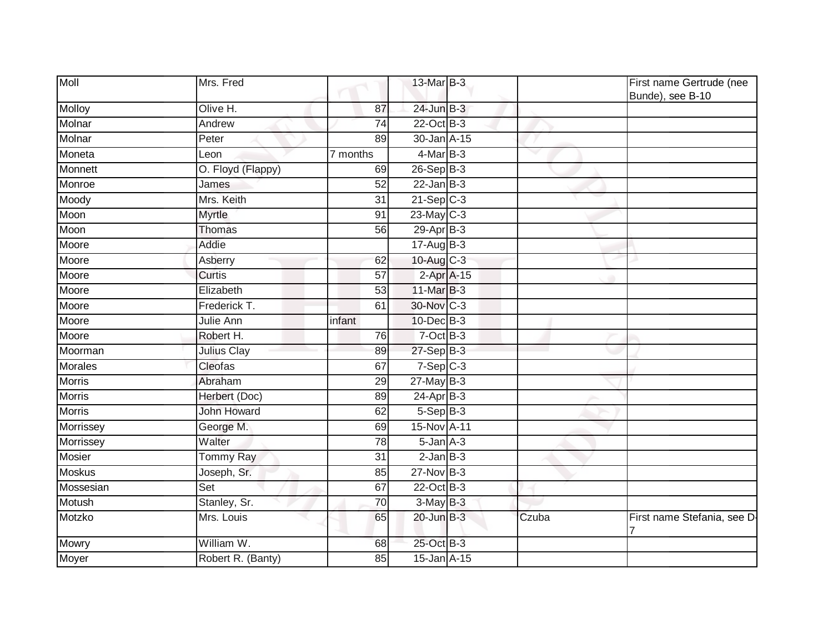| Moll           | Mrs. Fred          |                 | 13-Mar B-3      |       | First name Gertrude (nee<br>Bunde), see B-10 |
|----------------|--------------------|-----------------|-----------------|-------|----------------------------------------------|
| Molloy         | Olive H.           | 87              | 24-Jun B-3      |       |                                              |
| Molnar         | Andrew             | $\overline{74}$ | 22-Oct B-3      |       |                                              |
| Molnar         | Peter              | 89              | 30-Jan A-15     |       |                                              |
| Moneta         | Leon               | 7 months        | $4$ -Mar $B-3$  | w     |                                              |
| Monnett        | O. Floyd (Flappy)  | 69              | 26-Sep B-3      |       |                                              |
| Monroe         | James              | 52              | $22$ -Jan B-3   |       |                                              |
| Moody          | Mrs. Keith         | $\overline{31}$ | $21-Sep$ C-3    |       |                                              |
| Moon           | Myrtle             | 91              | $23$ -May C-3   |       |                                              |
| Moon           | <b>Thomas</b>      | 56              | 29-Apr B-3      |       |                                              |
| Moore          | Addie              |                 | $17 - Aug$ B-3  |       |                                              |
| Moore          | Asberry            | 62              | 10-Aug C-3      |       |                                              |
| Moore          | <b>Curtis</b>      | $\overline{57}$ | 2-Apr A-15      |       |                                              |
| Moore          | Elizabeth          | 53              | 11-Mar B-3      |       |                                              |
| Moore          | Frederick T.       | 61              | 30-Nov C-3      |       |                                              |
| Moore          | Julie Ann          | infant          | 10-Dec B-3      |       |                                              |
| Moore          | Robert H.          | 76              | $7-Oct$ B-3     |       |                                              |
| Moorman        | Julius Clay        | 89              | $27-Sep$ B-3    |       |                                              |
| <b>Morales</b> | Cleofas            | 67              | $7-Sep$ $C-3$   |       |                                              |
| <b>Morris</b>  | Abraham            | 29              | $27$ -May B-3   |       |                                              |
| <b>Morris</b>  | Herbert (Doc)      | 89              | $24-AprB-3$     |       |                                              |
| <b>Morris</b>  | <b>John Howard</b> | 62              | $5-Sep$ B-3     |       |                                              |
| Morrissey      | George M.          | 69              | 15-Nov A-11     |       |                                              |
| Morrissey      | Walter             | 78              | $5 - Jan A - 3$ |       |                                              |
| <b>Mosier</b>  | <b>Tommy Ray</b>   | 31              | $2$ -Jan $B-3$  |       |                                              |
| <b>Moskus</b>  | Joseph, Sr.        | 85              | 27-Nov B-3      |       |                                              |
| Mossesian      | Set                | 67              | 22-Oct B-3      |       |                                              |
| Motush         | Stanley, Sr.       | 70              | $3-May$ B-3     |       |                                              |
| Motzko         | Mrs. Louis         | 65              | 20-Jun B-3      | Czuba | First name Stefania, see D-                  |
| <b>Mowry</b>   | William W.         | 68              | 25-Oct B-3      |       |                                              |
| Moyer          | Robert R. (Banty)  | 85              | 15-Jan A-15     |       |                                              |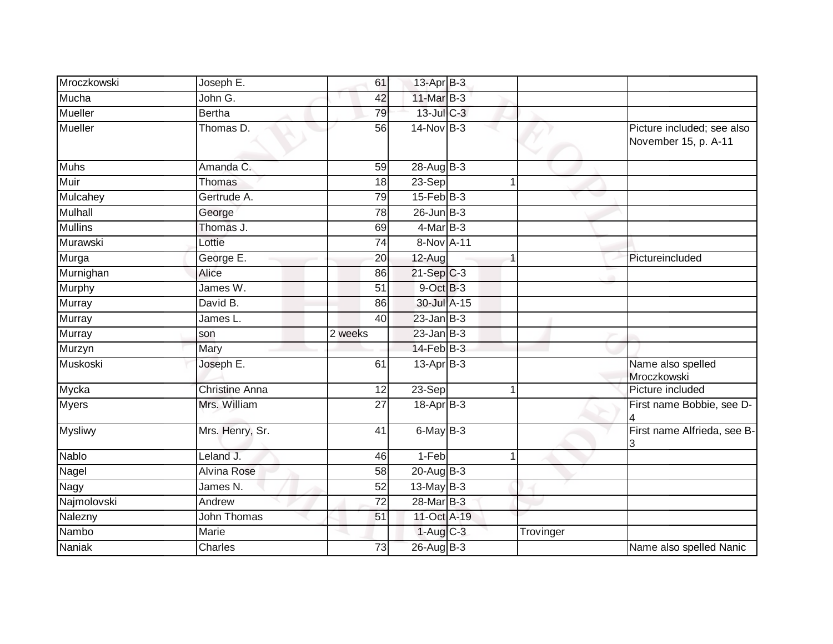| Mroczkowski    | Joseph E.             | 61              | 13-Apr B-3        |   |           |                                                    |
|----------------|-----------------------|-----------------|-------------------|---|-----------|----------------------------------------------------|
| Mucha          | John G.               | 42              | $11$ -Mar $B-3$   |   |           |                                                    |
| <b>Mueller</b> | <b>Bertha</b>         | 79              | 13-Jul C-3        |   |           |                                                    |
| Mueller        | Thomas D.             | 56              | $14$ -Nov B-3     |   |           | Picture included; see also<br>November 15, p. A-11 |
| <b>Muhs</b>    | Amanda C.             | 59              | $28-Au$ g $B-3$   |   |           |                                                    |
| Muir           | Thomas                | 18              | 23-Sep            | 1 |           |                                                    |
| Mulcahey       | Gertrude A.           | 79              | $15$ -Feb $ B-3 $ |   |           |                                                    |
| <b>Mulhall</b> | George                | 78              | $26$ -Jun $B-3$   |   |           |                                                    |
| <b>Mullins</b> | Thomas J.             | 69              | $4$ -Mar $B-3$    |   |           |                                                    |
| Murawski       | Lottie                | 74              | 8-Nov A-11        |   |           |                                                    |
| Murga          | George E.             | 20              | 12-Aug            |   |           | Pictureincluded                                    |
| Murnighan      | Alice                 | 86              | $21-Sep$ $C-3$    |   |           |                                                    |
| Murphy         | James W.              | 51              | 9-Oct B-3         |   |           |                                                    |
| Murray         | David B.              | 86              | 30-Jul A-15       |   |           |                                                    |
| Murray         | James L.              | 40              | $23$ -Jan B-3     |   |           |                                                    |
| <b>Murray</b>  | son                   | 2 weeks         | $23$ -Jan B-3     |   |           |                                                    |
| Murzyn         | Mary                  |                 | $14$ -Feb $B-3$   |   |           |                                                    |
| Muskoski       | Joseph E.             | 61              | $13$ -Apr $B-3$   |   |           | Name also spelled<br>Mroczkowski                   |
| Mycka          | <b>Christine Anna</b> | $\overline{12}$ | $23-Sep$          | 1 |           | Picture included                                   |
| <b>Myers</b>   | Mrs. William          | 27              | $18-Apr$ B-3      |   |           | First name Bobbie, see D-                          |
| <b>Mysliwy</b> | Mrs. Henry, Sr.       | 41              | $6$ -May $B-3$    |   |           | First name Alfrieda, see B-<br>3                   |
| Nablo          | Leland J.             | 46              | 1-Feb             |   |           |                                                    |
| Nagel          | <b>Alvina Rose</b>    | 58              | $20$ -Aug $B-3$   |   |           |                                                    |
| Nagy           | James N.              | 52              | $13$ -May B-3     |   |           |                                                    |
| Najmolovski    | Andrew                | $\overline{72}$ | 28-Mar B-3        |   |           |                                                    |
| Nalezny        | John Thomas           | 51              | 11-Oct A-19       |   |           |                                                    |
| Nambo          | Marie                 |                 | $1-Aug$ $C-3$     |   | Trovinger |                                                    |
| Naniak         | <b>Charles</b>        | 73              | 26-Aug B-3        |   |           | Name also spelled Nanic                            |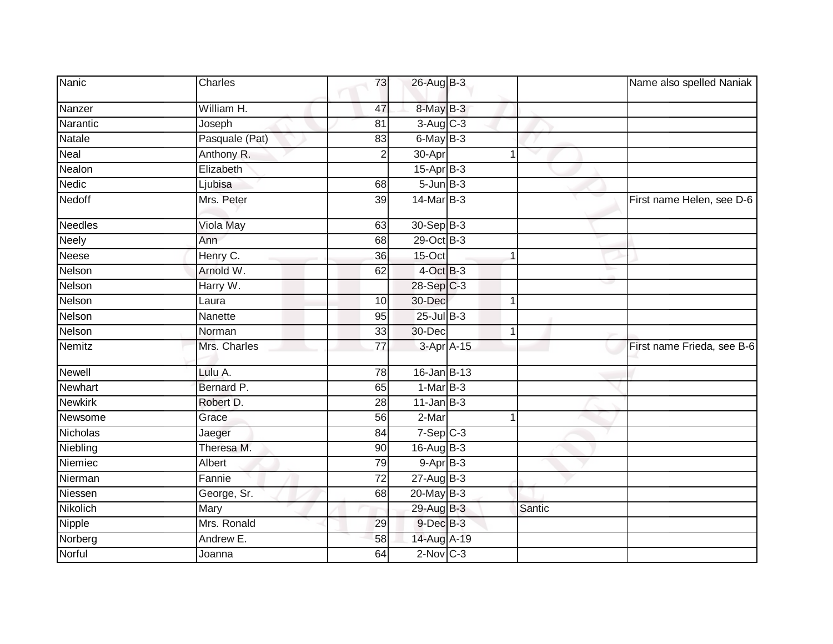| Nanic          | Charles        | 73              | 26-Aug B-3      |        | Name also spelled Naniak   |
|----------------|----------------|-----------------|-----------------|--------|----------------------------|
| Nanzer         | William H.     | 47              | 8-May B-3       |        |                            |
| Narantic       | Joseph         | 81              | $3-Aug$ $C-3$   |        |                            |
| Natale         | Pasquale (Pat) | 83              | 6-May B-3       |        |                            |
| Neal           | Anthony R.     | $\overline{2}$  | 30-Apr          | 1      |                            |
| Nealon         | Elizabeth      |                 | $15-AprB-3$     |        |                            |
| <b>Nedic</b>   | Ljubisa        | 68              | $5 - Jun$ B-3   |        |                            |
| Nedoff         | Mrs. Peter     | 39              | 14-Mar B-3      |        | First name Helen, see D-6  |
| <b>Needles</b> | Viola May      | 63              | 30-Sep B-3      |        |                            |
| Neely          | Ann            | 68              | 29-Oct B-3      |        |                            |
| Neese          | Henry C.       | 36              | 15-Oct          | 1      |                            |
| Nelson         | Arnold W.      | 62              | 4-Oct B-3       |        |                            |
| Nelson         | Harry W.       |                 | 28-Sep C-3      |        |                            |
| Nelson         | Laura          | 10              | 30-Dec          | 1      |                            |
| Nelson         | Nanette        | 95              | 25-Jul B-3      |        |                            |
| Nelson         | Norman         | 33              | 30-Dec          | 1      |                            |
| Nemitz         | Mrs. Charles   | $\overline{77}$ | 3-Apr A-15      |        | First name Frieda, see B-6 |
| <b>Newell</b>  | Lulu A.        | 78              | 16-Jan B-13     |        |                            |
| Newhart        | Bernard P.     | 65              | $1-MarB-3$      |        |                            |
| <b>Newkirk</b> | Robert D.      | 28              | $11$ -Jan $B-3$ |        |                            |
| Newsome        | Grace          | 56              | 2-Mar           | 1      |                            |
| Nicholas       | Jaeger         | 84              | $7-Sep$ $C-3$   |        |                            |
| Niebling       | Theresa M.     | 90              | $16$ -Aug $B-3$ |        |                            |
| Niemiec        | Albert         | 79              | $9 - AprB - 3$  |        |                            |
| Nierman        | Fannie         | $\overline{72}$ | $27 - Aug$ B-3  |        |                            |
| Niessen        | George, Sr.    | 68              | $20$ -May B-3   |        |                            |
| Nikolich       | Mary           |                 | 29-Aug B-3      | Santic |                            |
| Nipple         | Mrs. Ronald    | 29              | $9$ -Dec $B$ -3 |        |                            |
| Norberg        | Andrew E.      | 58              | 14-Aug A-19     |        |                            |
| Norful         | Joanna         | 64              | $2$ -Nov $C-3$  |        |                            |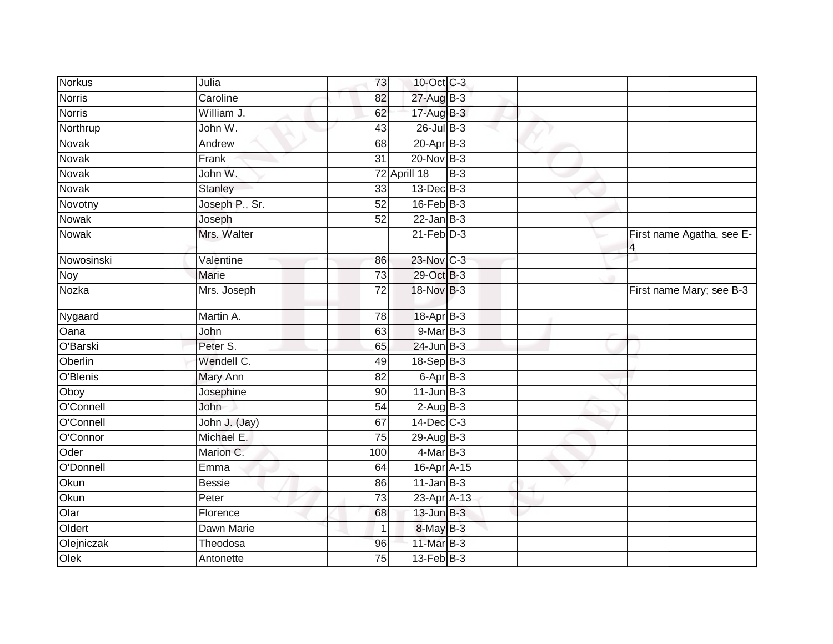| <b>Norkus</b> | Julia          | 73              | 10-Oct C-3               |       |                                |
|---------------|----------------|-----------------|--------------------------|-------|--------------------------------|
| <b>Norris</b> | Caroline       | 82              | 27-Aug B-3               |       |                                |
| <b>Norris</b> | William J.     | 62              | $17$ -Aug B-3            |       |                                |
| Northrup      | John W.        | 43              | 26-Jul B-3               |       |                                |
| Novak         | Andrew         | $\overline{68}$ | $20 - Apr$ B-3           |       |                                |
| Novak         | Frank          | $\overline{31}$ | $20$ -Nov $B-3$          |       |                                |
| Novak         | John W.        |                 | 72 Aprill 18             | $B-3$ |                                |
| Novak         | <b>Stanley</b> | 33              | $13$ -Dec $B-3$          |       |                                |
| Novotny       | Joseph P., Sr. | 52              | $16$ -Feb $B-3$          |       |                                |
| <b>Nowak</b>  | Joseph         | 52              | $22$ -Jan B-3            |       |                                |
| Nowak         | Mrs. Walter    |                 | $21$ -Feb $D-3$          |       | First name Agatha, see E-<br>4 |
| Nowosinski    | Valentine      | 86              | 23-Nov C-3               |       |                                |
| <b>Noy</b>    | Marie          | $\overline{73}$ | 29-Oct B-3               |       |                                |
| Nozka         | Mrs. Joseph    | $\overline{72}$ | 18-Nov B-3               |       | First name Mary; see B-3       |
| Nygaard       | Martin A.      | $\overline{78}$ | 18-Apr B-3               |       |                                |
| Oana          | John           | 63              | $9-MarB-3$               |       |                                |
| O'Barski      | Peter S.       | 65              | $24$ -Jun $B-3$          |       |                                |
| Oberlin       | Wendell C.     | 49              | $18-Sep$ B-3             |       |                                |
| O'Blenis      | Mary Ann       | 82              | $6 - \overline{Apr}$ B-3 |       |                                |
| Oboy          | Josephine      | 90              | $11$ -Jun $B-3$          |       |                                |
| O'Connell     | John           | 54              | $2$ -Aug $B - 3$         |       |                                |
| O'Connell     | John J. (Jay)  | 67              | 14-Dec C-3               |       |                                |
| O'Connor      | Michael E.     | 75              | 29-Aug B-3               |       |                                |
| Oder          | Marion C.      | 100             | $4$ -Mar B-3             |       |                                |
| O'Donnell     | Emma           | 64              | 16-Apr A-15              |       |                                |
| Okun          | <b>Bessie</b>  | 86              | $11$ -Jan B-3            |       |                                |
| Okun          | Peter          | 73              | 23-Apr A-13              |       |                                |
| Olar          | Florence       | 68              | $13$ -Jun $B-3$          |       |                                |
| Oldert        | Dawn Marie     | 1               | 8-May B-3                |       |                                |
| Olejniczak    | Theodosa       | 96              | 11-Mar B-3               |       |                                |
| Olek          | Antonette      | 75              | $13$ -Feb $B-3$          |       |                                |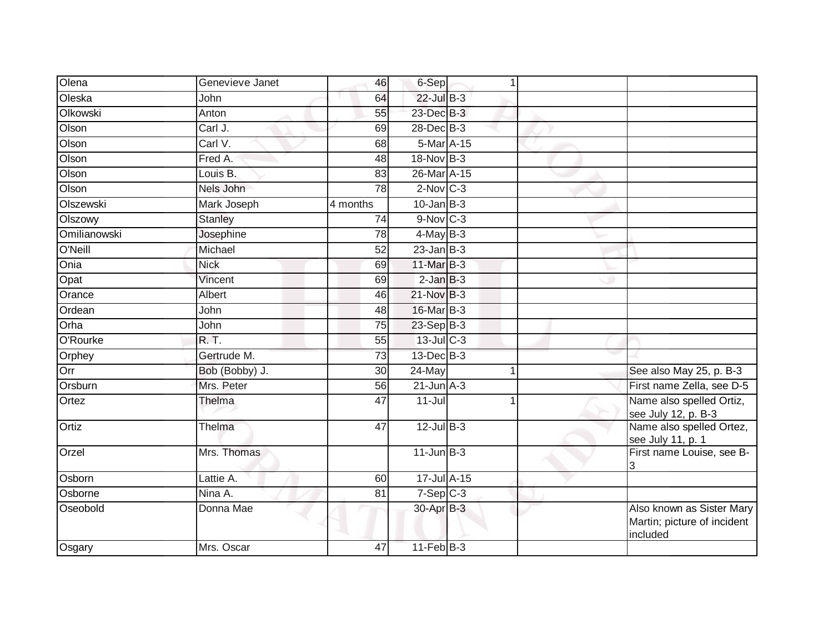| Olena        | Genevieve Janet | 46              | $6-Sep$           | 1 |                                                                      |
|--------------|-----------------|-----------------|-------------------|---|----------------------------------------------------------------------|
| Oleska       | John            | 64              | 22-Jul B-3        |   |                                                                      |
| Olkowski     | Anton           | 55              | 23-Dec B-3        |   |                                                                      |
| Olson        | Carl J.         | 69              | $28$ -Dec $B-3$   |   |                                                                      |
| Olson        | Carl V.         | 68              | 5-Mar A-15        |   |                                                                      |
| Olson        | Fred A.         | 48              | 18-Nov B-3        |   |                                                                      |
| Olson        | Louis B.        | 83              | 26-Mar A-15       |   |                                                                      |
| Olson        | Nels John       | 78              | $2$ -Nov $C-3$    |   |                                                                      |
| Olszewski    | Mark Joseph     | 4 months        | $10$ -Jan $B-3$   |   |                                                                      |
| Olszowy      | <b>Stanley</b>  | $\overline{74}$ | $9-Nov$ C-3       |   |                                                                      |
| Omilianowski | Josephine       | 78              | $4$ -May B-3      |   |                                                                      |
| O'Neill      | Michael         | 52              | $23$ -Jan $B-3$   |   |                                                                      |
| Onia         | <b>Nick</b>     | 69              | 11-Mar B-3        |   |                                                                      |
| Opat         | Vincent         | 69              | $2$ -Jan $B-3$    |   |                                                                      |
| Orance       | Albert          | 46              | 21-Nov B-3        |   |                                                                      |
| Ordean       | John            | 48              | 16-Mar B-3        |   |                                                                      |
| Orha         | John            | 75              | 23-Sep B-3        |   |                                                                      |
| O'Rourke     | <b>R.T.</b>     | 55              | $13$ -Jul C-3     |   |                                                                      |
| Orphey       | Gertrude M.     | 73              | 13-Dec B-3        |   |                                                                      |
| Orr          | Bob (Bobby) J.  | 30              | 24-May            |   | See also May 25, p. B-3                                              |
| Orsburn      | Mrs. Peter      | 56              | $21$ -Jun $A-3$   |   | First name Zella, see D-5                                            |
| Ortez        | Thelma          | 47              | $11 -$ Jul        | 1 | Name also spelled Ortiz,<br>see July 12, p. B-3                      |
| Ortiz        | Thelma          | 47              | $12$ -Jul B-3     |   | Name also spelled Ortez,<br>see July 11, p. 1                        |
| Orzel        | Mrs. Thomas     |                 | $11$ -Jun $B-3$   |   | First name Louise, see B-<br>3                                       |
| Osborn       | Lattie A.       | 60              | 17-Jul A-15       |   |                                                                      |
| Osborne      | Nina A.         | 81              | $7-Sep$ $C-3$     |   |                                                                      |
| Oseobold     | Donna Mae       |                 | 30-Apr B-3        |   | Also known as Sister Mary<br>Martin; picture of incident<br>included |
| Osgary       | Mrs. Oscar      | 47              | $11$ -Feb $ B-3 $ |   |                                                                      |
|              |                 |                 |                   |   |                                                                      |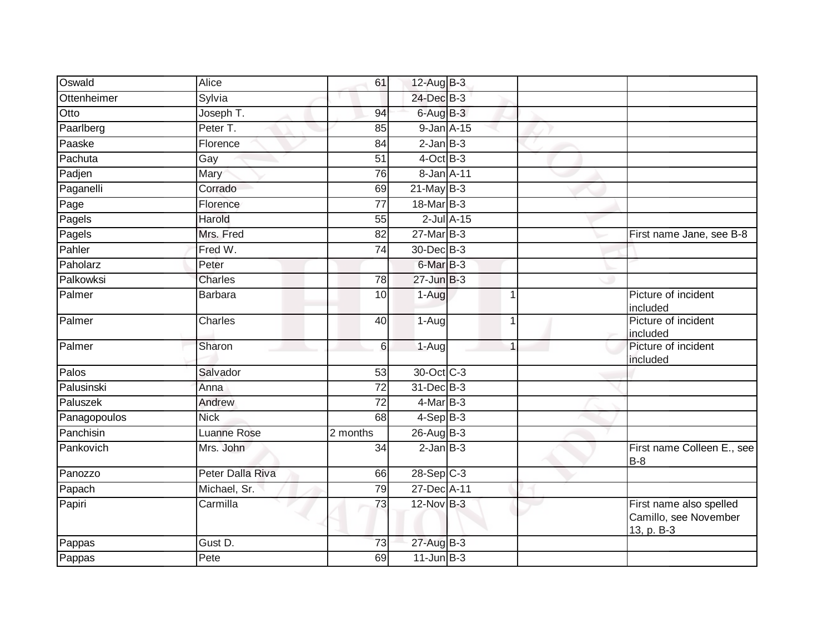| Oswald       | Alice            | 61              | 12-Aug B-3           |                  |   |                                                                |
|--------------|------------------|-----------------|----------------------|------------------|---|----------------------------------------------------------------|
| Ottenheimer  | Sylvia           |                 | 24-Dec B-3           |                  |   |                                                                |
| Otto         | Joseph T.        | 94              | $6$ -Aug $B-3$       |                  |   |                                                                |
| Paarlberg    | Peter T.         | 85              | $9$ -Jan $A$ -15     |                  |   |                                                                |
| Paaske       | Florence         | 84              | $2$ -Jan $B-3$       |                  |   |                                                                |
| Pachuta      | Gay              | 51              | $4$ -Oct B-3         |                  |   |                                                                |
| Padjen       | Mary             | 76              | 8-Jan A-11           |                  |   |                                                                |
| Paganelli    | Corrado          | 69              | $21$ -May B-3        |                  |   |                                                                |
| Page         | Florence         | 77              | 18-Mar B-3           |                  |   |                                                                |
| Pagels       | Harold           | 55              |                      | $2$ -Jul $A$ -15 |   |                                                                |
| Pagels       | Mrs. Fred        | 82              | 27-Mar B-3           |                  |   | First name Jane, see B-8                                       |
| Pahler       | Fred W.          | 74              | 30-Dec B-3           |                  |   |                                                                |
| Paholarz     | Peter            |                 | 6-Mar <sub>B-3</sub> |                  |   |                                                                |
| Palkowksi    | <b>Charles</b>   | 78              | $27 - Jun$ B-3       |                  |   |                                                                |
| Palmer       | <b>Barbara</b>   | 10              | 1-Aug                |                  |   | Picture of incident<br>included                                |
| Palmer       | Charles          | 40              | 1-Aug                |                  |   | Picture of incident<br>included                                |
| Palmer       | Sharon           | 6               | 1-Aug                |                  | 1 | Picture of incident<br>included                                |
| Palos        | Salvador         | 53              | 30-Oct C-3           |                  |   |                                                                |
| Palusinski   | Anna             | 72              | 31-Dec B-3           |                  |   |                                                                |
| Paluszek     | Andrew           | 72              | $4$ -Mar $B-3$       |                  |   |                                                                |
| Panagopoulos | <b>Nick</b>      | 68              | $4-Sep B-3$          |                  |   |                                                                |
| Panchisin    | Luanne Rose      | 2 months        | $26$ -AugB-3         |                  |   |                                                                |
| Pankovich    | Mrs. John        | $\overline{34}$ | $2$ -Jan $B-3$       |                  |   | First name Colleen E., see<br>$B-8$                            |
| Panozzo      | Peter Dalla Riva | 66              | $28-SepC-3$          |                  |   |                                                                |
| Papach       | Michael, Sr.     | 79              | 27-Dec A-11          |                  |   |                                                                |
| Papiri       | Carmilla         | $\overline{73}$ | 12-Nov B-3           |                  |   | First name also spelled<br>Camillo, see November<br>13, p. B-3 |
| Pappas       | Gust D.          | $\overline{73}$ | 27-Aug B-3           |                  |   |                                                                |
| Pappas       | Pete             | 69              | $11$ -Jun $B-3$      |                  |   |                                                                |
|              |                  |                 |                      |                  |   |                                                                |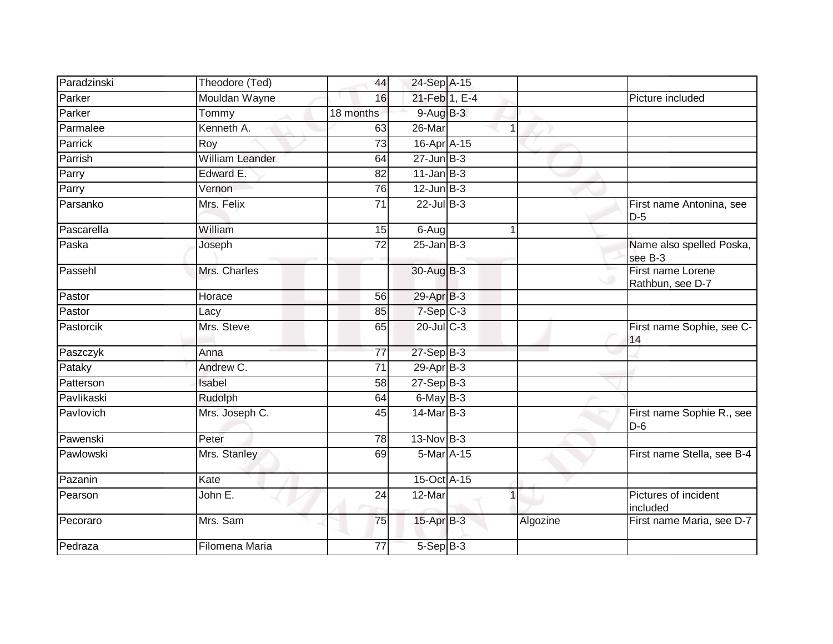| Paradzinski | Theodore (Ted)  | 44              | 24-Sep A-15      |          |                                       |
|-------------|-----------------|-----------------|------------------|----------|---------------------------------------|
| Parker      | Mouldan Wayne   | 16              | 21-Feb 1, E-4    |          | Picture included                      |
| Parker      | Tommy           | 18 months       | $9-AugB-3$       |          |                                       |
| Parmalee    | Kenneth A.      | 63              | 26-Mar           |          |                                       |
| Parrick     | Roy             | $\overline{73}$ | 16-Apr A-15      |          |                                       |
| Parrish     | William Leander | 64              | $27 - Jun$ B-3   |          |                                       |
| Parry       | Edward E.       | 82              | $11$ -Jan B-3    |          |                                       |
| Parry       | Vernon          | 76              | $12$ -Jun $B-3$  |          |                                       |
| Parsanko    | Mrs. Felix      | 71              | $22$ -Jul B-3    |          | First name Antonina, see<br>$D-5$     |
| Pascarella  | William         | 15              | 6-Aug            |          |                                       |
| Paska       | Joseph          | 72              | $25 - Jan$ $B-3$ |          | Name also spelled Poska,<br>see B-3   |
| Passehl     | Mrs. Charles    |                 | 30-Aug B-3       |          | First name Lorene<br>Rathbun, see D-7 |
| Pastor      | Horace          | 56              | 29-Apr B-3       |          |                                       |
| Pastor      | Lacy            | 85              | $7-Sep$ $C-3$    |          |                                       |
| Pastorcik   | Mrs. Steve      | 65              | $20$ -Jul $C-3$  |          | First name Sophie, see C-<br>14       |
| Paszczyk    | Anna            | 77              | $27-Sep$ B-3     |          |                                       |
| Pataky      | Andrew C.       | 71              | $29-Apr$ B-3     |          |                                       |
| Patterson   | Isabel          | 58              | $27-Sep$ B-3     |          |                                       |
| Pavlikaski  | Rudolph         | 64              | $6$ -May $B-3$   |          |                                       |
| Pavlovich   | Mrs. Joseph C.  | 45              | $14$ -Mar $B-3$  |          | First name Sophie R., see<br>$D-6$    |
| Pawenski    | Peter           | 78              | $13-Nov$ B-3     |          |                                       |
| Pawlowski   | Mrs. Stanley    | 69              | 5-Mar A-15       |          | First name Stella, see B-4            |
| Pazanin     | Kate            |                 | 15-Oct A-15      |          |                                       |
| Pearson     | John E.         | 24              | 12-Mar           |          | Pictures of incident<br>included      |
| Pecoraro    | Mrs. Sam        | 75              | $15$ -Apr $B$ -3 | Algozine | First name Maria, see D-7             |
| Pedraza     | Filomena Maria  | 77              | 5-Sep B-3        |          |                                       |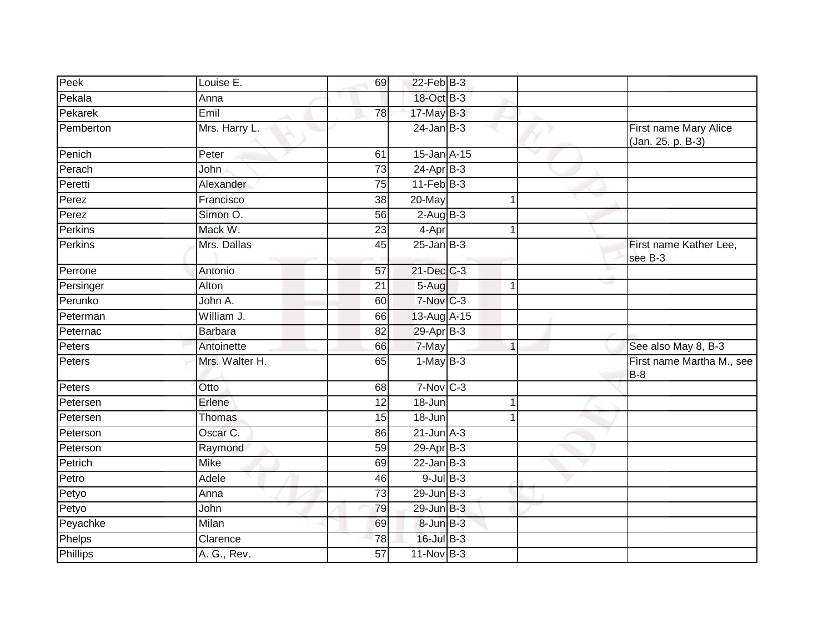| Peek            | Louise E.      | 69              | 22-Feb B-3             |    |                                            |
|-----------------|----------------|-----------------|------------------------|----|--------------------------------------------|
| Pekala          | Anna           |                 | 18-Oct B-3             |    |                                            |
| Pekarek         | Emil           | $\overline{78}$ | $17$ -May B-3          |    |                                            |
| Pemberton       | Mrs. Harry L.  |                 | $24$ -Jan $B-3$        |    | First name Mary Alice<br>(Jan. 25, p. B-3) |
| Penich          | Peter          | 61              | 15-Jan A-15            |    |                                            |
| Perach          | John           | $\overline{73}$ | $24-AprB-3$            |    |                                            |
| Peretti         | Alexander      | 75              | $11-Feb$ B-3           |    |                                            |
| Perez           | Francisco      | $\overline{38}$ | 20-May                 |    |                                            |
| Perez           | Simon O.       | 56              | $2$ -Aug $B - 3$       |    |                                            |
| Perkins         | Mack W.        | 23              | $4 - Apr$              |    |                                            |
| Perkins         | Mrs. Dallas    | 45              | $25$ -Jan $B-3$        |    | First name Kather Lee,<br>see B-3          |
| Perrone         | Antonio        | 57              | $21$ -Dec $C-3$        |    |                                            |
| Persinger       | Alton          | $\overline{21}$ | 5-Aug                  | -1 |                                            |
| Perunko         | John A.        | 60              | $7-Nov$ <sub>C-3</sub> |    |                                            |
| Peterman        | William J.     | 66              | 13-Aug A-15            |    |                                            |
| Peternac        | <b>Barbara</b> | 82              | 29-Apr B-3             |    |                                            |
| Peters          | Antoinette     | 66              | 7-May                  | 1  | See also May 8, B-3                        |
| Peters          | Mrs. Walter H. | 65              | $1-MayB-3$             |    | First name Martha M., see<br>$B-8$         |
| Peters          | Otto           | 68              | $7-Nov$ C-3            |    |                                            |
| Petersen        | Erlene         | 12              | 18-Jun                 | -1 |                                            |
| Petersen        | Thomas         | 15              | 18-Jun                 |    |                                            |
| Peterson        | Oscar C.       | 86              | $21$ -Jun $A-3$        |    |                                            |
| Peterson        | Raymond        | 59              | $29$ -Apr $B-3$        |    |                                            |
| Petrich         | Mike           | 69              | $22$ -Jan B-3          |    |                                            |
| Petro           | Adele          | 46              | $9$ -Jul $B$ -3        |    |                                            |
| Petyo           | Anna           | 73              | $29$ -Jun $B-3$        |    |                                            |
| Petyo           | John           | 79              | 29-Jun B-3             |    |                                            |
| Peyachke        | Milan          | 69              | 8-Jun B-3              |    |                                            |
| Phelps          | Clarence       | 78              | 16-Jul B-3             |    |                                            |
| <b>Phillips</b> | A. G., Rev.    | $\overline{57}$ | $11-Nov$ B-3           |    |                                            |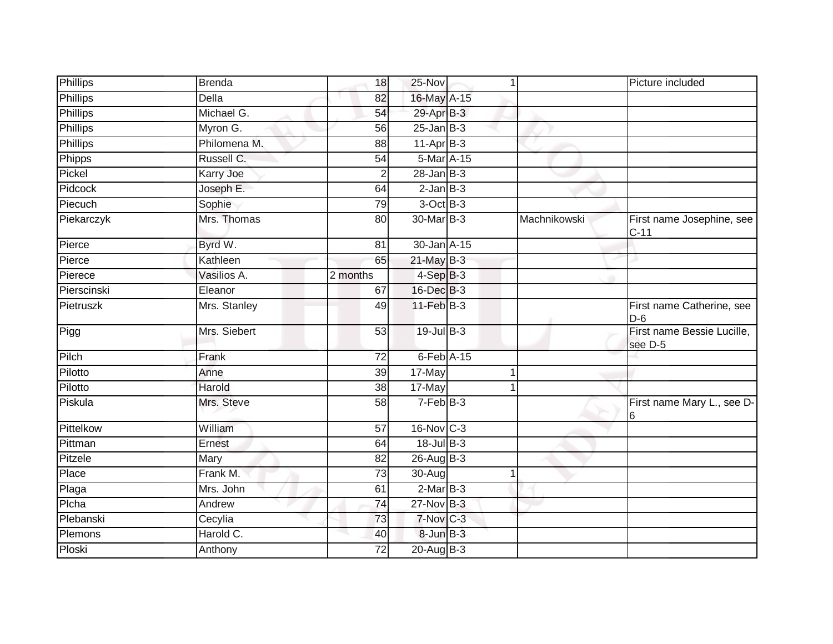| <b>Phillips</b>  | <b>Brenda</b>    | 18              | 25-Nov           |            |              | Picture included                      |
|------------------|------------------|-----------------|------------------|------------|--------------|---------------------------------------|
| <b>Phillips</b>  | <b>Della</b>     | 82              | 16-May A-15      |            |              |                                       |
| <b>Phillips</b>  | Michael G.       | 54              | 29-Apr B-3       |            |              |                                       |
| Phillips         | Myron G.         | 56              | $25$ -Jan $B-3$  |            |              |                                       |
| <b>Phillips</b>  | Philomena M.     | 88              | $11-Apr$ B-3     |            |              |                                       |
| Phipps           | Russell C.       | 54              |                  | 5-Mar A-15 |              |                                       |
| Pickel           | <b>Karry Joe</b> | $\overline{2}$  | $28 - Jan$ $B-3$ |            |              |                                       |
| Pidcock          | Joseph E.        | 64              | $2$ -Jan $B-3$   |            |              |                                       |
| Piecuch          | Sophie           | 79              | $3$ -Oct $B-3$   |            |              |                                       |
| Piekarczyk       | Mrs. Thomas      | 80              | 30-Mar B-3       |            | Machnikowski | First name Josephine, see<br>$C-11$   |
| Pierce           | Byrd W.          | 81              | 30-Jan A-15      |            |              |                                       |
| Pierce           | Kathleen         | 65              | $21$ -May B-3    |            |              |                                       |
| Pierece          | Vasilios A.      | 2 months        | $4-SepB-3$       |            |              |                                       |
| Pierscinski      | Eleanor          | 67              | 16-Dec B-3       |            |              |                                       |
| <b>Pietruszk</b> | Mrs. Stanley     | 49              | $11-FebB-3$      |            |              | First name Catherine, see<br>$D-6$    |
| Pigg             | Mrs. Siebert     | 53              | 19-Jul B-3       |            |              | First name Bessie Lucille,<br>see D-5 |
| Pilch            | Frank            | 72              | $6$ -Feb $A-15$  |            |              |                                       |
| Pilotto          | Anne             | 39              | 17-May           |            |              |                                       |
| Pilotto          | Harold           | 38              | 17-May           |            |              |                                       |
| Piskula          | Mrs. Steve       | 58              | $7-FebB-3$       |            |              | First name Mary L., see D-<br>16      |
| Pittelkow        | William          | $\overline{57}$ | 16-Nov C-3       |            |              |                                       |
| Pittman          | Ernest           | 64              | 18-Jul B-3       |            |              |                                       |
| Pitzele          | Mary             | 82              | 26-Aug B-3       |            |              |                                       |
| Place            | Frank M.         | 73              | 30-Aug           |            |              |                                       |
| Plaga            | Mrs. John        | 61              | $2-MarB-3$       |            |              |                                       |
| Plcha            | Andrew           | 74              | $27$ -Nov $B-3$  |            |              |                                       |
| Plebanski        | Cecylia          | 73              | $7-Nov$ C-3      |            |              |                                       |
| Plemons          | Harold C.        | 40              | $8$ -Jun $B-3$   |            |              |                                       |
| Ploski           | Anthony          | 72              | 20-Aug B-3       |            |              |                                       |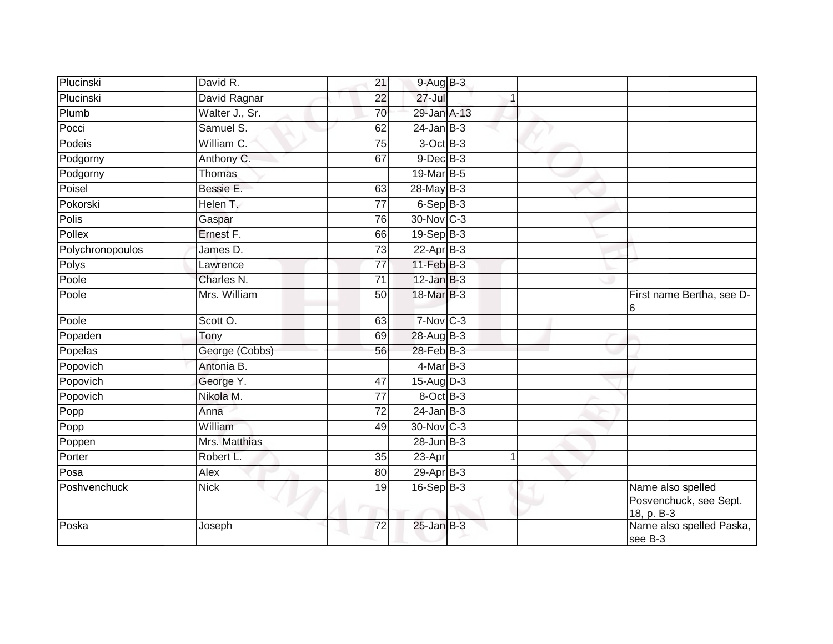| Plucinski        | David R.       | 21              | $9-AugB-3$      |                                                           |
|------------------|----------------|-----------------|-----------------|-----------------------------------------------------------|
| Plucinski        | David Ragnar   | $\overline{22}$ | $27 -$ Jul      |                                                           |
| Plumb            | Walter J., Sr. | 70              | 29-Jan A-13     |                                                           |
| Pocci            | Samuel S.      | 62              | $24$ -Jan B-3   |                                                           |
| Podeis           | William C.     | 75              | $3$ -Oct $B-3$  |                                                           |
| Podgorny         | Anthony C.     | 67              | $9$ -Dec $B$ -3 |                                                           |
| Podgorny         | Thomas         |                 | 19-Mar B-5      |                                                           |
| Poisel           | Bessie E.      | 63              | 28-May B-3      |                                                           |
| Pokorski         | Helen T.       | 77              | $6-$ Sep $B-3$  |                                                           |
| Polis            | Gaspar         | 76              | 30-Nov C-3      |                                                           |
| Pollex           | Ernest F.      | 66              | $19-Sep$ B-3    |                                                           |
| Polychronopoulos | James D.       | 73              | 22-Apr B-3      |                                                           |
| Polys            | Lawrence       | 77              | 11-Feb B-3      |                                                           |
| Poole            | Charles N.     | 71              | $12$ -Jan B-3   |                                                           |
| Poole            | Mrs. William   | 50              | 18-Mar B-3      | First name Bertha, see D-<br>6                            |
| Poole            | Scott O.       | 63              | 7-Nov C-3       |                                                           |
| Popaden          | Tony           | 69              | 28-Aug B-3      |                                                           |
| Popelas          | George (Cobbs) | 56              | 28-Feb B-3      |                                                           |
| Popovich         | Antonia B.     |                 | $4$ -Mar $B-3$  |                                                           |
| Popovich         | George Y.      | 47              | 15-Aug D-3      |                                                           |
| Popovich         | Nikola M.      | 77              | 8-Oct B-3       |                                                           |
| Popp             | Anna           | 72              | $24$ -Jan B-3   |                                                           |
| Popp             | William        | 49              | 30-Nov C-3      |                                                           |
| Poppen           | Mrs. Matthias  |                 | $28$ -Jun $B-3$ |                                                           |
| Porter           | Robert L.      | 35              | 23-Apr<br>1     |                                                           |
| Posa             | Alex           | 80              | $29$ -Apr $B-3$ |                                                           |
| Poshvenchuck     | <b>Nick</b>    | 19              | $16-Sep$ B-3    | Name also spelled<br>Posvenchuck, see Sept.<br>18, p. B-3 |
| Poska            | Joseph         | 72              | $25$ -Jan $B-3$ | Name also spelled Paska,<br>see B-3                       |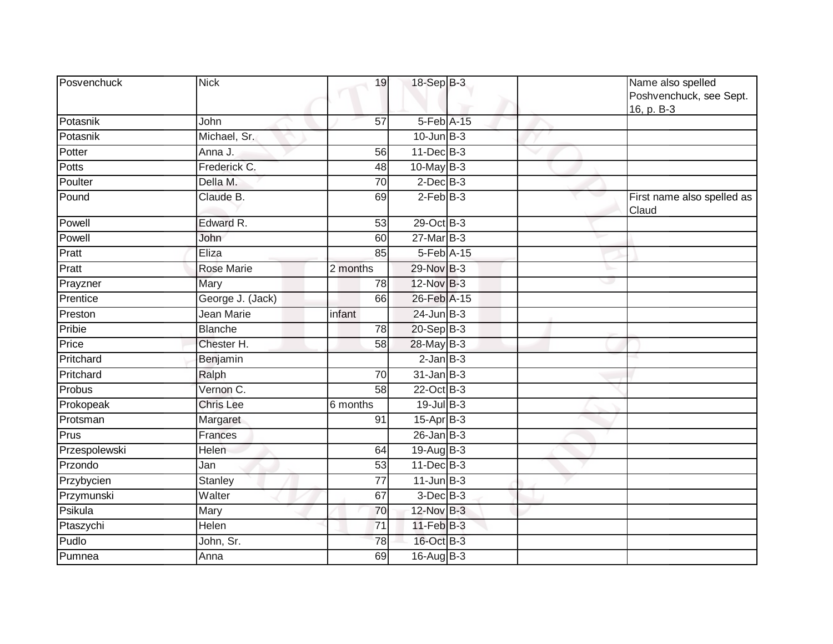| Posvenchuck   | <b>Nick</b>       | 19              | 18-Sep B-3        |   | Name also spelled<br>Poshvenchuck, see Sept.<br>16, p. B-3 |
|---------------|-------------------|-----------------|-------------------|---|------------------------------------------------------------|
| Potasnik      | John              | $\overline{57}$ | 5-Feb A-15        |   |                                                            |
| Potasnik      | Michael, Sr.      |                 | $10$ -Jun $B-3$   |   |                                                            |
| Potter        | Anna J.           | 56              | 11-Dec B-3        |   |                                                            |
| Potts         | Frederick C.      | 48              | 10-May B-3        |   |                                                            |
| Poulter       | Della M.          | $\overline{70}$ | $2$ -Dec $B-3$    |   |                                                            |
| Pound         | Claude B.         | 69              | $2-Feb$ B-3       |   | First name also spelled as<br>Claud                        |
| Powell        | Edward R.         | 53              | 29-Oct B-3        |   |                                                            |
| Powell        | John              | 60              | $27$ -Mar $B-3$   |   |                                                            |
| Pratt         | Eliza             | 85              | 5-Feb A-15        |   |                                                            |
| Pratt         | <b>Rose Marie</b> | 2 months        | 29-Nov B-3        |   |                                                            |
| Prayzner      | Mary              | 78              | 12-Nov B-3        | w |                                                            |
| Prentice      | George J. (Jack)  | 66              | 26-Feb A-15       |   |                                                            |
| Preston       | Jean Marie        | infant          | $24$ -Jun $B-3$   |   |                                                            |
| Pribie        | <b>Blanche</b>    | $\overline{78}$ | 20-Sep B-3        |   |                                                            |
| Price         | Chester H.        | 58              | 28-May B-3        |   |                                                            |
| Pritchard     | Benjamin          |                 | $2$ -Jan $B-3$    |   |                                                            |
| Pritchard     | Ralph             | 70              | $31$ -Jan $B-3$   |   |                                                            |
| Probus        | Vernon C.         | $\overline{58}$ | $22$ -Oct B-3     |   |                                                            |
| Prokopeak     | <b>Chris Lee</b>  | 6 months        | $19$ -Jul B-3     |   |                                                            |
| Protsman      | Margaret          | 91              | $15$ -Apr $B$ -3  |   |                                                            |
| Prus          | Frances           |                 | $26$ -Jan B-3     |   |                                                            |
| Przespolewski | Helen             | 64              | $19$ -Aug $B - 3$ |   |                                                            |
| Przondo       | Jan               | 53              | 11-Dec B-3        |   |                                                            |
| Przybycien    | <b>Stanley</b>    | 77              | $11$ -Jun $B-3$   |   |                                                            |
| Przymunski    | Walter            | 67              | $3$ -Dec $B-3$    |   |                                                            |
| Psikula       | Mary              | 70              | 12-Nov B-3        |   |                                                            |
| Ptaszychi     | Helen             | 71              | $11$ -Feb $B-3$   |   |                                                            |
| Pudlo         | John, Sr.         | 78              | 16-Oct B-3        |   |                                                            |
| Pumnea        | Anna              | 69              | $16$ -Aug $B$ -3  |   |                                                            |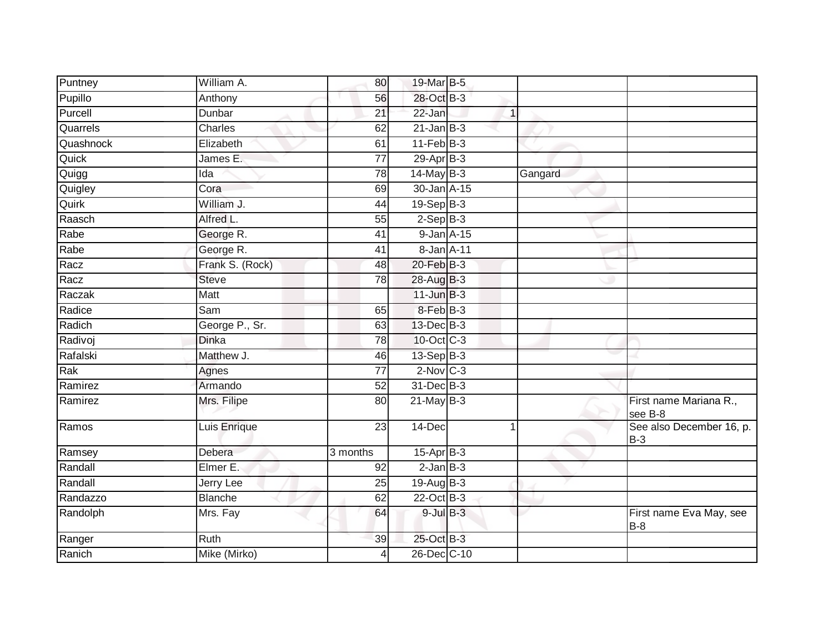| Puntney   | William A.      | 80              | 19-Mar B-5       |              |                                       |
|-----------|-----------------|-----------------|------------------|--------------|---------------------------------------|
| Pupillo   | Anthony         | 56              | 28-Oct B-3       |              |                                       |
| Purcell   | Dunbar          | $\overline{21}$ | $22$ -Jan        | $\mathbf{1}$ |                                       |
| Quarrels  | Charles         | 62              | $21$ -Jan B-3    |              |                                       |
| Quashnock | Elizabeth       | 61              | $11-Feb$ B-3     |              |                                       |
| Quick     | James E.        | $\overline{77}$ | $29-Apr$ B-3     |              |                                       |
| Quigg     | Ida             | 78              | $14$ -May $B-3$  | Gangard      |                                       |
| Quigley   | Cora            | 69              | $30 - Jan$ A-15  |              |                                       |
| Quirk     | William J.      | 44              | $19-Sep$ B-3     |              |                                       |
| Raasch    | Alfred L.       | 55              | $2-SepB-3$       |              |                                       |
| Rabe      | George R.       | 41              | $9$ -Jan $A$ -15 |              |                                       |
| Rabe      | George R.       | 41              | 8-Jan A-11       |              |                                       |
| Racz      | Frank S. (Rock) | 48              | 20-Feb B-3       |              |                                       |
| Racz      | <b>Steve</b>    | 78              | 28-Aug B-3       |              |                                       |
| Raczak    | Matt            |                 | $11$ -Jun $B-3$  |              |                                       |
| Radice    | Sam             | 65              | 8-Feb B-3        |              |                                       |
| Radich    | George P., Sr.  | 63              | 13-Dec B-3       |              |                                       |
| Radivoj   | <b>Dinka</b>    | 78              | 10-Oct C-3       |              |                                       |
| Rafalski  | Matthew J.      | 46              | 13-Sep B-3       |              |                                       |
| Rak       | Agnes           | $\overline{77}$ | $2$ -Nov $ C-3 $ |              |                                       |
| Ramirez   | Armando         | 52              | 31-Dec B-3       |              |                                       |
| Ramirez   | Mrs. Filipe     | 80              | $21$ -May B-3    |              | First name Mariana R.,<br>see B-8     |
| Ramos     | Luis Enrique    | 23              | 14-Dec           |              | See also December 16, p.<br>$B-3$     |
| Ramsey    | Debera          | 3 months        | $15-AprB-3$      |              |                                       |
| Randall   | Elmer E.        | 92              | $2$ -Jan $B-3$   |              |                                       |
| Randall   | Jerry Lee       | 25              | 19-Aug B-3       |              |                                       |
| Randazzo  | <b>Blanche</b>  | 62              | 22-Oct B-3       |              |                                       |
| Randolph  | Mrs. Fay        | 64              | $9$ -Jul $B$ -3  |              | First name Eva May, see<br><b>B-8</b> |
| Ranger    | Ruth            | 39              | 25-Oct B-3       |              |                                       |
| Ranich    | Mike (Mirko)    | $\overline{4}$  | 26-Dec C-10      |              |                                       |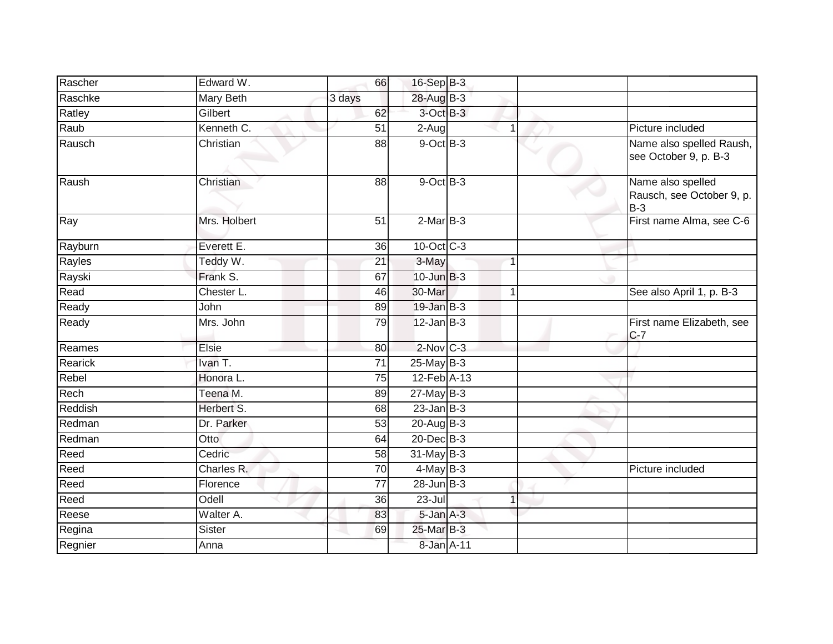| Rascher | Edward W.        | 66              | $16-Sep$ B-3                 |                |                                                         |
|---------|------------------|-----------------|------------------------------|----------------|---------------------------------------------------------|
| Raschke | <b>Mary Beth</b> | 3 days          | 28-Aug B-3                   |                |                                                         |
| Ratley  | Gilbert          | 62              | 3-Oct B-3                    |                |                                                         |
| Raub    | Kenneth C.       | 51              | 2-Aug                        | $\mathbf 1$    | Picture included                                        |
| Rausch  | Christian        | $\overline{88}$ | $9$ -Oct $B$ -3              |                | Name also spelled Raush,<br>see October 9, p. B-3       |
| Raush   | Christian        | 88              | $9$ -Oct $B-3$               |                | Name also spelled<br>Rausch, see October 9, p.<br>$B-3$ |
| Ray     | Mrs. Holbert     | 51              | $2-MarB-3$                   |                | First name Alma, see C-6                                |
| Rayburn | Everett E.       | 36              | $10$ -Oct $C - 3$            |                |                                                         |
| Rayles  | Teddy W.         | 21              | 3-May                        |                |                                                         |
| Rayski  | Frank S.         | 67              | $10$ -Jun $B-3$              |                |                                                         |
| Read    | Chester L.       | 46              | 30-Mar                       | 1              | See also April 1, p. B-3                                |
| Ready   | John             | 89              | $19$ -Jan $B-3$              |                |                                                         |
| Ready   | Mrs. John        | 79              | $12$ -Jan $B-3$              |                | First name Elizabeth, see<br>$C-7$                      |
| Reames  | Elsie            | 80              | $2$ -Nov $C-3$               |                |                                                         |
| Rearick | Ivan T.          | 71              | 25-May B-3                   |                |                                                         |
| Rebel   | Honora L.        | 75              | $12$ -Feb $\overline{A}$ -13 |                |                                                         |
| Rech    | Teena M.         | 89              | 27-May B-3                   |                |                                                         |
| Reddish | Herbert S.       | 68              | $23$ -Jan B-3                |                |                                                         |
| Redman  | Dr. Parker       | 53              | 20-Aug B-3                   |                |                                                         |
| Redman  | Otto             | 64              | 20-Dec B-3                   |                |                                                         |
| Reed    | Cedric           | 58              | $31$ -May B-3                |                |                                                         |
| Reed    | Charles R.       | 70              | $4$ -May B-3                 |                | Picture included                                        |
| Reed    | Florence         | 77              | $28$ -Jun $B-3$              |                |                                                         |
| Reed    | Odell            | 36              | 23-Jul                       | $\overline{1}$ |                                                         |
| Reese   | Walter A.        | 83              | 5-Jan A-3                    |                |                                                         |
| Regina  | Sister           | 69              | 25-Mar B-3                   |                |                                                         |
| Regnier | Anna             |                 | 8-Jan A-11                   |                |                                                         |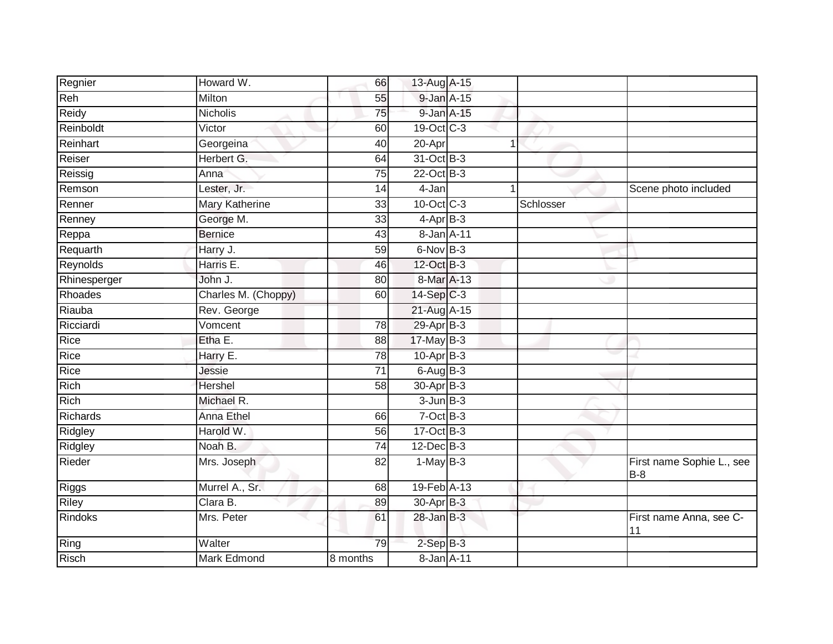| Regnier        | Howard W.           | 66              | 13-Aug A-15      |    |           |                                    |
|----------------|---------------------|-----------------|------------------|----|-----------|------------------------------------|
| Reh            | Milton              | 55              | $9$ -Jan $A$ -15 |    |           |                                    |
| Reidy          | <b>Nicholis</b>     | 75              | 9-Jan A-15       |    |           |                                    |
| Reinboldt      | Victor              | 60              | 19-Oct C-3       |    |           |                                    |
| Reinhart       | Georgeina           | 40              | 20-Apr           | -1 |           |                                    |
| Reiser         | Herbert G.          | 64              | 31-Oct B-3       |    |           |                                    |
| Reissig        | Anna                | 75              | 22-Oct B-3       |    |           |                                    |
| Remson         | Lester, Jr.         | 14              | 4-Jan            | -1 |           | Scene photo included               |
| Renner         | Mary Katherine      | 33              | 10-Oct C-3       |    | Schlosser |                                    |
| Renney         | George M.           | $\overline{33}$ | $4$ -Apr $B-3$   |    |           |                                    |
| Reppa          | <b>Bernice</b>      | 43              | 8-Jan A-11       |    |           |                                    |
| Requarth       | Harry J.            | 59              | 6-Nov B-3        |    |           |                                    |
| Reynolds       | Harris E.           | 46              | 12-Oct B-3       |    |           |                                    |
| Rhinesperger   | John J.             | 80              | 8-Mar A-13       |    |           |                                    |
| <b>Rhoades</b> | Charles M. (Choppy) | 60              | $14-Sep C-3$     |    |           |                                    |
| Riauba         | Rev. George         |                 | 21-Aug A-15      |    |           |                                    |
| Ricciardi      | Vomcent             | 78              | 29-Apr B-3       |    |           |                                    |
| Rice           | Etha E.             | $\overline{88}$ | 17-May B-3       |    |           |                                    |
| Rice           | Harry E.            | 78              | $10$ -Apr $B-3$  |    |           |                                    |
| Rice           | Jessie              | $\overline{71}$ | $6$ -Aug $B-3$   |    |           |                                    |
| Rich           | <b>Hershel</b>      | 58              | $30-Apr$ B-3     |    |           |                                    |
| Rich           | Michael R.          |                 | $3 - Jun$ $B-3$  |    |           |                                    |
| Richards       | Anna Ethel          | 66              | $7$ -Oct $B-3$   |    |           |                                    |
| Ridgley        | Harold W.           | 56              | $17-Oct$ B-3     |    |           |                                    |
| Ridgley        | Noah B.             | 74              | $12$ -Dec $B-3$  |    |           |                                    |
| Rieder         | Mrs. Joseph         | 82              | $1-May$ B-3      |    |           | First name Sophie L., see<br>$B-8$ |
| Riggs          | Murrel A., Sr.      | 68              | 19-Feb A-13      |    |           |                                    |
| Riley          | Clara B.            | 89              | 30-Apr B-3       |    |           |                                    |
| Rindoks        | Mrs. Peter          | 61              | 28-Jan B-3       |    |           | First name Anna, see C-<br> 11     |
| Ring           | Walter              | 79              | $2-SepB-3$       |    |           |                                    |
| Risch          | Mark Edmond         | 8 months        | $8$ -Jan $A$ -11 |    |           |                                    |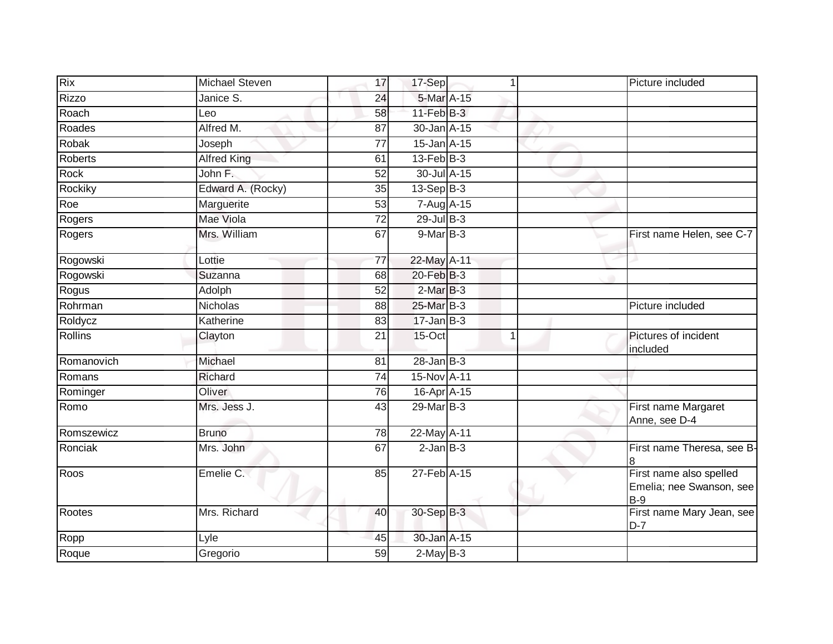| Rix            | Michael Steven     | 17              | 17-Sep           | 1              | Picture included                                             |
|----------------|--------------------|-----------------|------------------|----------------|--------------------------------------------------------------|
| <b>Rizzo</b>   | Janice S.          | 24              | 5-Mar A-15       |                |                                                              |
| Roach          | Leo                | 58              | $11-Feb$ B-3     |                |                                                              |
| Roades         | Alfred M.          | 87              | 30-Jan A-15      |                |                                                              |
| Robak          | Joseph             | $\overline{77}$ | $15$ -Jan $A-15$ |                |                                                              |
| <b>Roberts</b> | <b>Alfred King</b> | 61              | $13$ -Feb $B-3$  |                |                                                              |
| Rock           | John F.            | 52              | 30-Jul A-15      |                |                                                              |
| Rockiky        | Edward A. (Rocky)  | 35              | $13-Sep B-3$     |                |                                                              |
| Roe            | Marguerite         | 53              | 7-Aug A-15       |                |                                                              |
| Rogers         | Mae Viola          | $\overline{72}$ | $29$ -Jul $B-3$  |                |                                                              |
| Rogers         | Mrs. William       | 67              | $9$ -Mar $B-3$   |                | First name Helen, see C-7                                    |
| Rogowski       | Lottie             | 77              | 22-May A-11      |                |                                                              |
| Rogowski       | Suzanna            | 68              | $20$ -Feb $B-3$  |                |                                                              |
| Rogus          | Adolph             | 52              | $2-MarB-3$       |                |                                                              |
| Rohrman        | Nicholas           | 88              | 25-Mar B-3       |                | Picture included                                             |
| Roldycz        | Katherine          | 83              | $17 - Jan$ $B-3$ |                |                                                              |
| Rollins        | Clayton            | 21              | 15-Oct           | $\overline{1}$ | Pictures of incident<br>included                             |
| Romanovich     | Michael            | 81              | $28$ -Jan $B-3$  |                |                                                              |
| Romans         | Richard            | 74              | 15-Nov A-11      |                |                                                              |
| Rominger       | Oliver             | 76              | 16-Apr A-15      |                |                                                              |
| Romo           | Mrs. Jess J.       | 43              | 29-Mar B-3       |                | First name Margaret<br>Anne, see D-4                         |
| Romszewicz     | <b>Bruno</b>       | 78              | 22-May A-11      |                |                                                              |
| Ronciak        | Mrs. John          | 67              | $2$ -Jan $B-3$   |                | First name Theresa, see B-                                   |
| Roos           | Emelie C.          | 85              | 27-Feb A-15      |                | First name also spelled<br>Emelia; nee Swanson, see<br>$B-9$ |
| Rootes         | Mrs. Richard       | 40              | 30-Sep B-3       |                | First name Mary Jean, see<br>$D-7$                           |
| Ropp           | Lyle               | 45              | 30-Jan A-15      |                |                                                              |
| Roque          | Gregorio           | 59              | $2-MayB-3$       |                |                                                              |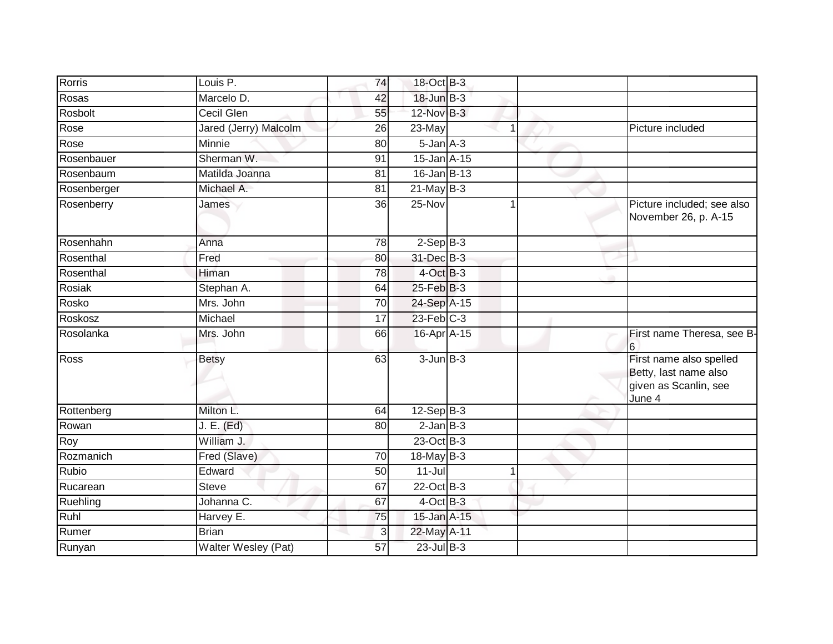| Rorris      | Louis P.              | 74 | 18-Oct B-3        |             |                                                                                     |
|-------------|-----------------------|----|-------------------|-------------|-------------------------------------------------------------------------------------|
| Rosas       | Marcelo D.            | 42 | 18-Jun B-3        |             |                                                                                     |
| Rosbolt     | <b>Cecil Glen</b>     | 55 | 12-Nov B-3        |             |                                                                                     |
| Rose        | Jared (Jerry) Malcolm | 26 | 23-May            | $\mathbf 1$ | Picture included                                                                    |
| Rose        | Minnie                | 80 | $5 - Jan A - 3$   |             |                                                                                     |
| Rosenbauer  | Sherman W.            | 91 | 15-Jan A-15       |             |                                                                                     |
| Rosenbaum   | Matilda Joanna        | 81 | $16$ -Jan B-13    |             |                                                                                     |
| Rosenberger | Michael A.            | 81 | $21$ -May B-3     |             |                                                                                     |
| Rosenberry  | James                 | 36 | 25-Nov            |             | Picture included; see also<br>November 26, p. A-15                                  |
| Rosenhahn   | Anna                  | 78 | $2-Sep B-3$       |             |                                                                                     |
| Rosenthal   | Fred                  | 80 | 31-Dec B-3        |             |                                                                                     |
| Rosenthal   | Himan                 | 78 | $4$ -Oct $B-3$    |             |                                                                                     |
| Rosiak      | Stephan A.            | 64 | $25$ -Feb $ B-3 $ |             |                                                                                     |
| Rosko       | Mrs. John             | 70 | 24-Sep A-15       |             |                                                                                     |
| Roskosz     | Michael               | 17 | $23$ -Feb $C-3$   |             |                                                                                     |
| Rosolanka   | Mrs. John             | 66 | 16-Apr A-15       |             | First name Theresa, see B-<br>16                                                    |
| <b>Ross</b> | Betsy                 | 63 | $3$ -Jun $B-3$    |             | First name also spelled<br>Betty, last name also<br>given as Scanlin, see<br>June 4 |
| Rottenberg  | Milton L.             | 64 | $12-Sep$ B-3      |             |                                                                                     |
| Rowan       | J. E. (Ed)            | 80 | $2$ -Jan $B-3$    |             |                                                                                     |
| Roy         | William J.            |    | 23-Oct B-3        |             |                                                                                     |
| Rozmanich   | Fred (Slave)          | 70 | $18$ -May B-3     |             |                                                                                     |
| Rubio       | Edward                | 50 | $11 -$ Jul        |             |                                                                                     |
| Rucarean    | <b>Steve</b>          | 67 | $22$ -Oct B-3     |             |                                                                                     |
| Ruehling    | Johanna C.            | 67 | $4$ -Oct B-3      |             |                                                                                     |
| Ruhl        | Harvey E.             | 75 | 15-Jan A-15       |             |                                                                                     |
| Rumer       | <b>Brian</b>          | 3  | 22-May A-11       |             |                                                                                     |
| Runyan      | Walter Wesley (Pat)   | 57 | $23$ -Jul B-3     |             |                                                                                     |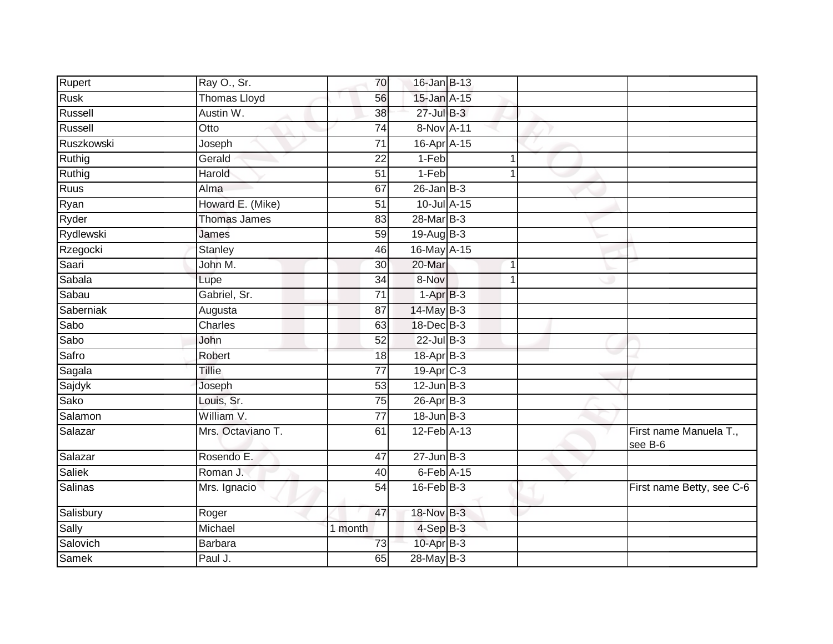| Rupert<br>Ray O., Sr.               | 70              | 16-Jan B-13           |              |                                   |
|-------------------------------------|-----------------|-----------------------|--------------|-----------------------------------|
| Rusk<br><b>Thomas Lloyd</b>         | 56              | 15-Jan A-15           |              |                                   |
| Russell<br>Austin W.                | $\overline{38}$ | $27$ -Jul $B-3$       |              |                                   |
| Russell<br>Otto                     | 74              | 8-Nov A-11            |              |                                   |
| Ruszkowski<br>Joseph                | $\overline{71}$ | 16-Apr A-15           |              |                                   |
| Ruthig<br>Gerald                    | $\overline{22}$ | 1-Feb                 | $\mathbf 1$  |                                   |
| Ruthig<br>Harold                    | 51              | 1-Feb                 | 1            |                                   |
| Ruus<br>Alma                        | 67              | $26$ -Jan B-3         |              |                                   |
| Ryan<br>Howard E. (Mike)            | 51              | 10-Jul A-15           |              |                                   |
| <b>Ryder</b><br><b>Thomas James</b> | 83              | 28-Mar B-3            |              |                                   |
| Rydlewski<br>James                  | 59              | 19-Aug B-3            |              |                                   |
| Rzegocki<br>Stanley                 | 46              | 16-May A-15           |              |                                   |
| Saari<br>John M.                    | 30              | 20-Mar                | $\mathbf{1}$ |                                   |
| Sabala<br>Lupe                      | 34              | 8-Nov                 | 1            |                                   |
| Sabau<br>Gabriel, Sr.               | $\overline{71}$ | $1-AprB-3$            |              |                                   |
| Saberniak<br>Augusta                | 87              | 14-May B-3            |              |                                   |
| Sabo<br>Charles                     | 63              | 18-Dec B-3            |              |                                   |
| Sabo<br>John                        | 52              | $22$ -Jul B-3         |              |                                   |
| Safro<br>Robert                     | 18              | 18-Apr B-3            |              |                                   |
| Sagala<br><b>Tillie</b>             | $\overline{77}$ | 19-Apr <sub>C-3</sub> |              |                                   |
| Sajdyk<br>Joseph                    | 53              | $12$ -Jun $B-3$       |              |                                   |
| Sako<br>Louis, Sr.                  | 75              | 26-Apr B-3            |              |                                   |
| Salamon<br>William V.               | $\overline{77}$ | $18 - Jun$ B-3        |              |                                   |
| Salazar<br>Mrs. Octaviano T.        | 61              | 12-Feb A-13           |              | First name Manuela T.,<br>see B-6 |
| Salazar<br>Rosendo E.               | 47              | $27 - Jun$ $B-3$      |              |                                   |
| <b>Saliek</b><br>Roman J.           | 40              | 6-Feb A-15            |              |                                   |
| Salinas<br>Mrs. Ignacio             | $\overline{54}$ | $16$ -Feb $B-3$       |              | First name Betty, see C-6         |
| Salisbury<br>Roger                  | 47              | 18-Nov B-3            |              |                                   |
| Sally<br>Michael                    | 1 month         | $4-$ Sep $B-3$        |              |                                   |
| Salovich<br><b>Barbara</b>          | 73              | 10-Apr B-3            |              |                                   |
| Samek<br>Paul J.                    | 65              | 28-May B-3            |              |                                   |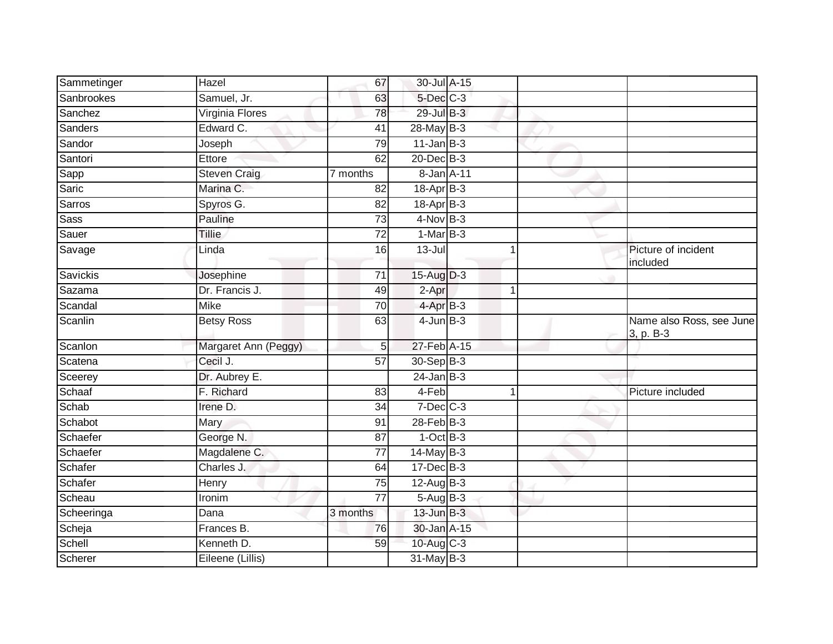| Sammetinger | Hazel                | 67                    | 30-Jul A-15     |   |                                       |
|-------------|----------------------|-----------------------|-----------------|---|---------------------------------------|
| Sanbrookes  | Samuel, Jr.          | 63                    | 5-Dec C-3       |   |                                       |
| Sanchez     | Virginia Flores      | 78                    | $29$ -Jul B-3   |   |                                       |
| Sanders     | Edward C.            | 41                    | 28-May B-3      |   |                                       |
| Sandor      | Joseph               | 79                    | $11$ -Jan B-3   |   |                                       |
| Santori     | Ettore               | 62                    | 20-Dec B-3      |   |                                       |
| Sapp        | <b>Steven Craig</b>  | $\overline{7}$ months | 8-Jan A-11      |   |                                       |
| Saric       | Marina C.            | 82                    | 18-Apr B-3      |   |                                       |
| Sarros      | Spyros G.            | 82                    | 18-Apr B-3      |   |                                       |
| <b>Sass</b> | Pauline              | $\overline{73}$       | $4$ -Nov B-3    |   |                                       |
| Sauer       | <b>Tillie</b>        | $\overline{72}$       | $1-MarB-3$      |   |                                       |
| Savage      | Linda                | 16                    | $13 -$ Jul      |   | Picture of incident<br>included       |
| Savickis    | Josephine            | 71                    | $15-Aug$ $D-3$  |   |                                       |
| Sazama      | Dr. Francis J.       | 49                    | 2-Apr           | 1 |                                       |
| Scandal     | <b>Mike</b>          | $\overline{70}$       | 4-Apr B-3       |   |                                       |
| Scanlin     | <b>Betsy Ross</b>    | 63                    | $4$ -Jun $B-3$  |   | Name also Ross, see June<br>3, p. B-3 |
| Scanlon     | Margaret Ann (Peggy) | 5                     | 27-Feb A-15     |   |                                       |
| Scatena     | Cecil J.             | $\overline{57}$       | 30-Sep B-3      |   |                                       |
| Sceerey     | Dr. Aubrey E.        |                       | $24$ -Jan B-3   |   |                                       |
| Schaaf      | F. Richard           | 83                    | 4-Feb           |   | Picture included                      |
| Schab       | Irene D.             | $\overline{34}$       | $7$ -Dec $C$ -3 |   |                                       |
| Schabot     | Mary                 | 91                    | 28-Feb B-3      |   |                                       |
| Schaefer    | George N.            | 87                    | $1-OctB-3$      |   |                                       |
| Schaefer    | Magdalene C.         | 77                    | $14$ -May $B-3$ |   |                                       |
| Schafer     | Charles J.           | 64                    | $17 - Dec$ B-3  |   |                                       |
| Schafer     | Henry                | 75                    | $12-Aug$ B-3    |   |                                       |
| Scheau      | Ironim               | $\overline{77}$       | $5-AugB-3$      |   |                                       |
| Scheeringa  | Dana                 | 3 months              | $13$ -Jun $B-3$ |   |                                       |
| Scheja      | Frances B.           | 76                    | 30-Jan A-15     |   |                                       |
| Schell      | Kenneth D.           | 59                    | 10-Aug C-3      |   |                                       |
| Scherer     | Eileene (Lillis)     |                       | 31-May B-3      |   |                                       |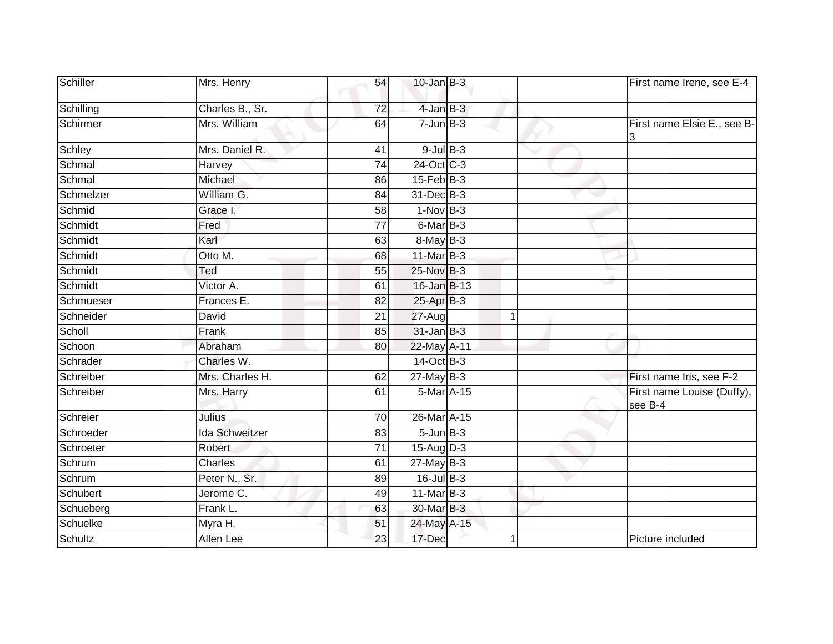| Schiller  | Mrs. Henry            | 54              | $10$ -Jan $B-3$  |   | First name Irene, see E-4             |
|-----------|-----------------------|-----------------|------------------|---|---------------------------------------|
| Schilling | Charles B., Sr.       | 72              | $4$ -Jan $B-3$   |   |                                       |
| Schirmer  | Mrs. William          | 64              | $7 - Jun$ B-3    |   | First name Elsie E., see B-<br>3      |
| Schley    | Mrs. Daniel R.        | 41              | $9$ -Jul $B$ -3  |   |                                       |
| Schmal    | Harvey                | $\overline{74}$ | 24-Oct C-3       |   |                                       |
| Schmal    | Michael               | 86              | $15$ -Feb $B$ -3 |   |                                       |
| Schmelzer | William G.            | 84              | 31-Dec B-3       |   |                                       |
| Schmid    | Grace I.              | 58              | $1-Nov$ B-3      |   |                                       |
| Schmidt   | Fred                  | 77              | 6-Mar B-3        |   |                                       |
| Schmidt   | Karl                  | 63              | $8$ -May $B-3$   |   |                                       |
| Schmidt   | Otto M.               | 68              | 11-Mar B-3       |   |                                       |
| Schmidt   | Ted                   | 55              | 25-Nov B-3       |   |                                       |
| Schmidt   | Victor A.             | 61              | $16$ -Jan B-13   |   |                                       |
| Schmueser | Frances E.            | 82              | 25-Apr B-3       |   |                                       |
| Schneider | David                 | 21              | 27-Aug           | 1 |                                       |
| Scholl    | Frank                 | 85              | $31$ -Jan B-3    |   |                                       |
| Schoon    | Abraham               | 80              | 22-May A-11      |   |                                       |
| Schrader  | Charles W.            |                 | 14-Oct B-3       |   |                                       |
| Schreiber | Mrs. Charles H.       | 62              | $27$ -May $B-3$  |   | First name Iris, see F-2              |
| Schreiber | Mrs. Harry            | 61              | 5-Mar A-15       |   | First name Louise (Duffy),<br>see B-4 |
| Schreier  | Julius                | 70              | 26-Mar A-15      |   |                                       |
| Schroeder | <b>Ida Schweitzer</b> | 83              | $5 - Jun$ $B-3$  |   |                                       |
| Schroeter | Robert                | $\overline{71}$ | $15-Aug$ D-3     |   |                                       |
| Schrum    | Charles               | 61              | $27$ -May B-3    |   |                                       |
| Schrum    | Peter N., Sr.         | 89              | $16$ -Jul $B-3$  |   |                                       |
| Schubert  | Jerome C.             | 49              | $11$ -Mar $B-3$  |   |                                       |
| Schueberg | Frank L.              | 63              | 30-Mar B-3       |   |                                       |
| Schuelke  | Myra H.               | 51              | 24-May A-15      |   |                                       |
| Schultz   | Allen Lee             | 23              | 17-Dec           | 1 | Picture included                      |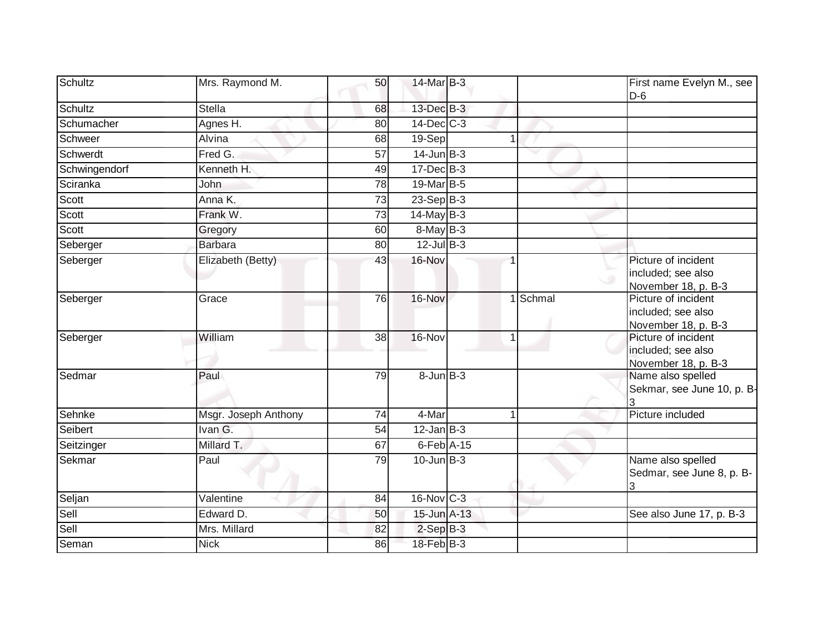| Schultz       | Mrs. Raymond M.      | 50              | 14-Mar B-3        |             |          | First name Evelyn M., see<br>$D-6$                               |
|---------------|----------------------|-----------------|-------------------|-------------|----------|------------------------------------------------------------------|
| Schultz       | <b>Stella</b>        | 68              | $13$ -Dec $B-3$   |             |          |                                                                  |
| Schumacher    | Agnes H.             | 80              | $14$ -Dec $C-3$   |             |          |                                                                  |
| Schweer       | Alvina               | 68              | 19-Sep            |             |          |                                                                  |
| Schwerdt      | Fred G.              | 57              | $14$ -Jun $B-3$   |             |          |                                                                  |
| Schwingendorf | Kenneth H.           | 49              | $17 - Dec$ B-3    |             |          |                                                                  |
| Sciranka      | John                 | 78              | 19-Mar B-5        |             |          |                                                                  |
| Scott         | Anna K.              | 73              | $23-Sep$ B-3      |             |          |                                                                  |
| Scott         | Frank W.             | 73              | 14-May B-3        |             |          |                                                                  |
| Scott         | Gregory              | 60              | $8$ -May $B-3$    |             |          |                                                                  |
| Seberger      | <b>Barbara</b>       | 80              | $12$ -Jul B-3     |             |          |                                                                  |
| Seberger      | Elizabeth (Betty)    | 43              | 16-Nov            |             |          | Picture of incident<br>included; see also<br>November 18, p. B-3 |
| Seberger      | Grace                | 76              | 16-Nov            |             | 1 Schmal | Picture of incident<br>included; see also<br>November 18, p. B-3 |
| Seberger      | William              | $\overline{38}$ | $16-Nov$          | $\mathbf 1$ |          | Picture of incident<br>included; see also<br>November 18, p. B-3 |
| Sedmar        | Paul                 | 79              | $8 - Jun$ $B-3$   |             |          | Name also spelled<br>Sekmar, see June 10, p. B-                  |
| Sehnke        | Msgr. Joseph Anthony | 74              | 4-Mar             |             |          | Picture included                                                 |
| Seibert       | Ivan G.              | 54              | $12$ -Jan B-3     |             |          |                                                                  |
| Seitzinger    | Millard T.           | 67              | $6$ -Feb $A-15$   |             |          |                                                                  |
| Sekmar        | Paul                 | 79              | $10$ -Jun $B-3$   |             |          | Name also spelled<br>Sedmar, see June 8, p. B-<br>3              |
| Seljan        | Valentine            | 84              | $16$ -Nov $ C-3 $ |             |          |                                                                  |
| Sell          | Edward D.            | 50              | 15-Jun A-13       |             |          | See also June 17, p. B-3                                         |
| Sell          | Mrs. Millard         | 82              | $2-Sep B-3$       |             |          |                                                                  |
| Seman         | <b>Nick</b>          | 86              | 18-Feb B-3        |             |          |                                                                  |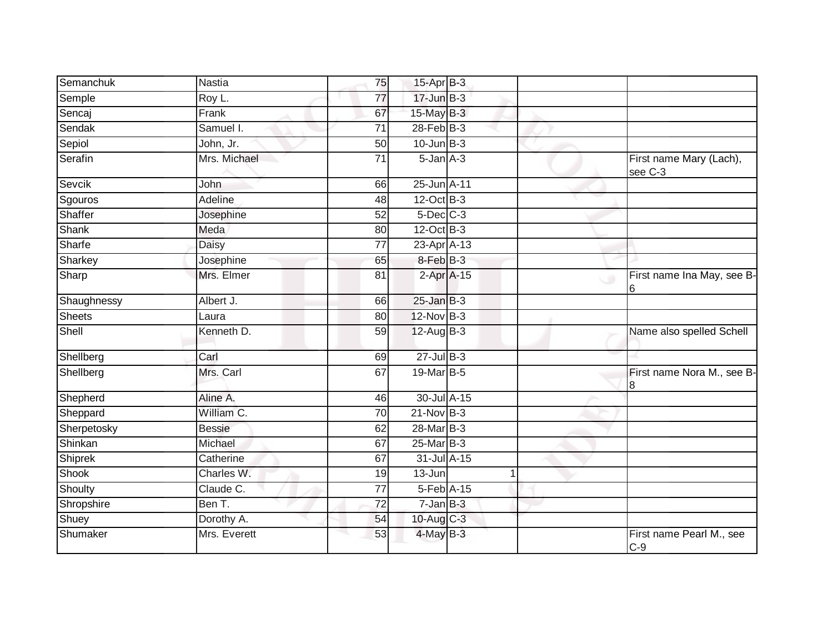| Semanchuk      | Nastia        | 75              | 15-Apr B-3       |  |                                           |
|----------------|---------------|-----------------|------------------|--|-------------------------------------------|
| Semple         | Roy L.        | $\overline{77}$ | $17 - Jun$ $B-3$ |  |                                           |
| Sencaj         | Frank         | 67              | $15$ -May B-3    |  |                                           |
| Sendak         | Samuel I.     | 71              | $28$ -Feb $B-3$  |  |                                           |
| Sepiol         | John, Jr.     | $\overline{50}$ | $10$ -Jun $B-3$  |  |                                           |
| Serafin        | Mrs. Michael  | $\overline{71}$ | $5 - Jan A - 3$  |  | First name Mary (Lach),<br>see C-3        |
| Sevcik         | John          | 66              | 25-Jun A-11      |  |                                           |
| Sgouros        | Adeline       | 48              | $12$ -Oct B-3    |  |                                           |
| Shaffer        | Josephine     | 52              | $5$ -Dec $C$ -3  |  |                                           |
| <b>Shank</b>   | Meda          | 80              | 12-Oct B-3       |  |                                           |
| Sharfe         | <b>Daisy</b>  | 77              | 23-Apr A-13      |  |                                           |
| Sharkey        | Josephine     | 65              | 8-Feb B-3        |  |                                           |
| Sharp          | Mrs. Elmer    | 81              | $2-Apr$ A-15     |  | First name Ina May, see B-<br>$\cup$<br>6 |
| Shaughnessy    | Albert J.     | 66              | $25$ -Jan $B-3$  |  |                                           |
| <b>Sheets</b>  | Laura         | 80              | 12-Nov B-3       |  |                                           |
| Shell          | Kenneth D.    | 59              | 12-Aug B-3       |  | Name also spelled Schell                  |
| Shellberg      | Carl          | 69              | $27$ -Jul B-3    |  |                                           |
| Shellberg      | Mrs. Carl     | 67              | 19-Mar B-5       |  | First name Nora M., see B-<br>8           |
| Shepherd       | Aline A.      | 46              | 30-Jul A-15      |  |                                           |
| Sheppard       | William C.    | 70              | $21-Nov$ B-3     |  |                                           |
| Sherpetosky    | <b>Bessie</b> | 62              | 28-Mar B-3       |  |                                           |
| Shinkan        | Michael       | 67              | 25-Mar B-3       |  |                                           |
| <b>Shiprek</b> | Catherine     | 67              | 31-Jul A-15      |  |                                           |
| <b>Shook</b>   | Charles W.    | 19              | 13-Jun           |  |                                           |
| Shoulty        | Claude C.     | 77              | 5-Feb A-15       |  |                                           |
| Shropshire     | Ben T.        | $\overline{72}$ | $7 - Jan$ $B-3$  |  |                                           |
| Shuey          | Dorothy A.    | 54              | $10$ -Aug $C-3$  |  |                                           |
| Shumaker       | Mrs. Everett  | 53              | 4-May B-3        |  | First name Pearl M., see<br>$C-9$         |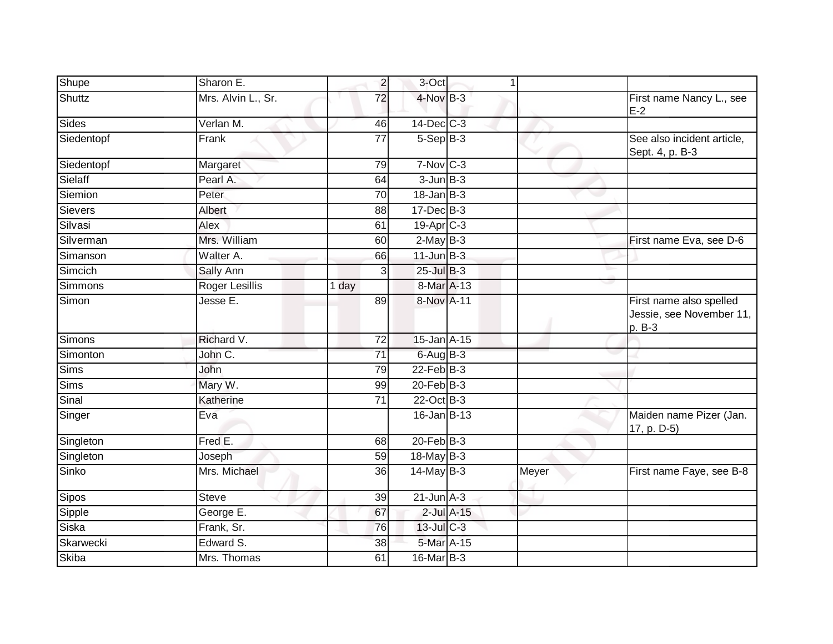| Shupe          | Sharon E.             | $\overline{2}$  | 3-Oct             | 1               |       |                                                               |
|----------------|-----------------------|-----------------|-------------------|-----------------|-------|---------------------------------------------------------------|
| Shuttz         | Mrs. Alvin L., Sr.    | 72              | 4-Nov B-3         |                 |       | First name Nancy L., see<br>$E-2$                             |
| Sides          | Verlan M.             | 46              | 14-Dec C-3        |                 |       |                                                               |
| Siedentopf     | Frank                 | 77              | $5-Sep$ B-3       |                 |       | See also incident article,<br>Sept. 4, p. B-3                 |
| Siedentopf     | Margaret              | 79              | $7-Nov$ $C-3$     |                 |       |                                                               |
| Sielaff        | Pearl A.              | 64              | $3$ -Jun $B-3$    |                 |       |                                                               |
| Siemion        | Peter                 | 70              | $18$ -Jan $B-3$   |                 |       |                                                               |
| <b>Sievers</b> | Albert                | 88              | 17-Dec B-3        |                 |       |                                                               |
| Silvasi        | Alex                  | 61              | 19-Apr C-3        |                 |       |                                                               |
| Silverman      | Mrs. William          | 60              | $2$ -May B-3      |                 |       | First name Eva, see D-6                                       |
| Simanson       | Walter A.             | 66              | $11$ -Jun $B-3$   |                 |       |                                                               |
| Simcich        | Sally Ann             | 3               | $25$ -Jul $B-3$   |                 |       |                                                               |
| Simmons        | <b>Roger Lesillis</b> | 1 day           | 8-Mar A-13        |                 |       |                                                               |
| Simon          | Jesse E.              | 89              | 8-Nov A-11        |                 |       | First name also spelled<br>Jessie, see November 11,<br>p. B-3 |
| Simons         | Richard V.            | 72              | 15-Jan A-15       |                 |       |                                                               |
| Simonton       | John C.               | 71              | $6$ -Aug B-3      |                 |       |                                                               |
| <b>Sims</b>    | <b>John</b>           | 79              | $22$ -Feb $B-3$   |                 |       |                                                               |
| <b>Sims</b>    | Mary W.               | 99              | $20$ -Feb $B-3$   |                 |       |                                                               |
| Sinal          | Katherine             | 71              | 22-Oct B-3        |                 |       |                                                               |
| Singer         | Eva                   |                 | 16-Jan B-13       |                 |       | Maiden name Pizer (Jan.<br>17, p. D-5)                        |
| Singleton      | Fred E.               | 68              | $20$ -Feb $B-3$   |                 |       |                                                               |
| Singleton      | Joseph                | 59              | 18-May B-3        |                 |       |                                                               |
| Sinko          | Mrs. Michael          | 36              | $14$ -May B-3     |                 | Meyer | First name Faye, see B-8                                      |
| Sipos          | <b>Steve</b>          | $\overline{39}$ | $21$ -Jun $A-3$   |                 |       |                                                               |
| Sipple         | George E.             | 67              |                   | $2$ -Jul $A-15$ |       |                                                               |
| Siska          | Frank, Sr.            | 76              | 13-Jul C-3        |                 |       |                                                               |
| Skarwecki      | Edward S.             | 38              | 5-Mar A-15        |                 |       |                                                               |
| Skiba          | Mrs. Thomas           | 61              | $16$ -Mar $ B-3 $ |                 |       |                                                               |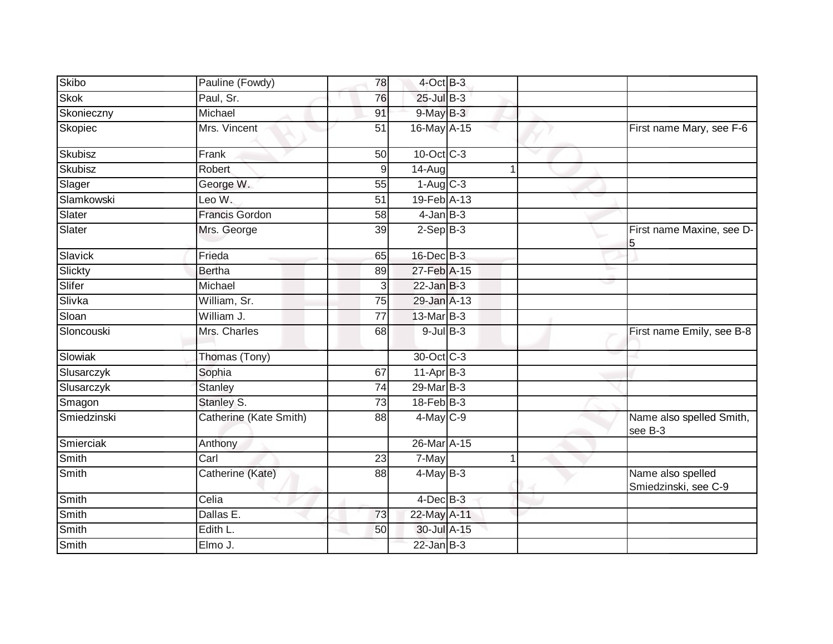| Skibo        | Pauline (Fowdy)          | 78              | $4$ -Oct B-3           |   |                                           |
|--------------|--------------------------|-----------------|------------------------|---|-------------------------------------------|
| <b>Skok</b>  | Paul, Sr.                | 76              | 25-Jul B-3             |   |                                           |
| Skonieczny   | Michael                  | 91              | $9$ -May B-3           |   |                                           |
| Skopiec      | Mrs. Vincent             | 51              | 16-May A-15            |   | First name Mary, see F-6                  |
| Skubisz      | Frank                    | 50              | $10$ -Oct $C-3$        |   |                                           |
| Skubisz      | Robert                   | 9               | 14-Aug                 | 1 |                                           |
| Slager       | George W.                | 55              | $1-Aug$ <sub>C-3</sub> |   |                                           |
| Slamkowski   | Leo W.                   | 51              | 19-Feb A-13            |   |                                           |
| Slater       | <b>Francis Gordon</b>    | 58              | $4$ -Jan $B-3$         |   |                                           |
| Slater       | Mrs. George              | 39              | $2-Sep B-3$            |   | First name Maxine, see D-                 |
| Slavick      | Frieda                   | 65              | 16-Dec B-3             |   |                                           |
| Slickty      | <b>Bertha</b>            | 89              | 27-Feb A-15            |   |                                           |
| Slifer       | Michael                  | 3               | $22$ -Jan B-3          |   |                                           |
| Slivka       | William, Sr.             | 75              | 29-Jan A-13            |   |                                           |
| Sloan        | William J.               | $\overline{77}$ | 13-Mar B-3             |   |                                           |
| Sloncouski   | Mrs. Charles             | 68              | $9$ -Jul $B$ -3        |   | First name Emily, see B-8                 |
| Slowiak      | Thomas (Tony)            |                 | 30-Oct C-3             |   |                                           |
| Slusarczyk   | Sophia                   | 67              | $11-AprB-3$            |   |                                           |
| Slusarczyk   | Stanley                  | 74              | 29-Mar B-3             |   |                                           |
| Smagon       | Stanley S.               | 73              | 18-Feb B-3             |   |                                           |
| Smiedzinski  | Catherine (Kate Smith)   | 88              | 4-May C-9              |   | Name also spelled Smith,<br>see B-3       |
| Smierciak    | Anthony                  |                 | 26-Mar A-15            |   |                                           |
| <b>Smith</b> | $\overline{\text{Carl}}$ | 23              | 7-May                  | 1 |                                           |
| Smith        | Catherine (Kate)         | 88              | $4$ -May B-3           |   | Name also spelled<br>Smiedzinski, see C-9 |
| Smith        | Celia                    |                 | $4$ -Dec $B$ -3        |   |                                           |
| Smith        | Dallas E.                | 73              | 22-May A-11            |   |                                           |
| Smith        | Edith L.                 | 50              | 30-Jul A-15            |   |                                           |
| Smith        | Elmo J.                  |                 | $22$ -Jan $B-3$        |   |                                           |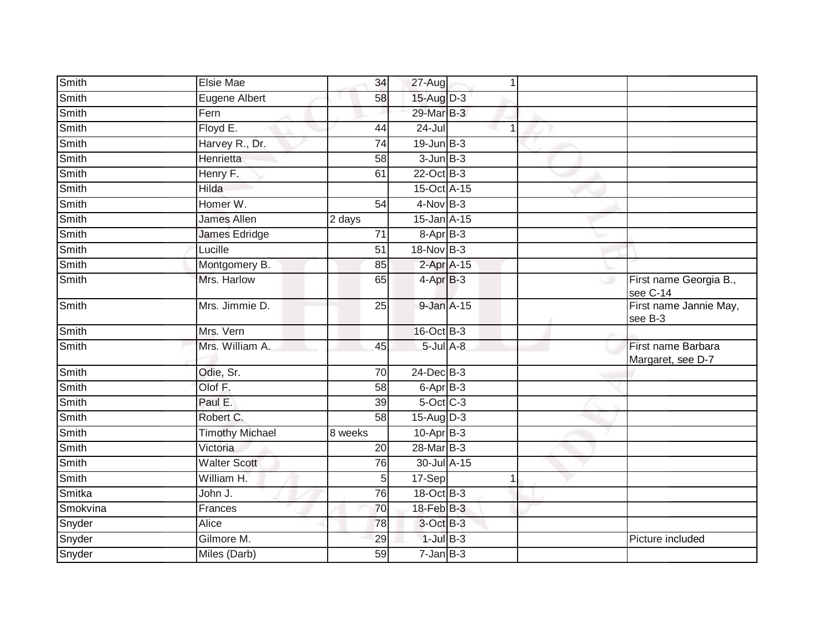| Smith        | Elsie Mae              | 34              | 27-Aug           | 1              |         |                                         |
|--------------|------------------------|-----------------|------------------|----------------|---------|-----------------------------------------|
| Smith        | Eugene Albert          | 58              | 15-Aug D-3       |                |         |                                         |
| Smith        | Fern                   |                 | 29-Mar B-3       |                |         |                                         |
| Smith        | Floyd E.               | 44              | 24-Jul           | $\overline{1}$ |         |                                         |
| Smith        | Harvey R., Dr.         | 74              | $19$ -Jun $B-3$  |                |         |                                         |
| <b>Smith</b> | Henrietta              | 58              | $3$ -Jun $B-3$   |                |         |                                         |
| Smith        | Henry F.               | 61              | 22-Oct B-3       |                |         |                                         |
| Smith        | Hilda                  |                 | 15-Oct A-15      |                |         |                                         |
| Smith        | Homer W.               | 54              | $4-Nov$ B-3      |                |         |                                         |
| Smith        | <b>James Allen</b>     | 2 days          | $15$ -Jan $A-15$ |                |         |                                         |
| Smith        | James Edridge          | 71              | 8-Apr B-3        |                |         |                                         |
| Smith        | Lucille                | 51              | 18-Nov B-3       |                |         |                                         |
| Smith        | Montgomery B.          | 85              | 2-Apr A-15       |                |         |                                         |
| Smith        | Mrs. Harlow            | 65              | $4-AprB-3$       |                | $\circ$ | First name Georgia B.,<br>see C-14      |
| Smith        | Mrs. Jimmie D.         | $\overline{25}$ | 9-Jan A-15       |                |         | First name Jannie May,<br>see B-3       |
| Smith        | Mrs. Vern              |                 | 16-Oct B-3       |                |         |                                         |
| Smith        | Mrs. William A.        | 45              | $5$ -Jul $A$ -8  |                |         | First name Barbara<br>Margaret, see D-7 |
| Smith        | Odie, Sr.              | $\overline{70}$ | 24-Dec B-3       |                |         |                                         |
| Smith        | Olof F.                | 58              | $6$ -Apr $B$ -3  |                |         |                                         |
| Smith        | Paul E.                | 39              | $5$ -Oct $C$ -3  |                |         |                                         |
| Smith        | Robert C.              | 58              | 15-Aug D-3       |                |         |                                         |
| Smith        | <b>Timothy Michael</b> | 8 weeks         | 10-Apr B-3       |                |         |                                         |
| Smith        | Victoria               | 20              | 28-Mar B-3       |                |         |                                         |
| Smith        | <b>Walter Scott</b>    | 76              | 30-Jul A-15      |                |         |                                         |
| Smith        | William H.             | 5               | 17-Sep           | 1              |         |                                         |
| Smitka       | John J.                | 76              | 18-Oct B-3       |                |         |                                         |
| Smokvina     | Frances                | 70              | $18$ -Feb $B-3$  |                |         |                                         |
| Snyder       | <b>Alice</b>           | 78              | 3-Oct B-3        |                |         |                                         |
| Snyder       | Gilmore M.             | 29              | $1$ -Jul $B-3$   |                |         | Picture included                        |
| Snyder       | Miles (Darb)           | $\overline{59}$ | $7 - Jan$ $B-3$  |                |         |                                         |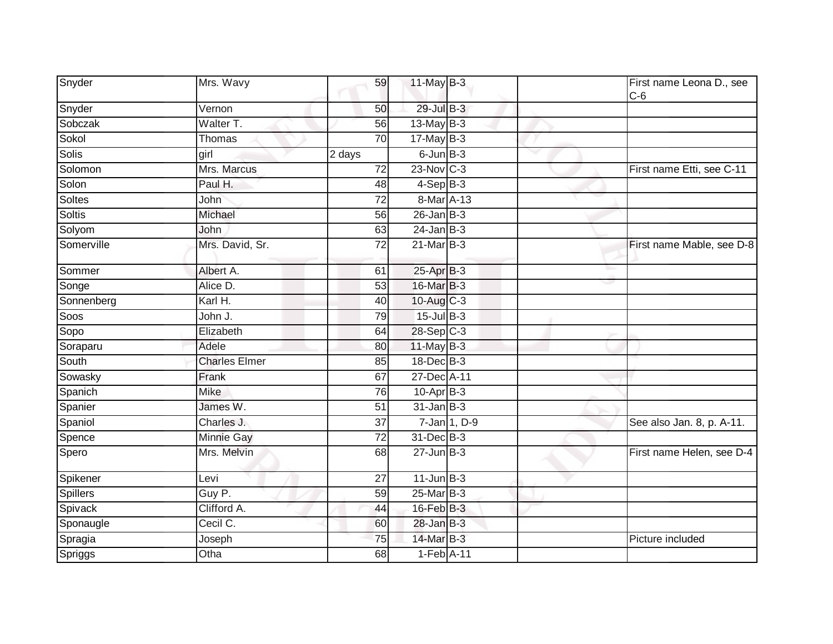| Snyder          | Mrs. Wavy            | 59              | 11-May B-3      |              |   | First name Leona D., see<br>$C-6$ |
|-----------------|----------------------|-----------------|-----------------|--------------|---|-----------------------------------|
| Snyder          | Vernon               | 50              | 29-Jul B-3      |              |   |                                   |
| Sobczak         | Walter T.            | 56              | $13$ -May B-3   |              |   |                                   |
| Sokol           | Thomas               | 70              | $17$ -May B-3   |              |   |                                   |
| Solis           | girl                 | 2 days          | $6$ -Jun $B-3$  |              | w |                                   |
| Solomon         | Mrs. Marcus          | 72              | $23$ -Nov C-3   |              |   | First name Etti, see C-11         |
| Solon           | Paul H.              | 48              | $4-SepB-3$      |              |   |                                   |
| <b>Soltes</b>   | John                 | $\overline{72}$ | 8-Mar A-13      |              |   |                                   |
| <b>Soltis</b>   | Michael              | 56              | $26$ -Jan $B-3$ |              |   |                                   |
| Solyom          | John                 | 63              | $24$ -Jan B-3   |              |   |                                   |
| Somerville      | Mrs. David, Sr.      | 72              | $21$ -Mar $B-3$ |              |   | First name Mable, see D-8         |
| Sommer          | Albert A.            | 61              | 25-Apr B-3      |              |   |                                   |
| Songe           | Alice D.             | 53              | 16-Mar B-3      |              |   |                                   |
| Sonnenberg      | Karl H.              | 40              | 10-Aug C-3      |              |   |                                   |
| Soos            | John J.              | 79              | $15$ -Jul $B-3$ |              |   |                                   |
| Sopo            | Elizabeth            | 64              | $28-Sep C-3$    |              |   |                                   |
| Soraparu        | Adele                | 80              | 11-May B-3      |              |   |                                   |
| South           | <b>Charles Elmer</b> | 85              | $18$ -Dec $B-3$ |              |   |                                   |
| Sowasky         | Frank                | 67              | 27-Dec A-11     |              |   |                                   |
| Spanich         | <b>Mike</b>          | 76              | $10$ -Apr $B-3$ |              |   |                                   |
| Spanier         | James W.             | 51              | $31$ -Jan $B-3$ |              |   |                                   |
| Spaniol         | Charles J.           | 37              |                 | 7-Jan 1, D-9 |   | See also Jan. 8, p. A-11.         |
| Spence          | Minnie Gay           | 72              | 31-Dec B-3      |              |   |                                   |
| Spero           | Mrs. Melvin          | 68              | $27 - Jun$ B-3  |              |   | First name Helen, see D-4         |
| Spikener        | Levi                 | 27              | $11$ -Jun $B-3$ |              |   |                                   |
| <b>Spillers</b> | Guy P.               | 59              | 25-Mar B-3      |              |   |                                   |
| Spivack         | Clifford A.          | 44              | 16-Feb B-3      |              |   |                                   |
| Sponaugle       | Cecil C.             | 60              | $28$ -Jan $B-3$ |              |   |                                   |
| Spragia         | Joseph               | 75              | 14-Mar B-3      |              |   | Picture included                  |
| Spriggs         | Otha                 | 68              | $1-Feb$ A-11    |              |   |                                   |
|                 |                      |                 |                 |              |   |                                   |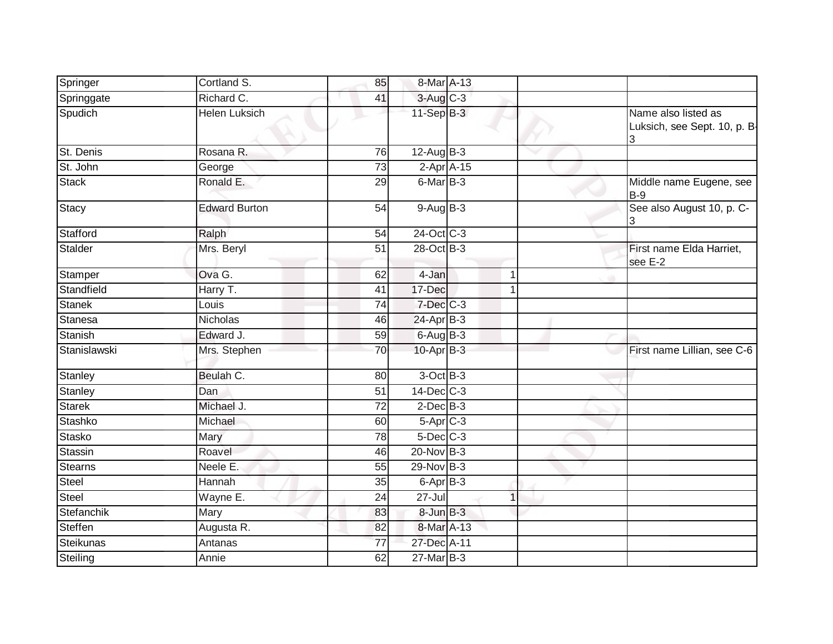| Richard C.<br>3-Aug C-3<br>Springgate<br>41<br>$11-SepB-3$<br>Spudich<br><b>Helen Luksich</b><br>$12$ -Aug $B-3$<br>St. Denis<br>Rosana R.<br>76<br>St. John<br>$2-Apr$ A-15<br>73<br>George<br>6-Mar B-3<br><b>Stack</b><br>Ronald E.<br>29<br>$9-AugB-3$<br><b>Edward Burton</b><br>54<br>24-Oct C-3<br>Stafford<br>54<br>Ralph<br>28-Oct B-3<br>Stalder<br>51<br>Mrs. Beryl<br>Ova G.<br>$4$ -Jan<br>Stamper<br>62<br>1<br>Standfield<br>Harry T.<br>17-Dec<br>41<br>1<br>7-Dec C-3<br><b>Stanek</b><br>Louis<br>$\overline{74}$<br><b>Stanesa</b><br>24-Apr B-3<br>Nicholas<br>46<br>$6-AugB-3$<br>Stanish<br>Edward J.<br>59<br>Stanislawski<br>$10$ -Apr $B-3$<br>Mrs. Stephen<br>70<br>$3$ -Oct $B-3$<br>Beulah C.<br>Stanley<br>80<br>$14$ -Dec $C-3$<br>Stanley<br>$\overline{Dan}$<br>51<br><b>Starek</b><br>$\overline{72}$<br>$2$ -Dec $B-3$<br>Michael J.<br>$5-Apr$ $C-3$<br>Stashko<br>Michael<br>60<br>$5$ -Dec $C$ -3<br><b>Stasko</b><br>Mary<br>78<br><b>Stassin</b><br>20-Nov B-3 | Name also listed as<br>Luksich, see Sept. 10, p. B-<br>3<br>Middle name Eugene, see<br>$B-9$ |
|-------------------------------------------------------------------------------------------------------------------------------------------------------------------------------------------------------------------------------------------------------------------------------------------------------------------------------------------------------------------------------------------------------------------------------------------------------------------------------------------------------------------------------------------------------------------------------------------------------------------------------------------------------------------------------------------------------------------------------------------------------------------------------------------------------------------------------------------------------------------------------------------------------------------------------------------------------------------------------------------------------|----------------------------------------------------------------------------------------------|
|                                                                                                                                                                                                                                                                                                                                                                                                                                                                                                                                                                                                                                                                                                                                                                                                                                                                                                                                                                                                       |                                                                                              |
|                                                                                                                                                                                                                                                                                                                                                                                                                                                                                                                                                                                                                                                                                                                                                                                                                                                                                                                                                                                                       |                                                                                              |
|                                                                                                                                                                                                                                                                                                                                                                                                                                                                                                                                                                                                                                                                                                                                                                                                                                                                                                                                                                                                       |                                                                                              |
| <b>Stacy</b>                                                                                                                                                                                                                                                                                                                                                                                                                                                                                                                                                                                                                                                                                                                                                                                                                                                                                                                                                                                          |                                                                                              |
|                                                                                                                                                                                                                                                                                                                                                                                                                                                                                                                                                                                                                                                                                                                                                                                                                                                                                                                                                                                                       |                                                                                              |
|                                                                                                                                                                                                                                                                                                                                                                                                                                                                                                                                                                                                                                                                                                                                                                                                                                                                                                                                                                                                       | See also August 10, p. C-                                                                    |
|                                                                                                                                                                                                                                                                                                                                                                                                                                                                                                                                                                                                                                                                                                                                                                                                                                                                                                                                                                                                       |                                                                                              |
|                                                                                                                                                                                                                                                                                                                                                                                                                                                                                                                                                                                                                                                                                                                                                                                                                                                                                                                                                                                                       | First name Elda Harriet,<br>see E-2                                                          |
|                                                                                                                                                                                                                                                                                                                                                                                                                                                                                                                                                                                                                                                                                                                                                                                                                                                                                                                                                                                                       |                                                                                              |
|                                                                                                                                                                                                                                                                                                                                                                                                                                                                                                                                                                                                                                                                                                                                                                                                                                                                                                                                                                                                       |                                                                                              |
|                                                                                                                                                                                                                                                                                                                                                                                                                                                                                                                                                                                                                                                                                                                                                                                                                                                                                                                                                                                                       |                                                                                              |
|                                                                                                                                                                                                                                                                                                                                                                                                                                                                                                                                                                                                                                                                                                                                                                                                                                                                                                                                                                                                       |                                                                                              |
|                                                                                                                                                                                                                                                                                                                                                                                                                                                                                                                                                                                                                                                                                                                                                                                                                                                                                                                                                                                                       |                                                                                              |
|                                                                                                                                                                                                                                                                                                                                                                                                                                                                                                                                                                                                                                                                                                                                                                                                                                                                                                                                                                                                       | First name Lillian, see C-6                                                                  |
|                                                                                                                                                                                                                                                                                                                                                                                                                                                                                                                                                                                                                                                                                                                                                                                                                                                                                                                                                                                                       |                                                                                              |
|                                                                                                                                                                                                                                                                                                                                                                                                                                                                                                                                                                                                                                                                                                                                                                                                                                                                                                                                                                                                       |                                                                                              |
|                                                                                                                                                                                                                                                                                                                                                                                                                                                                                                                                                                                                                                                                                                                                                                                                                                                                                                                                                                                                       |                                                                                              |
|                                                                                                                                                                                                                                                                                                                                                                                                                                                                                                                                                                                                                                                                                                                                                                                                                                                                                                                                                                                                       |                                                                                              |
|                                                                                                                                                                                                                                                                                                                                                                                                                                                                                                                                                                                                                                                                                                                                                                                                                                                                                                                                                                                                       |                                                                                              |
| Roavel<br>46                                                                                                                                                                                                                                                                                                                                                                                                                                                                                                                                                                                                                                                                                                                                                                                                                                                                                                                                                                                          |                                                                                              |
| 29-Nov B-3<br><b>Stearns</b><br>Neele E.<br>55                                                                                                                                                                                                                                                                                                                                                                                                                                                                                                                                                                                                                                                                                                                                                                                                                                                                                                                                                        |                                                                                              |
| Steel<br>Hannah<br>6-Apr B-3<br>35                                                                                                                                                                                                                                                                                                                                                                                                                                                                                                                                                                                                                                                                                                                                                                                                                                                                                                                                                                    |                                                                                              |
| <b>Steel</b><br>$27 -$ Jul<br>$\overline{24}$<br>Wayne E.                                                                                                                                                                                                                                                                                                                                                                                                                                                                                                                                                                                                                                                                                                                                                                                                                                                                                                                                             |                                                                                              |
| Mary<br>Stefanchik<br>$8$ -Jun $B-3$<br>83                                                                                                                                                                                                                                                                                                                                                                                                                                                                                                                                                                                                                                                                                                                                                                                                                                                                                                                                                            |                                                                                              |
| Augusta R.<br>Steffen<br>8-Mar A-13<br>82                                                                                                                                                                                                                                                                                                                                                                                                                                                                                                                                                                                                                                                                                                                                                                                                                                                                                                                                                             |                                                                                              |
| <b>Steikunas</b><br>27-Dec A-11<br>Antanas<br>77                                                                                                                                                                                                                                                                                                                                                                                                                                                                                                                                                                                                                                                                                                                                                                                                                                                                                                                                                      |                                                                                              |
| 62<br>$27$ -Mar $B-3$<br>Steiling<br>Annie                                                                                                                                                                                                                                                                                                                                                                                                                                                                                                                                                                                                                                                                                                                                                                                                                                                                                                                                                            |                                                                                              |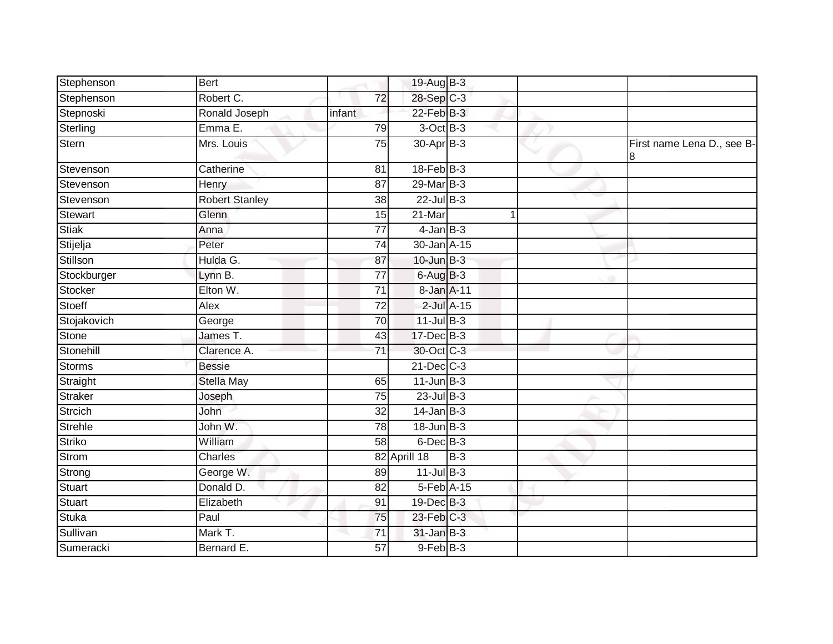| Stephenson     | <b>Bert</b>           |                 | 19-Aug B-3      |            |                                 |
|----------------|-----------------------|-----------------|-----------------|------------|---------------------------------|
| Stephenson     | Robert C.             | 72              | 28-Sep C-3      |            |                                 |
| Stepnoski      | Ronald Joseph         | infant          | $22$ -Feb $B-3$ |            |                                 |
| Sterling       | Emma E.               | 79              | 3-Oct B-3       |            |                                 |
| Stern          | Mrs. Louis            | 75              | 30-Apr B-3      |            | First name Lena D., see B-<br>8 |
| Stevenson      | Catherine             | 81              | $18$ -Feb $B-3$ |            |                                 |
| Stevenson      | Henry                 | 87              | 29-Mar B-3      |            |                                 |
| Stevenson      | <b>Robert Stanley</b> | $\overline{38}$ | $22$ -Jul $B-3$ |            |                                 |
| <b>Stewart</b> | Glenn                 | 15              | 21-Mar          |            |                                 |
| Stiak          | Anna                  | 77              | $4$ -Jan $B-3$  |            |                                 |
| Stijelja       | Peter                 | 74              | 30-Jan A-15     |            |                                 |
| Stillson       | Hulda G.              | 87              | $10$ -Jun $B-3$ |            |                                 |
| Stockburger    | Lynn B.               | $\overline{77}$ | $6$ -Aug $B$ -3 |            |                                 |
| Stocker        | Elton W.              | 71              | 8-Jan A-11      |            |                                 |
| Stoeff         | Alex                  | $\overline{72}$ |                 | 2-Jul A-15 |                                 |
| Stojakovich    | George                | 70              | $11$ -Jul B-3   |            |                                 |
| Stone          | James T.              | 43              | 17-Dec B-3      |            |                                 |
| Stonehill      | Clarence A.           | 71              | 30-Oct C-3      |            |                                 |
| <b>Storms</b>  | <b>Bessie</b>         |                 | $21$ -Dec $C-3$ |            |                                 |
| Straight       | <b>Stella May</b>     | 65              | $11$ -Jun $B-3$ |            |                                 |
| Straker        | Joseph                | 75              | $23$ -Jul B-3   |            |                                 |
| Strcich        | John                  | 32              | $14$ -Jan B-3   |            |                                 |
| Strehle        | John W.               | 78              | $18$ -Jun $B-3$ |            |                                 |
| Striko         | William               | 58              | $6$ -Dec $B$ -3 |            |                                 |
| <b>Strom</b>   | Charles               |                 | 82 Aprill 18    | $B-3$      |                                 |
| Strong         | George W.             | 89              | $11$ -Jul $B-3$ |            |                                 |
| Stuart         | Donald D.             | 82              | 5-Feb A-15      |            |                                 |
| <b>Stuart</b>  | Elizabeth             | 91              | 19-Dec B-3      |            |                                 |
| <b>Stuka</b>   | Paul                  | 75              | $23$ -Feb $C-3$ |            |                                 |
| Sullivan       | Mark T.               | 71              | $31$ -Jan $B-3$ |            |                                 |
| Sumeracki      | Bernard E.            | 57              | $9$ -Feb $B-3$  |            |                                 |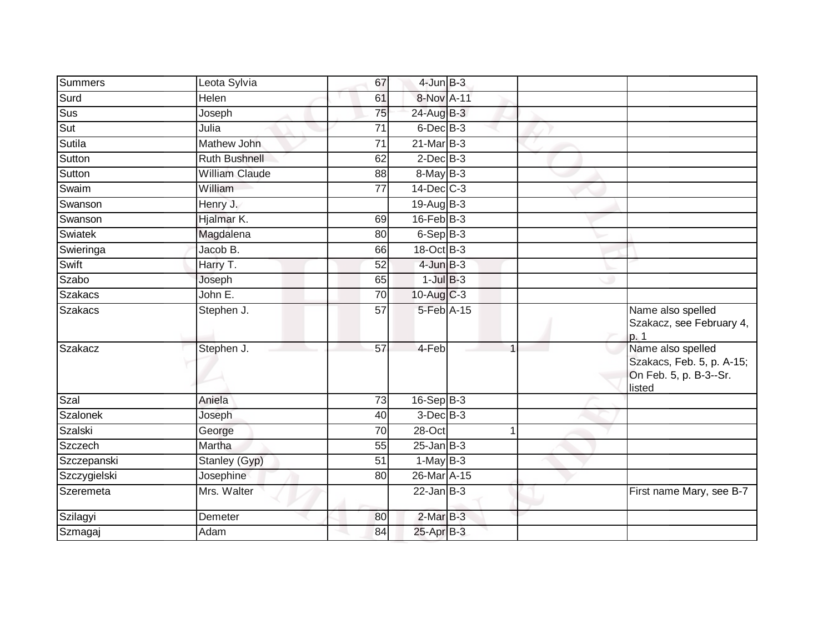| Summers         | Leota Sylvia          | 67              | $4$ -Jun $B-3$    |  |                                                                                    |
|-----------------|-----------------------|-----------------|-------------------|--|------------------------------------------------------------------------------------|
| Surd            | Helen                 | 61              | 8-Nov A-11        |  |                                                                                    |
| Sus             | Joseph                | 75              | 24-Aug B-3        |  |                                                                                    |
| Sut             | Julia                 | 71              | $6$ -Dec $B$ -3   |  |                                                                                    |
| <b>Sutila</b>   | Mathew John           | $\overline{71}$ | 21-Mar B-3        |  |                                                                                    |
| Sutton          | Ruth Bushnell         | 62              | $2$ -Dec $B-3$    |  |                                                                                    |
| Sutton          | <b>William Claude</b> | 88              | 8-May B-3         |  |                                                                                    |
| Swaim           | William               | 77              | $14$ -Dec $C-3$   |  |                                                                                    |
| Swanson         | Henry J.              |                 | $19$ -Aug $B - 3$ |  |                                                                                    |
| Swanson         | Hjalmar K.            | 69              | $16$ -Feb $B-3$   |  |                                                                                    |
| Swiatek         | Magdalena             | 80              | $6-Sep B-3$       |  |                                                                                    |
| Swieringa       | Jacob B.              | 66              | $18-Oct$ B-3      |  |                                                                                    |
| Swift           | Harry T.              | 52              | $4$ -Jun $B-3$    |  |                                                                                    |
| Szabo           | Joseph                | 65              | $1$ -Jul $B-3$    |  |                                                                                    |
| <b>Szakacs</b>  | John E.               | $\overline{70}$ | 10-Aug C-3        |  |                                                                                    |
| <b>Szakacs</b>  | Stephen J.            | 57              | 5-Feb A-15        |  | Name also spelled<br>Szakacz, see February 4,<br>p.1                               |
| <b>Szakacz</b>  | Stephen J.            | $\overline{57}$ | 4-Feb             |  | Name also spelled<br>Szakacs, Feb. 5, p. A-15;<br>On Feb. 5, p. B-3--Sr.<br>listed |
| Szal            | Aniela                | 73              | $16-Sep$ B-3      |  |                                                                                    |
| <b>Szalonek</b> | Joseph                | 40              | $3$ -Dec $B-3$    |  |                                                                                    |
| Szalski         | George                | 70              | 28-Oct            |  |                                                                                    |
| Szczech         | Martha                | 55              | $25$ -Jan $B-3$   |  |                                                                                    |
| Szczepanski     | Stanley (Gyp)         | 51              | $1-MayB-3$        |  |                                                                                    |
| Szczygielski    | Josephine             | 80              | 26-Mar A-15       |  |                                                                                    |
| Szeremeta       | Mrs. Walter           |                 | $22$ -Jan $B-3$   |  | First name Mary, see B-7                                                           |
| Szilagyi        | Demeter               | 80              | $2-MarB-3$        |  |                                                                                    |
| Szmagaj         | Adam                  | 84              | 25-Apr B-3        |  |                                                                                    |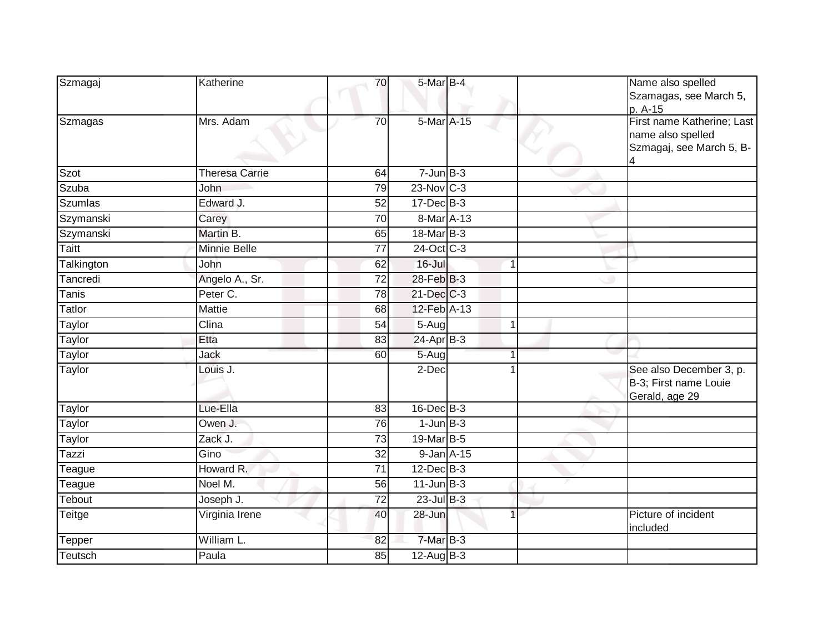| Szmagaj        | Katherine             | 70              | 5-Mar B-4         |                | Name also spelled<br>Szamagas, see March 5,<br>p. A-15                      |
|----------------|-----------------------|-----------------|-------------------|----------------|-----------------------------------------------------------------------------|
| Szmagas        | Mrs. Adam             | $\overline{70}$ | 5-Mar A-15        |                | First name Katherine; Last<br>name also spelled<br>Szmagaj, see March 5, B- |
| Szot           | <b>Theresa Carrie</b> | 64              | $7 - Jun$ B-3     |                |                                                                             |
| Szuba          | <b>John</b>           | 79              | $23$ -Nov C-3     |                |                                                                             |
| <b>Szumlas</b> | Edward J.             | 52              | 17-Dec B-3        |                |                                                                             |
| Szymanski      | Carey                 | 70              | 8-Mar A-13        |                |                                                                             |
| Szymanski      | Martin B.             | 65              | $18$ -Mar $ B-3 $ |                |                                                                             |
| <b>Taitt</b>   | <b>Minnie Belle</b>   | $\overline{77}$ | 24-Oct C-3        |                |                                                                             |
| Talkington     | John                  | 62              | $16 -$ Jul        | $\overline{1}$ |                                                                             |
| Tancredi       | Angelo A., Sr.        | $\overline{72}$ | 28-Feb B-3        |                |                                                                             |
| Tanis          | Peter C.              | 78              | $21$ -Dec $C-3$   |                |                                                                             |
| Tatlor         | Mattie                | 68              | 12-Feb A-13       |                |                                                                             |
| <b>Taylor</b>  | Clina                 | $\overline{54}$ | 5-Aug             | -1             |                                                                             |
| Taylor         | Etta                  | 83              | $24-Apr$ B-3      |                |                                                                             |
| Taylor         | Jack                  | 60              | 5-Aug             |                |                                                                             |
| Taylor         | Louis J.              |                 | 2-Dec             |                | See also December 3, p.<br>B-3; First name Louie<br>Gerald, age 29          |
| Taylor         | Lue-Ella              | 83              | $16$ -Dec $B-3$   |                |                                                                             |
| Taylor         | Owen J.               | 76              | $1$ -Jun $B-3$    |                |                                                                             |
| Taylor         | Zack J.               | $\overline{73}$ | 19-Mar B-5        |                |                                                                             |
| Tazzi          | Gino                  | 32              | $9 - Jan A - 15$  |                |                                                                             |
| Teague         | Howard R.             | $\overline{71}$ | $12$ -Dec $B-3$   |                |                                                                             |
| Teague         | Noel M.               | 56              | $11$ -Jun $B-3$   |                |                                                                             |
| Tebout         | Joseph J.             | 72              | $23$ -Jul B-3     |                |                                                                             |
| <b>Teitge</b>  | Virginia Irene        | 40              | 28-Jun            |                | Picture of incident<br>included                                             |
| Tepper         | William L.            | 82              | 7-Mar B-3         |                |                                                                             |
| Teutsch        | Paula                 | 85              | $12$ -Aug $B-3$   |                |                                                                             |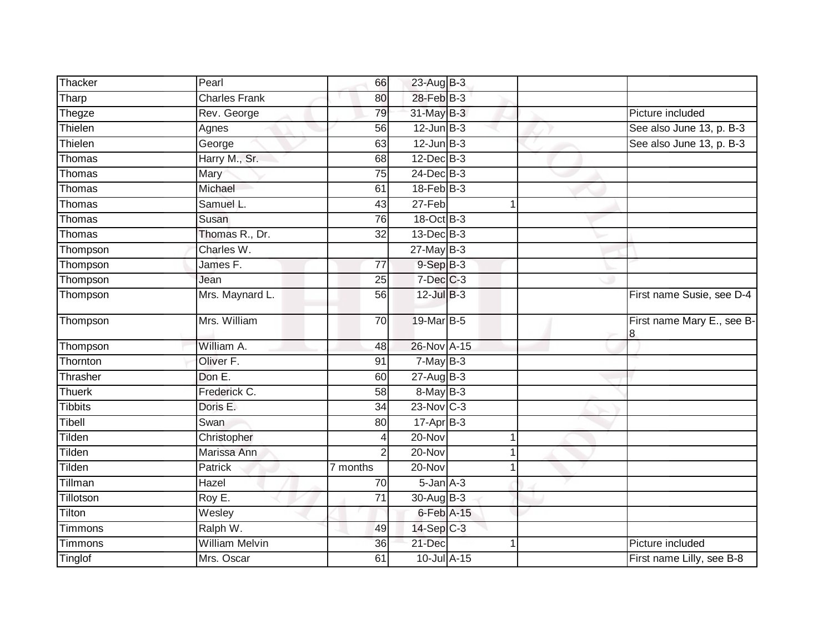| Thacker        | Pearl                 | 66              | 23-Aug B-3       |   |                                 |
|----------------|-----------------------|-----------------|------------------|---|---------------------------------|
| Tharp          | <b>Charles Frank</b>  | 80              | 28-Feb B-3       |   |                                 |
| Thegze         | Rev. George           | 79              | 31-May B-3       |   | Picture included                |
| Thielen        | Agnes                 | 56              | $12$ -Jun $B-3$  |   | See also June 13, p. B-3        |
| Thielen        | George                | 63              | $12$ -Jun $B-3$  |   | See also June 13, p. B-3        |
| Thomas         | Harry M., Sr.         | 68              | $12$ -Dec $B-3$  |   |                                 |
| Thomas         | Mary                  | 75              | 24-Dec B-3       |   |                                 |
| Thomas         | Michael               | 61              | $18$ -Feb $B-3$  |   |                                 |
| Thomas         | Samuel L.             | 43              | 27-Feb           |   |                                 |
| Thomas         | Susan                 | 76              | 18-Oct B-3       |   |                                 |
| Thomas         | Thomas R., Dr.        | 32              | $13$ -Dec $B-3$  |   |                                 |
| Thompson       | Charles W.            |                 | $27$ -May B-3    |   |                                 |
| Thompson       | James F.              | 77              | $9-SepB-3$       |   |                                 |
| Thompson       | Jean                  | 25              | $7$ -Dec $C$ -3  |   |                                 |
| Thompson       | Mrs. Maynard L.       | 56              | $12$ -Jul $B-3$  |   | First name Susie, see D-4       |
| Thompson       | Mrs. William          | 70              | 19-Mar B-5       |   | First name Mary E., see B-<br>8 |
| Thompson       | William A.            | 48              | 26-Nov A-15      |   |                                 |
| Thornton       | Oliver <sub>F.</sub>  | 91              | $7-MayB-3$       |   |                                 |
| Thrasher       | Don E.                | 60              | $27 - Aug$ B-3   |   |                                 |
| <b>Thuerk</b>  | Frederick C.          | 58              | $8$ -May $B$ -3  |   |                                 |
| <b>Tibbits</b> | Doris E.              | 34              | $23$ -Nov $C-3$  |   |                                 |
| Tibell         | Swan                  | 80              | $17$ -Apr $B$ -3 |   |                                 |
| Tilden         | Christopher           | 4               | 20-Nov           | 1 |                                 |
| Tilden         | Marissa Ann           | $\overline{2}$  | 20-Nov           |   |                                 |
| Tilden         | <b>Patrick</b>        | 7 months        | 20-Nov           |   |                                 |
| Tillman        | Hazel                 | 70              | $5$ -Jan $A$ -3  |   |                                 |
| Tillotson      | Roy E.                | $\overline{71}$ | 30-Aug B-3       |   |                                 |
| Tilton         | Wesley                |                 | $6$ -Feb $A-15$  |   |                                 |
| Timmons        | Ralph W.              | 49              | 14-Sep C-3       |   |                                 |
| Timmons        | <b>William Melvin</b> | 36              | 21-Dec           |   | Picture included                |
| Tinglof        | Mrs. Oscar            | 61              | 10-Jul A-15      |   | First name Lilly, see B-8       |
|                |                       |                 |                  |   |                                 |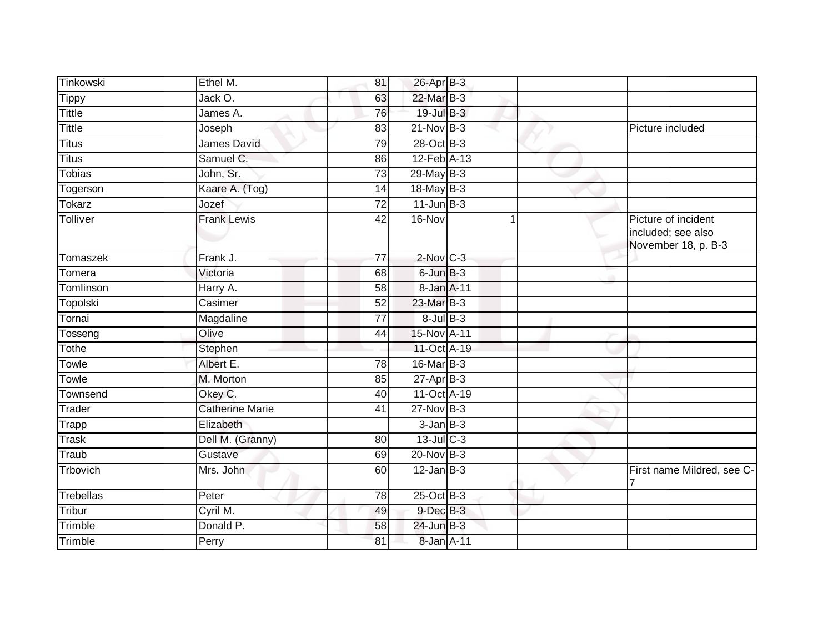| Tinkowski        | Ethel M.               | 81              | 26-Apr B-3       |              |                                                                  |
|------------------|------------------------|-----------------|------------------|--------------|------------------------------------------------------------------|
| <b>Tippy</b>     | Jack O.                | 63              | 22-Mar B-3       |              |                                                                  |
| <b>Tittle</b>    | James A.               | 76              | 19-Jul B-3       |              |                                                                  |
| <b>Tittle</b>    | Joseph                 | 83              | $21$ -Nov $B-3$  |              | Picture included                                                 |
| <b>Titus</b>     | James David            | $\overline{79}$ | 28-Oct B-3       |              |                                                                  |
| <b>Titus</b>     | Samuel C.              | 86              | 12-Feb A-13      |              |                                                                  |
| <b>Tobias</b>    | John, Sr.              | 73              | $29$ -May B-3    |              |                                                                  |
| Togerson         | Kaare A. (Tog)         | 14              | 18-May B-3       |              |                                                                  |
| Tokarz           | Jozef                  | $\overline{72}$ | $11$ -Jun $B-3$  |              |                                                                  |
| Tolliver         | <b>Frank Lewis</b>     | $\overline{42}$ | 16-Nov           | $\mathbf{1}$ | Picture of incident<br>included; see also<br>November 18, p. B-3 |
| Tomaszek         | Frank J.               | $\overline{77}$ | $2$ -Nov $ C-3 $ |              |                                                                  |
| Tomera           | Victoria               | 68              | 6-Jun B-3        |              |                                                                  |
| Tomlinson        | Harry A.               | 58              | 8-Jan A-11       |              |                                                                  |
| Topolski         | Casimer                | 52              | 23-Mar B-3       |              |                                                                  |
| Tornai           | Magdaline              | 77              | $8$ -Jul B-3     |              |                                                                  |
| Tosseng          | Olive                  | 44              | 15-Nov A-11      |              |                                                                  |
| Tothe            | Stephen                |                 | 11-Oct A-19      |              |                                                                  |
| Towle            | Albert E.              | 78              | 16-Mar B-3       |              |                                                                  |
| Towle            | M. Morton              | 85              | $27$ -Apr $B-3$  |              |                                                                  |
| Townsend         | Okey C.                | 40              | 11-Oct A-19      |              |                                                                  |
| Trader           | <b>Catherine Marie</b> | 41              | $27$ -Nov $B-3$  |              |                                                                  |
| Trapp            | Elizabeth              |                 | $3$ -Jan $B-3$   |              |                                                                  |
| <b>Trask</b>     | Dell M. (Granny)       | 80              | 13-Jul C-3       |              |                                                                  |
| Traub            | Gustave                | 69              | 20-Nov B-3       |              |                                                                  |
| Trbovich         | Mrs. John              | 60              | $12$ -Jan B-3    |              | First name Mildred, see C-                                       |
| <b>Trebellas</b> | Peter                  | 78              | $25$ -Oct B-3    |              |                                                                  |
| Tribur           | Cyril M.               | 49              | 9-Dec B-3        |              |                                                                  |
| Trimble          | Donald P.              | 58              | $24$ -Jun $B-3$  |              |                                                                  |
| Trimble          | Perry                  | 81              | 8-Jan A-11       |              |                                                                  |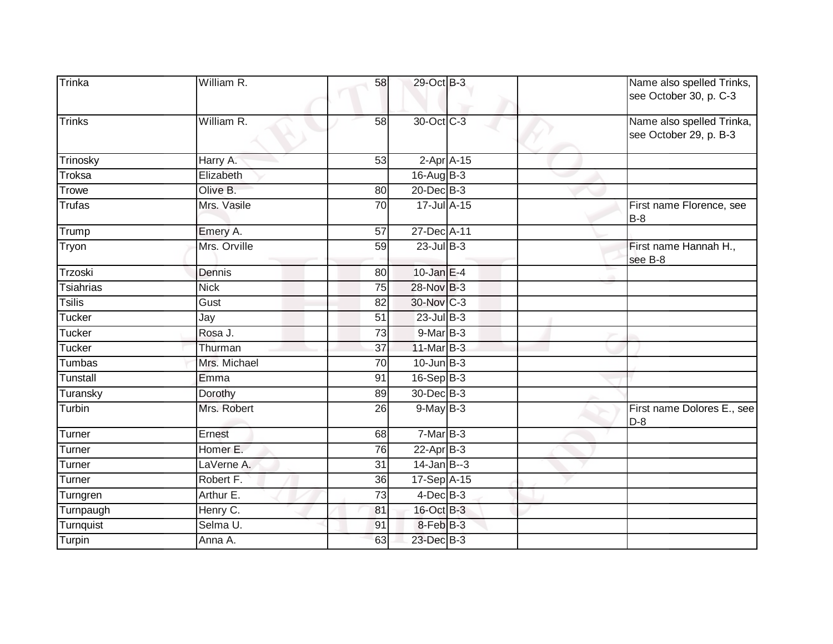| Trinka           | William R.          | 58              | 29-Oct B-3      |  | Name also spelled Trinks,<br>see October 30, p. C-3 |
|------------------|---------------------|-----------------|-----------------|--|-----------------------------------------------------|
| Trinks           | William R.          | 58              | 30-Oct C-3      |  | Name also spelled Trinka,<br>see October 29, p. B-3 |
| Trinosky         | Harry A.            | $\overline{53}$ | $2-Apr$ A-15    |  |                                                     |
| Troksa           | Elizabeth           |                 | $16$ -Aug $B-3$ |  |                                                     |
| Trowe            | Olive B.            | 80              | $20$ -Dec $B-3$ |  |                                                     |
| <b>Trufas</b>    | Mrs. Vasile         | $\overline{70}$ | 17-Jul A-15     |  | First name Florence, see<br><b>B-8</b>              |
| Trump            | Emery A.            | 57              | 27-Dec A-11     |  |                                                     |
| Tryon            | Mrs. Orville        | 59              | $23$ -Jul B-3   |  | First name Hannah H.,<br>see B-8                    |
| Trzoski          | Dennis              | 80              | 10-Jan $E-4$    |  |                                                     |
| <b>Tsiahrias</b> | <b>Nick</b>         | 75              | 28-Nov B-3      |  |                                                     |
| <b>Tsilis</b>    | Gust                | 82              | 30-Nov C-3      |  |                                                     |
| <b>Tucker</b>    | Jay                 | 51              | $23$ -Jul B-3   |  |                                                     |
| Tucker           | Rosa J.             | $\overline{73}$ | $9$ -Mar $B-3$  |  |                                                     |
| <b>Tucker</b>    | Thurman             | 37              | $11$ -Mar $B-3$ |  |                                                     |
| <b>Tumbas</b>    | Mrs. Michael        | 70              | $10$ -Jun $B-3$ |  |                                                     |
| Tunstall         | Emma                | 91              | 16-Sep B-3      |  |                                                     |
| Turansky         | Dorothy             | 89              | 30-Dec B-3      |  |                                                     |
| Turbin           | Mrs. Robert         | 26              | $9$ -May $B-3$  |  | First name Dolores E., see<br>$D-8$                 |
| Turner           | Ernest              | 68              | 7-Mar B-3       |  |                                                     |
| Turner           | Homer <sub>E.</sub> | 76              | $22-Apr$ B-3    |  |                                                     |
| Turner           | LaVerne A.          | 31              | $14$ -Jan $B-3$ |  |                                                     |
| Turner           | Robert F.           | 36              | 17-Sep A-15     |  |                                                     |
| Turngren         | Arthur E.           | 73              | $4$ -Dec $B-3$  |  |                                                     |
| Turnpaugh        | Henry C.            | 81              | 16-Oct B-3      |  |                                                     |
| Turnquist        | Selma U.            | 91              | 8-Feb B-3       |  |                                                     |
| Turpin           | Anna A.             | 63              | 23-Dec B-3      |  |                                                     |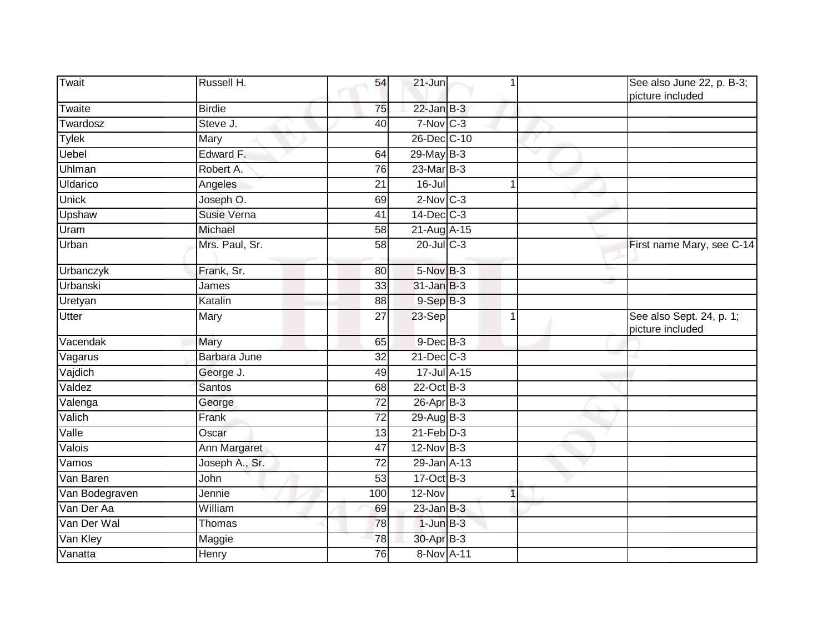| Twait          | Russell H.     | 54              | 21-Jun          |   | See also June 22, p. B-3;<br>picture included |
|----------------|----------------|-----------------|-----------------|---|-----------------------------------------------|
| Twaite         | <b>Birdie</b>  | 75              | $22$ -Jan B-3   |   |                                               |
| Twardosz       | Steve J.       | 40              | 7-Nov C-3       |   |                                               |
| <b>Tylek</b>   | Mary           |                 | 26-Dec C-10     |   |                                               |
| Uebel          | Edward F.      | 64              | $29$ -May B-3   |   |                                               |
| Uhlman         | Robert A.      | 76              | 23-Mar B-3      |   |                                               |
| Uldarico       | Angeles        | 21              | 16-Jul          | 1 |                                               |
| <b>Unick</b>   | Joseph O.      | 69              | $2$ -Nov $C-3$  |   |                                               |
| Upshaw         | Susie Verna    | 41              | 14-Dec C-3      |   |                                               |
| Uram           | Michael        | 58              | 21-Aug A-15     |   |                                               |
| Urban          | Mrs. Paul, Sr. | 58              | 20-Jul C-3      |   | First name Mary, see C-14                     |
| Urbanczyk      | Frank, Sr.     | 80              | 5-Nov B-3       |   |                                               |
| Urbanski       | James          | 33              | $31$ -Jan $B-3$ |   |                                               |
| Uretyan        | Katalin        | 88              | $9-$ Sep $B-3$  |   |                                               |
| <b>Utter</b>   | Mary           | 27              | 23-Sep          | 1 | See also Sept. 24, p. 1;<br>picture included  |
| Vacendak       | Mary           | 65              | $9$ -Dec $B$ -3 |   |                                               |
| Vagarus        | Barbara June   | 32              | $21$ -Dec $C-3$ |   |                                               |
| Vajdich        | George J.      | 49              | 17-Jul A-15     |   |                                               |
| Valdez         | <b>Santos</b>  | 68              | 22-Oct B-3      |   |                                               |
| Valenga        | George         | 72              | $26$ -Apr $B-3$ |   |                                               |
| Valich         | Frank          | $\overline{72}$ | 29-Aug B-3      |   |                                               |
| Valle          | Oscar          | 13              | $21$ -Feb $D-3$ |   |                                               |
| Valois         | Ann Margaret   | 47              | $12$ -Nov $B-3$ |   |                                               |
| Vamos          | Joseph A., Sr. | 72              | 29-Jan A-13     |   |                                               |
| Van Baren      | John           | 53              | 17-Oct B-3      |   |                                               |
| Van Bodegraven | Jennie         | 100             | 12-Nov          | 1 |                                               |
| Van Der Aa     | William        | 69              | $23$ -Jan $B-3$ |   |                                               |
| Van Der Wal    | <b>Thomas</b>  | 78              | $1$ -Jun $B-3$  |   |                                               |
| Van Kley       | Maggie         | 78              | 30-Apr B-3      |   |                                               |
| Vanatta        | Henry          | $\overline{76}$ | 8-Nov A-11      |   |                                               |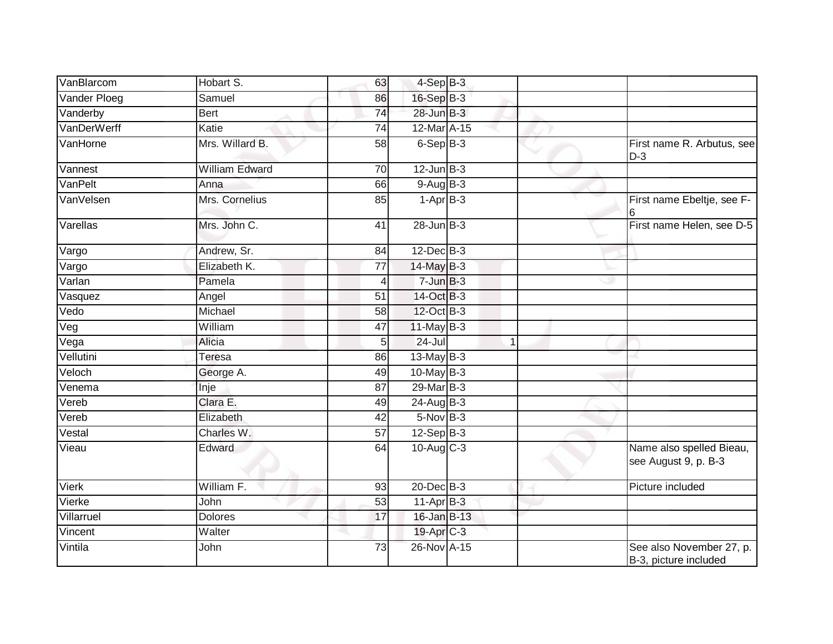| VanBlarcom         | Hobart S.       | 63              | $4-SepB-3$      |   |                                                   |
|--------------------|-----------------|-----------------|-----------------|---|---------------------------------------------------|
| Vander Ploeg       | Samuel          | 86              | 16-Sep B-3      |   |                                                   |
| Vanderby           | Bert            | $\overline{74}$ | 28-Jun B-3      |   |                                                   |
| VanDerWerff        | Katie           | 74              | 12-Mar A-15     |   |                                                   |
| VanHorne           | Mrs. Willard B. | $\overline{58}$ | $6-SepB-3$      |   | First name R. Arbutus, see<br>$D-3$               |
| Vannest            | William Edward  | 70              | $12$ -Jun $B-3$ |   |                                                   |
| VanPelt            | Anna            | 66              | $9-AugB-3$      |   |                                                   |
| VanVelsen          | Mrs. Cornelius  | 85              | $1-AprB-3$      |   | First name Ebeltje, see F-<br>6                   |
| Varellas           | Mrs. John C.    | 41              | $28$ -Jun $B-3$ |   | First name Helen, see D-5                         |
| Vargo              | Andrew, Sr.     | 84              | 12-Dec B-3      |   |                                                   |
| Vargo              | Elizabeth K.    | 77              | 14-May B-3      |   |                                                   |
| Varlan             | Pamela          | 4               | $7 - Jun$ $B-3$ |   |                                                   |
| Vasquez            | Angel           | 51              | 14-Oct B-3      |   |                                                   |
| Vedo               | Michael         | 58              | 12-Oct B-3      |   |                                                   |
| Veg                | William         | 47              | $11$ -May B-3   |   |                                                   |
| $\overline{V}$ ega | Alicia          | 5               | $24 -$ Jul      | 1 |                                                   |
| Vellutini          | Teresa          | 86              | $13$ -May B-3   |   |                                                   |
| Veloch             | George A.       | 49              | $10$ -May B-3   |   |                                                   |
| Venema             | Inje            | 87              | 29-Mar B-3      |   |                                                   |
| Vereb              | Clara E.        | 49              | 24-Aug B-3      |   |                                                   |
| Vereb              | Elizabeth       | 42              | $5-Nov$ B-3     |   |                                                   |
| Vestal             | Charles W.      | $\overline{57}$ | $12-Sep$ B-3    |   |                                                   |
| Vieau              | Edward          | 64              | 10-Aug C-3      |   | Name also spelled Bieau,<br>see August 9, p. B-3  |
| <b>Vierk</b>       | William F.      | $\overline{93}$ | 20-Dec B-3      |   | Picture included                                  |
| Vierke             | John            | 53              | $11-Apr$ B-3    |   |                                                   |
| Villarruel         | <b>Dolores</b>  | 17              | 16-Jan B-13     |   |                                                   |
| Vincent            | Walter          |                 | 19-Apr C-3      |   |                                                   |
| Vintila            | John            | 73              | 26-Nov A-15     |   | See also November 27, p.<br>B-3, picture included |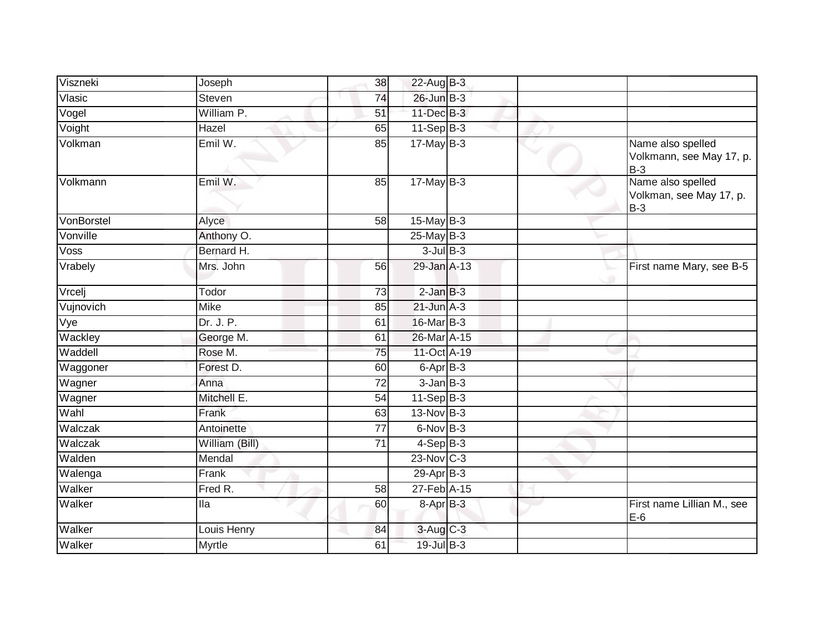| Viszneki   | Joseph         | 38              | 22-Aug B-3      |  |                                                        |
|------------|----------------|-----------------|-----------------|--|--------------------------------------------------------|
| Vlasic     | Steven         | 74              | 26-Jun B-3      |  |                                                        |
| Vogel      | William P.     | 51              | $11$ -Dec $B-3$ |  |                                                        |
| Voight     | Hazel          | 65              | $11-SepB-3$     |  |                                                        |
| Volkman    | Emil W.        | 85              | $17$ -May B-3   |  | Name also spelled<br>Volkmann, see May 17, p.<br>$B-3$ |
| Volkmann   | Emil W.        | 85              | $17$ -May B-3   |  | Name also spelled<br>Volkman, see May 17, p.<br>$B-3$  |
| VonBorstel | Alyce          | 58              | $15$ -May B-3   |  |                                                        |
| Vonville   | Anthony O.     |                 | $25$ -May B-3   |  |                                                        |
| Voss       | Bernard H.     |                 | $3$ -Jul $B$ -3 |  |                                                        |
| Vrabely    | Mrs. John      | 56              | 29-Jan A-13     |  | First name Mary, see B-5                               |
| Vrcelj     | Todor          | 73              | $2$ -Jan $B-3$  |  |                                                        |
| Vujnovich  | Mike           | 85              | $21$ -Jun $A-3$ |  |                                                        |
| Vye        | Dr. J. P.      | 61              | 16-Mar B-3      |  |                                                        |
| Wackley    | George M.      | 61              | 26-Mar A-15     |  |                                                        |
| Waddell    | Rose M.        | 75              | 11-Oct A-19     |  |                                                        |
| Waggoner   | Forest D.      | 60              | 6-Apr B-3       |  |                                                        |
| Wagner     | Anna           | 72              | $3$ -Jan $B-3$  |  |                                                        |
| Wagner     | Mitchell E.    | 54              | $11-Sep B-3$    |  |                                                        |
| Wahl       | Frank          | 63              | $13-Nov$ B-3    |  |                                                        |
| Walczak    | Antoinette     | $\overline{77}$ | $6$ -Nov $B-3$  |  |                                                        |
| Walczak    | William (Bill) | 71              | $4-SepB-3$      |  |                                                        |
| Walden     | Mendal         |                 | 23-Nov C-3      |  |                                                        |
| Walenga    | Frank          |                 | $29-AprB-3$     |  |                                                        |
| Walker     | Fred R.        | 58              | 27-Feb A-15     |  |                                                        |
| Walker     | lla            | 60              | 8-Apr B-3       |  | First name Lillian M., see<br>$E-6$                    |
| Walker     | Louis Henry    | 84              | 3-Aug C-3       |  |                                                        |
| Walker     | Myrtle         | 61              | 19-Jul B-3      |  |                                                        |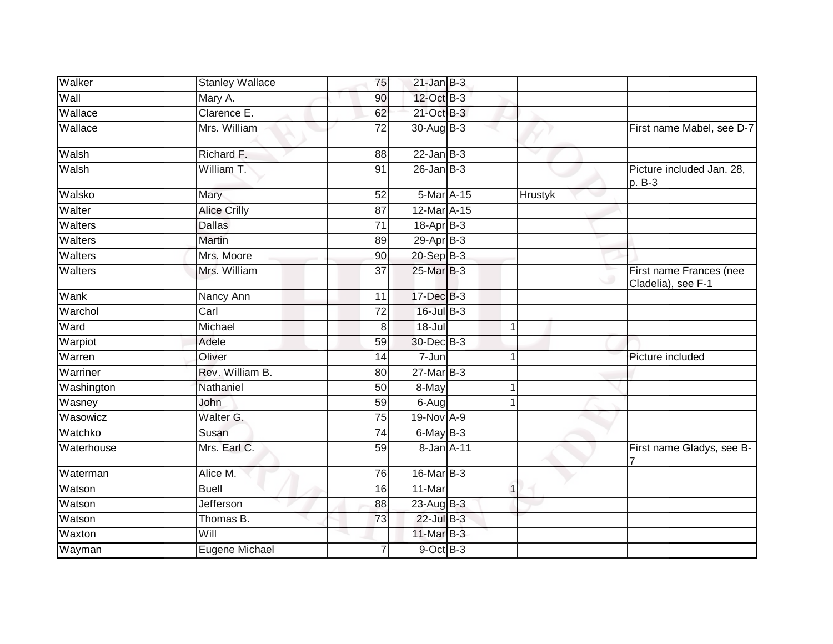| Walker         | <b>Stanley Wallace</b> | 75              | $21$ -Jan B-3   |             |         |                                               |
|----------------|------------------------|-----------------|-----------------|-------------|---------|-----------------------------------------------|
| Wall           | Mary A.                | 90              | 12-Oct B-3      |             |         |                                               |
| Wallace        | Clarence E.            | 62              | 21-Oct B-3      |             |         |                                               |
| Wallace        | Mrs. William           | 72              | 30-Aug B-3      |             |         | First name Mabel, see D-7                     |
| Walsh          | Richard F.             | 88              | $22$ -Jan B-3   |             |         |                                               |
| Walsh          | William T.             | 91              | $26$ -Jan $B-3$ |             |         | Picture included Jan. 28,<br>p. B-3           |
| Walsko         | Mary                   | 52              | 5-Mar A-15      |             | Hrustyk |                                               |
| Walter         | <b>Alice Crilly</b>    | 87              | 12-Mar A-15     |             |         |                                               |
| Walters        | <b>Dallas</b>          | $\overline{71}$ | $18-Apr$ B-3    |             |         |                                               |
| Walters        | <b>Martin</b>          | 89              | $29$ -Apr $B-3$ |             |         |                                               |
| <b>Walters</b> | Mrs. Moore             | 90              | $20 - Sep$ B-3  |             |         |                                               |
| Walters        | Mrs. William           | $\overline{37}$ | 25-Mar B-3      |             |         | First name Frances (nee<br>Cladelia), see F-1 |
| Wank           | Nancy Ann              | 11              | 17-Dec B-3      |             |         |                                               |
| Warchol        | Carl                   | 72              | 16-Jul B-3      |             |         |                                               |
| Ward           | Michael                | 8               | $18 -$ Jul      | 1           |         |                                               |
| Warpiot        | Adele                  | 59              | 30-Dec B-3      |             |         |                                               |
| Warren         | Oliver                 | 14              | 7-Jun           |             |         | Picture included                              |
| Warriner       | Rev. William B.        | $\overline{80}$ | 27-Mar B-3      |             |         |                                               |
| Washington     | Nathaniel              | 50              | 8-May           | 1           |         |                                               |
| Wasney         | John                   | 59              | 6-Aug           |             |         |                                               |
| Wasowicz       | Walter G.              | 75              | 19-Nov A-9      |             |         |                                               |
| Watchko        | Susan                  | 74              | 6-May B-3       |             |         |                                               |
| Waterhouse     | Mrs. Earl C.           | $\overline{59}$ | 8-Jan A-11      |             |         | First name Gladys, see B-                     |
| Waterman       | Alice M.               | 76              | 16-Mar B-3      |             |         |                                               |
| Watson         | <b>Buell</b>           | 16              | 11-Mar          | $\mathbf 1$ |         |                                               |
| Watson         | <b>Jefferson</b>       | 88              | 23-Aug B-3      |             |         |                                               |
| Watson         | Thomas B.              | 73              | 22-Jul B-3      |             |         |                                               |
| Waxton         | Will                   |                 | 11-Mar B-3      |             |         |                                               |
| Wayman         | Eugene Michael         |                 | $9$ -Oct $B$ -3 |             |         |                                               |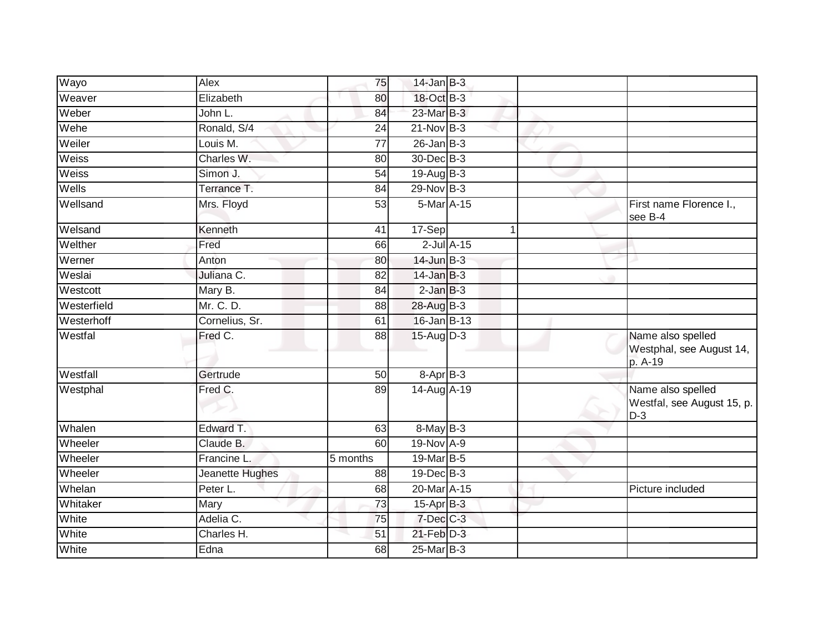| Wayo        | Alex            | 75       | $14$ -Jan B-3     |              |                                                          |
|-------------|-----------------|----------|-------------------|--------------|----------------------------------------------------------|
| Weaver      | Elizabeth       | 80       | 18-Oct B-3        |              |                                                          |
| Weber       | John L.         | 84       | 23-Mar B-3        |              |                                                          |
| Wehe        | Ronald, S/4     | 24       | $21-Nov$ B-3      |              |                                                          |
| Weiler      | Louis M.        | 77       | $26$ -Jan B-3     |              |                                                          |
| Weiss       | Charles W.      | 80       | 30-Dec B-3        |              |                                                          |
| Weiss       | Simon J.        | 54       | $19$ -Aug $B - 3$ |              |                                                          |
| Wells       | Terrance T.     | 84       | $29$ -Nov B-3     |              |                                                          |
| Wellsand    | Mrs. Floyd      | 53       | 5-Mar A-15        |              | First name Florence I.,<br>see B-4                       |
| Welsand     | Kenneth         | 41       | 17-Sep            | $\mathbf{1}$ |                                                          |
| Welther     | Fred            | 66       | $2$ -Jul $A-15$   |              |                                                          |
| Werner      | Anton           | 80       | $14$ -Jun $B-3$   |              |                                                          |
| Weslai      | Juliana C.      | 82       | $14$ -Jan B-3     |              |                                                          |
| Westcott    | Mary B.         | 84       | $2$ -Jan $B-3$    |              |                                                          |
| Westerfield | Mr. C. D.       | 88       | 28-Aug B-3        |              |                                                          |
| Westerhoff  | Cornelius, Sr.  | 61       | $16$ -Jan B-13    |              |                                                          |
| Westfal     | Fred C.         | 88       | 15-Aug D-3        |              | Name also spelled<br>Westphal, see August 14,<br>p. A-19 |
| Westfall    | Gertrude        | 50       | $8 - Apr$ B-3     |              |                                                          |
| Westphal    | Fred C.         | 89       | 14-Aug A-19       |              | Name also spelled<br>Westfal, see August 15, p.<br>$D-3$ |
| Whalen      | Edward T.       | 63       | 8-May B-3         |              |                                                          |
| Wheeler     | Claude B.       | 60       | 19-Nov A-9        |              |                                                          |
| Wheeler     | Francine L.     | 5 months | 19-Mar B-5        |              |                                                          |
| Wheeler     | Jeanette Hughes | 88       | $19$ -Dec $B$ -3  |              |                                                          |
| Whelan      | Peter L.        | 68       | 20-Mar A-15       |              | Picture included                                         |
| Whitaker    | Mary            | 73       | $15$ -Apr $B$ -3  |              |                                                          |
| White       | Adelia C.       | 75       | $7$ -Dec $C$ -3   |              |                                                          |
| White       | Charles H.      | 51       | $21$ -Feb $D-3$   |              |                                                          |
| White       | Edna            | 68       | $25$ -Mar $B-3$   |              |                                                          |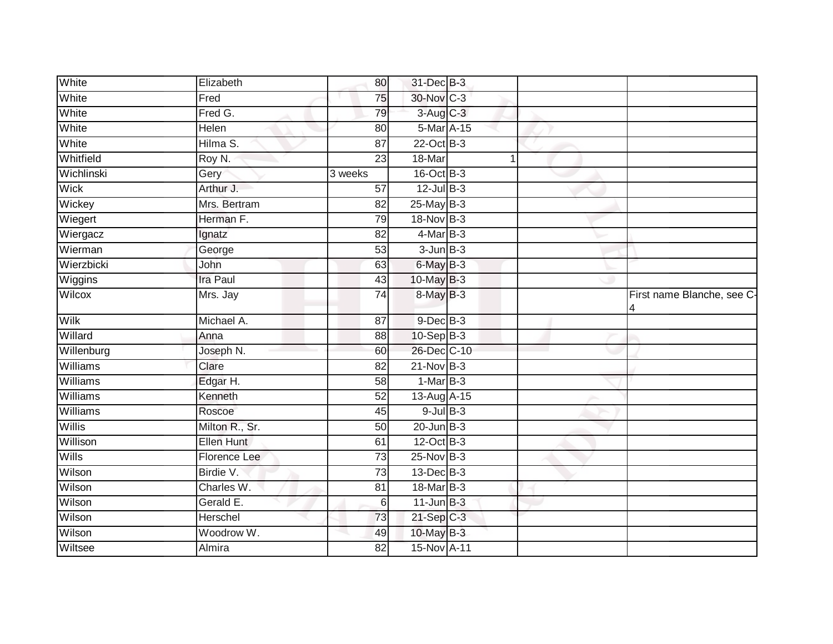| White        | Elizabeth         | 80              | 31-Dec B-3      |   |                                 |
|--------------|-------------------|-----------------|-----------------|---|---------------------------------|
| White        | Fred              | 75              | 30-Nov C-3      |   |                                 |
| White        | Fred G.           | 79              | 3-Aug C-3       |   |                                 |
| White        | Helen             | 80              | 5-Mar A-15      |   |                                 |
| White        | Hilma S.          | $\overline{87}$ | 22-Oct B-3      |   |                                 |
| Whitfield    | Roy N.            | $\overline{23}$ | 18-Mar          | 1 |                                 |
| Wichlinski   | Gery              | 3 weeks         | 16-Oct B-3      |   |                                 |
| Wick         | Arthur J.         | 57              | $12$ -Jul $B-3$ |   |                                 |
| Wickey       | Mrs. Bertram      | 82              | $25$ -May B-3   |   |                                 |
| Wiegert      | Herman F.         | 79              | 18-Nov B-3      |   |                                 |
| Wiergacz     | Ignatz            | 82              | $4$ -Mar $B-3$  |   |                                 |
| Wierman      | George            | 53              | $3 - Jun$ $B-3$ |   |                                 |
| Wierzbicki   | John              | 63              | 6-May B-3       |   |                                 |
| Wiggins      | <b>Ira Paul</b>   | 43              | 10-May B-3      |   |                                 |
| Wilcox       | Mrs. Jay          | $\overline{74}$ | 8-May B-3       |   | First name Blanche, see C-<br>4 |
| Wilk         | Michael A.        | 87              | $9$ -Dec $B$ -3 |   |                                 |
| Willard      | Anna              | $\overline{88}$ | $10-Sep$ B-3    |   |                                 |
| Willenburg   | Joseph N.         | 60              | 26-Dec C-10     |   |                                 |
| Williams     | Clare             | 82              | $21-Nov$ B-3    |   |                                 |
| Williams     | Edgar H.          | 58              | $1-MarB-3$      |   |                                 |
| Williams     | Kenneth           | 52              | 13-Aug A-15     |   |                                 |
| Williams     | Roscoe            | 45              | $9$ -Jul $B$ -3 |   |                                 |
| Willis       | Milton R., Sr.    | 50              | $20$ -Jun $B-3$ |   |                                 |
| Willison     | <b>Ellen Hunt</b> | 61              | 12-Oct B-3      |   |                                 |
| <b>Wills</b> | Florence Lee      | $\overline{73}$ | 25-Nov B-3      |   |                                 |
| Wilson       | Birdie V.         | $\overline{73}$ | 13-Dec B-3      |   |                                 |
| Wilson       | Charles W.        | 81              | 18-Mar B-3      |   |                                 |
| Wilson       | Gerald E.         | 6               | $11$ -Jun $B-3$ |   |                                 |
| Wilson       | Herschel          | 73              | $21-Sep$ C-3    |   |                                 |
| Wilson       | Woodrow W.        | 49              | 10-May B-3      |   |                                 |
| Wiltsee      | Almira            | 82              | 15-Nov A-11     |   |                                 |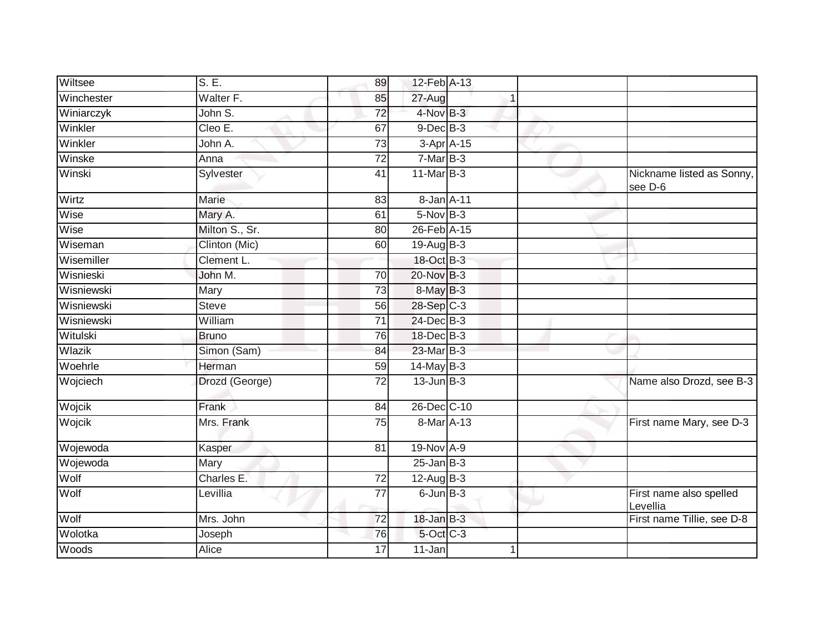| Wiltsee    | S. E.          | 89              | 12-Feb A-13          |    |                                      |
|------------|----------------|-----------------|----------------------|----|--------------------------------------|
| Winchester | Walter F.      | 85              | 27-Aug               |    |                                      |
| Winiarczyk | John S.        | $\overline{72}$ | 4-Nov B-3            |    |                                      |
| Winkler    | Cleo E.        | 67              | $9$ -Dec $B$ -3      |    |                                      |
| Winkler    | John A.        | 73              | 3-Apr A-15           |    |                                      |
| Winske     | Anna           | 72              | $7-MarB-3$           |    |                                      |
| Winski     | Sylvester      | 41              | $11$ -Mar $B-3$      |    | Nickname listed as Sonny,<br>see D-6 |
| Wirtz      | Marie          | 83              | 8-Jan A-11           |    |                                      |
| Wise       | Mary A.        | 61              | $5-Nov$ B-3          |    |                                      |
| Wise       | Milton S., Sr. | 80              | 26-Feb A-15          |    |                                      |
| Wiseman    | Clinton (Mic)  | 60              | 19-Aug $B-3$         |    |                                      |
| Wisemiller | Clement L.     |                 | 18-Oct B-3           |    |                                      |
| Wisnieski  | John M.        | 70              | 20-Nov B-3           |    |                                      |
| Wisniewski | Mary           | 73              | 8-May B-3            |    |                                      |
| Wisniewski | <b>Steve</b>   | 56              | 28-Sep C-3           |    |                                      |
| Wisniewski | William        | $\overline{71}$ | 24-Dec B-3           |    |                                      |
| Witulski   | <b>Bruno</b>   | 76              | 18-Dec B-3           |    |                                      |
| Wlazik     | Simon (Sam)    | 84              | 23-Mar B-3           |    |                                      |
| Woehrle    | Herman         | 59              | 14-May B-3           |    |                                      |
| Wojciech   | Drozd (George) | 72              | $13$ -Jun $B-3$      |    | Name also Drozd, see B-3             |
| Wojcik     | Frank          | 84              | 26-Dec C-10          |    |                                      |
| Wojcik     | Mrs. Frank     | 75              | 8-Mar A-13           |    | First name Mary, see D-3             |
| Wojewoda   | Kasper         | 81              | 19-Nov A-9           |    |                                      |
| Wojewoda   | Mary           |                 | $25$ -Jan $B-3$      |    |                                      |
| Wolf       | Charles E.     | 72              | $12$ -Aug $B-3$      |    |                                      |
| Wolf       | Levillia       | 77              | $6$ -Jun $B-3$       |    | First name also spelled<br>Levellia  |
| Wolf       | Mrs. John      | $\overline{72}$ | $18 - Jan$ $B-3$     |    | First name Tillie, see D-8           |
| Wolotka    | Joseph         | 76              | 5-Oct C-3            |    |                                      |
| Woods      | Alice          | 17              | $\overline{11}$ -Jan | -1 |                                      |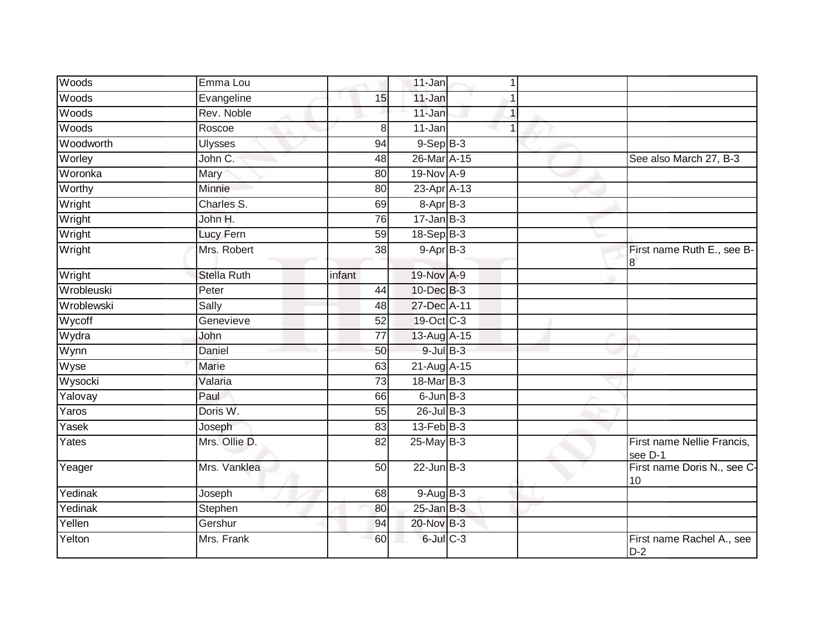| Woods      | Emma Lou           |                 | 11-Jan           | 1              |                                       |
|------------|--------------------|-----------------|------------------|----------------|---------------------------------------|
| Woods      | Evangeline         | 15              | 11-Jan           |                |                                       |
| Woods      | Rev. Noble         |                 | 11-Jan           | 1              |                                       |
| Woods      | Roscoe             | 8               | 11-Jan           | $\overline{1}$ |                                       |
| Woodworth  | <b>Ulysses</b>     | $\overline{94}$ | $9-Sep$ $B-3$    |                |                                       |
| Worley     | John C.            | 48              | 26-Mar A-15      |                | See also March 27, B-3                |
| Woronka    | Mary               | 80              | 19-Nov A-9       |                |                                       |
| Worthy     | Minnie             | 80              | 23-Apr A-13      |                |                                       |
| Wright     | Charles S.         | 69              | 8-Apr B-3        |                |                                       |
| Wright     | John H.            | 76              | $17 - Jan$ $B-3$ |                |                                       |
| Wright     | Lucy Fern          | 59              | 18-Sep B-3       |                |                                       |
| Wright     | Mrs. Robert        | 38              | $9-AprB-3$       |                | First name Ruth E., see B-<br>8       |
| Wright     | <b>Stella Ruth</b> | infant          | 19-Nov A-9       |                |                                       |
| Wrobleuski | Peter              | 44              | 10-Dec B-3       |                |                                       |
| Wroblewski | Sally              | 48              | 27-Dec A-11      |                |                                       |
| Wycoff     | Genevieve          | 52              | 19-Oct C-3       |                |                                       |
| Wydra      | John               | 77              | 13-Aug A-15      |                |                                       |
| Wynn       | Daniel             | 50              | $9$ -Jul $B$ -3  |                |                                       |
| Wyse       | Marie              | 63              | 21-Aug A-15      |                |                                       |
| Wysocki    | Valaria            | 73              | 18-Mar B-3       |                |                                       |
| Yalovay    | Paul               | 66              | $6$ -Jun $B-3$   |                |                                       |
| Yaros      | Doris W.           | 55              | $26$ -Jul $B-3$  |                |                                       |
| Yasek      | Joseph             | 83              | $13$ -Feb $B-3$  |                |                                       |
| Yates      | Mrs. Ollie D.      | 82              | 25-May B-3       |                | First name Nellie Francis,<br>see D-1 |
| Yeager     | Mrs. Vanklea       | $\overline{50}$ | $22$ -Jun $B-3$  |                | First name Doris N., see C-<br>10     |
| Yedinak    | Joseph             | 68              | $9-AugB-3$       |                |                                       |
| Yedinak    | Stephen            | 80              | $25$ -Jan B-3    |                |                                       |
| Yellen     | Gershur            | 94              | 20-Nov B-3       |                |                                       |
| Yelton     | Mrs. Frank         | 60              | $6$ -Jul $C$ -3  |                | First name Rachel A., see<br>$D-2$    |
|            |                    |                 |                  |                |                                       |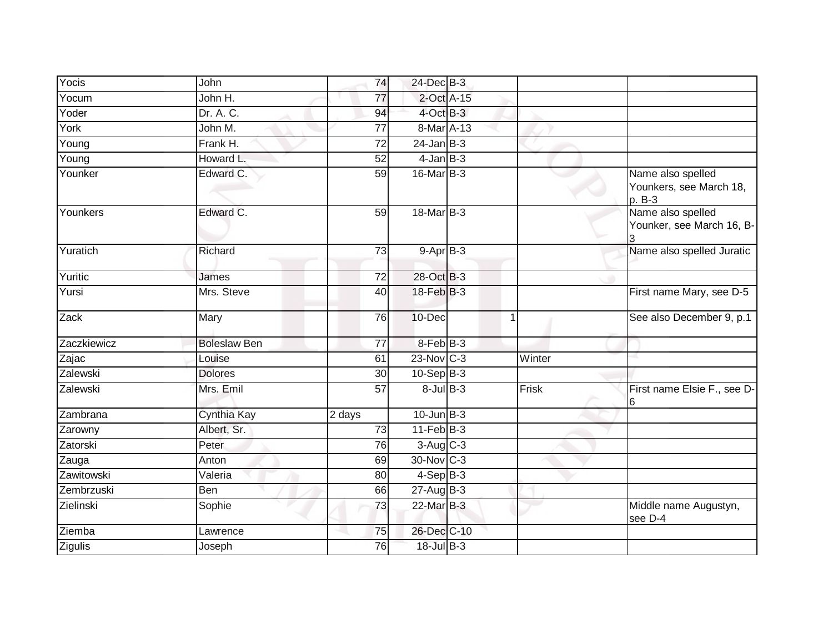| Yocis       | John                | 74              | 24-Dec B-3      |             |                                                        |
|-------------|---------------------|-----------------|-----------------|-------------|--------------------------------------------------------|
| Yocum       | John H.             | $\overline{77}$ | 2-Oct A-15      |             |                                                        |
| Yoder       | Dr. A. C.           | 94              | 4-Oct B-3       |             |                                                        |
| York        | John M.             | 77              | 8-Mar A-13      |             |                                                        |
| Young       | Frank H.            | $\overline{72}$ | $24$ -Jan B-3   |             |                                                        |
| Young       | Howard L.           | 52              | $4$ -Jan B-3    |             |                                                        |
| Younker     | Edward C.           | 59              | 16-Mar B-3      |             | Name also spelled<br>Younkers, see March 18,<br>p. B-3 |
| Younkers    | Edward C.           | 59              | 18-Mar B-3      |             | Name also spelled<br>Younker, see March 16, B-         |
| Yuratich    | Richard             | $\overline{73}$ | $9-AprB-3$      |             | Name also spelled Juratic                              |
| Yuritic     | James               | $\overline{72}$ | 28-Oct B-3      |             |                                                        |
| Yursi       | Mrs. Steve          | 40              | 18-Feb B-3      |             | First name Mary, see D-5                               |
| Zack        | Mary                | 76              | 10-Dec          | $\mathbf 1$ | See also December 9, p.1                               |
| Zaczkiewicz | <b>Boleslaw Ben</b> | $\overline{77}$ | 8-Feb B-3       |             |                                                        |
| Zajac       | Louise              | 61              | 23-Nov C-3      | Winter      |                                                        |
| Zalewski    | <b>Dolores</b>      | 30              | $10-Sep B-3$    |             |                                                        |
| Zalewski    | Mrs. Emil           | 57              | $8$ -Jul $B-3$  | Frisk       | First name Elsie F., see D-<br>6                       |
| Zambrana    | Cynthia Kay         | 2 days          | $10$ -Jun $B-3$ |             |                                                        |
| Zarowny     | Albert, Sr.         | 73              | $11-Feb$ B-3    |             |                                                        |
| Zatorski    | Peter               | 76              | $3-Aug$ $C-3$   |             |                                                        |
| Zauga       | Anton               | 69              | 30-Nov C-3      |             |                                                        |
| Zawitowski  | Valeria             | 80              | $4-Sep$ B-3     |             |                                                        |
| Zembrzuski  | Ben                 | 66              | $27$ -Aug $B-3$ |             |                                                        |
| Zielinski   | Sophie              | 73              | 22-Mar B-3      |             | Middle name Augustyn,<br>see D-4                       |
| Ziemba      | Lawrence            | 75              | 26-Dec C-10     |             |                                                        |
| Zigulis     | Joseph              | 76              | 18-Jul B-3      |             |                                                        |